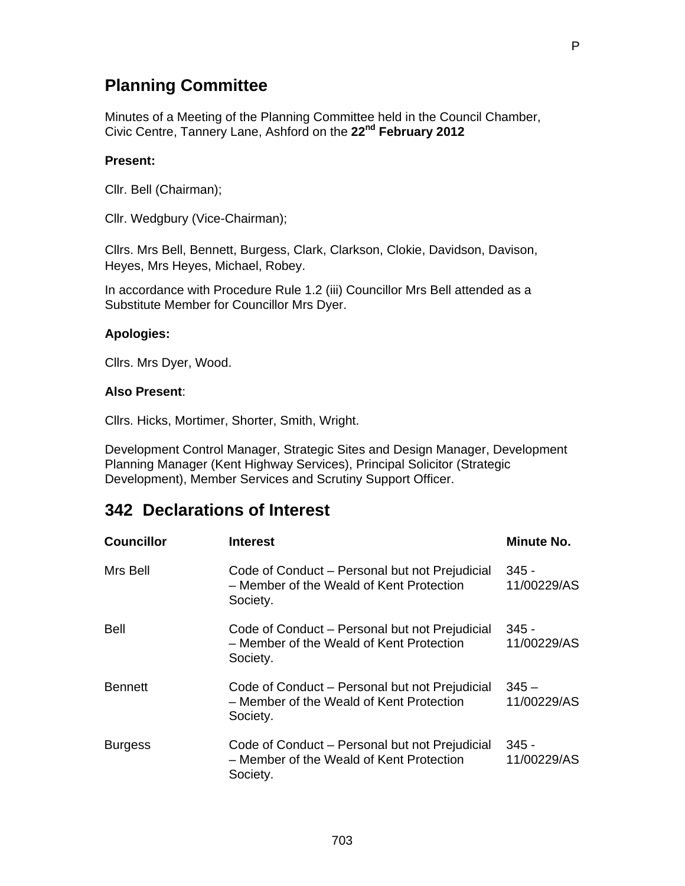## **Planning Committee**

Minutes of a Meeting of the Planning Committee held in the Council Chamber, Civic Centre, Tannery Lane, Ashford on the **22nd February 2012** 

#### **Present:**

Cllr. Bell (Chairman);

Cllr. Wedgbury (Vice-Chairman);

Cllrs. Mrs Bell, Bennett, Burgess, Clark, Clarkson, Clokie, Davidson, Davison, Heyes, Mrs Heyes, Michael, Robey.

In accordance with Procedure Rule 1.2 (iii) Councillor Mrs Bell attended as a Substitute Member for Councillor Mrs Dyer.

#### **Apologies:**

Cllrs. Mrs Dyer, Wood.

#### **Also Present**:

Cllrs. Hicks, Mortimer, Shorter, Smith, Wright.

Development Control Manager, Strategic Sites and Design Manager, Development Planning Manager (Kent Highway Services), Principal Solicitor (Strategic Development), Member Services and Scrutiny Support Officer.

## **342 Declarations of Interest**

| <b>Councillor</b> | <b>Interest</b>                                                                                        | Minute No.             |
|-------------------|--------------------------------------------------------------------------------------------------------|------------------------|
| Mrs Bell          | Code of Conduct – Personal but not Prejudicial<br>- Member of the Weald of Kent Protection<br>Society. | $345 -$<br>11/00229/AS |
| <b>Bell</b>       | Code of Conduct - Personal but not Prejudicial<br>- Member of the Weald of Kent Protection<br>Society. | - 345<br>11/00229/AS   |
| <b>Bennett</b>    | Code of Conduct - Personal but not Prejudicial<br>- Member of the Weald of Kent Protection<br>Society. | $345 -$<br>11/00229/AS |
| <b>Burgess</b>    | Code of Conduct – Personal but not Prejudicial<br>- Member of the Weald of Kent Protection<br>Society. | - 345<br>11/00229/AS   |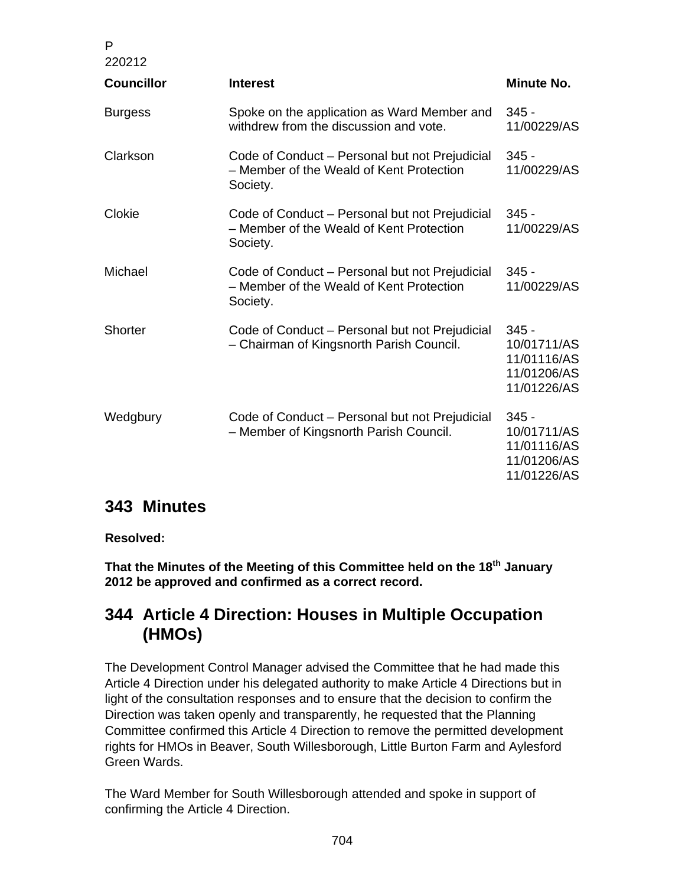| P<br>220212       |                                                                                                        |                                                                     |
|-------------------|--------------------------------------------------------------------------------------------------------|---------------------------------------------------------------------|
| <b>Councillor</b> | <b>Interest</b>                                                                                        | Minute No.                                                          |
| <b>Burgess</b>    | Spoke on the application as Ward Member and<br>withdrew from the discussion and vote.                  | $345 -$<br>11/00229/AS                                              |
| Clarkson          | Code of Conduct – Personal but not Prejudicial<br>- Member of the Weald of Kent Protection<br>Society. | $345 -$<br>11/00229/AS                                              |
| Clokie            | Code of Conduct – Personal but not Prejudicial<br>- Member of the Weald of Kent Protection<br>Society. | $345 -$<br>11/00229/AS                                              |
| Michael           | Code of Conduct – Personal but not Prejudicial<br>- Member of the Weald of Kent Protection<br>Society. | $345 -$<br>11/00229/AS                                              |
| <b>Shorter</b>    | Code of Conduct – Personal but not Prejudicial<br>- Chairman of Kingsnorth Parish Council.             | $345 -$<br>10/01711/AS<br>11/01116/AS<br>11/01206/AS<br>11/01226/AS |
| Wedgbury          | Code of Conduct – Personal but not Prejudicial<br>- Member of Kingsnorth Parish Council.               | $345 -$<br>10/01711/AS<br>11/01116/AS<br>11/01206/AS<br>11/01226/AS |

# **343 Minutes**

### **Resolved:**

**That the Minutes of the Meeting of this Committee held on the 18th January 2012 be approved and confirmed as a correct record.** 

# **344 Article 4 Direction: Houses in Multiple Occupation (HMOs)**

The Development Control Manager advised the Committee that he had made this Article 4 Direction under his delegated authority to make Article 4 Directions but in light of the consultation responses and to ensure that the decision to confirm the Direction was taken openly and transparently, he requested that the Planning Committee confirmed this Article 4 Direction to remove the permitted development rights for HMOs in Beaver, South Willesborough, Little Burton Farm and Aylesford Green Wards.

The Ward Member for South Willesborough attended and spoke in support of confirming the Article 4 Direction.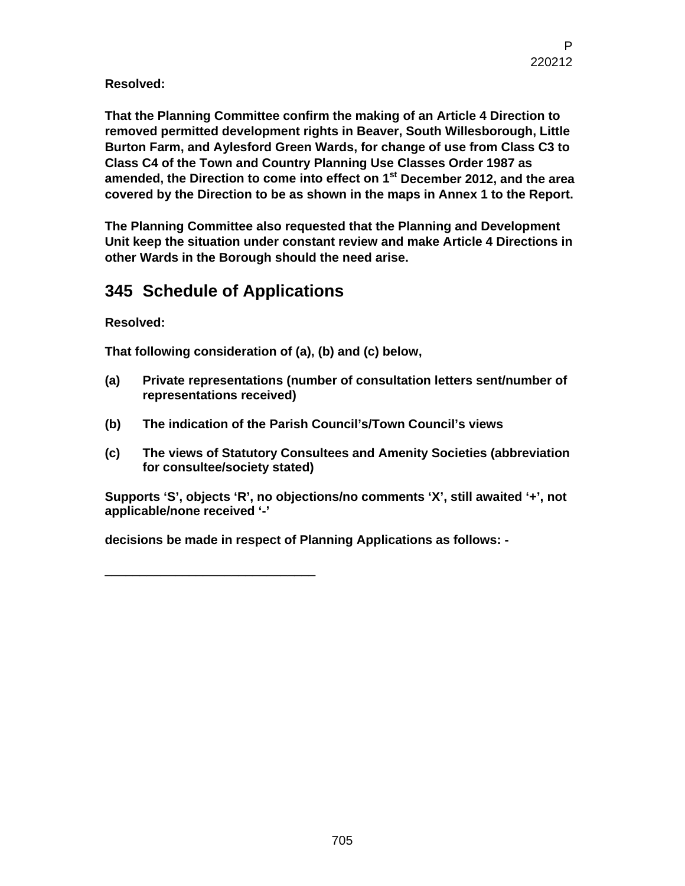**Resolved:** 

**That the Planning Committee confirm the making of an Article 4 Direction to removed permitted development rights in Beaver, South Willesborough, Little Burton Farm, and Aylesford Green Wards, for change of use from Class C3 to Class C4 of the Town and Country Planning Use Classes Order 1987 as amended, the Direction to come into effect on 1st December 2012, and the area covered by the Direction to be as shown in the maps in Annex 1 to the Report.** 

**The Planning Committee also requested that the Planning and Development Unit keep the situation under constant review and make Article 4 Directions in other Wards in the Borough should the need arise.** 

# **345 Schedule of Applications**

\_\_\_\_\_\_\_\_\_\_\_\_\_\_\_\_\_\_\_\_\_\_\_\_\_\_\_\_\_\_

**Resolved:** 

**That following consideration of (a), (b) and (c) below,** 

- **(a) Private representations (number of consultation letters sent/number of representations received)**
- **(b) The indication of the Parish Council's/Town Council's views**
- **(c) The views of Statutory Consultees and Amenity Societies (abbreviation for consultee/society stated)**

**Supports 'S', objects 'R', no objections/no comments 'X', still awaited '+', not applicable/none received '-'** 

**decisions be made in respect of Planning Applications as follows: -**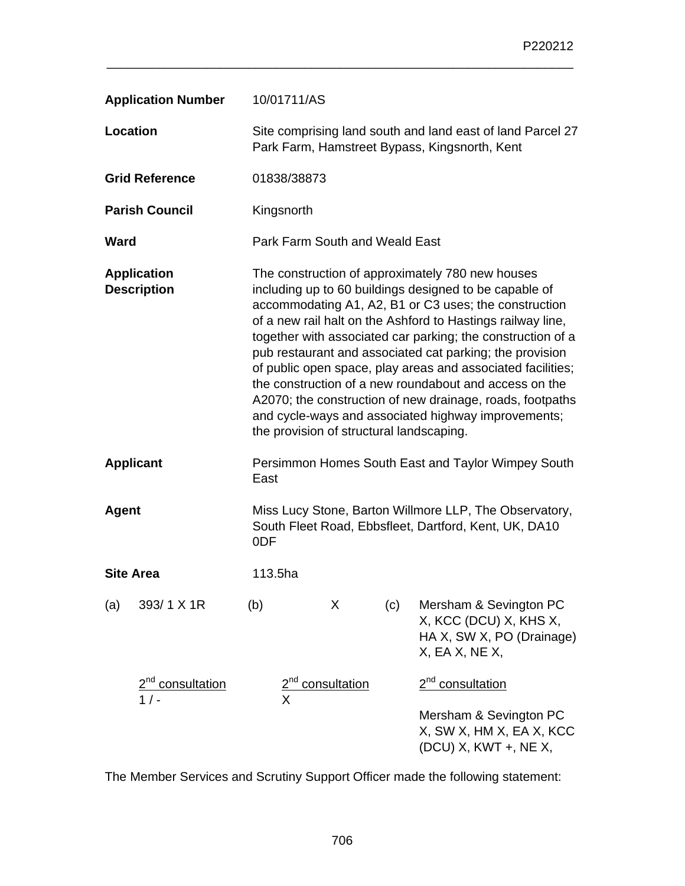|                  | <b>Application Number</b>                | 10/01711/AS                                                                                                                                                                                                                                                                                                                                                                                                                                                                                                                                                                                                                                            |  |                                |     |                                                                                                                 |
|------------------|------------------------------------------|--------------------------------------------------------------------------------------------------------------------------------------------------------------------------------------------------------------------------------------------------------------------------------------------------------------------------------------------------------------------------------------------------------------------------------------------------------------------------------------------------------------------------------------------------------------------------------------------------------------------------------------------------------|--|--------------------------------|-----|-----------------------------------------------------------------------------------------------------------------|
| <b>Location</b>  |                                          | Site comprising land south and land east of land Parcel 27<br>Park Farm, Hamstreet Bypass, Kingsnorth, Kent                                                                                                                                                                                                                                                                                                                                                                                                                                                                                                                                            |  |                                |     |                                                                                                                 |
|                  | <b>Grid Reference</b>                    | 01838/38873                                                                                                                                                                                                                                                                                                                                                                                                                                                                                                                                                                                                                                            |  |                                |     |                                                                                                                 |
|                  | <b>Parish Council</b>                    | Kingsnorth                                                                                                                                                                                                                                                                                                                                                                                                                                                                                                                                                                                                                                             |  |                                |     |                                                                                                                 |
| Ward             |                                          |                                                                                                                                                                                                                                                                                                                                                                                                                                                                                                                                                                                                                                                        |  | Park Farm South and Weald East |     |                                                                                                                 |
|                  | <b>Application</b><br><b>Description</b> | The construction of approximately 780 new houses<br>including up to 60 buildings designed to be capable of<br>accommodating A1, A2, B1 or C3 uses; the construction<br>of a new rail halt on the Ashford to Hastings railway line,<br>together with associated car parking; the construction of a<br>pub restaurant and associated cat parking; the provision<br>of public open space, play areas and associated facilities;<br>the construction of a new roundabout and access on the<br>A2070; the construction of new drainage, roads, footpaths<br>and cycle-ways and associated highway improvements;<br>the provision of structural landscaping. |  |                                |     |                                                                                                                 |
| <b>Applicant</b> |                                          | East                                                                                                                                                                                                                                                                                                                                                                                                                                                                                                                                                                                                                                                   |  |                                |     | Persimmon Homes South East and Taylor Wimpey South                                                              |
| <b>Agent</b>     |                                          | 0DF                                                                                                                                                                                                                                                                                                                                                                                                                                                                                                                                                                                                                                                    |  |                                |     | Miss Lucy Stone, Barton Willmore LLP, The Observatory,<br>South Fleet Road, Ebbsfleet, Dartford, Kent, UK, DA10 |
| <b>Site Area</b> |                                          | 113.5ha                                                                                                                                                                                                                                                                                                                                                                                                                                                                                                                                                                                                                                                |  |                                |     |                                                                                                                 |
| (a)              | 393/1 X 1R                               | (b)                                                                                                                                                                                                                                                                                                                                                                                                                                                                                                                                                                                                                                                    |  | X                              | (c) | Mersham & Sevington PC<br>X, KCC (DCU) X, KHS X,<br>HA X, SW X, PO (Drainage)<br>$X$ , EA $X$ , NE $X$ ,        |
|                  | $\frac{2^{nd}}{1}$ consultation          |                                                                                                                                                                                                                                                                                                                                                                                                                                                                                                                                                                                                                                                        |  | consultation                   |     | 2 <sup>nd</sup> consultation                                                                                    |
|                  |                                          |                                                                                                                                                                                                                                                                                                                                                                                                                                                                                                                                                                                                                                                        |  |                                |     | Mersham & Sevington PC<br>X, SW X, HM X, EA X, KCC<br>(DCU) X, KWT +, NE X,                                     |

The Member Services and Scrutiny Support Officer made the following statement: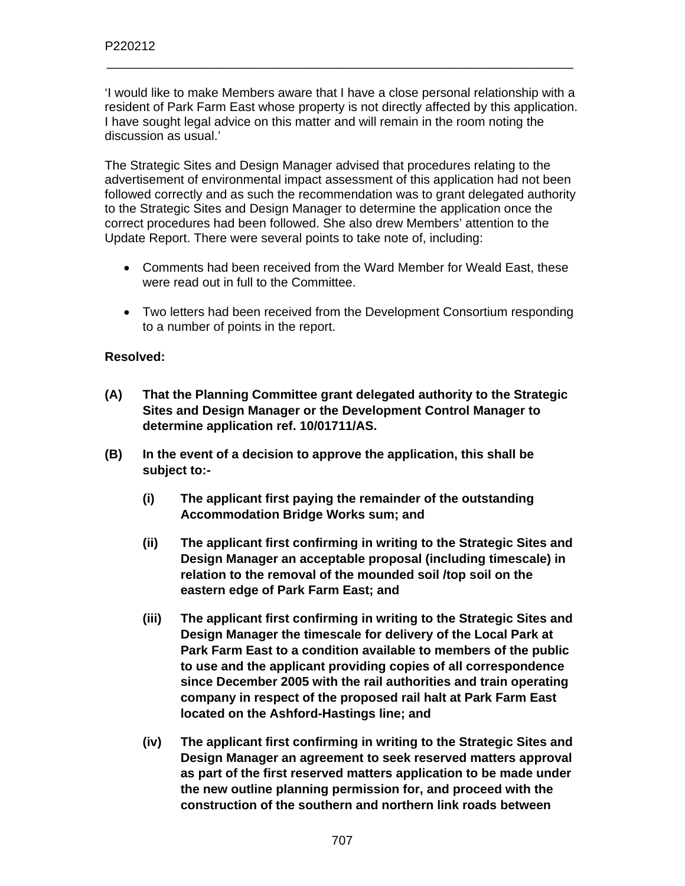'I would like to make Members aware that I have a close personal relationship with a resident of Park Farm East whose property is not directly affected by this application. I have sought legal advice on this matter and will remain in the room noting the discussion as usual.'

\_\_\_\_\_\_\_\_\_\_\_\_\_\_\_\_\_\_\_\_\_\_\_\_\_\_\_\_\_\_\_\_\_\_\_\_\_\_\_\_\_\_\_\_\_\_\_\_\_\_\_\_\_\_\_\_\_\_\_\_\_\_\_\_\_\_

The Strategic Sites and Design Manager advised that procedures relating to the advertisement of environmental impact assessment of this application had not been followed correctly and as such the recommendation was to grant delegated authority to the Strategic Sites and Design Manager to determine the application once the correct procedures had been followed. She also drew Members' attention to the Update Report. There were several points to take note of, including:

- Comments had been received from the Ward Member for Weald East, these were read out in full to the Committee.
- Two letters had been received from the Development Consortium responding to a number of points in the report.

### **Resolved:**

- **(A) That the Planning Committee grant delegated authority to the Strategic Sites and Design Manager or the Development Control Manager to determine application ref. 10/01711/AS.**
- **(B) In the event of a decision to approve the application, this shall be subject to:-** 
	- **(i) The applicant first paying the remainder of the outstanding Accommodation Bridge Works sum; and**
	- **(ii) The applicant first confirming in writing to the Strategic Sites and Design Manager an acceptable proposal (including timescale) in relation to the removal of the mounded soil /top soil on the eastern edge of Park Farm East; and**
	- **(iii) The applicant first confirming in writing to the Strategic Sites and Design Manager the timescale for delivery of the Local Park at Park Farm East to a condition available to members of the public to use and the applicant providing copies of all correspondence since December 2005 with the rail authorities and train operating company in respect of the proposed rail halt at Park Farm East located on the Ashford-Hastings line; and**
	- **(iv) The applicant first confirming in writing to the Strategic Sites and Design Manager an agreement to seek reserved matters approval as part of the first reserved matters application to be made under the new outline planning permission for, and proceed with the construction of the southern and northern link roads between**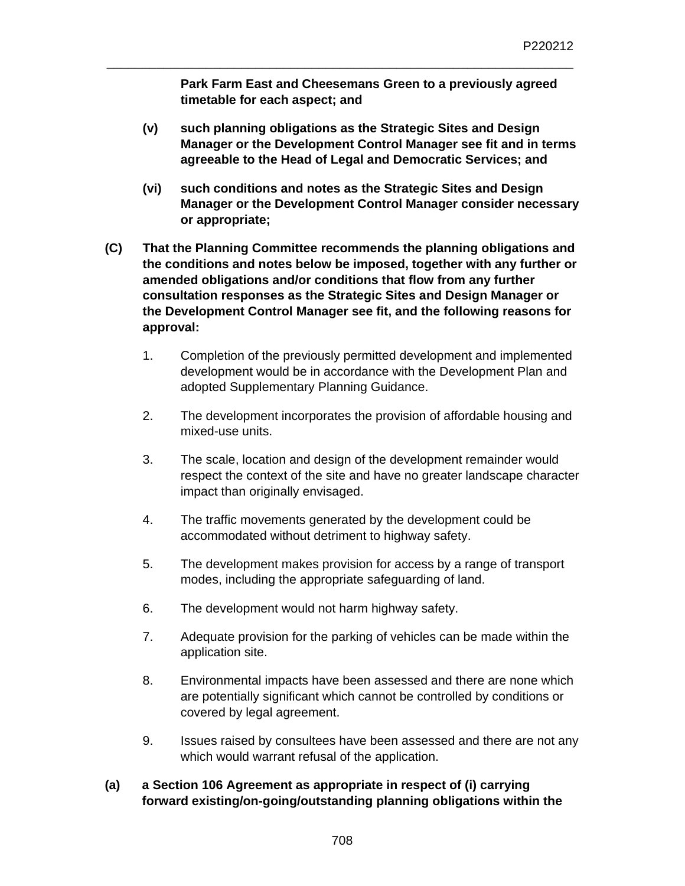**Park Farm East and Cheesemans Green to a previously agreed timetable for each aspect; and** 

\_\_\_\_\_\_\_\_\_\_\_\_\_\_\_\_\_\_\_\_\_\_\_\_\_\_\_\_\_\_\_\_\_\_\_\_\_\_\_\_\_\_\_\_\_\_\_\_\_\_\_\_\_\_\_\_\_\_\_\_\_\_\_\_\_\_

- **(v) such planning obligations as the Strategic Sites and Design Manager or the Development Control Manager see fit and in terms agreeable to the Head of Legal and Democratic Services; and**
- **(vi) such conditions and notes as the Strategic Sites and Design Manager or the Development Control Manager consider necessary or appropriate;**
- **(C) That the Planning Committee recommends the planning obligations and the conditions and notes below be imposed, together with any further or amended obligations and/or conditions that flow from any further consultation responses as the Strategic Sites and Design Manager or the Development Control Manager see fit, and the following reasons for approval:** 
	- 1. Completion of the previously permitted development and implemented development would be in accordance with the Development Plan and adopted Supplementary Planning Guidance.
	- 2. The development incorporates the provision of affordable housing and mixed-use units.
	- 3. The scale, location and design of the development remainder would respect the context of the site and have no greater landscape character impact than originally envisaged.
	- 4. The traffic movements generated by the development could be accommodated without detriment to highway safety.
	- 5. The development makes provision for access by a range of transport modes, including the appropriate safeguarding of land.
	- 6. The development would not harm highway safety.
	- 7. Adequate provision for the parking of vehicles can be made within the application site.
	- 8. Environmental impacts have been assessed and there are none which are potentially significant which cannot be controlled by conditions or covered by legal agreement.
	- 9. Issues raised by consultees have been assessed and there are not any which would warrant refusal of the application.

### **(a) a Section 106 Agreement as appropriate in respect of (i) carrying forward existing/on-going/outstanding planning obligations within the**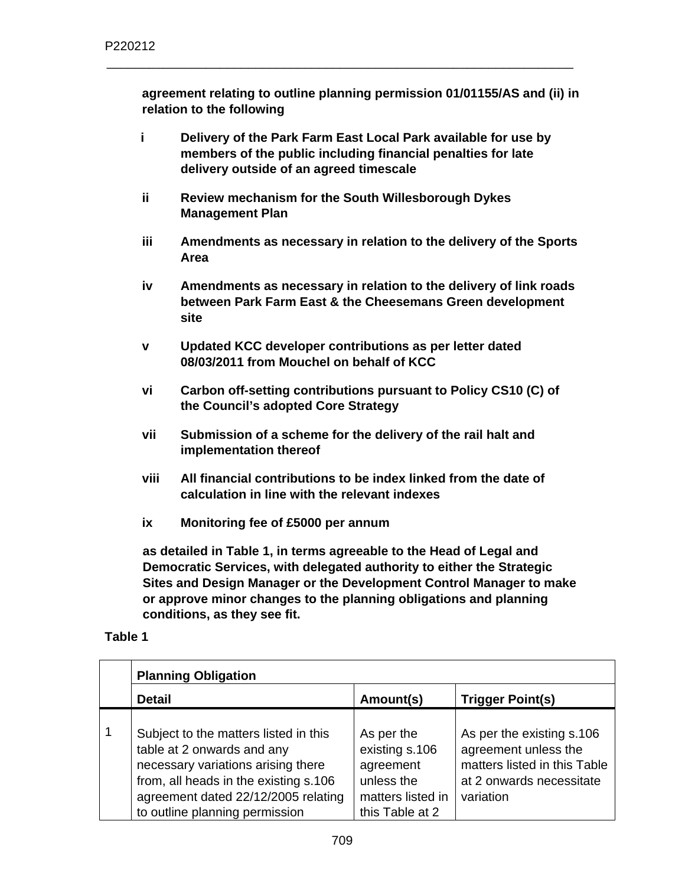**agreement relating to outline planning permission 01/01155/AS and (ii) in relation to the following** 

**i Delivery of the Park Farm East Local Park available for use by members of the public including financial penalties for late delivery outside of an agreed timescale** 

\_\_\_\_\_\_\_\_\_\_\_\_\_\_\_\_\_\_\_\_\_\_\_\_\_\_\_\_\_\_\_\_\_\_\_\_\_\_\_\_\_\_\_\_\_\_\_\_\_\_\_\_\_\_\_\_\_\_\_\_\_\_\_\_\_\_

- **ii Review mechanism for the South Willesborough Dykes Management Plan**
- **iii Amendments as necessary in relation to the delivery of the Sports Area**
- **iv Amendments as necessary in relation to the delivery of link roads between Park Farm East & the Cheesemans Green development site**
- **v Updated KCC developer contributions as per letter dated 08/03/2011 from Mouchel on behalf of KCC**
- **vi Carbon off-setting contributions pursuant to Policy CS10 (C) of the Council's adopted Core Strategy**
- **vii Submission of a scheme for the delivery of the rail halt and implementation thereof**
- **viii All financial contributions to be index linked from the date of calculation in line with the relevant indexes**
- **ix Monitoring fee of £5000 per annum**

**as detailed in Table 1, in terms agreeable to the Head of Legal and Democratic Services, with delegated authority to either the Strategic Sites and Design Manager or the Development Control Manager to make or approve minor changes to the planning obligations and planning conditions, as they see fit.** 

### **Table 1**

| <b>Planning Obligation</b>                                                                                                                                                                                                  |                                                                                                 |                                                                                                                            |  |
|-----------------------------------------------------------------------------------------------------------------------------------------------------------------------------------------------------------------------------|-------------------------------------------------------------------------------------------------|----------------------------------------------------------------------------------------------------------------------------|--|
| <b>Detail</b>                                                                                                                                                                                                               | Amount(s)                                                                                       | <b>Trigger Point(s)</b>                                                                                                    |  |
| Subject to the matters listed in this<br>table at 2 onwards and any<br>necessary variations arising there<br>from, all heads in the existing s.106<br>agreement dated 22/12/2005 relating<br>to outline planning permission | As per the<br>existing s.106<br>agreement<br>unless the<br>matters listed in<br>this Table at 2 | As per the existing s.106<br>agreement unless the<br>matters listed in this Table<br>at 2 onwards necessitate<br>variation |  |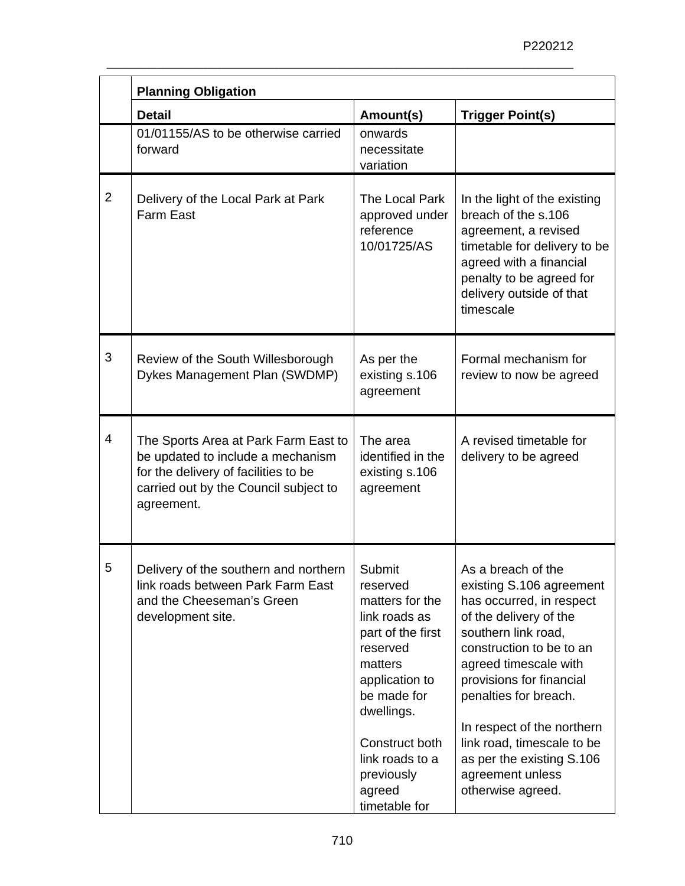|                | <b>Planning Obligation</b>                                                                                                                                               |                                                                                                                                                                                                                                 |                                                                                                                                                                                                                                                                                                                                                                         |  |
|----------------|--------------------------------------------------------------------------------------------------------------------------------------------------------------------------|---------------------------------------------------------------------------------------------------------------------------------------------------------------------------------------------------------------------------------|-------------------------------------------------------------------------------------------------------------------------------------------------------------------------------------------------------------------------------------------------------------------------------------------------------------------------------------------------------------------------|--|
|                | <b>Detail</b>                                                                                                                                                            | Amount(s)                                                                                                                                                                                                                       | <b>Trigger Point(s)</b>                                                                                                                                                                                                                                                                                                                                                 |  |
|                | 01/01155/AS to be otherwise carried<br>forward                                                                                                                           | onwards<br>necessitate<br>variation                                                                                                                                                                                             |                                                                                                                                                                                                                                                                                                                                                                         |  |
| $\overline{2}$ | Delivery of the Local Park at Park<br><b>Farm East</b>                                                                                                                   | The Local Park<br>approved under<br>reference<br>10/01725/AS                                                                                                                                                                    | In the light of the existing<br>breach of the s.106<br>agreement, a revised<br>timetable for delivery to be<br>agreed with a financial<br>penalty to be agreed for<br>delivery outside of that<br>timescale                                                                                                                                                             |  |
| 3              | Review of the South Willesborough<br>Dykes Management Plan (SWDMP)                                                                                                       | As per the<br>existing s.106<br>agreement                                                                                                                                                                                       | Formal mechanism for<br>review to now be agreed                                                                                                                                                                                                                                                                                                                         |  |
| $\overline{4}$ | The Sports Area at Park Farm East to<br>be updated to include a mechanism<br>for the delivery of facilities to be<br>carried out by the Council subject to<br>agreement. | The area<br>identified in the<br>existing s.106<br>agreement                                                                                                                                                                    | A revised timetable for<br>delivery to be agreed                                                                                                                                                                                                                                                                                                                        |  |
| 5              | Delivery of the southern and northern<br>link roads between Park Farm East<br>and the Cheeseman's Green<br>development site.                                             | Submit<br>reserved<br>matters for the<br>link roads as<br>part of the first<br>reserved<br>matters<br>application to<br>be made for<br>dwellings.<br>Construct both<br>link roads to a<br>previously<br>agreed<br>timetable for | As a breach of the<br>existing S.106 agreement<br>has occurred, in respect<br>of the delivery of the<br>southern link road,<br>construction to be to an<br>agreed timescale with<br>provisions for financial<br>penalties for breach.<br>In respect of the northern<br>link road, timescale to be<br>as per the existing S.106<br>agreement unless<br>otherwise agreed. |  |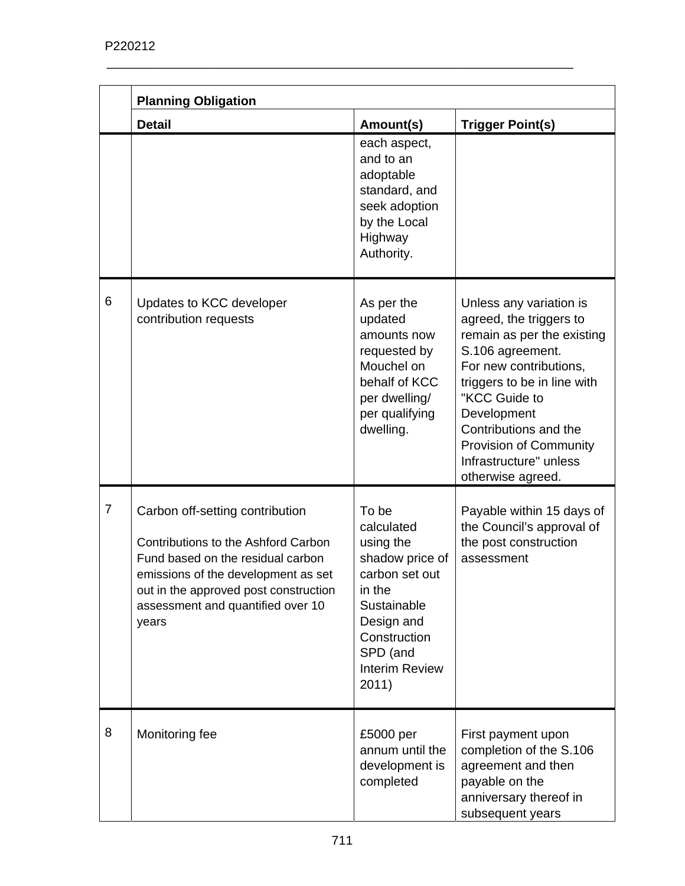|                | <b>Planning Obligation</b>                                                                                                                                                                                                                |                                                                                                                                                                            |                                                                                                                                                                                                                                                                                                        |  |
|----------------|-------------------------------------------------------------------------------------------------------------------------------------------------------------------------------------------------------------------------------------------|----------------------------------------------------------------------------------------------------------------------------------------------------------------------------|--------------------------------------------------------------------------------------------------------------------------------------------------------------------------------------------------------------------------------------------------------------------------------------------------------|--|
|                | <b>Detail</b>                                                                                                                                                                                                                             | Amount(s)                                                                                                                                                                  | <b>Trigger Point(s)</b>                                                                                                                                                                                                                                                                                |  |
|                |                                                                                                                                                                                                                                           | each aspect,<br>and to an<br>adoptable<br>standard, and<br>seek adoption<br>by the Local<br>Highway<br>Authority.                                                          |                                                                                                                                                                                                                                                                                                        |  |
| 6              | Updates to KCC developer<br>contribution requests                                                                                                                                                                                         | As per the<br>updated<br>amounts now<br>requested by<br>Mouchel on<br>behalf of KCC<br>per dwelling/<br>per qualifying<br>dwelling.                                        | Unless any variation is<br>agreed, the triggers to<br>remain as per the existing<br>S.106 agreement.<br>For new contributions,<br>triggers to be in line with<br>"KCC Guide to<br>Development<br>Contributions and the<br><b>Provision of Community</b><br>Infrastructure" unless<br>otherwise agreed. |  |
| $\overline{7}$ | Carbon off-setting contribution<br>Contributions to the Ashford Carbon<br>Fund based on the residual carbon<br>emissions of the development as set<br>out in the approved post construction<br>assessment and quantified over 10<br>years | To be<br>calculated<br>using the<br>shadow price of<br>carbon set out<br>in the<br>Sustainable<br>Design and<br>Construction<br>SPD (and<br><b>Interim Review</b><br>2011) | Payable within 15 days of<br>the Council's approval of<br>the post construction<br>assessment                                                                                                                                                                                                          |  |
| 8              | Monitoring fee                                                                                                                                                                                                                            | £5000 per<br>annum until the<br>development is<br>completed                                                                                                                | First payment upon<br>completion of the S.106<br>agreement and then<br>payable on the<br>anniversary thereof in<br>subsequent years                                                                                                                                                                    |  |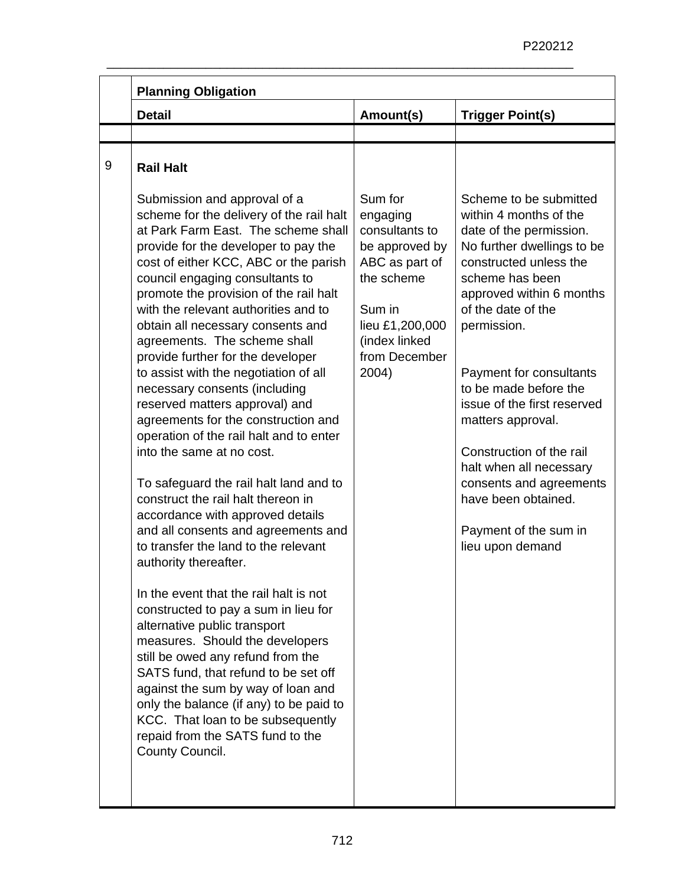| <b>Planning Obligation</b><br><b>Detail</b>                                                                                                                                                                                                                                                                                                                                                                                                                                                                                                                                                                                                                                                                                                                                                                                                                                            | Amount(s)                                                                                                                                                       | <b>Trigger Point(s)</b>                                                                                                                                                                                                                                                                                                                                                                                                                                                               |
|----------------------------------------------------------------------------------------------------------------------------------------------------------------------------------------------------------------------------------------------------------------------------------------------------------------------------------------------------------------------------------------------------------------------------------------------------------------------------------------------------------------------------------------------------------------------------------------------------------------------------------------------------------------------------------------------------------------------------------------------------------------------------------------------------------------------------------------------------------------------------------------|-----------------------------------------------------------------------------------------------------------------------------------------------------------------|---------------------------------------------------------------------------------------------------------------------------------------------------------------------------------------------------------------------------------------------------------------------------------------------------------------------------------------------------------------------------------------------------------------------------------------------------------------------------------------|
|                                                                                                                                                                                                                                                                                                                                                                                                                                                                                                                                                                                                                                                                                                                                                                                                                                                                                        |                                                                                                                                                                 |                                                                                                                                                                                                                                                                                                                                                                                                                                                                                       |
| <b>Rail Halt</b>                                                                                                                                                                                                                                                                                                                                                                                                                                                                                                                                                                                                                                                                                                                                                                                                                                                                       |                                                                                                                                                                 |                                                                                                                                                                                                                                                                                                                                                                                                                                                                                       |
| Submission and approval of a<br>scheme for the delivery of the rail halt<br>at Park Farm East. The scheme shall<br>provide for the developer to pay the<br>cost of either KCC, ABC or the parish<br>council engaging consultants to<br>promote the provision of the rail halt<br>with the relevant authorities and to<br>obtain all necessary consents and<br>agreements. The scheme shall<br>provide further for the developer<br>to assist with the negotiation of all<br>necessary consents (including<br>reserved matters approval) and<br>agreements for the construction and<br>operation of the rail halt and to enter<br>into the same at no cost.<br>To safeguard the rail halt land and to<br>construct the rail halt thereon in<br>accordance with approved details<br>and all consents and agreements and<br>to transfer the land to the relevant<br>authority thereafter. | Sum for<br>engaging<br>consultants to<br>be approved by<br>ABC as part of<br>the scheme<br>Sum in<br>lieu £1,200,000<br>(index linked<br>from December<br>2004) | Scheme to be submitted<br>within 4 months of the<br>date of the permission.<br>No further dwellings to be<br>constructed unless the<br>scheme has been<br>approved within 6 months<br>of the date of the<br>permission.<br>Payment for consultants<br>to be made before the<br>issue of the first reserved<br>matters approval.<br>Construction of the rail<br>halt when all necessary<br>consents and agreements<br>have been obtained.<br>Payment of the sum in<br>lieu upon demand |
| In the event that the rail halt is not<br>constructed to pay a sum in lieu for<br>alternative public transport<br>measures. Should the developers<br>still be owed any refund from the<br>SATS fund, that refund to be set off<br>against the sum by way of loan and<br>only the balance (if any) to be paid to<br>KCC. That loan to be subsequently<br>repaid from the SATS fund to the<br>County Council.                                                                                                                                                                                                                                                                                                                                                                                                                                                                            |                                                                                                                                                                 |                                                                                                                                                                                                                                                                                                                                                                                                                                                                                       |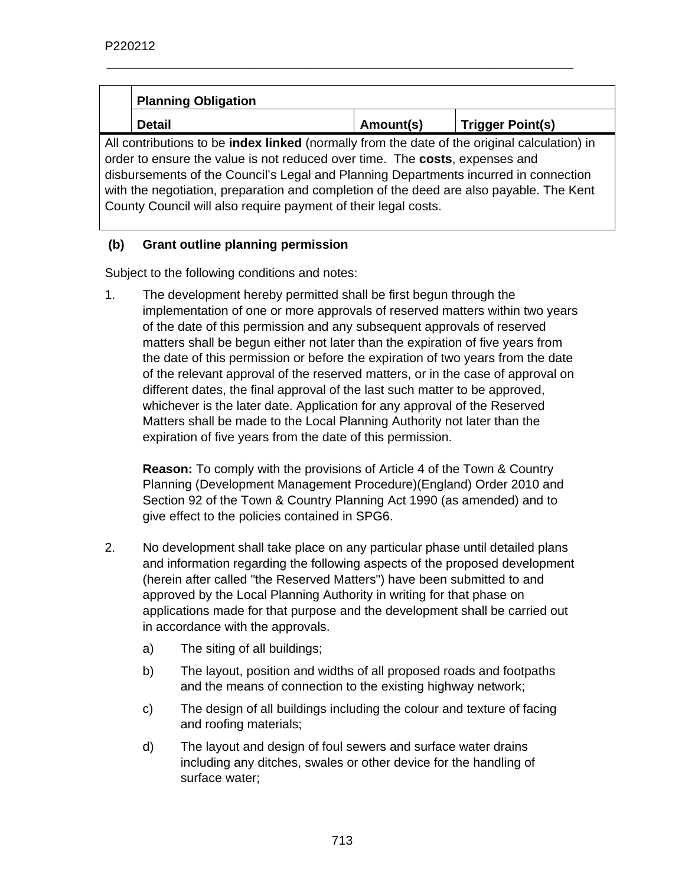| <b>Planning Obligation</b>                                                                                                                                                                                                                                                                                                                                                                                                              |           |                         |  |
|-----------------------------------------------------------------------------------------------------------------------------------------------------------------------------------------------------------------------------------------------------------------------------------------------------------------------------------------------------------------------------------------------------------------------------------------|-----------|-------------------------|--|
| <b>Detail</b>                                                                                                                                                                                                                                                                                                                                                                                                                           | Amount(s) | <b>Trigger Point(s)</b> |  |
| All contributions to be <b>index linked</b> (normally from the date of the original calculation) in<br>order to ensure the value is not reduced over time. The costs, expenses and<br>disbursements of the Council's Legal and Planning Departments incurred in connection<br>with the negotiation, preparation and completion of the deed are also payable. The Kent<br>County Council will also require payment of their legal costs. |           |                         |  |

## **(b) Grant outline planning permission**

Subject to the following conditions and notes:

1. The development hereby permitted shall be first begun through the implementation of one or more approvals of reserved matters within two years of the date of this permission and any subsequent approvals of reserved matters shall be begun either not later than the expiration of five years from the date of this permission or before the expiration of two years from the date of the relevant approval of the reserved matters, or in the case of approval on different dates, the final approval of the last such matter to be approved, whichever is the later date. Application for any approval of the Reserved Matters shall be made to the Local Planning Authority not later than the expiration of five years from the date of this permission.

**Reason:** To comply with the provisions of Article 4 of the Town & Country Planning (Development Management Procedure)(England) Order 2010 and Section 92 of the Town & Country Planning Act 1990 (as amended) and to give effect to the policies contained in SPG6.

- 2. No development shall take place on any particular phase until detailed plans and information regarding the following aspects of the proposed development (herein after called "the Reserved Matters") have been submitted to and approved by the Local Planning Authority in writing for that phase on applications made for that purpose and the development shall be carried out in accordance with the approvals.
	- a) The siting of all buildings;
	- b) The layout, position and widths of all proposed roads and footpaths and the means of connection to the existing highway network;
	- c) The design of all buildings including the colour and texture of facing and roofing materials;
	- d) The layout and design of foul sewers and surface water drains including any ditches, swales or other device for the handling of surface water;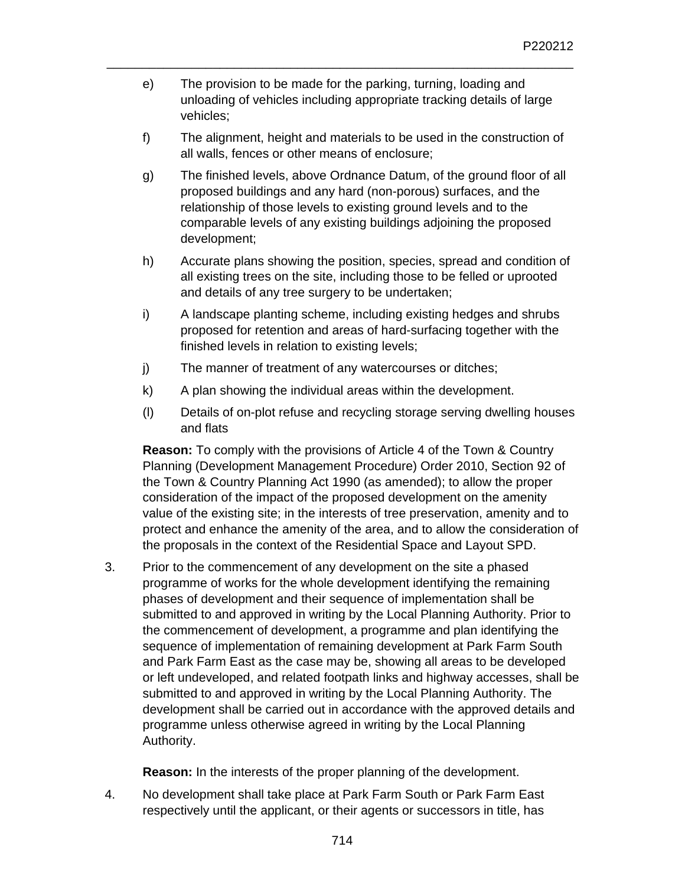e) The provision to be made for the parking, turning, loading and unloading of vehicles including appropriate tracking details of large vehicles;

\_\_\_\_\_\_\_\_\_\_\_\_\_\_\_\_\_\_\_\_\_\_\_\_\_\_\_\_\_\_\_\_\_\_\_\_\_\_\_\_\_\_\_\_\_\_\_\_\_\_\_\_\_\_\_\_\_\_\_\_\_\_\_\_\_\_

- f) The alignment, height and materials to be used in the construction of all walls, fences or other means of enclosure;
- g) The finished levels, above Ordnance Datum, of the ground floor of all proposed buildings and any hard (non-porous) surfaces, and the relationship of those levels to existing ground levels and to the comparable levels of any existing buildings adjoining the proposed development;
- h) Accurate plans showing the position, species, spread and condition of all existing trees on the site, including those to be felled or uprooted and details of any tree surgery to be undertaken;
- i) A landscape planting scheme, including existing hedges and shrubs proposed for retention and areas of hard-surfacing together with the finished levels in relation to existing levels;
- j) The manner of treatment of any watercourses or ditches;
- k) A plan showing the individual areas within the development.
- (l) Details of on-plot refuse and recycling storage serving dwelling houses and flats

 **Reason:** To comply with the provisions of Article 4 of the Town & Country Planning (Development Management Procedure) Order 2010, Section 92 of the Town & Country Planning Act 1990 (as amended); to allow the proper consideration of the impact of the proposed development on the amenity value of the existing site; in the interests of tree preservation, amenity and to protect and enhance the amenity of the area, and to allow the consideration of the proposals in the context of the Residential Space and Layout SPD.

3. Prior to the commencement of any development on the site a phased programme of works for the whole development identifying the remaining phases of development and their sequence of implementation shall be submitted to and approved in writing by the Local Planning Authority. Prior to the commencement of development, a programme and plan identifying the sequence of implementation of remaining development at Park Farm South and Park Farm East as the case may be, showing all areas to be developed or left undeveloped, and related footpath links and highway accesses, shall be submitted to and approved in writing by the Local Planning Authority. The development shall be carried out in accordance with the approved details and programme unless otherwise agreed in writing by the Local Planning Authority.

**Reason:** In the interests of the proper planning of the development.

4. No development shall take place at Park Farm South or Park Farm East respectively until the applicant, or their agents or successors in title, has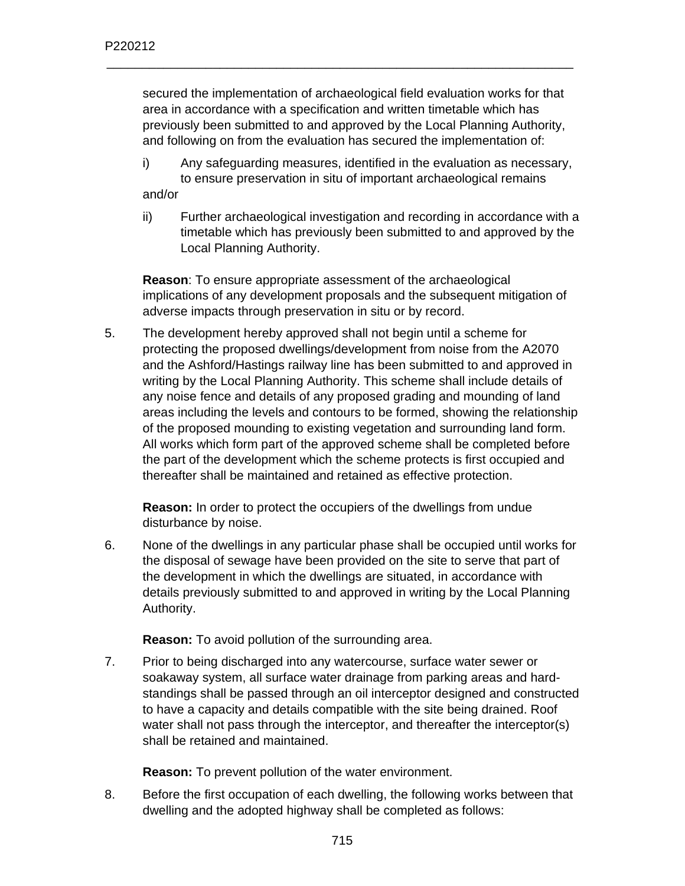secured the implementation of archaeological field evaluation works for that area in accordance with a specification and written timetable which has previously been submitted to and approved by the Local Planning Authority, and following on from the evaluation has secured the implementation of:

\_\_\_\_\_\_\_\_\_\_\_\_\_\_\_\_\_\_\_\_\_\_\_\_\_\_\_\_\_\_\_\_\_\_\_\_\_\_\_\_\_\_\_\_\_\_\_\_\_\_\_\_\_\_\_\_\_\_\_\_\_\_\_\_\_\_

i) Any safeguarding measures, identified in the evaluation as necessary, to ensure preservation in situ of important archaeological remains

and/or

ii) Further archaeological investigation and recording in accordance with a timetable which has previously been submitted to and approved by the Local Planning Authority.

**Reason**: To ensure appropriate assessment of the archaeological implications of any development proposals and the subsequent mitigation of adverse impacts through preservation in situ or by record.

5. The development hereby approved shall not begin until a scheme for protecting the proposed dwellings/development from noise from the A2070 and the Ashford/Hastings railway line has been submitted to and approved in writing by the Local Planning Authority. This scheme shall include details of any noise fence and details of any proposed grading and mounding of land areas including the levels and contours to be formed, showing the relationship of the proposed mounding to existing vegetation and surrounding land form. All works which form part of the approved scheme shall be completed before the part of the development which the scheme protects is first occupied and thereafter shall be maintained and retained as effective protection.

**Reason:** In order to protect the occupiers of the dwellings from undue disturbance by noise.

6. None of the dwellings in any particular phase shall be occupied until works for the disposal of sewage have been provided on the site to serve that part of the development in which the dwellings are situated, in accordance with details previously submitted to and approved in writing by the Local Planning Authority.

**Reason:** To avoid pollution of the surrounding area.

7. Prior to being discharged into any watercourse, surface water sewer or soakaway system, all surface water drainage from parking areas and hardstandings shall be passed through an oil interceptor designed and constructed to have a capacity and details compatible with the site being drained. Roof water shall not pass through the interceptor, and thereafter the interceptor(s) shall be retained and maintained.

**Reason:** To prevent pollution of the water environment.

8. Before the first occupation of each dwelling, the following works between that dwelling and the adopted highway shall be completed as follows: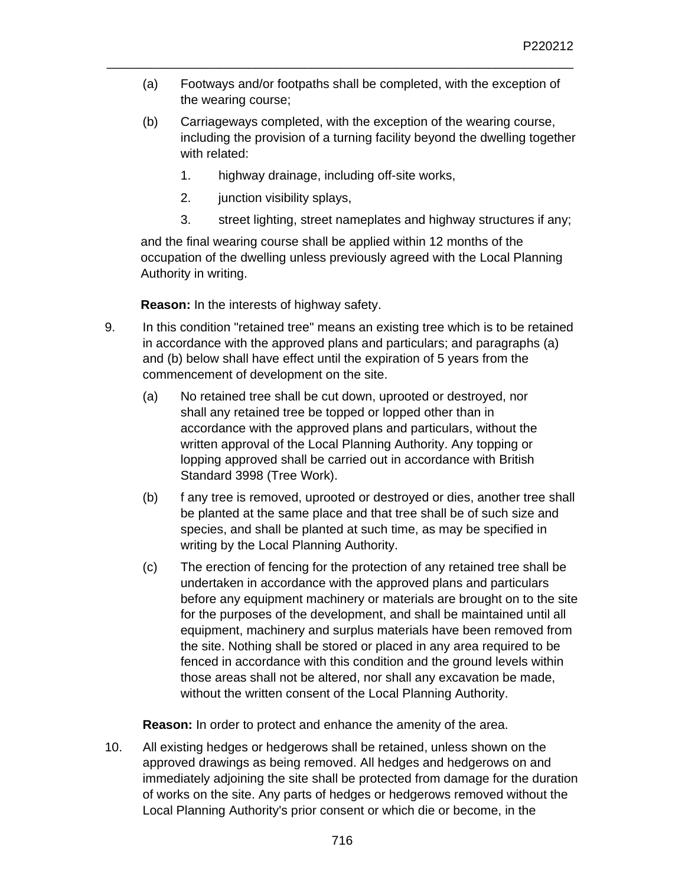(a) Footways and/or footpaths shall be completed, with the exception of the wearing course;

\_\_\_\_\_\_\_\_\_\_\_\_\_\_\_\_\_\_\_\_\_\_\_\_\_\_\_\_\_\_\_\_\_\_\_\_\_\_\_\_\_\_\_\_\_\_\_\_\_\_\_\_\_\_\_\_\_\_\_\_\_\_\_\_\_\_

- (b) Carriageways completed, with the exception of the wearing course, including the provision of a turning facility beyond the dwelling together with related:
	- 1. highway drainage, including off-site works,
	- 2. junction visibility splays,
	- 3. street lighting, street nameplates and highway structures if any;

and the final wearing course shall be applied within 12 months of the occupation of the dwelling unless previously agreed with the Local Planning Authority in writing.

**Reason:** In the interests of highway safety.

- 9. In this condition "retained tree" means an existing tree which is to be retained in accordance with the approved plans and particulars; and paragraphs (a) and (b) below shall have effect until the expiration of 5 years from the commencement of development on the site.
	- (a) No retained tree shall be cut down, uprooted or destroyed, nor shall any retained tree be topped or lopped other than in accordance with the approved plans and particulars, without the written approval of the Local Planning Authority. Any topping or lopping approved shall be carried out in accordance with British Standard 3998 (Tree Work).
	- (b) f any tree is removed, uprooted or destroyed or dies, another tree shall be planted at the same place and that tree shall be of such size and species, and shall be planted at such time, as may be specified in writing by the Local Planning Authority.
	- (c) The erection of fencing for the protection of any retained tree shall be undertaken in accordance with the approved plans and particulars before any equipment machinery or materials are brought on to the site for the purposes of the development, and shall be maintained until all equipment, machinery and surplus materials have been removed from the site. Nothing shall be stored or placed in any area required to be fenced in accordance with this condition and the ground levels within those areas shall not be altered, nor shall any excavation be made, without the written consent of the Local Planning Authority.

**Reason:** In order to protect and enhance the amenity of the area.

10. All existing hedges or hedgerows shall be retained, unless shown on the approved drawings as being removed. All hedges and hedgerows on and immediately adjoining the site shall be protected from damage for the duration of works on the site. Any parts of hedges or hedgerows removed without the Local Planning Authority's prior consent or which die or become, in the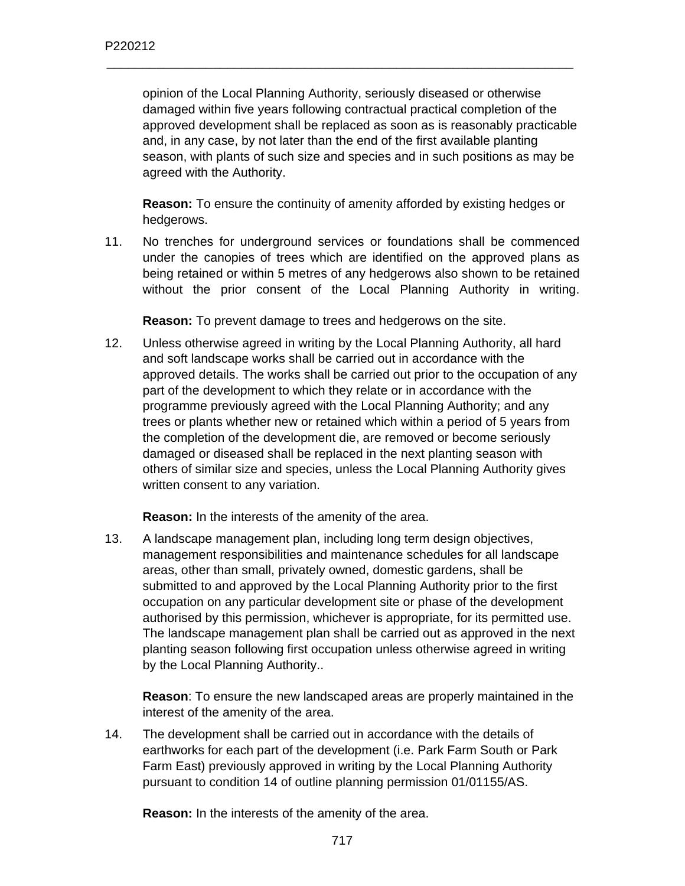opinion of the Local Planning Authority, seriously diseased or otherwise damaged within five years following contractual practical completion of the approved development shall be replaced as soon as is reasonably practicable and, in any case, by not later than the end of the first available planting season, with plants of such size and species and in such positions as may be agreed with the Authority.

\_\_\_\_\_\_\_\_\_\_\_\_\_\_\_\_\_\_\_\_\_\_\_\_\_\_\_\_\_\_\_\_\_\_\_\_\_\_\_\_\_\_\_\_\_\_\_\_\_\_\_\_\_\_\_\_\_\_\_\_\_\_\_\_\_\_

**Reason:** To ensure the continuity of amenity afforded by existing hedges or hedgerows.

11. No trenches for underground services or foundations shall be commenced under the canopies of trees which are identified on the approved plans as being retained or within 5 metres of any hedgerows also shown to be retained without the prior consent of the Local Planning Authority in writing.

**Reason:** To prevent damage to trees and hedgerows on the site.

12. Unless otherwise agreed in writing by the Local Planning Authority, all hard and soft landscape works shall be carried out in accordance with the approved details. The works shall be carried out prior to the occupation of any part of the development to which they relate or in accordance with the programme previously agreed with the Local Planning Authority; and any trees or plants whether new or retained which within a period of 5 years from the completion of the development die, are removed or become seriously damaged or diseased shall be replaced in the next planting season with others of similar size and species, unless the Local Planning Authority gives written consent to any variation.

**Reason:** In the interests of the amenity of the area.

13. A landscape management plan, including long term design objectives, management responsibilities and maintenance schedules for all landscape areas, other than small, privately owned, domestic gardens, shall be submitted to and approved by the Local Planning Authority prior to the first occupation on any particular development site or phase of the development authorised by this permission, whichever is appropriate, for its permitted use. The landscape management plan shall be carried out as approved in the next planting season following first occupation unless otherwise agreed in writing by the Local Planning Authority..

**Reason**: To ensure the new landscaped areas are properly maintained in the interest of the amenity of the area.

14. The development shall be carried out in accordance with the details of earthworks for each part of the development (i.e. Park Farm South or Park Farm East) previously approved in writing by the Local Planning Authority pursuant to condition 14 of outline planning permission 01/01155/AS.

**Reason:** In the interests of the amenity of the area.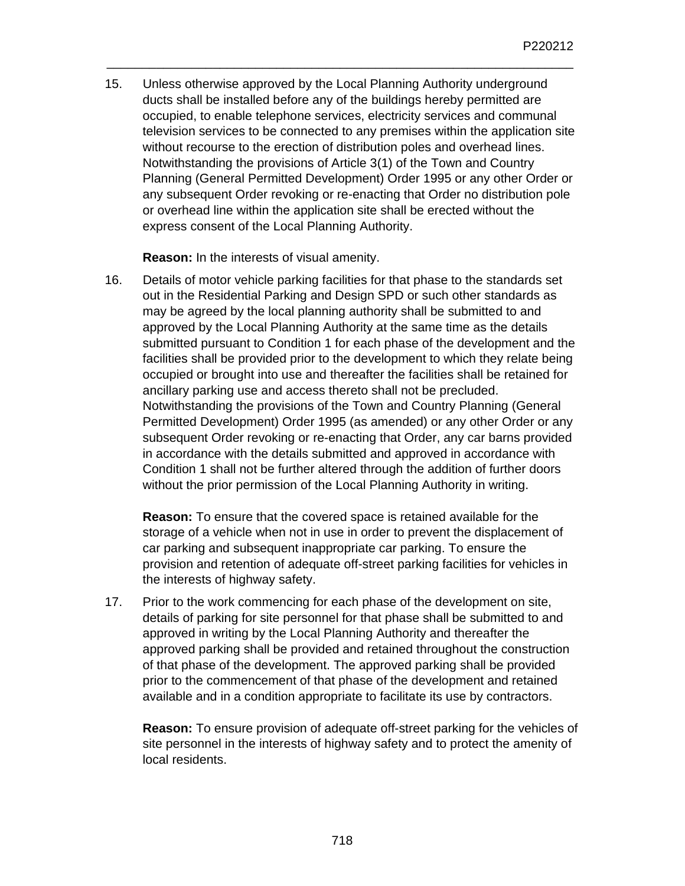15. Unless otherwise approved by the Local Planning Authority underground ducts shall be installed before any of the buildings hereby permitted are occupied, to enable telephone services, electricity services and communal television services to be connected to any premises within the application site without recourse to the erection of distribution poles and overhead lines. Notwithstanding the provisions of Article 3(1) of the Town and Country Planning (General Permitted Development) Order 1995 or any other Order or any subsequent Order revoking or re-enacting that Order no distribution pole or overhead line within the application site shall be erected without the express consent of the Local Planning Authority.

\_\_\_\_\_\_\_\_\_\_\_\_\_\_\_\_\_\_\_\_\_\_\_\_\_\_\_\_\_\_\_\_\_\_\_\_\_\_\_\_\_\_\_\_\_\_\_\_\_\_\_\_\_\_\_\_\_\_\_\_\_\_\_\_\_\_

**Reason:** In the interests of visual amenity.

16. Details of motor vehicle parking facilities for that phase to the standards set out in the Residential Parking and Design SPD or such other standards as may be agreed by the local planning authority shall be submitted to and approved by the Local Planning Authority at the same time as the details submitted pursuant to Condition 1 for each phase of the development and the facilities shall be provided prior to the development to which they relate being occupied or brought into use and thereafter the facilities shall be retained for ancillary parking use and access thereto shall not be precluded. Notwithstanding the provisions of the Town and Country Planning (General Permitted Development) Order 1995 (as amended) or any other Order or any subsequent Order revoking or re-enacting that Order, any car barns provided in accordance with the details submitted and approved in accordance with Condition 1 shall not be further altered through the addition of further doors without the prior permission of the Local Planning Authority in writing.

**Reason:** To ensure that the covered space is retained available for the storage of a vehicle when not in use in order to prevent the displacement of car parking and subsequent inappropriate car parking. To ensure the provision and retention of adequate off-street parking facilities for vehicles in the interests of highway safety.

17. Prior to the work commencing for each phase of the development on site, details of parking for site personnel for that phase shall be submitted to and approved in writing by the Local Planning Authority and thereafter the approved parking shall be provided and retained throughout the construction of that phase of the development. The approved parking shall be provided prior to the commencement of that phase of the development and retained available and in a condition appropriate to facilitate its use by contractors.

**Reason:** To ensure provision of adequate off-street parking for the vehicles of site personnel in the interests of highway safety and to protect the amenity of local residents.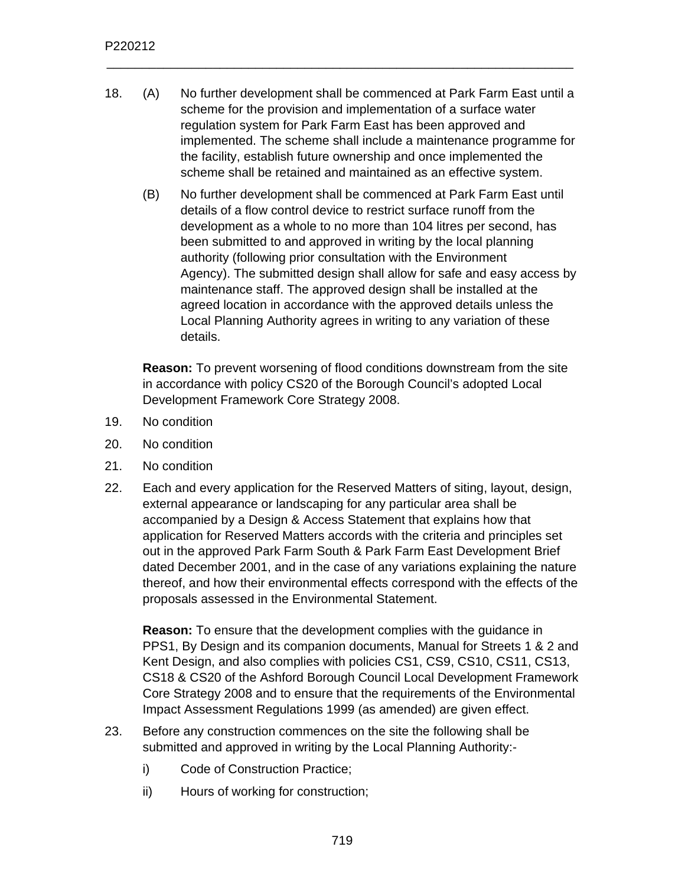18. (A) No further development shall be commenced at Park Farm East until a scheme for the provision and implementation of a surface water regulation system for Park Farm East has been approved and implemented. The scheme shall include a maintenance programme for the facility, establish future ownership and once implemented the scheme shall be retained and maintained as an effective system.

\_\_\_\_\_\_\_\_\_\_\_\_\_\_\_\_\_\_\_\_\_\_\_\_\_\_\_\_\_\_\_\_\_\_\_\_\_\_\_\_\_\_\_\_\_\_\_\_\_\_\_\_\_\_\_\_\_\_\_\_\_\_\_\_\_\_

(B) No further development shall be commenced at Park Farm East until details of a flow control device to restrict surface runoff from the development as a whole to no more than 104 litres per second, has been submitted to and approved in writing by the local planning authority (following prior consultation with the Environment Agency). The submitted design shall allow for safe and easy access by maintenance staff. The approved design shall be installed at the agreed location in accordance with the approved details unless the Local Planning Authority agrees in writing to any variation of these details.

**Reason:** To prevent worsening of flood conditions downstream from the site in accordance with policy CS20 of the Borough Council's adopted Local Development Framework Core Strategy 2008.

- 19. No condition
- 20. No condition
- 21. No condition
- 22. Each and every application for the Reserved Matters of siting, layout, design, external appearance or landscaping for any particular area shall be accompanied by a Design & Access Statement that explains how that application for Reserved Matters accords with the criteria and principles set out in the approved Park Farm South & Park Farm East Development Brief dated December 2001, and in the case of any variations explaining the nature thereof, and how their environmental effects correspond with the effects of the proposals assessed in the Environmental Statement.

**Reason:** To ensure that the development complies with the guidance in PPS1, By Design and its companion documents, Manual for Streets 1 & 2 and Kent Design, and also complies with policies CS1, CS9, CS10, CS11, CS13, CS18 & CS20 of the Ashford Borough Council Local Development Framework Core Strategy 2008 and to ensure that the requirements of the Environmental Impact Assessment Regulations 1999 (as amended) are given effect.

- 23. Before any construction commences on the site the following shall be submitted and approved in writing by the Local Planning Authority:
	- i) Code of Construction Practice;
	- ii) Hours of working for construction;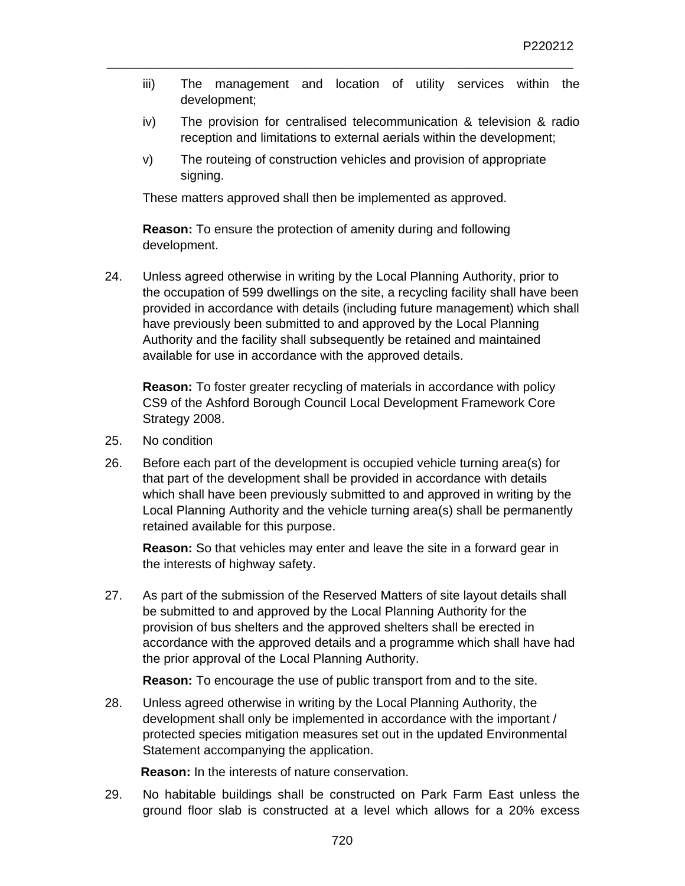- iii) The management and location of utility services within the development;
- iv) The provision for centralised telecommunication & television & radio reception and limitations to external aerials within the development;
- v) The routeing of construction vehicles and provision of appropriate signing.

These matters approved shall then be implemented as approved.

**Reason:** To ensure the protection of amenity during and following development.

24. Unless agreed otherwise in writing by the Local Planning Authority, prior to the occupation of 599 dwellings on the site, a recycling facility shall have been provided in accordance with details (including future management) which shall have previously been submitted to and approved by the Local Planning Authority and the facility shall subsequently be retained and maintained available for use in accordance with the approved details.

**Reason:** To foster greater recycling of materials in accordance with policy CS9 of the Ashford Borough Council Local Development Framework Core Strategy 2008.

- 25. No condition
- 26. Before each part of the development is occupied vehicle turning area(s) for that part of the development shall be provided in accordance with details which shall have been previously submitted to and approved in writing by the Local Planning Authority and the vehicle turning area(s) shall be permanently retained available for this purpose.

**Reason:** So that vehicles may enter and leave the site in a forward gear in the interests of highway safety.

27. As part of the submission of the Reserved Matters of site layout details shall be submitted to and approved by the Local Planning Authority for the provision of bus shelters and the approved shelters shall be erected in accordance with the approved details and a programme which shall have had the prior approval of the Local Planning Authority.

 **Reason:** To encourage the use of public transport from and to the site.

28. Unless agreed otherwise in writing by the Local Planning Authority, the development shall only be implemented in accordance with the important / protected species mitigation measures set out in the updated Environmental Statement accompanying the application.

 **Reason:** In the interests of nature conservation.

29. No habitable buildings shall be constructed on Park Farm East unless the ground floor slab is constructed at a level which allows for a 20% excess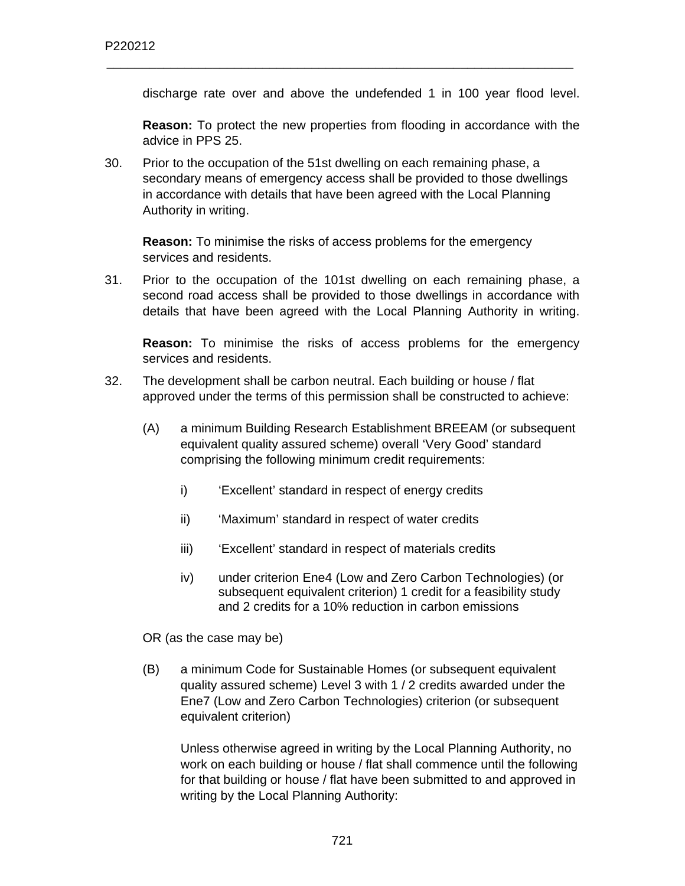discharge rate over and above the undefended 1 in 100 year flood level.

**Reason:** To protect the new properties from flooding in accordance with the advice in PPS 25.

30. Prior to the occupation of the 51st dwelling on each remaining phase, a secondary means of emergency access shall be provided to those dwellings in accordance with details that have been agreed with the Local Planning Authority in writing.

\_\_\_\_\_\_\_\_\_\_\_\_\_\_\_\_\_\_\_\_\_\_\_\_\_\_\_\_\_\_\_\_\_\_\_\_\_\_\_\_\_\_\_\_\_\_\_\_\_\_\_\_\_\_\_\_\_\_\_\_\_\_\_\_\_\_

**Reason:** To minimise the risks of access problems for the emergency services and residents.

31. Prior to the occupation of the 101st dwelling on each remaining phase, a second road access shall be provided to those dwellings in accordance with details that have been agreed with the Local Planning Authority in writing.

**Reason:** To minimise the risks of access problems for the emergency services and residents.

- 32. The development shall be carbon neutral. Each building or house / flat approved under the terms of this permission shall be constructed to achieve:
	- (A) a minimum Building Research Establishment BREEAM (or subsequent equivalent quality assured scheme) overall 'Very Good' standard comprising the following minimum credit requirements:
		- i) 'Excellent' standard in respect of energy credits
		- ii) 'Maximum' standard in respect of water credits
		- iii) 'Excellent' standard in respect of materials credits
		- iv) under criterion Ene4 (Low and Zero Carbon Technologies) (or subsequent equivalent criterion) 1 credit for a feasibility study and 2 credits for a 10% reduction in carbon emissions

OR (as the case may be)

(B) a minimum Code for Sustainable Homes (or subsequent equivalent quality assured scheme) Level 3 with 1 / 2 credits awarded under the Ene7 (Low and Zero Carbon Technologies) criterion (or subsequent equivalent criterion)

Unless otherwise agreed in writing by the Local Planning Authority, no work on each building or house / flat shall commence until the following for that building or house / flat have been submitted to and approved in writing by the Local Planning Authority: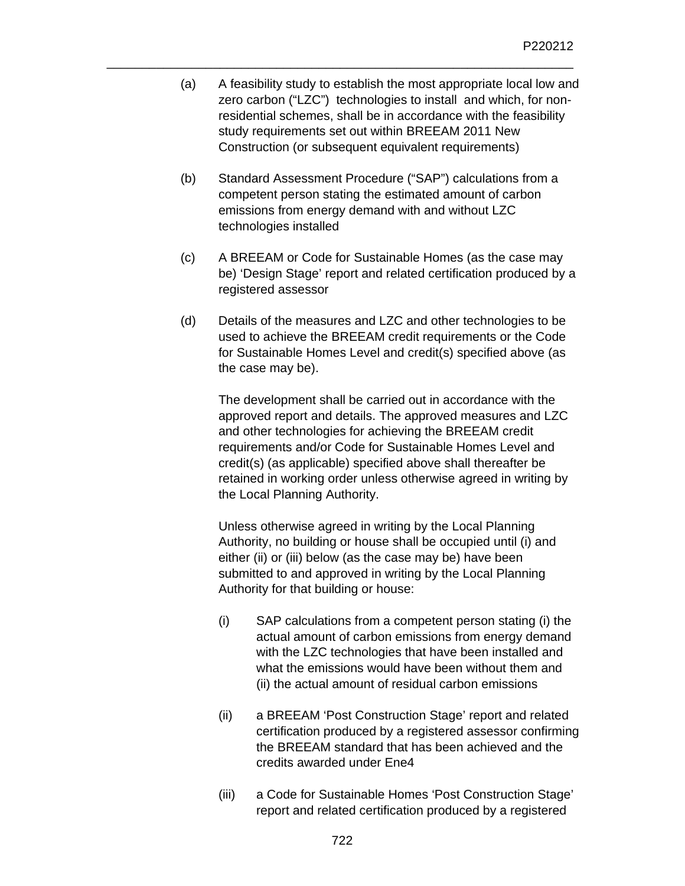(a) A feasibility study to establish the most appropriate local low and zero carbon ("LZC") technologies to install and which, for nonresidential schemes, shall be in accordance with the feasibility study requirements set out within BREEAM 2011 New Construction (or subsequent equivalent requirements)

\_\_\_\_\_\_\_\_\_\_\_\_\_\_\_\_\_\_\_\_\_\_\_\_\_\_\_\_\_\_\_\_\_\_\_\_\_\_\_\_\_\_\_\_\_\_\_\_\_\_\_\_\_\_\_\_\_\_\_\_\_\_\_\_\_\_

- (b) Standard Assessment Procedure ("SAP") calculations from a competent person stating the estimated amount of carbon emissions from energy demand with and without LZC technologies installed
- (c) A BREEAM or Code for Sustainable Homes (as the case may be) 'Design Stage' report and related certification produced by a registered assessor
- (d) Details of the measures and LZC and other technologies to be used to achieve the BREEAM credit requirements or the Code for Sustainable Homes Level and credit(s) specified above (as the case may be).

The development shall be carried out in accordance with the approved report and details. The approved measures and LZC and other technologies for achieving the BREEAM credit requirements and/or Code for Sustainable Homes Level and credit(s) (as applicable) specified above shall thereafter be retained in working order unless otherwise agreed in writing by the Local Planning Authority.

Unless otherwise agreed in writing by the Local Planning Authority, no building or house shall be occupied until (i) and either (ii) or (iii) below (as the case may be) have been submitted to and approved in writing by the Local Planning Authority for that building or house:

- (i) SAP calculations from a competent person stating (i) the actual amount of carbon emissions from energy demand with the LZC technologies that have been installed and what the emissions would have been without them and (ii) the actual amount of residual carbon emissions
- (ii) a BREEAM 'Post Construction Stage' report and related certification produced by a registered assessor confirming the BREEAM standard that has been achieved and the credits awarded under Ene4
- (iii) a Code for Sustainable Homes 'Post Construction Stage' report and related certification produced by a registered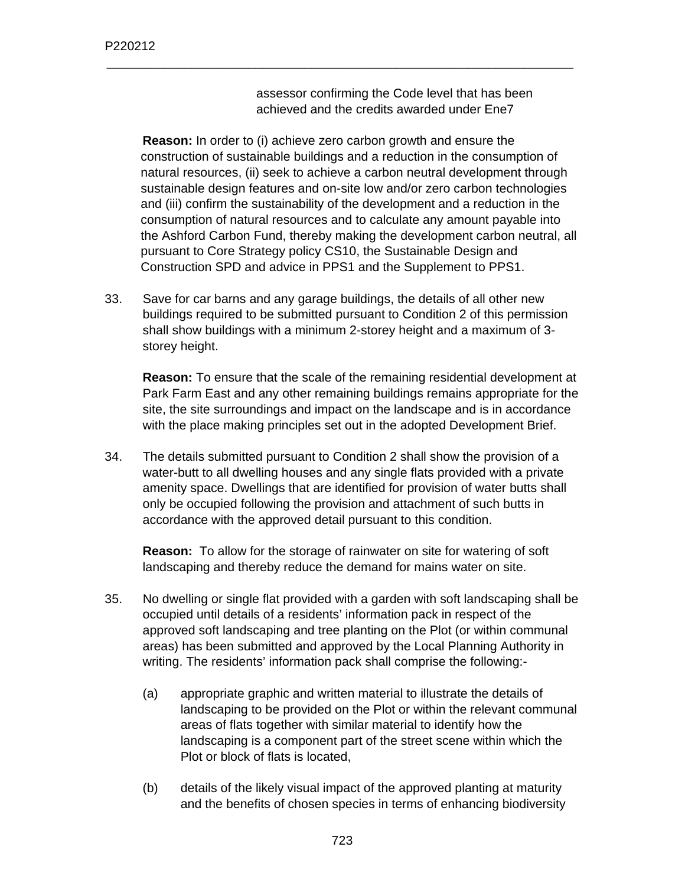assessor confirming the Code level that has been achieved and the credits awarded under Ene7

**Reason:** In order to (i) achieve zero carbon growth and ensure the construction of sustainable buildings and a reduction in the consumption of natural resources, (ii) seek to achieve a carbon neutral development through sustainable design features and on-site low and/or zero carbon technologies and (iii) confirm the sustainability of the development and a reduction in the consumption of natural resources and to calculate any amount payable into the Ashford Carbon Fund, thereby making the development carbon neutral, all pursuant to Core Strategy policy CS10, the Sustainable Design and Construction SPD and advice in PPS1 and the Supplement to PPS1.

\_\_\_\_\_\_\_\_\_\_\_\_\_\_\_\_\_\_\_\_\_\_\_\_\_\_\_\_\_\_\_\_\_\_\_\_\_\_\_\_\_\_\_\_\_\_\_\_\_\_\_\_\_\_\_\_\_\_\_\_\_\_\_\_\_\_

33. Save for car barns and any garage buildings, the details of all other new buildings required to be submitted pursuant to Condition 2 of this permission shall show buildings with a minimum 2-storey height and a maximum of 3 storey height.

**Reason:** To ensure that the scale of the remaining residential development at Park Farm East and any other remaining buildings remains appropriate for the site, the site surroundings and impact on the landscape and is in accordance with the place making principles set out in the adopted Development Brief.

34. The details submitted pursuant to Condition 2 shall show the provision of a water-butt to all dwelling houses and any single flats provided with a private amenity space. Dwellings that are identified for provision of water butts shall only be occupied following the provision and attachment of such butts in accordance with the approved detail pursuant to this condition.

**Reason:** To allow for the storage of rainwater on site for watering of soft landscaping and thereby reduce the demand for mains water on site.

- 35. No dwelling or single flat provided with a garden with soft landscaping shall be occupied until details of a residents' information pack in respect of the approved soft landscaping and tree planting on the Plot (or within communal areas) has been submitted and approved by the Local Planning Authority in writing. The residents' information pack shall comprise the following:-
	- (a) appropriate graphic and written material to illustrate the details of landscaping to be provided on the Plot or within the relevant communal areas of flats together with similar material to identify how the landscaping is a component part of the street scene within which the Plot or block of flats is located,
	- (b) details of the likely visual impact of the approved planting at maturity and the benefits of chosen species in terms of enhancing biodiversity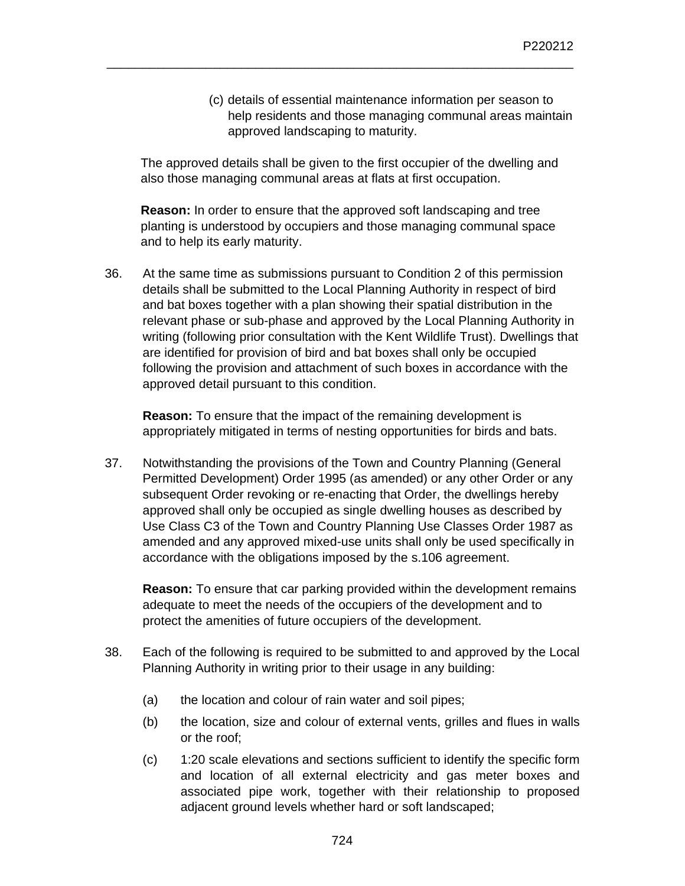(c) details of essential maintenance information per season to help residents and those managing communal areas maintain approved landscaping to maturity.

The approved details shall be given to the first occupier of the dwelling and also those managing communal areas at flats at first occupation.

\_\_\_\_\_\_\_\_\_\_\_\_\_\_\_\_\_\_\_\_\_\_\_\_\_\_\_\_\_\_\_\_\_\_\_\_\_\_\_\_\_\_\_\_\_\_\_\_\_\_\_\_\_\_\_\_\_\_\_\_\_\_\_\_\_\_

**Reason:** In order to ensure that the approved soft landscaping and tree planting is understood by occupiers and those managing communal space and to help its early maturity.

36. At the same time as submissions pursuant to Condition 2 of this permission details shall be submitted to the Local Planning Authority in respect of bird and bat boxes together with a plan showing their spatial distribution in the relevant phase or sub-phase and approved by the Local Planning Authority in writing (following prior consultation with the Kent Wildlife Trust). Dwellings that are identified for provision of bird and bat boxes shall only be occupied following the provision and attachment of such boxes in accordance with the approved detail pursuant to this condition.

**Reason:** To ensure that the impact of the remaining development is appropriately mitigated in terms of nesting opportunities for birds and bats.

37. Notwithstanding the provisions of the Town and Country Planning (General Permitted Development) Order 1995 (as amended) or any other Order or any subsequent Order revoking or re-enacting that Order, the dwellings hereby approved shall only be occupied as single dwelling houses as described by Use Class C3 of the Town and Country Planning Use Classes Order 1987 as amended and any approved mixed-use units shall only be used specifically in accordance with the obligations imposed by the s.106 agreement.

**Reason:** To ensure that car parking provided within the development remains adequate to meet the needs of the occupiers of the development and to protect the amenities of future occupiers of the development.

- 38. Each of the following is required to be submitted to and approved by the Local Planning Authority in writing prior to their usage in any building:
	- (a) the location and colour of rain water and soil pipes;
	- (b) the location, size and colour of external vents, grilles and flues in walls or the roof;
	- (c) 1:20 scale elevations and sections sufficient to identify the specific form and location of all external electricity and gas meter boxes and associated pipe work, together with their relationship to proposed adjacent ground levels whether hard or soft landscaped;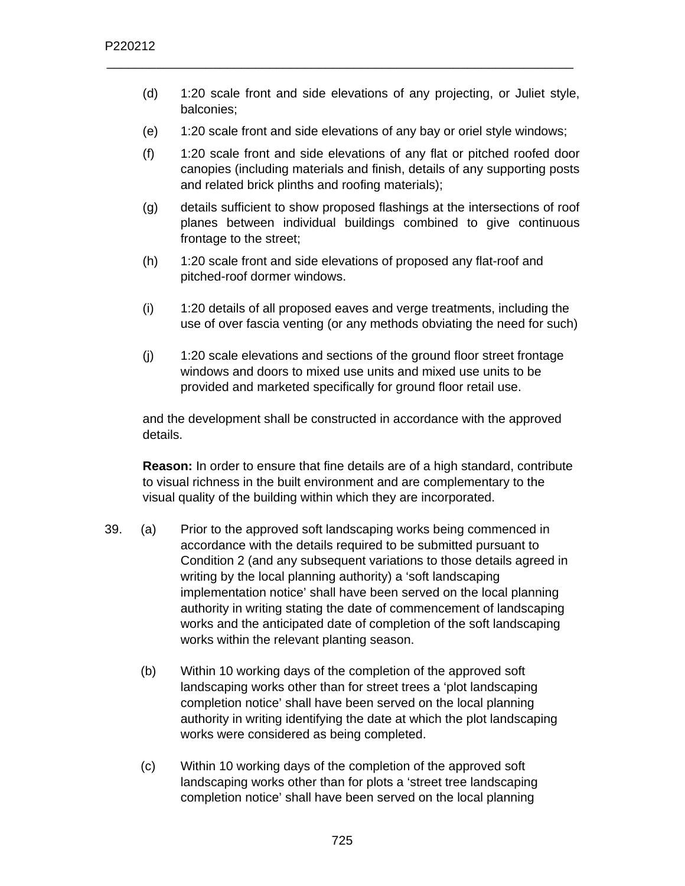- (d) 1:20 scale front and side elevations of any projecting, or Juliet style, balconies;
- (e) 1:20 scale front and side elevations of any bay or oriel style windows;

- (f) 1:20 scale front and side elevations of any flat or pitched roofed door canopies (including materials and finish, details of any supporting posts and related brick plinths and roofing materials);
- (g) details sufficient to show proposed flashings at the intersections of roof planes between individual buildings combined to give continuous frontage to the street;
- (h) 1:20 scale front and side elevations of proposed any flat-roof and pitched-roof dormer windows.
- (i) 1:20 details of all proposed eaves and verge treatments, including the use of over fascia venting (or any methods obviating the need for such)
- (j) 1:20 scale elevations and sections of the ground floor street frontage windows and doors to mixed use units and mixed use units to be provided and marketed specifically for ground floor retail use.

and the development shall be constructed in accordance with the approved details.

**Reason:** In order to ensure that fine details are of a high standard, contribute to visual richness in the built environment and are complementary to the visual quality of the building within which they are incorporated.

- 39. (a) Prior to the approved soft landscaping works being commenced in accordance with the details required to be submitted pursuant to Condition 2 (and any subsequent variations to those details agreed in writing by the local planning authority) a 'soft landscaping implementation notice' shall have been served on the local planning authority in writing stating the date of commencement of landscaping works and the anticipated date of completion of the soft landscaping works within the relevant planting season.
	- (b) Within 10 working days of the completion of the approved soft landscaping works other than for street trees a 'plot landscaping completion notice' shall have been served on the local planning authority in writing identifying the date at which the plot landscaping works were considered as being completed.
	- (c) Within 10 working days of the completion of the approved soft landscaping works other than for plots a 'street tree landscaping completion notice' shall have been served on the local planning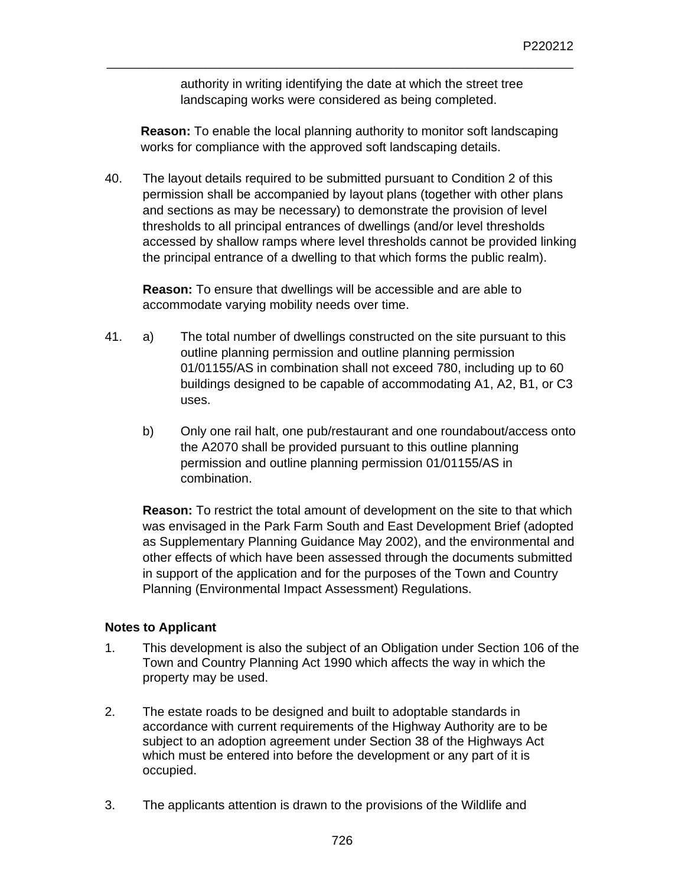authority in writing identifying the date at which the street tree landscaping works were considered as being completed.

\_\_\_\_\_\_\_\_\_\_\_\_\_\_\_\_\_\_\_\_\_\_\_\_\_\_\_\_\_\_\_\_\_\_\_\_\_\_\_\_\_\_\_\_\_\_\_\_\_\_\_\_\_\_\_\_\_\_\_\_\_\_\_\_\_\_

**Reason:** To enable the local planning authority to monitor soft landscaping works for compliance with the approved soft landscaping details.

40. The layout details required to be submitted pursuant to Condition 2 of this permission shall be accompanied by layout plans (together with other plans and sections as may be necessary) to demonstrate the provision of level thresholds to all principal entrances of dwellings (and/or level thresholds accessed by shallow ramps where level thresholds cannot be provided linking the principal entrance of a dwelling to that which forms the public realm).

**Reason:** To ensure that dwellings will be accessible and are able to accommodate varying mobility needs over time.

- 41. a) The total number of dwellings constructed on the site pursuant to this outline planning permission and outline planning permission 01/01155/AS in combination shall not exceed 780, including up to 60 buildings designed to be capable of accommodating A1, A2, B1, or C3 uses.
	- b) Only one rail halt, one pub/restaurant and one roundabout/access onto the A2070 shall be provided pursuant to this outline planning permission and outline planning permission 01/01155/AS in combination.

**Reason:** To restrict the total amount of development on the site to that which was envisaged in the Park Farm South and East Development Brief (adopted as Supplementary Planning Guidance May 2002), and the environmental and other effects of which have been assessed through the documents submitted in support of the application and for the purposes of the Town and Country Planning (Environmental Impact Assessment) Regulations.

### **Notes to Applicant**

- 1. This development is also the subject of an Obligation under Section 106 of the Town and Country Planning Act 1990 which affects the way in which the property may be used.
- 2. The estate roads to be designed and built to adoptable standards in accordance with current requirements of the Highway Authority are to be subject to an adoption agreement under Section 38 of the Highways Act which must be entered into before the development or any part of it is occupied.
- 3. The applicants attention is drawn to the provisions of the Wildlife and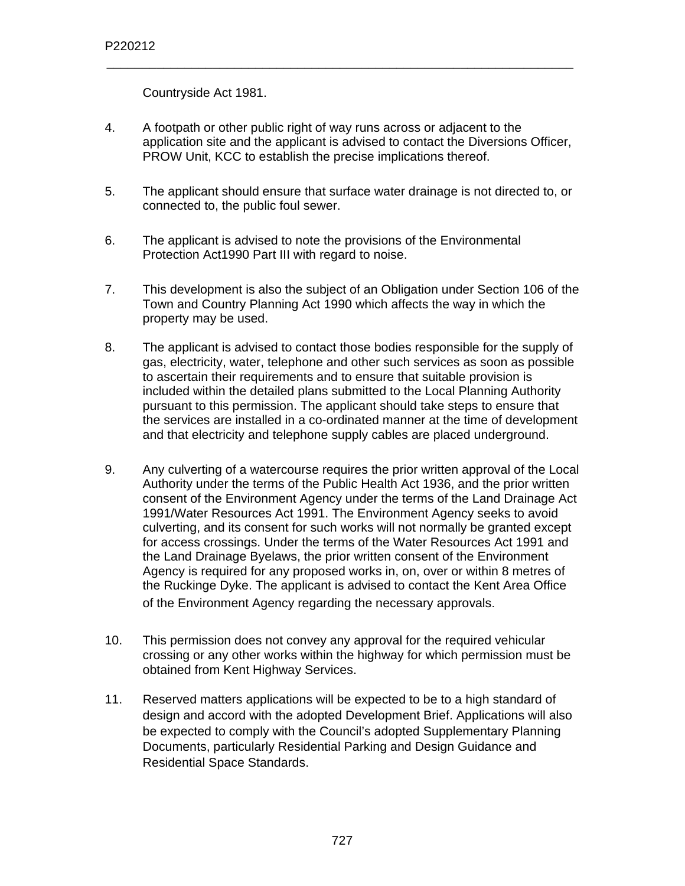Countryside Act 1981.

4. A footpath or other public right of way runs across or adjacent to the application site and the applicant is advised to contact the Diversions Officer, PROW Unit, KCC to establish the precise implications thereof.

- 5. The applicant should ensure that surface water drainage is not directed to, or connected to, the public foul sewer.
- 6. The applicant is advised to note the provisions of the Environmental Protection Act1990 Part III with regard to noise.
- 7. This development is also the subject of an Obligation under Section 106 of the Town and Country Planning Act 1990 which affects the way in which the property may be used.
- 8. The applicant is advised to contact those bodies responsible for the supply of gas, electricity, water, telephone and other such services as soon as possible to ascertain their requirements and to ensure that suitable provision is included within the detailed plans submitted to the Local Planning Authority pursuant to this permission. The applicant should take steps to ensure that the services are installed in a co-ordinated manner at the time of development and that electricity and telephone supply cables are placed underground.
- 9. Any culverting of a watercourse requires the prior written approval of the Local Authority under the terms of the Public Health Act 1936, and the prior written consent of the Environment Agency under the terms of the Land Drainage Act 1991/Water Resources Act 1991. The Environment Agency seeks to avoid culverting, and its consent for such works will not normally be granted except for access crossings. Under the terms of the Water Resources Act 1991 and the Land Drainage Byelaws, the prior written consent of the Environment Agency is required for any proposed works in, on, over or within 8 metres of the Ruckinge Dyke. The applicant is advised to contact the Kent Area Office of the Environment Agency regarding the necessary approvals.
- 10. This permission does not convey any approval for the required vehicular crossing or any other works within the highway for which permission must be obtained from Kent Highway Services.
- 11. Reserved matters applications will be expected to be to a high standard of design and accord with the adopted Development Brief. Applications will also be expected to comply with the Council's adopted Supplementary Planning Documents, particularly Residential Parking and Design Guidance and Residential Space Standards.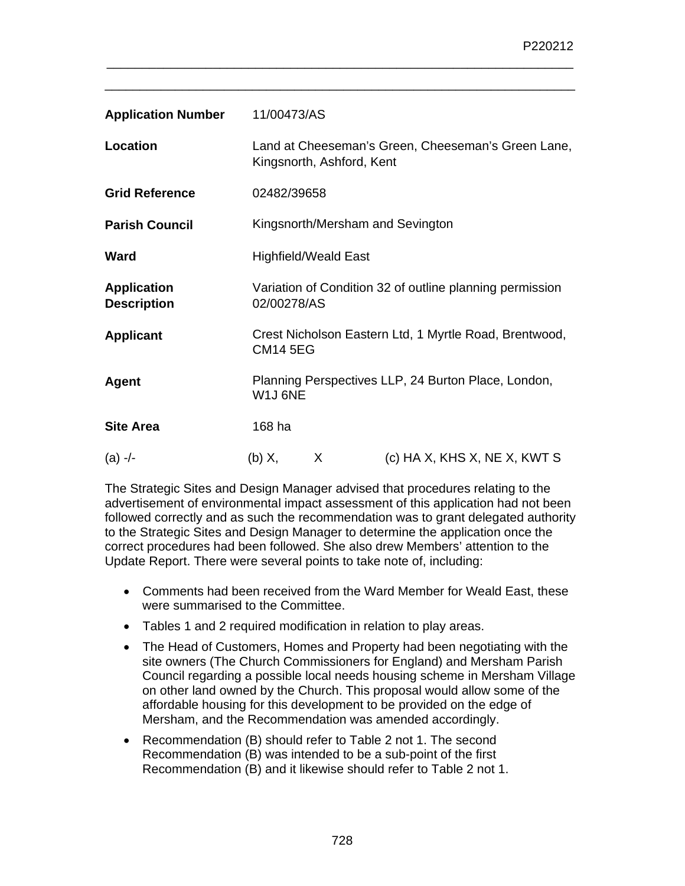| <b>Application Number</b>                | 11/00473/AS                                                                     |                             |                                  |
|------------------------------------------|---------------------------------------------------------------------------------|-----------------------------|----------------------------------|
| Location                                 | Land at Cheeseman's Green, Cheeseman's Green Lane,<br>Kingsnorth, Ashford, Kent |                             |                                  |
| <b>Grid Reference</b>                    | 02482/39658                                                                     |                             |                                  |
| <b>Parish Council</b>                    |                                                                                 |                             | Kingsnorth/Mersham and Sevington |
| Ward                                     |                                                                                 | <b>Highfield/Weald East</b> |                                  |
| <b>Application</b><br><b>Description</b> | Variation of Condition 32 of outline planning permission<br>02/00278/AS         |                             |                                  |
| <b>Applicant</b>                         | Crest Nicholson Eastern Ltd, 1 Myrtle Road, Brentwood,<br><b>CM14 5EG</b>       |                             |                                  |
| Agent                                    | Planning Perspectives LLP, 24 Burton Place, London,<br>W1J 6NE                  |                             |                                  |
| <b>Site Area</b>                         | 168 ha                                                                          |                             |                                  |
| $(a)$ -/-                                | $(b)$ X,                                                                        | X                           | (c) HA X, KHS X, NE X, KWT S     |

\_\_\_\_\_\_\_\_\_\_\_\_\_\_\_\_\_\_\_\_\_\_\_\_\_\_\_\_\_\_\_\_\_\_\_\_\_\_\_\_\_\_\_\_\_\_\_\_\_\_\_\_\_\_\_\_\_\_\_\_\_\_\_\_\_\_\_

The Strategic Sites and Design Manager advised that procedures relating to the advertisement of environmental impact assessment of this application had not been followed correctly and as such the recommendation was to grant delegated authority to the Strategic Sites and Design Manager to determine the application once the correct procedures had been followed. She also drew Members' attention to the Update Report. There were several points to take note of, including:

- Comments had been received from the Ward Member for Weald East, these were summarised to the Committee.
- Tables 1 and 2 required modification in relation to play areas.
- The Head of Customers, Homes and Property had been negotiating with the site owners (The Church Commissioners for England) and Mersham Parish Council regarding a possible local needs housing scheme in Mersham Village on other land owned by the Church. This proposal would allow some of the affordable housing for this development to be provided on the edge of Mersham, and the Recommendation was amended accordingly.
- Recommendation (B) should refer to Table 2 not 1. The second Recommendation (B) was intended to be a sub-point of the first Recommendation (B) and it likewise should refer to Table 2 not 1.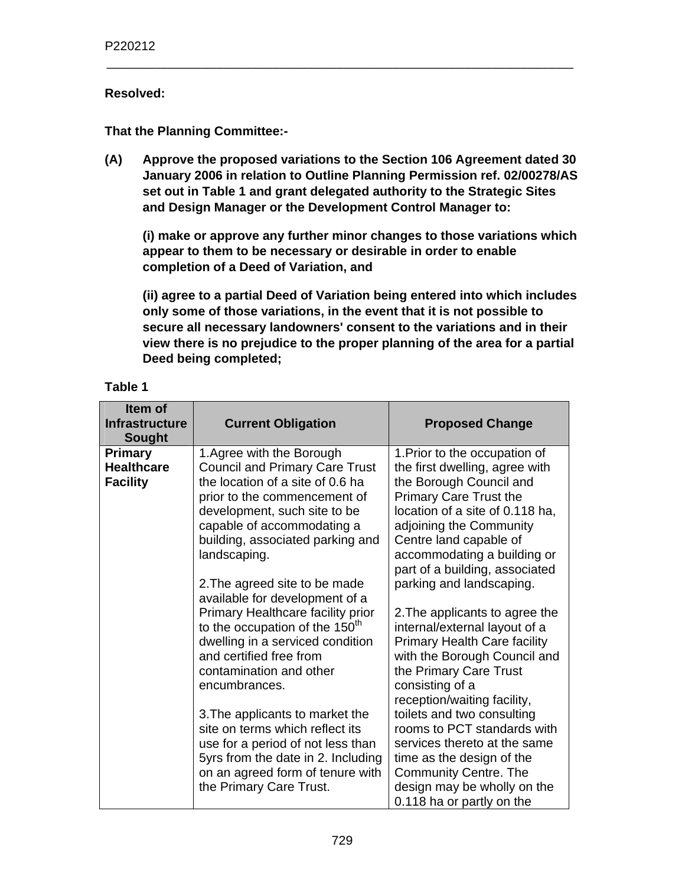### **Resolved:**

**That the Planning Committee:-** 

**(A) Approve the proposed variations to the Section 106 Agreement dated 30 January 2006 in relation to Outline Planning Permission ref. 02/00278/AS set out in Table 1 and grant delegated authority to the Strategic Sites and Design Manager or the Development Control Manager to:** 

\_\_\_\_\_\_\_\_\_\_\_\_\_\_\_\_\_\_\_\_\_\_\_\_\_\_\_\_\_\_\_\_\_\_\_\_\_\_\_\_\_\_\_\_\_\_\_\_\_\_\_\_\_\_\_\_\_\_\_\_\_\_\_\_\_\_

**(i) make or approve any further minor changes to those variations which appear to them to be necessary or desirable in order to enable completion of a Deed of Variation, and** 

**(ii) agree to a partial Deed of Variation being entered into which includes only some of those variations, in the event that it is not possible to secure all necessary landowners' consent to the variations and in their view there is no prejudice to the proper planning of the area for a partial Deed being completed;** 

| Item of<br><b>Infrastructure</b><br><b>Sought</b>      | <b>Current Obligation</b>                                                                                                                                                                                                                                                                                                                                                                                                                    | <b>Proposed Change</b>                                                                                                                                                                                                                                                                                                                                                                                      |
|--------------------------------------------------------|----------------------------------------------------------------------------------------------------------------------------------------------------------------------------------------------------------------------------------------------------------------------------------------------------------------------------------------------------------------------------------------------------------------------------------------------|-------------------------------------------------------------------------------------------------------------------------------------------------------------------------------------------------------------------------------------------------------------------------------------------------------------------------------------------------------------------------------------------------------------|
| <b>Primary</b><br><b>Healthcare</b><br><b>Facility</b> | 1. Agree with the Borough<br><b>Council and Primary Care Trust</b><br>the location of a site of 0.6 ha<br>prior to the commencement of<br>development, such site to be<br>capable of accommodating a<br>building, associated parking and<br>landscaping.<br>2. The agreed site to be made                                                                                                                                                    | 1. Prior to the occupation of<br>the first dwelling, agree with<br>the Borough Council and<br>Primary Care Trust the<br>location of a site of 0.118 ha,<br>adjoining the Community<br>Centre land capable of<br>accommodating a building or<br>part of a building, associated<br>parking and landscaping.                                                                                                   |
|                                                        | available for development of a<br>Primary Healthcare facility prior<br>to the occupation of the 150 <sup>th</sup><br>dwelling in a serviced condition<br>and certified free from<br>contamination and other<br>encumbrances.<br>3. The applicants to market the<br>site on terms which reflect its<br>use for a period of not less than<br>5yrs from the date in 2. Including<br>on an agreed form of tenure with<br>the Primary Care Trust. | 2. The applicants to agree the<br>internal/external layout of a<br><b>Primary Health Care facility</b><br>with the Borough Council and<br>the Primary Care Trust<br>consisting of a<br>reception/waiting facility,<br>toilets and two consulting<br>rooms to PCT standards with<br>services thereto at the same<br>time as the design of the<br><b>Community Centre. The</b><br>design may be wholly on the |

## **Table 1**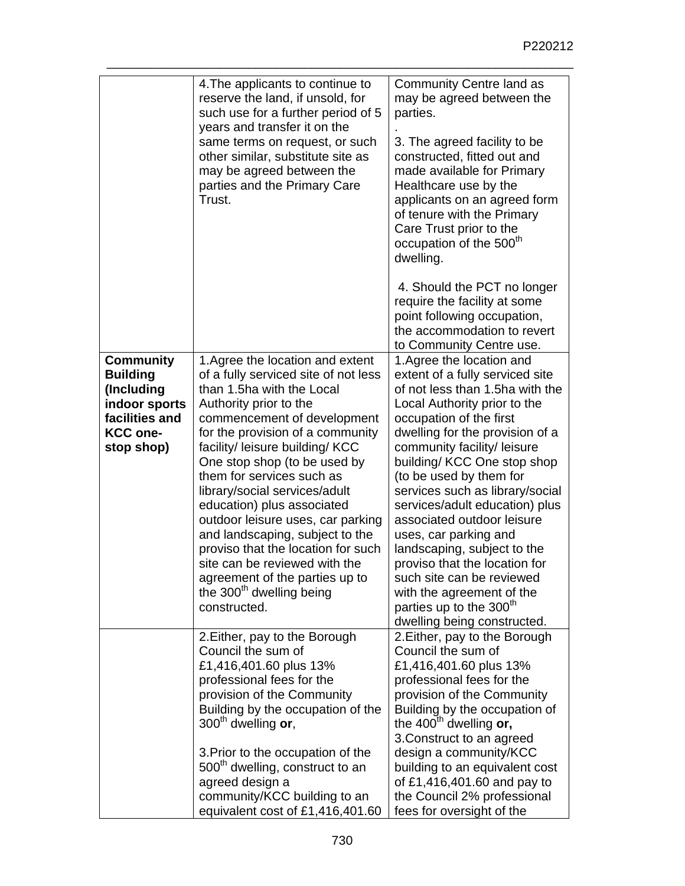|                                                                                                                       | 4. The applicants to continue to<br>reserve the land, if unsold, for<br>such use for a further period of 5<br>years and transfer it on the<br>same terms on request, or such<br>other similar, substitute site as<br>may be agreed between the<br>parties and the Primary Care<br>Trust.                                                                                                                                                                                                                                                                                                                   | Community Centre land as<br>may be agreed between the<br>parties.<br>3. The agreed facility to be<br>constructed, fitted out and<br>made available for Primary<br>Healthcare use by the<br>applicants on an agreed form<br>of tenure with the Primary<br>Care Trust prior to the<br>occupation of the 500 <sup>th</sup><br>dwelling.<br>4. Should the PCT no longer<br>require the facility at some<br>point following occupation,<br>the accommodation to revert<br>to Community Centre use.                                                                                                                     |
|-----------------------------------------------------------------------------------------------------------------------|------------------------------------------------------------------------------------------------------------------------------------------------------------------------------------------------------------------------------------------------------------------------------------------------------------------------------------------------------------------------------------------------------------------------------------------------------------------------------------------------------------------------------------------------------------------------------------------------------------|-------------------------------------------------------------------------------------------------------------------------------------------------------------------------------------------------------------------------------------------------------------------------------------------------------------------------------------------------------------------------------------------------------------------------------------------------------------------------------------------------------------------------------------------------------------------------------------------------------------------|
| <b>Community</b><br><b>Building</b><br>(Including<br>indoor sports<br>facilities and<br><b>KCC one-</b><br>stop shop) | 1. Agree the location and extent<br>of a fully serviced site of not less<br>than 1.5ha with the Local<br>Authority prior to the<br>commencement of development<br>for the provision of a community<br>facility/ leisure building/ KCC<br>One stop shop (to be used by<br>them for services such as<br>library/social services/adult<br>education) plus associated<br>outdoor leisure uses, car parking<br>and landscaping, subject to the<br>proviso that the location for such<br>site can be reviewed with the<br>agreement of the parties up to<br>the 300 <sup>th</sup> dwelling being<br>constructed. | 1. Agree the location and<br>extent of a fully serviced site<br>of not less than 1.5ha with the<br>Local Authority prior to the<br>occupation of the first<br>dwelling for the provision of a<br>community facility/ leisure<br>building/KCC One stop shop<br>(to be used by them for<br>services such as library/social<br>services/adult education) plus<br>associated outdoor leisure<br>uses, car parking and<br>landscaping, subject to the<br>proviso that the location for<br>such site can be reviewed<br>with the agreement of the<br>parties up to the 300 <sup>th</sup><br>dwelling being constructed. |
|                                                                                                                       | 2. Either, pay to the Borough<br>Council the sum of<br>£1,416,401.60 plus 13%<br>professional fees for the<br>provision of the Community<br>Building by the occupation of the<br>$300th$ dwelling or,<br>3. Prior to the occupation of the<br>500 <sup>th</sup> dwelling, construct to an<br>agreed design a<br>community/KCC building to an<br>equivalent cost of £1,416,401.60                                                                                                                                                                                                                           | 2. Either, pay to the Borough<br>Council the sum of<br>£1,416,401.60 plus 13%<br>professional fees for the<br>provision of the Community<br>Building by the occupation of<br>the 400 <sup>th</sup> dwelling or,<br>3. Construct to an agreed<br>design a community/KCC<br>building to an equivalent cost<br>of £1,416,401.60 and pay to<br>the Council 2% professional<br>fees for oversight of the                                                                                                                                                                                                               |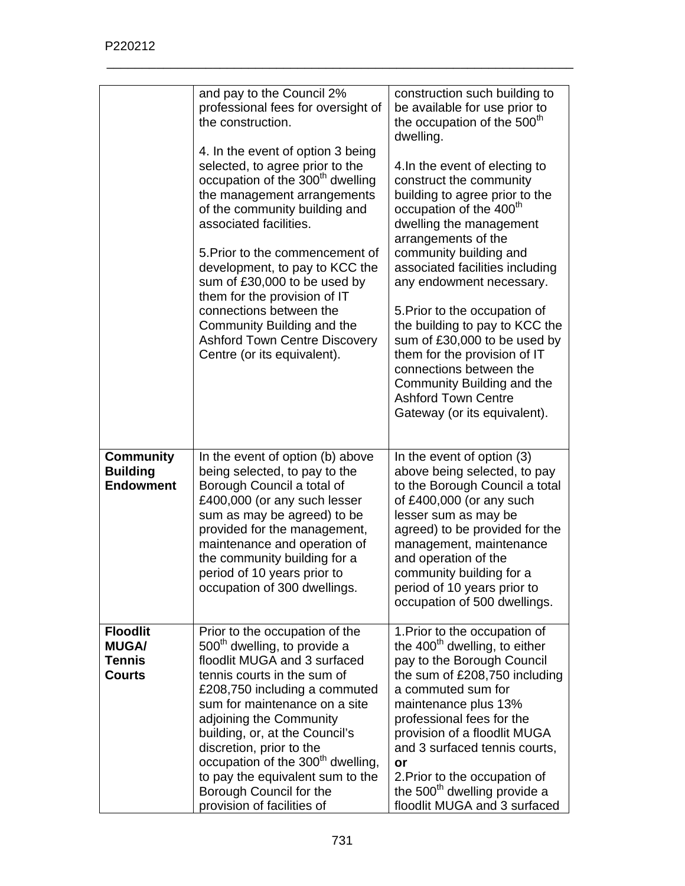|                                                                   | and pay to the Council 2%<br>professional fees for oversight of<br>the construction.<br>4. In the event of option 3 being<br>selected, to agree prior to the<br>occupation of the 300 <sup>th</sup> dwelling<br>the management arrangements<br>of the community building and<br>associated facilities.<br>5. Prior to the commencement of<br>development, to pay to KCC the<br>sum of £30,000 to be used by<br>them for the provision of IT<br>connections between the<br>Community Building and the<br><b>Ashford Town Centre Discovery</b><br>Centre (or its equivalent). | construction such building to<br>be available for use prior to<br>the occupation of the 500 <sup>th</sup><br>dwelling.<br>4. In the event of electing to<br>construct the community<br>building to agree prior to the<br>occupation of the 400 <sup>th</sup><br>dwelling the management<br>arrangements of the<br>community building and<br>associated facilities including<br>any endowment necessary.<br>5. Prior to the occupation of<br>the building to pay to KCC the<br>sum of £30,000 to be used by<br>them for the provision of IT<br>connections between the<br>Community Building and the<br><b>Ashford Town Centre</b><br>Gateway (or its equivalent). |
|-------------------------------------------------------------------|-----------------------------------------------------------------------------------------------------------------------------------------------------------------------------------------------------------------------------------------------------------------------------------------------------------------------------------------------------------------------------------------------------------------------------------------------------------------------------------------------------------------------------------------------------------------------------|-------------------------------------------------------------------------------------------------------------------------------------------------------------------------------------------------------------------------------------------------------------------------------------------------------------------------------------------------------------------------------------------------------------------------------------------------------------------------------------------------------------------------------------------------------------------------------------------------------------------------------------------------------------------|
| <b>Community</b><br><b>Building</b><br><b>Endowment</b>           | In the event of option (b) above<br>being selected, to pay to the<br>Borough Council a total of<br>£400,000 (or any such lesser<br>sum as may be agreed) to be<br>provided for the management,<br>maintenance and operation of<br>the community building for a<br>period of 10 years prior to<br>occupation of 300 dwellings.                                                                                                                                                                                                                                               | In the event of option (3)<br>above being selected, to pay<br>to the Borough Council a total<br>of £400,000 (or any such<br>lesser sum as may be<br>agreed) to be provided for the<br>management, maintenance<br>and operation of the<br>community building for a<br>period of 10 years prior to<br>occupation of 500 dwellings.                                                                                                                                                                                                                                                                                                                                  |
| <b>Floodlit</b><br><b>MUGA/</b><br><b>Tennis</b><br><b>Courts</b> | Prior to the occupation of the<br>500 <sup>th</sup> dwelling, to provide a<br>floodlit MUGA and 3 surfaced<br>tennis courts in the sum of<br>£208,750 including a commuted<br>sum for maintenance on a site<br>adjoining the Community<br>building, or, at the Council's<br>discretion, prior to the<br>occupation of the 300 <sup>th</sup> dwelling,<br>to pay the equivalent sum to the<br>Borough Council for the<br>provision of facilities of                                                                                                                          | 1. Prior to the occupation of<br>the 400 <sup>th</sup> dwelling, to either<br>pay to the Borough Council<br>the sum of £208,750 including<br>a commuted sum for<br>maintenance plus 13%<br>professional fees for the<br>provision of a floodlit MUGA<br>and 3 surfaced tennis courts,<br>or<br>2. Prior to the occupation of<br>the 500 <sup>th</sup> dwelling provide a<br>floodlit MUGA and 3 surfaced                                                                                                                                                                                                                                                          |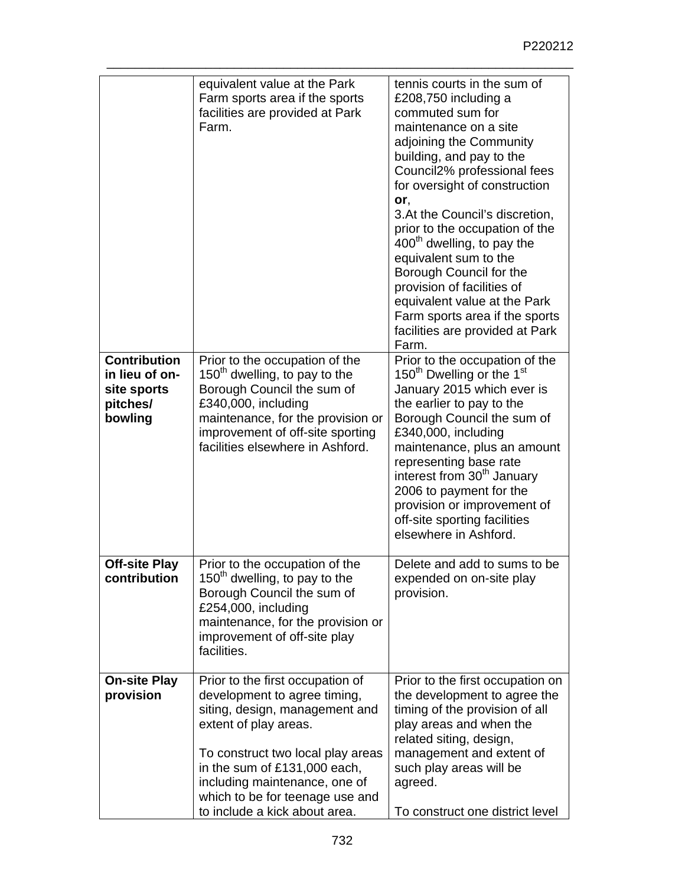|                                                                             | equivalent value at the Park<br>Farm sports area if the sports<br>facilities are provided at Park<br>Farm.                                                                                                                                                                                            | tennis courts in the sum of<br>£208,750 including a<br>commuted sum for<br>maintenance on a site<br>adjoining the Community<br>building, and pay to the<br>Council2% professional fees<br>for oversight of construction<br>or,<br>3. At the Council's discretion,<br>prior to the occupation of the<br>$400th$ dwelling, to pay the<br>equivalent sum to the<br>Borough Council for the<br>provision of facilities of<br>equivalent value at the Park<br>Farm sports area if the sports<br>facilities are provided at Park<br>Farm. |
|-----------------------------------------------------------------------------|-------------------------------------------------------------------------------------------------------------------------------------------------------------------------------------------------------------------------------------------------------------------------------------------------------|-------------------------------------------------------------------------------------------------------------------------------------------------------------------------------------------------------------------------------------------------------------------------------------------------------------------------------------------------------------------------------------------------------------------------------------------------------------------------------------------------------------------------------------|
| <b>Contribution</b><br>in lieu of on-<br>site sports<br>pitches/<br>bowling | Prior to the occupation of the<br>$150th$ dwelling, to pay to the<br>Borough Council the sum of<br>£340,000, including<br>maintenance, for the provision or<br>improvement of off-site sporting<br>facilities elsewhere in Ashford.                                                                   | Prior to the occupation of the<br>150 <sup>th</sup> Dwelling or the 1 <sup>st</sup><br>January 2015 which ever is<br>the earlier to pay to the<br>Borough Council the sum of<br>£340,000, including<br>maintenance, plus an amount<br>representing base rate<br>interest from 30 <sup>th</sup> January<br>2006 to payment for the<br>provision or improvement of<br>off-site sporting facilities<br>elsewhere in Ashford.                                                                                                           |
| <b>Off-site Play</b><br>contribution                                        | Prior to the occupation of the<br>150 <sup>th</sup> dwelling, to pay to the<br>Borough Council the sum of<br>£254,000, including<br>maintenance, for the provision or<br>improvement of off-site play<br>facilities.                                                                                  | Delete and add to sums to be<br>expended on on-site play<br>provision.                                                                                                                                                                                                                                                                                                                                                                                                                                                              |
| <b>On-site Play</b><br>provision                                            | Prior to the first occupation of<br>development to agree timing,<br>siting, design, management and<br>extent of play areas.<br>To construct two local play areas<br>in the sum of £131,000 each,<br>including maintenance, one of<br>which to be for teenage use and<br>to include a kick about area. | Prior to the first occupation on<br>the development to agree the<br>timing of the provision of all<br>play areas and when the<br>related siting, design,<br>management and extent of<br>such play areas will be<br>agreed.<br>To construct one district level                                                                                                                                                                                                                                                                       |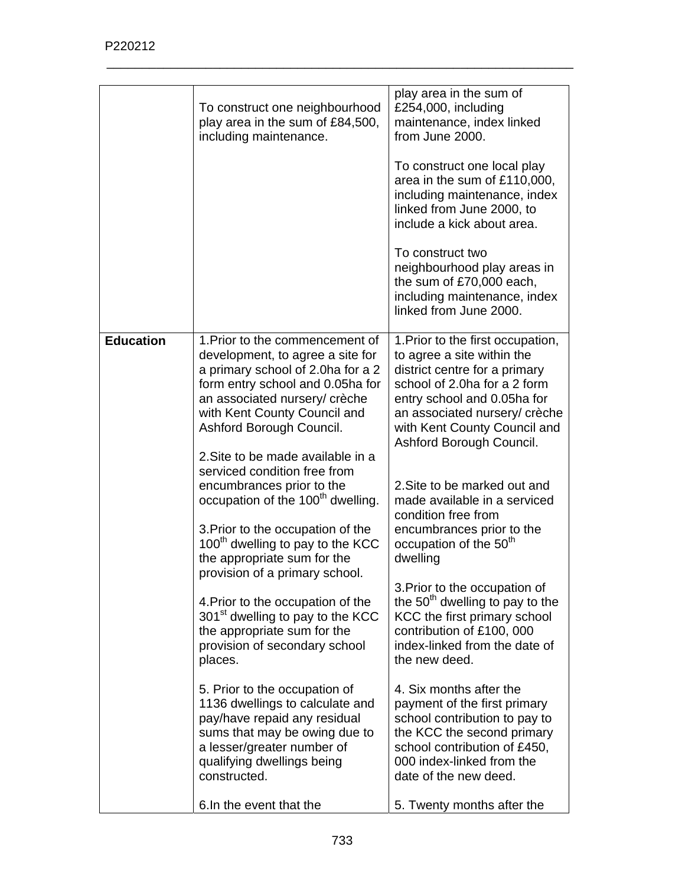|                  | To construct one neighbourhood<br>play area in the sum of £84,500,<br>including maintenance.                                                                                                                                                                                   | play area in the sum of<br>£254,000, including<br>maintenance, index linked<br>from June 2000.                                                                                                                                                               |
|------------------|--------------------------------------------------------------------------------------------------------------------------------------------------------------------------------------------------------------------------------------------------------------------------------|--------------------------------------------------------------------------------------------------------------------------------------------------------------------------------------------------------------------------------------------------------------|
|                  |                                                                                                                                                                                                                                                                                | To construct one local play<br>area in the sum of £110,000,<br>including maintenance, index<br>linked from June 2000, to<br>include a kick about area.                                                                                                       |
|                  |                                                                                                                                                                                                                                                                                | To construct two<br>neighbourhood play areas in<br>the sum of £70,000 each,<br>including maintenance, index<br>linked from June 2000.                                                                                                                        |
| <b>Education</b> | 1. Prior to the commencement of<br>development, to agree a site for<br>a primary school of 2.0ha for a 2<br>form entry school and 0.05ha for<br>an associated nursery/ crèche<br>with Kent County Council and<br>Ashford Borough Council.<br>2. Site to be made available in a | 1. Prior to the first occupation,<br>to agree a site within the<br>district centre for a primary<br>school of 2.0ha for a 2 form<br>entry school and 0.05ha for<br>an associated nursery/ crèche<br>with Kent County Council and<br>Ashford Borough Council. |
|                  | serviced condition free from<br>encumbrances prior to the<br>occupation of the 100 <sup>th</sup> dwelling.<br>3. Prior to the occupation of the<br>100 <sup>th</sup> dwelling to pay to the KCC<br>the appropriate sum for the<br>provision of a primary school.               | 2. Site to be marked out and<br>made available in a serviced<br>condition free from<br>encumbrances prior to the<br>occupation of the 50 <sup>th</sup><br>dwelling                                                                                           |
|                  | 4. Prior to the occupation of the<br>301 <sup>st</sup> dwelling to pay to the KCC<br>the appropriate sum for the<br>provision of secondary school<br>places.                                                                                                                   | 3. Prior to the occupation of<br>the 50 <sup>th</sup> dwelling to pay to the<br>KCC the first primary school<br>contribution of £100, 000<br>index-linked from the date of<br>the new deed.                                                                  |
|                  | 5. Prior to the occupation of<br>1136 dwellings to calculate and<br>pay/have repaid any residual<br>sums that may be owing due to<br>a lesser/greater number of<br>qualifying dwellings being<br>constructed.                                                                  | 4. Six months after the<br>payment of the first primary<br>school contribution to pay to<br>the KCC the second primary<br>school contribution of £450,<br>000 index-linked from the<br>date of the new deed.                                                 |
|                  | 6.In the event that the                                                                                                                                                                                                                                                        | 5. Twenty months after the                                                                                                                                                                                                                                   |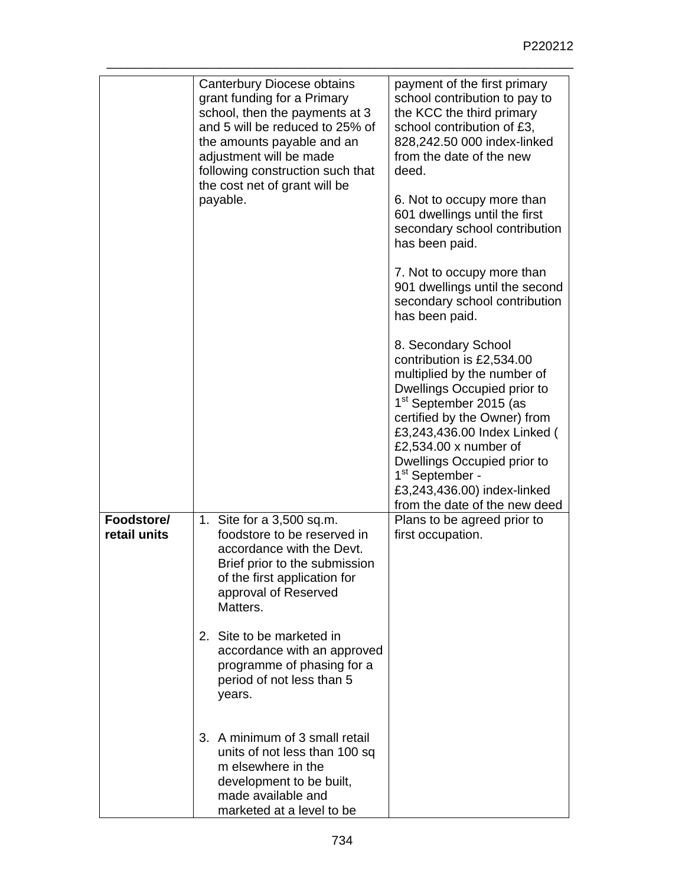|                            | Canterbury Diocese obtains                                                                                                                                                                                                                 | payment of the first primary                                                                                                                                                                                                                                                                                                                                                |
|----------------------------|--------------------------------------------------------------------------------------------------------------------------------------------------------------------------------------------------------------------------------------------|-----------------------------------------------------------------------------------------------------------------------------------------------------------------------------------------------------------------------------------------------------------------------------------------------------------------------------------------------------------------------------|
|                            | grant funding for a Primary<br>school, then the payments at 3<br>and 5 will be reduced to 25% of<br>the amounts payable and an<br>adjustment will be made<br>following construction such that<br>the cost net of grant will be<br>payable. | school contribution to pay to<br>the KCC the third primary<br>school contribution of £3,<br>828,242.50 000 index-linked<br>from the date of the new<br>deed.<br>6. Not to occupy more than<br>601 dwellings until the first<br>secondary school contribution<br>has been paid.<br>7. Not to occupy more than<br>901 dwellings until the second                              |
|                            |                                                                                                                                                                                                                                            | secondary school contribution<br>has been paid.                                                                                                                                                                                                                                                                                                                             |
|                            |                                                                                                                                                                                                                                            | 8. Secondary School<br>contribution is £2,534.00<br>multiplied by the number of<br>Dwellings Occupied prior to<br>1 <sup>st</sup> September 2015 (as<br>certified by the Owner) from<br>£3,243,436.00 Index Linked (<br>£2,534.00 x number of<br>Dwellings Occupied prior to<br>1 <sup>st</sup> September -<br>£3,243,436.00) index-linked<br>from the date of the new deed |
| Foodstore/<br>retail units | 1. Site for a 3,500 sq.m.<br>foodstore to be reserved in<br>accordance with the Devt.<br>Brief prior to the submission<br>of the first application for<br>approval of Reserved<br>Matters.                                                 | Plans to be agreed prior to<br>first occupation.                                                                                                                                                                                                                                                                                                                            |
|                            | 2. Site to be marketed in<br>accordance with an approved<br>programme of phasing for a<br>period of not less than 5<br>years.                                                                                                              |                                                                                                                                                                                                                                                                                                                                                                             |
|                            | 3. A minimum of 3 small retail<br>units of not less than 100 sq<br>m elsewhere in the<br>development to be built,<br>made available and<br>marketed at a level to be                                                                       |                                                                                                                                                                                                                                                                                                                                                                             |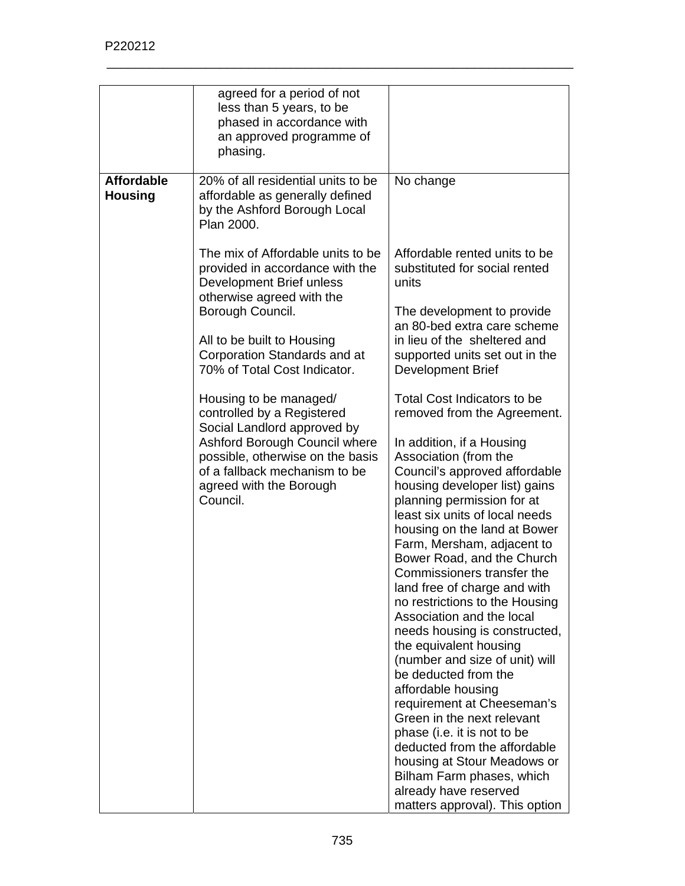|                   | agreed for a period of not<br>less than 5 years, to be |                                                          |
|-------------------|--------------------------------------------------------|----------------------------------------------------------|
|                   | phased in accordance with                              |                                                          |
|                   | an approved programme of                               |                                                          |
|                   | phasing.                                               |                                                          |
|                   |                                                        |                                                          |
| <b>Affordable</b> | 20% of all residential units to be                     | No change                                                |
| <b>Housing</b>    | affordable as generally defined                        |                                                          |
|                   | by the Ashford Borough Local                           |                                                          |
|                   | Plan 2000.                                             |                                                          |
|                   | The mix of Affordable units to be                      | Affordable rented units to be                            |
|                   | provided in accordance with the                        | substituted for social rented                            |
|                   | Development Brief unless                               | units                                                    |
|                   | otherwise agreed with the                              |                                                          |
|                   | Borough Council.                                       | The development to provide                               |
|                   |                                                        | an 80-bed extra care scheme                              |
|                   | All to be built to Housing                             | in lieu of the sheltered and                             |
|                   | Corporation Standards and at                           | supported units set out in the                           |
|                   | 70% of Total Cost Indicator.                           | <b>Development Brief</b>                                 |
|                   | Housing to be managed/                                 | <b>Total Cost Indicators to be</b>                       |
|                   | controlled by a Registered                             | removed from the Agreement.                              |
|                   | Social Landlord approved by                            |                                                          |
|                   | Ashford Borough Council where                          | In addition, if a Housing                                |
|                   | possible, otherwise on the basis                       | Association (from the                                    |
|                   | of a fallback mechanism to be                          | Council's approved affordable                            |
|                   | agreed with the Borough                                | housing developer list) gains                            |
|                   | Council.                                               | planning permission for at                               |
|                   |                                                        | least six units of local needs                           |
|                   |                                                        | housing on the land at Bower                             |
|                   |                                                        | Farm, Mersham, adjacent to                               |
|                   |                                                        | Bower Road, and the Church<br>Commissioners transfer the |
|                   |                                                        | land free of charge and with                             |
|                   |                                                        | no restrictions to the Housing                           |
|                   |                                                        | Association and the local                                |
|                   |                                                        | needs housing is constructed,                            |
|                   |                                                        | the equivalent housing                                   |
|                   |                                                        | (number and size of unit) will                           |
|                   |                                                        | be deducted from the                                     |
|                   |                                                        | affordable housing                                       |
|                   |                                                        | requirement at Cheeseman's                               |
|                   |                                                        | Green in the next relevant                               |
|                   |                                                        | phase (i.e. it is not to be                              |
|                   |                                                        | deducted from the affordable                             |
|                   |                                                        | housing at Stour Meadows or<br>Bilham Farm phases, which |
|                   |                                                        | already have reserved                                    |
|                   |                                                        | matters approval). This option                           |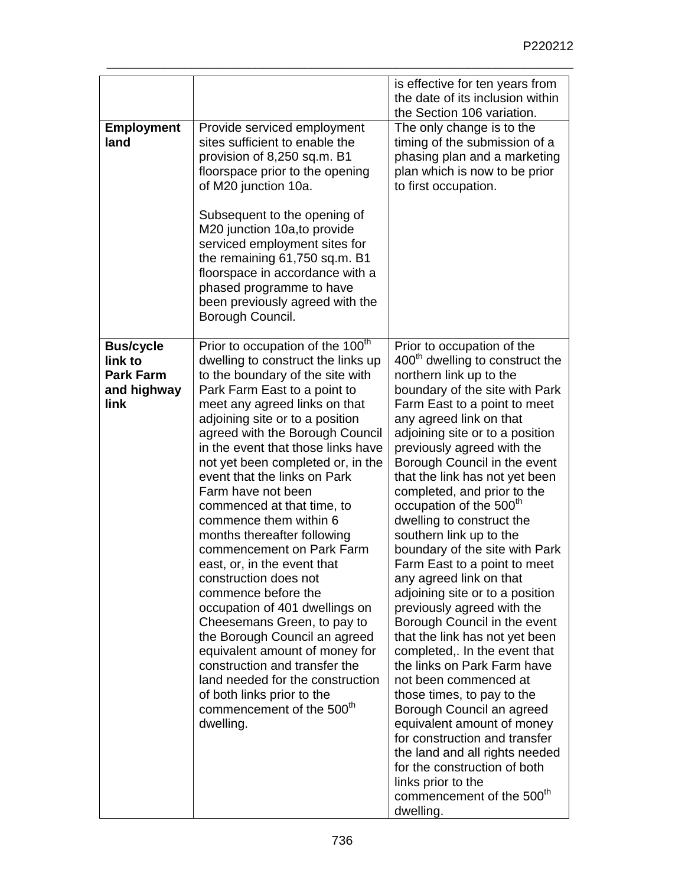|                                                                        |                                                                                                                                                                                                                                                                                                                                                                                                                                                                                                                                                                                                                                                                                                                                                                                                                                                                                                | is effective for ten years from<br>the date of its inclusion within                                                                                                                                                                                                                                                                                                                                                                                                                                                                                                                                                                                                                                                                                                                                                                                                                                                                                                                                                                                                 |
|------------------------------------------------------------------------|------------------------------------------------------------------------------------------------------------------------------------------------------------------------------------------------------------------------------------------------------------------------------------------------------------------------------------------------------------------------------------------------------------------------------------------------------------------------------------------------------------------------------------------------------------------------------------------------------------------------------------------------------------------------------------------------------------------------------------------------------------------------------------------------------------------------------------------------------------------------------------------------|---------------------------------------------------------------------------------------------------------------------------------------------------------------------------------------------------------------------------------------------------------------------------------------------------------------------------------------------------------------------------------------------------------------------------------------------------------------------------------------------------------------------------------------------------------------------------------------------------------------------------------------------------------------------------------------------------------------------------------------------------------------------------------------------------------------------------------------------------------------------------------------------------------------------------------------------------------------------------------------------------------------------------------------------------------------------|
| <b>Employment</b><br>land                                              | Provide serviced employment<br>sites sufficient to enable the<br>provision of 8,250 sq.m. B1<br>floorspace prior to the opening<br>of M20 junction 10a.<br>Subsequent to the opening of<br>M20 junction 10a, to provide<br>serviced employment sites for<br>the remaining 61,750 sq.m. B1<br>floorspace in accordance with a<br>phased programme to have<br>been previously agreed with the<br>Borough Council.                                                                                                                                                                                                                                                                                                                                                                                                                                                                                | the Section 106 variation.<br>The only change is to the<br>timing of the submission of a<br>phasing plan and a marketing<br>plan which is now to be prior<br>to first occupation.                                                                                                                                                                                                                                                                                                                                                                                                                                                                                                                                                                                                                                                                                                                                                                                                                                                                                   |
| <b>Bus/cycle</b><br>link to<br><b>Park Farm</b><br>and highway<br>link | Prior to occupation of the 100 <sup>th</sup><br>dwelling to construct the links up<br>to the boundary of the site with<br>Park Farm East to a point to<br>meet any agreed links on that<br>adjoining site or to a position<br>agreed with the Borough Council<br>in the event that those links have<br>not yet been completed or, in the<br>event that the links on Park<br>Farm have not been<br>commenced at that time, to<br>commence them within 6<br>months thereafter following<br>commencement on Park Farm<br>east, or, in the event that<br>construction does not<br>commence before the<br>occupation of 401 dwellings on<br>Cheesemans Green, to pay to<br>the Borough Council an agreed<br>equivalent amount of money for<br>construction and transfer the<br>land needed for the construction<br>of both links prior to the<br>commencement of the 500 <sup>th</sup><br>dwelling. | Prior to occupation of the<br>400 <sup>th</sup> dwelling to construct the<br>northern link up to the<br>boundary of the site with Park<br>Farm East to a point to meet<br>any agreed link on that<br>adjoining site or to a position<br>previously agreed with the<br>Borough Council in the event<br>that the link has not yet been<br>completed, and prior to the<br>occupation of the 500 <sup>th</sup><br>dwelling to construct the<br>southern link up to the<br>boundary of the site with Park<br>Farm East to a point to meet<br>any agreed link on that<br>adjoining site or to a position<br>previously agreed with the<br>Borough Council in the event<br>that the link has not yet been<br>completed,. In the event that<br>the links on Park Farm have<br>not been commenced at<br>those times, to pay to the<br>Borough Council an agreed<br>equivalent amount of money<br>for construction and transfer<br>the land and all rights needed<br>for the construction of both<br>links prior to the<br>commencement of the 500 <sup>th</sup><br>dwelling. |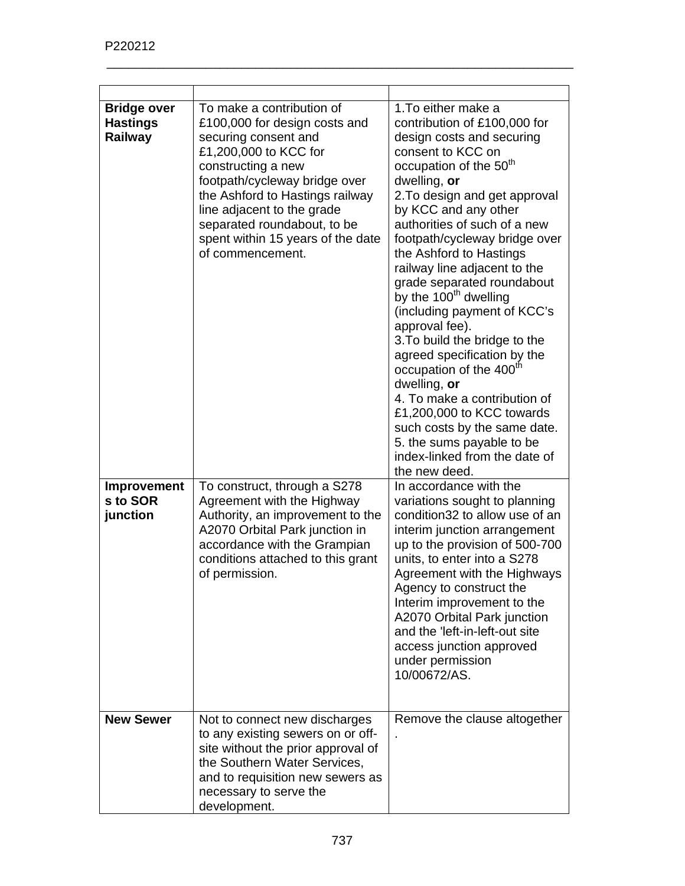| <b>Bridge over</b><br><b>Hastings</b><br>Railway | To make a contribution of<br>£100,000 for design costs and<br>securing consent and<br>£1,200,000 to KCC for<br>constructing a new<br>footpath/cycleway bridge over<br>the Ashford to Hastings railway<br>line adjacent to the grade<br>separated roundabout, to be<br>spent within 15 years of the date<br>of commencement. | 1. To either make a<br>contribution of £100,000 for<br>design costs and securing<br>consent to KCC on<br>occupation of the 50 <sup>th</sup><br>dwelling, or<br>2. To design and get approval<br>by KCC and any other<br>authorities of such of a new<br>footpath/cycleway bridge over<br>the Ashford to Hastings<br>railway line adjacent to the<br>grade separated roundabout<br>by the 100 <sup>th</sup> dwelling<br>(including payment of KCC's<br>approval fee).<br>3. To build the bridge to the<br>agreed specification by the<br>occupation of the 400 <sup>th</sup><br>dwelling, or<br>4. To make a contribution of<br>£1,200,000 to KCC towards<br>such costs by the same date.<br>5. the sums payable to be<br>index-linked from the date of<br>the new deed. |
|--------------------------------------------------|-----------------------------------------------------------------------------------------------------------------------------------------------------------------------------------------------------------------------------------------------------------------------------------------------------------------------------|-------------------------------------------------------------------------------------------------------------------------------------------------------------------------------------------------------------------------------------------------------------------------------------------------------------------------------------------------------------------------------------------------------------------------------------------------------------------------------------------------------------------------------------------------------------------------------------------------------------------------------------------------------------------------------------------------------------------------------------------------------------------------|
| Improvement<br>s to SOR<br>junction              | To construct, through a S278<br>Agreement with the Highway<br>Authority, an improvement to the<br>A2070 Orbital Park junction in<br>accordance with the Grampian<br>conditions attached to this grant<br>of permission.                                                                                                     | In accordance with the<br>variations sought to planning<br>condition32 to allow use of an<br>interim junction arrangement<br>up to the provision of 500-700<br>units, to enter into a S278<br>Agreement with the Highways<br>Agency to construct the<br>Interim improvement to the<br>A2070 Orbital Park junction<br>and the 'left-in-left-out site<br>access junction approved<br>under permission<br>10/00672/AS.                                                                                                                                                                                                                                                                                                                                                     |
| <b>New Sewer</b>                                 | Not to connect new discharges<br>to any existing sewers on or off-<br>site without the prior approval of<br>the Southern Water Services,<br>and to requisition new sewers as<br>necessary to serve the<br>development.                                                                                                      | Remove the clause altogether                                                                                                                                                                                                                                                                                                                                                                                                                                                                                                                                                                                                                                                                                                                                            |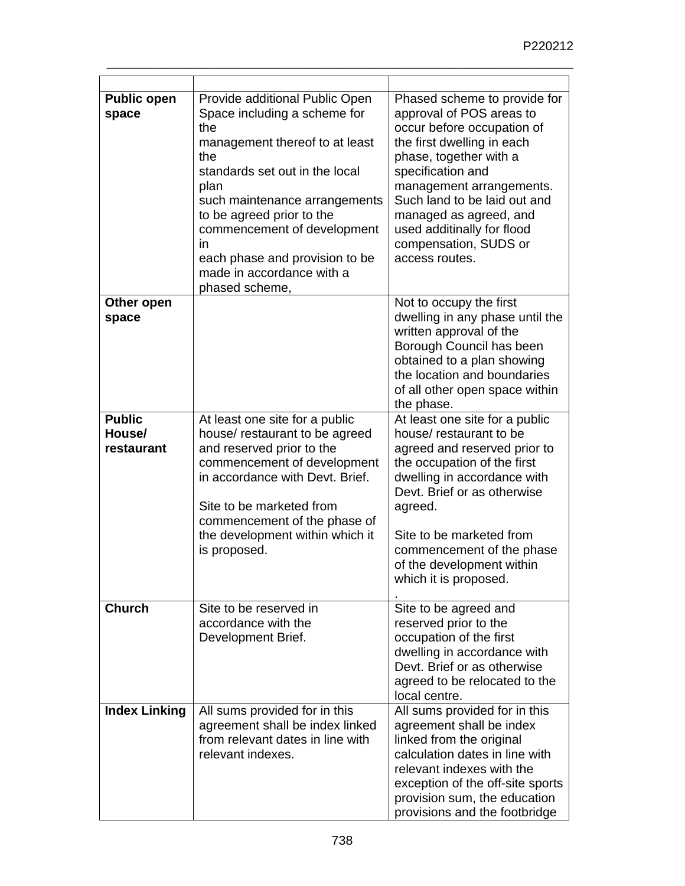| <b>Public open</b><br>space           | Provide additional Public Open<br>Space including a scheme for<br>the<br>management thereof to at least<br>the<br>standards set out in the local<br>plan<br>such maintenance arrangements<br>to be agreed prior to the<br>commencement of development<br>in<br>each phase and provision to be<br>made in accordance with a<br>phased scheme, | Phased scheme to provide for<br>approval of POS areas to<br>occur before occupation of<br>the first dwelling in each<br>phase, together with a<br>specification and<br>management arrangements.<br>Such land to be laid out and<br>managed as agreed, and<br>used additinally for flood<br>compensation, SUDS or<br>access routes. |
|---------------------------------------|----------------------------------------------------------------------------------------------------------------------------------------------------------------------------------------------------------------------------------------------------------------------------------------------------------------------------------------------|------------------------------------------------------------------------------------------------------------------------------------------------------------------------------------------------------------------------------------------------------------------------------------------------------------------------------------|
| Other open<br>space                   |                                                                                                                                                                                                                                                                                                                                              | Not to occupy the first<br>dwelling in any phase until the<br>written approval of the<br>Borough Council has been<br>obtained to a plan showing<br>the location and boundaries<br>of all other open space within<br>the phase.                                                                                                     |
| <b>Public</b><br>House/<br>restaurant | At least one site for a public<br>house/ restaurant to be agreed<br>and reserved prior to the<br>commencement of development<br>in accordance with Devt. Brief.<br>Site to be marketed from<br>commencement of the phase of<br>the development within which it<br>is proposed.                                                               | At least one site for a public<br>house/ restaurant to be<br>agreed and reserved prior to<br>the occupation of the first<br>dwelling in accordance with<br>Devt. Brief or as otherwise<br>agreed.<br>Site to be marketed from<br>commencement of the phase<br>of the development within<br>which it is proposed.                   |
| <b>Church</b>                         | Site to be reserved in<br>accordance with the<br>Development Brief.                                                                                                                                                                                                                                                                          | Site to be agreed and<br>reserved prior to the<br>occupation of the first<br>dwelling in accordance with<br>Devt. Brief or as otherwise<br>agreed to be relocated to the<br>local centre.                                                                                                                                          |
| <b>Index Linking</b>                  | All sums provided for in this<br>agreement shall be index linked<br>from relevant dates in line with<br>relevant indexes.                                                                                                                                                                                                                    | All sums provided for in this<br>agreement shall be index<br>linked from the original<br>calculation dates in line with<br>relevant indexes with the<br>exception of the off-site sports<br>provision sum, the education<br>provisions and the footbridge                                                                          |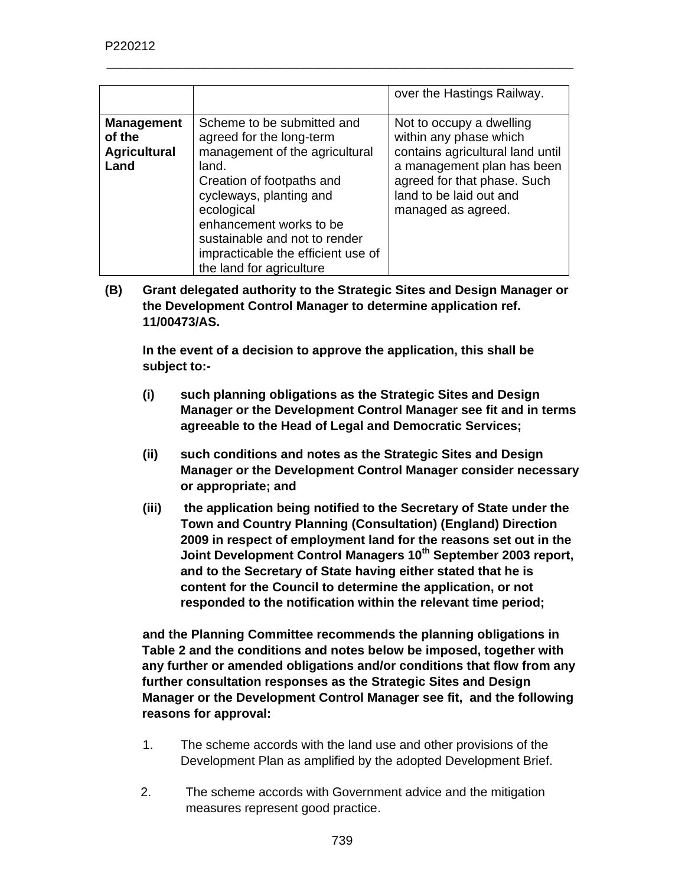|                                                            |                                                                                                                                                                                                                                                                                                       | over the Hastings Railway.                                                                                                                                                                           |
|------------------------------------------------------------|-------------------------------------------------------------------------------------------------------------------------------------------------------------------------------------------------------------------------------------------------------------------------------------------------------|------------------------------------------------------------------------------------------------------------------------------------------------------------------------------------------------------|
| <b>Management</b><br>of the<br><b>Agricultural</b><br>Land | Scheme to be submitted and<br>agreed for the long-term<br>management of the agricultural<br>land.<br>Creation of footpaths and<br>cycleways, planting and<br>ecological<br>enhancement works to be<br>sustainable and not to render<br>impracticable the efficient use of<br>the land for agriculture | Not to occupy a dwelling<br>within any phase which<br>contains agricultural land until<br>a management plan has been<br>agreed for that phase. Such<br>land to be laid out and<br>managed as agreed. |

**(B) Grant delegated authority to the Strategic Sites and Design Manager or the Development Control Manager to determine application ref. 11/00473/AS.** 

**In the event of a decision to approve the application, this shall be subject to:-** 

- **(i) such planning obligations as the Strategic Sites and Design Manager or the Development Control Manager see fit and in terms agreeable to the Head of Legal and Democratic Services;**
- **(ii) such conditions and notes as the Strategic Sites and Design Manager or the Development Control Manager consider necessary or appropriate; and**
- **(iii) the application being notified to the Secretary of State under the Town and Country Planning (Consultation) (England) Direction 2009 in respect of employment land for the reasons set out in the Joint Development Control Managers 10th September 2003 report, and to the Secretary of State having either stated that he is content for the Council to determine the application, or not responded to the notification within the relevant time period;**

**and the Planning Committee recommends the planning obligations in Table 2 and the conditions and notes below be imposed, together with any further or amended obligations and/or conditions that flow from any further consultation responses as the Strategic Sites and Design Manager or the Development Control Manager see fit, and the following reasons for approval:**

- 1. The scheme accords with the land use and other provisions of the Development Plan as amplified by the adopted Development Brief.
- 2. The scheme accords with Government advice and the mitigation measures represent good practice.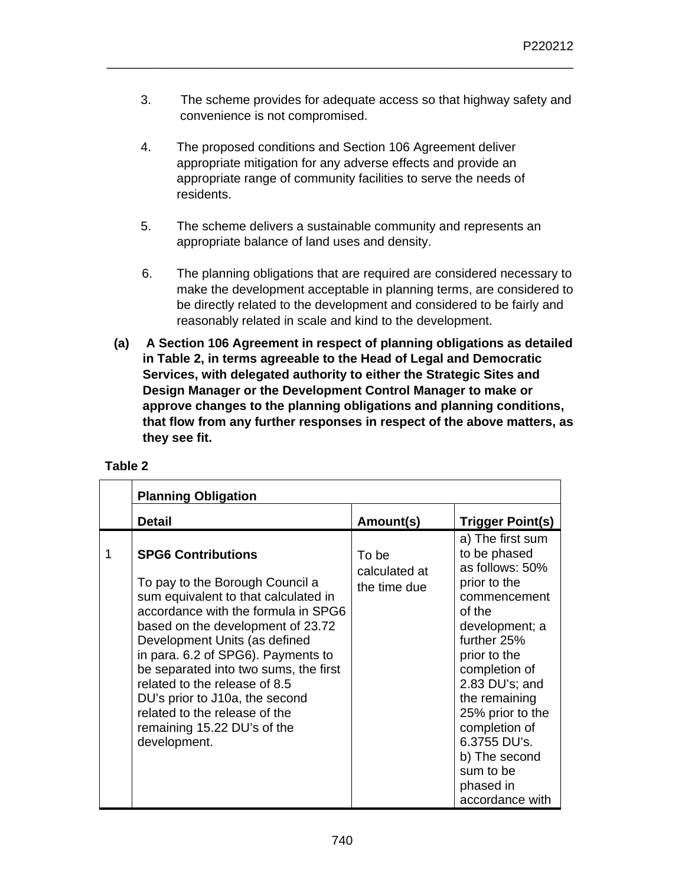3. The scheme provides for adequate access so that highway safety and convenience is not compromised.

\_\_\_\_\_\_\_\_\_\_\_\_\_\_\_\_\_\_\_\_\_\_\_\_\_\_\_\_\_\_\_\_\_\_\_\_\_\_\_\_\_\_\_\_\_\_\_\_\_\_\_\_\_\_\_\_\_\_\_\_\_\_\_\_\_\_

- 4. The proposed conditions and Section 106 Agreement deliver appropriate mitigation for any adverse effects and provide an appropriate range of community facilities to serve the needs of residents.
- 5. The scheme delivers a sustainable community and represents an appropriate balance of land uses and density.
- 6. The planning obligations that are required are considered necessary to make the development acceptable in planning terms, are considered to be directly related to the development and considered to be fairly and reasonably related in scale and kind to the development.
- **(a) A Section 106 Agreement in respect of planning obligations as detailed in Table 2, in terms agreeable to the Head of Legal and Democratic Services, with delegated authority to either the Strategic Sites and Design Manager or the Development Control Manager to make or approve changes to the planning obligations and planning conditions, that flow from any further responses in respect of the above matters, as they see fit.**

|   | <b>Planning Obligation</b>                                                                                                                                                                                                                                                                                                                                                                                                                          |                                        |                                                                                                                                                                                                                                                                                                                       |
|---|-----------------------------------------------------------------------------------------------------------------------------------------------------------------------------------------------------------------------------------------------------------------------------------------------------------------------------------------------------------------------------------------------------------------------------------------------------|----------------------------------------|-----------------------------------------------------------------------------------------------------------------------------------------------------------------------------------------------------------------------------------------------------------------------------------------------------------------------|
|   | <b>Detail</b>                                                                                                                                                                                                                                                                                                                                                                                                                                       | Amount(s)                              | <b>Trigger Point(s)</b>                                                                                                                                                                                                                                                                                               |
| 1 | <b>SPG6 Contributions</b><br>To pay to the Borough Council a<br>sum equivalent to that calculated in<br>accordance with the formula in SPG6<br>based on the development of 23.72<br>Development Units (as defined<br>in para. 6.2 of SPG6). Payments to<br>be separated into two sums, the first<br>related to the release of 8.5<br>DU's prior to J10a, the second<br>related to the release of the<br>remaining 15.22 DU's of the<br>development. | To be<br>calculated at<br>the time due | a) The first sum<br>to be phased<br>as follows: 50%<br>prior to the<br>commencement<br>of the<br>development; a<br>further 25%<br>prior to the<br>completion of<br>2.83 DU's; and<br>the remaining<br>25% prior to the<br>completion of<br>6.3755 DU's.<br>b) The second<br>sum to be<br>phased in<br>accordance with |

## **Table 2**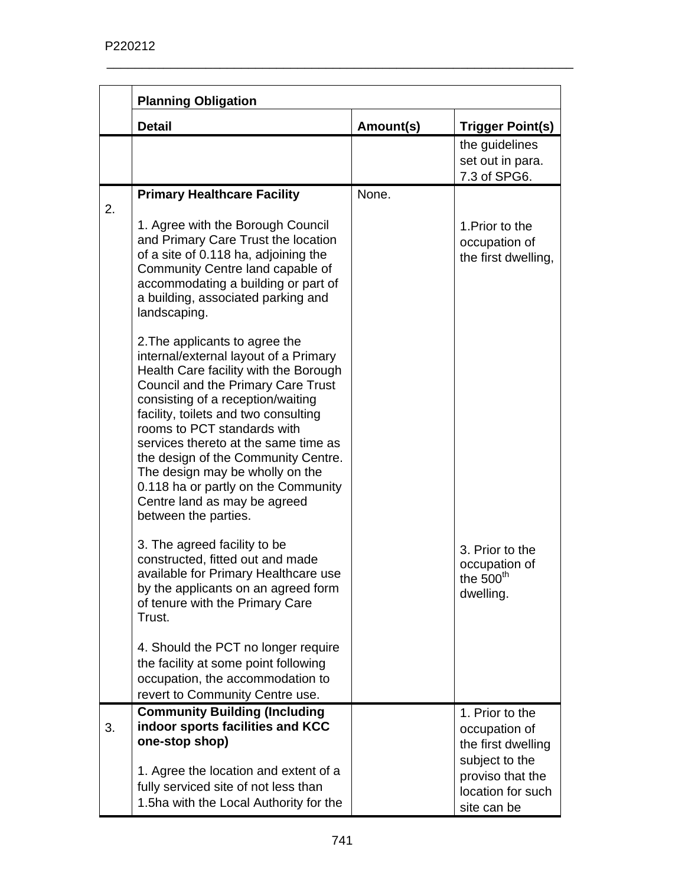|    | <b>Planning Obligation</b>                                                                                                                                                                                                                                                                                                                                                                                                                                                          |           |                                                                                              |
|----|-------------------------------------------------------------------------------------------------------------------------------------------------------------------------------------------------------------------------------------------------------------------------------------------------------------------------------------------------------------------------------------------------------------------------------------------------------------------------------------|-----------|----------------------------------------------------------------------------------------------|
|    | <b>Detail</b>                                                                                                                                                                                                                                                                                                                                                                                                                                                                       | Amount(s) | <b>Trigger Point(s)</b>                                                                      |
|    |                                                                                                                                                                                                                                                                                                                                                                                                                                                                                     |           | the guidelines<br>set out in para.<br>7.3 of SPG6.                                           |
| 2. | <b>Primary Healthcare Facility</b>                                                                                                                                                                                                                                                                                                                                                                                                                                                  | None.     |                                                                                              |
|    | 1. Agree with the Borough Council<br>and Primary Care Trust the location<br>of a site of 0.118 ha, adjoining the<br>Community Centre land capable of<br>accommodating a building or part of<br>a building, associated parking and<br>landscaping.                                                                                                                                                                                                                                   |           | 1. Prior to the<br>occupation of<br>the first dwelling,                                      |
|    | 2. The applicants to agree the<br>internal/external layout of a Primary<br>Health Care facility with the Borough<br>Council and the Primary Care Trust<br>consisting of a reception/waiting<br>facility, toilets and two consulting<br>rooms to PCT standards with<br>services thereto at the same time as<br>the design of the Community Centre.<br>The design may be wholly on the<br>0.118 ha or partly on the Community<br>Centre land as may be agreed<br>between the parties. |           |                                                                                              |
|    | 3. The agreed facility to be<br>constructed, fitted out and made<br>available for Primary Healthcare use<br>by the applicants on an agreed form<br>of tenure with the Primary Care<br>Trust.                                                                                                                                                                                                                                                                                        |           | 3. Prior to the<br>occupation of<br>the 500 <sup>th</sup><br>dwelling.                       |
|    | 4. Should the PCT no longer require<br>the facility at some point following<br>occupation, the accommodation to<br>revert to Community Centre use.                                                                                                                                                                                                                                                                                                                                  |           |                                                                                              |
| 3. | <b>Community Building (Including</b><br>indoor sports facilities and KCC<br>one-stop shop)<br>1. Agree the location and extent of a<br>fully serviced site of not less than                                                                                                                                                                                                                                                                                                         |           | 1. Prior to the<br>occupation of<br>the first dwelling<br>subject to the<br>proviso that the |
|    | 1.5ha with the Local Authority for the                                                                                                                                                                                                                                                                                                                                                                                                                                              |           | location for such<br>site can be                                                             |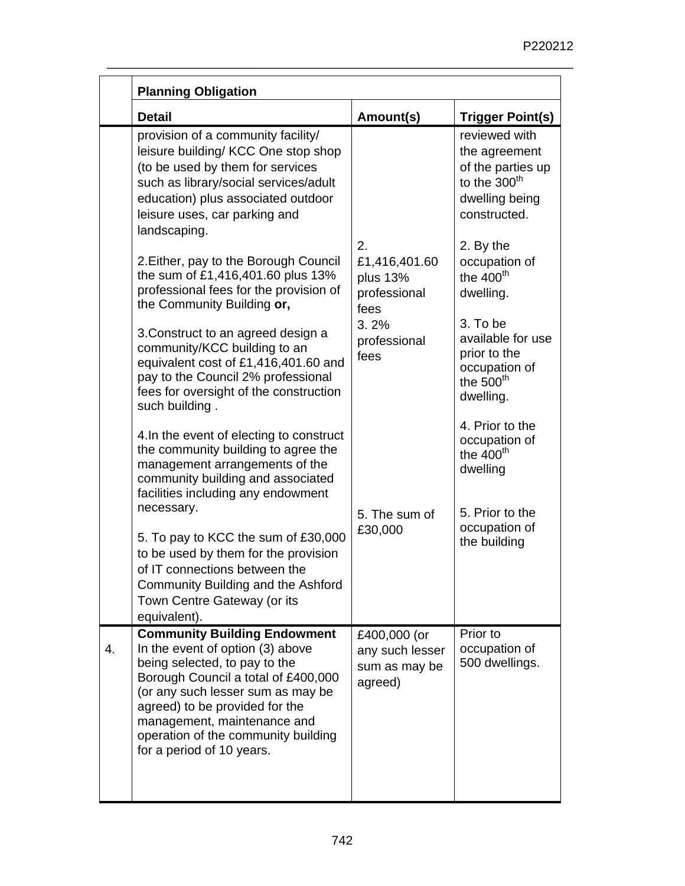|    | <b>Planning Obligation</b>                                                                                                                                                                                                                                                                                                                                                                                                                                                                                                                                                                                                                                                                                                                                                    |                                                                                         |                                                                                                                                                                                                                                                                                                                                          |
|----|-------------------------------------------------------------------------------------------------------------------------------------------------------------------------------------------------------------------------------------------------------------------------------------------------------------------------------------------------------------------------------------------------------------------------------------------------------------------------------------------------------------------------------------------------------------------------------------------------------------------------------------------------------------------------------------------------------------------------------------------------------------------------------|-----------------------------------------------------------------------------------------|------------------------------------------------------------------------------------------------------------------------------------------------------------------------------------------------------------------------------------------------------------------------------------------------------------------------------------------|
|    | <b>Detail</b>                                                                                                                                                                                                                                                                                                                                                                                                                                                                                                                                                                                                                                                                                                                                                                 | Amount(s)                                                                               | <b>Trigger Point(s)</b>                                                                                                                                                                                                                                                                                                                  |
|    | provision of a community facility/<br>leisure building/ KCC One stop shop<br>(to be used by them for services<br>such as library/social services/adult<br>education) plus associated outdoor<br>leisure uses, car parking and<br>landscaping.<br>2. Either, pay to the Borough Council<br>the sum of £1,416,401.60 plus 13%<br>professional fees for the provision of<br>the Community Building or,<br>3. Construct to an agreed design a<br>community/KCC building to an<br>equivalent cost of £1,416,401.60 and<br>pay to the Council 2% professional<br>fees for oversight of the construction<br>such building.<br>4. In the event of electing to construct<br>the community building to agree the<br>management arrangements of the<br>community building and associated | 2.<br>£1,416,401.60<br>plus 13%<br>professional<br>fees<br>3.2%<br>professional<br>fees | reviewed with<br>the agreement<br>of the parties up<br>to the 300 <sup>th</sup><br>dwelling being<br>constructed.<br>2. By the<br>occupation of<br>the $400th$<br>dwelling.<br>3. To be<br>available for use<br>prior to the<br>occupation of<br>the $500th$<br>dwelling.<br>4. Prior to the<br>occupation of<br>the $400th$<br>dwelling |
|    | facilities including any endowment<br>necessary.<br>5. To pay to KCC the sum of £30,000<br>to be used by them for the provision<br>of IT connections between the<br>Community Building and the Ashford<br>Town Centre Gateway (or its<br>equivalent).                                                                                                                                                                                                                                                                                                                                                                                                                                                                                                                         | 5. The sum of<br>£30,000                                                                | 5. Prior to the<br>occupation of<br>the building                                                                                                                                                                                                                                                                                         |
| 4. | <b>Community Building Endowment</b><br>In the event of option (3) above<br>being selected, to pay to the<br>Borough Council a total of £400,000<br>(or any such lesser sum as may be<br>agreed) to be provided for the<br>management, maintenance and<br>operation of the community building<br>for a period of 10 years.                                                                                                                                                                                                                                                                                                                                                                                                                                                     | £400,000 (or<br>any such lesser<br>sum as may be<br>agreed)                             | Prior to<br>occupation of<br>500 dwellings.                                                                                                                                                                                                                                                                                              |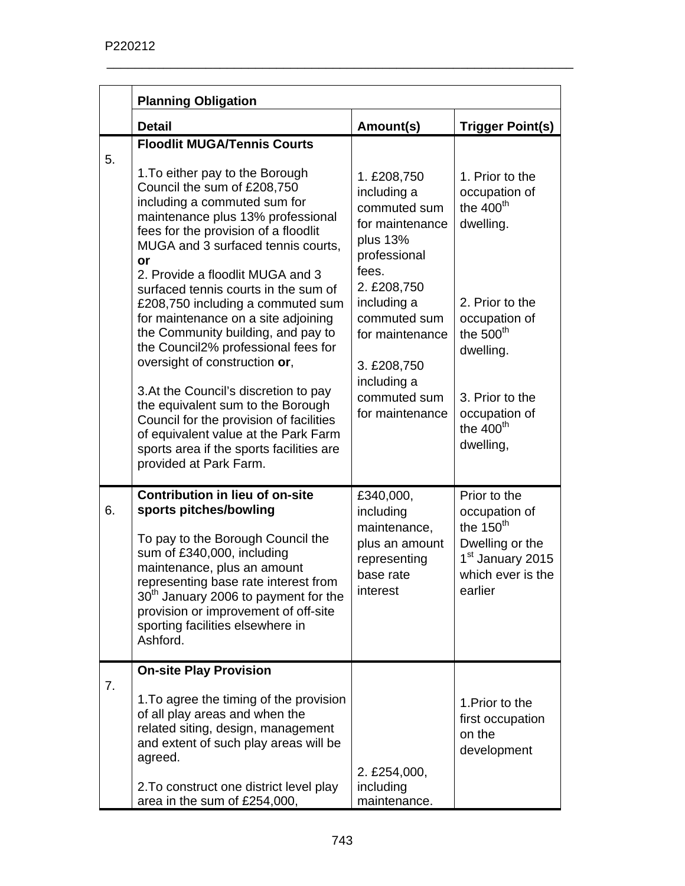|    | <b>Planning Obligation</b>                                                                                                                                                                                                                                                                                                                                                                                                                                                                                                                                                                                                                                                                                                                                                 |                                                                                                                                                                                                                                      |                                                                                                                                                                                              |
|----|----------------------------------------------------------------------------------------------------------------------------------------------------------------------------------------------------------------------------------------------------------------------------------------------------------------------------------------------------------------------------------------------------------------------------------------------------------------------------------------------------------------------------------------------------------------------------------------------------------------------------------------------------------------------------------------------------------------------------------------------------------------------------|--------------------------------------------------------------------------------------------------------------------------------------------------------------------------------------------------------------------------------------|----------------------------------------------------------------------------------------------------------------------------------------------------------------------------------------------|
|    | <b>Detail</b>                                                                                                                                                                                                                                                                                                                                                                                                                                                                                                                                                                                                                                                                                                                                                              | Amount(s)                                                                                                                                                                                                                            | <b>Trigger Point(s)</b>                                                                                                                                                                      |
| 5. | <b>Floodlit MUGA/Tennis Courts</b><br>1. To either pay to the Borough<br>Council the sum of £208,750<br>including a commuted sum for<br>maintenance plus 13% professional<br>fees for the provision of a floodlit<br>MUGA and 3 surfaced tennis courts,<br>or<br>2. Provide a floodlit MUGA and 3<br>surfaced tennis courts in the sum of<br>£208,750 including a commuted sum<br>for maintenance on a site adjoining<br>the Community building, and pay to<br>the Council2% professional fees for<br>oversight of construction or,<br>3. At the Council's discretion to pay<br>the equivalent sum to the Borough<br>Council for the provision of facilities<br>of equivalent value at the Park Farm<br>sports area if the sports facilities are<br>provided at Park Farm. | 1. £208,750<br>including a<br>commuted sum<br>for maintenance<br>plus 13%<br>professional<br>fees.<br>2. £208,750<br>including a<br>commuted sum<br>for maintenance<br>3. £208,750<br>including a<br>commuted sum<br>for maintenance | 1. Prior to the<br>occupation of<br>the $400th$<br>dwelling.<br>2. Prior to the<br>occupation of<br>the $500th$<br>dwelling.<br>3. Prior to the<br>occupation of<br>the $400th$<br>dwelling, |
| 6. | <b>Contribution in lieu of on-site</b><br>sports pitches/bowling<br>To pay to the Borough Council the<br>sum of £340,000, including<br>maintenance, plus an amount<br>representing base rate interest from<br>30 <sup>th</sup> January 2006 to payment for the<br>provision or improvement of off-site<br>sporting facilities elsewhere in<br>Ashford.                                                                                                                                                                                                                                                                                                                                                                                                                     | £340,000,<br>including<br>maintenance,<br>plus an amount<br>representing<br>base rate<br>interest                                                                                                                                    | Prior to the<br>occupation of<br>the $150th$<br>Dwelling or the<br>1 <sup>st</sup> January 2015<br>which ever is the<br>earlier                                                              |
| 7. | <b>On-site Play Provision</b><br>1. To agree the timing of the provision<br>of all play areas and when the<br>related siting, design, management<br>and extent of such play areas will be<br>agreed.<br>2. To construct one district level play<br>area in the sum of £254,000,                                                                                                                                                                                                                                                                                                                                                                                                                                                                                            | 2. £254,000,<br>including<br>maintenance.                                                                                                                                                                                            | 1. Prior to the<br>first occupation<br>on the<br>development                                                                                                                                 |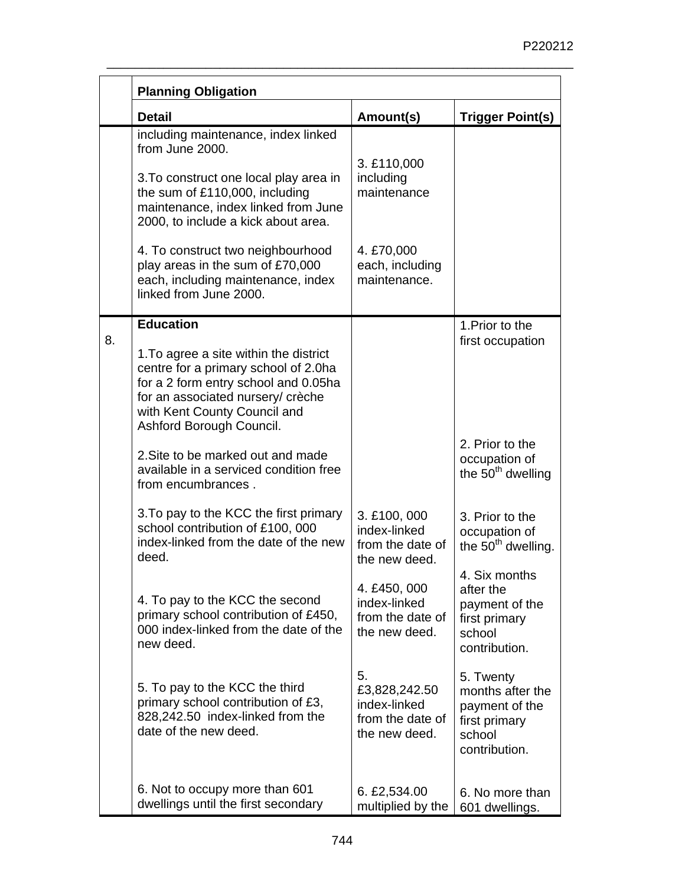|    | <b>Planning Obligation</b>                                                                                                                                                                                              |                                                                          |                                                                                             |
|----|-------------------------------------------------------------------------------------------------------------------------------------------------------------------------------------------------------------------------|--------------------------------------------------------------------------|---------------------------------------------------------------------------------------------|
|    | <b>Detail</b>                                                                                                                                                                                                           | Amount(s)                                                                | <b>Trigger Point(s)</b>                                                                     |
|    | including maintenance, index linked<br>from June 2000.<br>3. To construct one local play area in<br>the sum of £110,000, including<br>maintenance, index linked from June<br>2000, to include a kick about area.        | 3. £110,000<br>including<br>maintenance                                  |                                                                                             |
|    | 4. To construct two neighbourhood<br>play areas in the sum of £70,000<br>each, including maintenance, index<br>linked from June 2000.                                                                                   | 4. £70,000<br>each, including<br>maintenance.                            |                                                                                             |
| 8. | <b>Education</b>                                                                                                                                                                                                        |                                                                          | 1. Prior to the                                                                             |
|    | 1. To agree a site within the district<br>centre for a primary school of 2.0ha<br>for a 2 form entry school and 0.05ha<br>for an associated nursery/ crèche<br>with Kent County Council and<br>Ashford Borough Council. |                                                                          | first occupation                                                                            |
|    | 2. Site to be marked out and made<br>available in a serviced condition free<br>from encumbrances.                                                                                                                       |                                                                          | 2. Prior to the<br>occupation of<br>the $50th$ dwelling                                     |
|    | 3. To pay to the KCC the first primary<br>school contribution of £100, 000<br>index-linked from the date of the new<br>deed.                                                                                            | 3. £100, 000<br>index-linked<br>from the date of<br>the new deed.        | 3. Prior to the<br>occupation of<br>the 50 <sup>th</sup> dwelling.                          |
|    | 4. To pay to the KCC the second<br>primary school contribution of £450,<br>000 index-linked from the date of the<br>new deed.                                                                                           | 4. £450, 000<br>index-linked<br>from the date of<br>the new deed.        | 4. Six months<br>after the<br>payment of the<br>first primary<br>school<br>contribution.    |
|    | 5. To pay to the KCC the third<br>primary school contribution of £3,<br>828,242.50 index-linked from the<br>date of the new deed.                                                                                       | 5.<br>£3,828,242.50<br>index-linked<br>from the date of<br>the new deed. | 5. Twenty<br>months after the<br>payment of the<br>first primary<br>school<br>contribution. |
|    | 6. Not to occupy more than 601<br>dwellings until the first secondary                                                                                                                                                   | 6. £2,534.00<br>multiplied by the                                        | 6. No more than<br>601 dwellings.                                                           |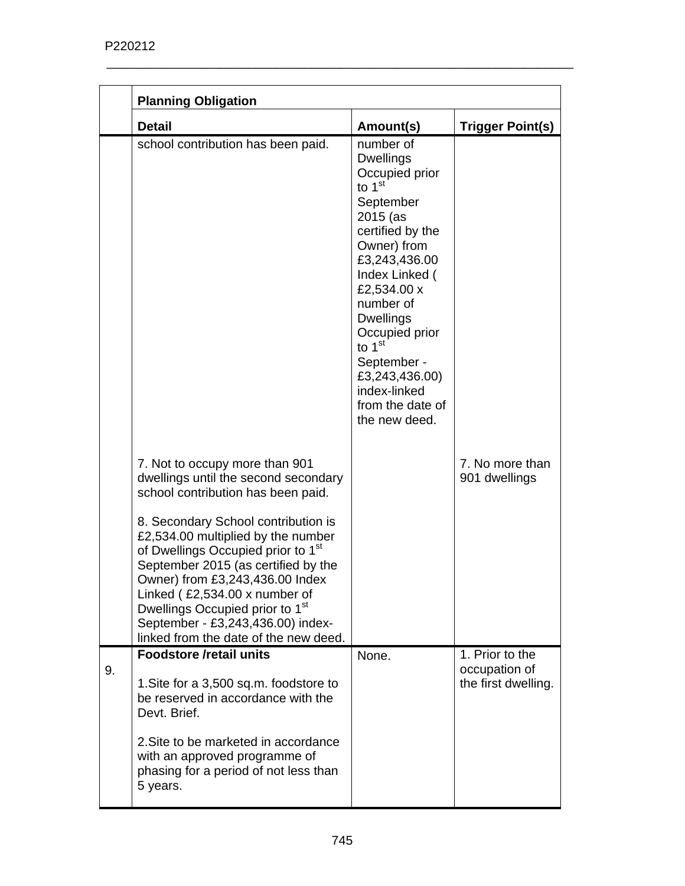|    | <b>Planning Obligation</b>                                                                                                                                                                                                                                                                                                                                          |                                                                                                                                                                                                                                                                                                                                |                                      |
|----|---------------------------------------------------------------------------------------------------------------------------------------------------------------------------------------------------------------------------------------------------------------------------------------------------------------------------------------------------------------------|--------------------------------------------------------------------------------------------------------------------------------------------------------------------------------------------------------------------------------------------------------------------------------------------------------------------------------|--------------------------------------|
|    | <b>Detail</b>                                                                                                                                                                                                                                                                                                                                                       | Amount(s)                                                                                                                                                                                                                                                                                                                      | <b>Trigger Point(s)</b>              |
|    | school contribution has been paid.                                                                                                                                                                                                                                                                                                                                  | number of<br><b>Dwellings</b><br>Occupied prior<br>to $1st$<br>September<br>2015 (as<br>certified by the<br>Owner) from<br>£3,243,436.00<br>Index Linked (<br>£2,534.00 x<br>number of<br><b>Dwellings</b><br>Occupied prior<br>to $1st$<br>September -<br>£3,243,436.00)<br>index-linked<br>from the date of<br>the new deed. |                                      |
|    | 7. Not to occupy more than 901<br>dwellings until the second secondary<br>school contribution has been paid.                                                                                                                                                                                                                                                        |                                                                                                                                                                                                                                                                                                                                | 7. No more than<br>901 dwellings     |
|    | 8. Secondary School contribution is<br>£2,534.00 multiplied by the number<br>of Dwellings Occupied prior to 1 <sup>st</sup><br>September 2015 (as certified by the<br>Owner) from £3,243,436.00 Index<br>Linked (£2,534.00 x number of<br>Dwellings Occupied prior to 1 <sup>st</sup><br>September - £3,243,436.00) index-<br>linked from the date of the new deed. |                                                                                                                                                                                                                                                                                                                                |                                      |
|    | <b>Foodstore /retail units</b>                                                                                                                                                                                                                                                                                                                                      | None.                                                                                                                                                                                                                                                                                                                          | 1. Prior to the                      |
| 9. | 1. Site for a 3,500 sq.m. foodstore to<br>be reserved in accordance with the<br>Devt. Brief.                                                                                                                                                                                                                                                                        |                                                                                                                                                                                                                                                                                                                                | occupation of<br>the first dwelling. |
|    | 2. Site to be marketed in accordance<br>with an approved programme of<br>phasing for a period of not less than<br>5 years.                                                                                                                                                                                                                                          |                                                                                                                                                                                                                                                                                                                                |                                      |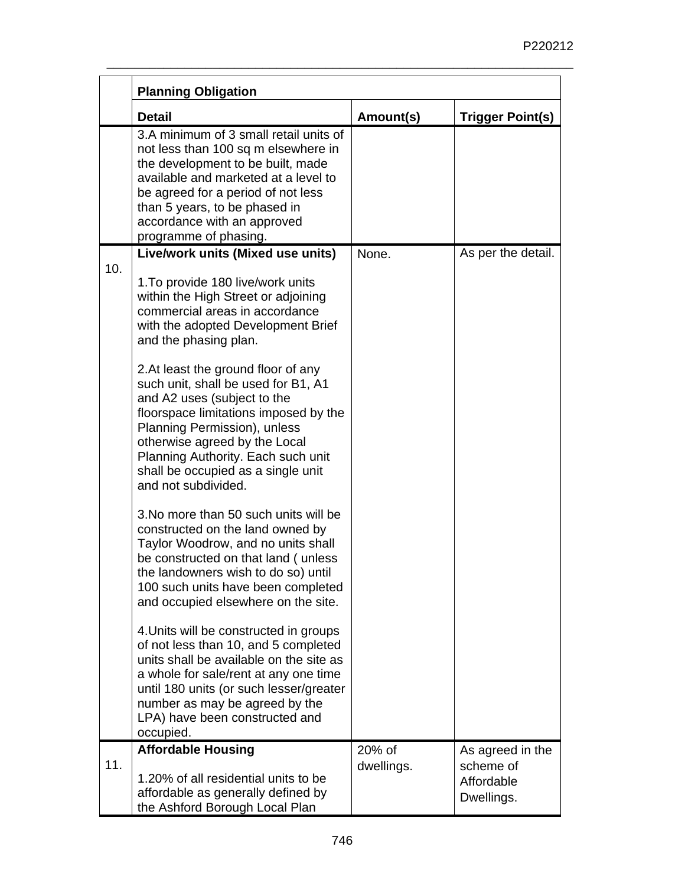|     | <b>Planning Obligation</b>                                                                                                                                                                                                                                                                                             |                      |                                                           |
|-----|------------------------------------------------------------------------------------------------------------------------------------------------------------------------------------------------------------------------------------------------------------------------------------------------------------------------|----------------------|-----------------------------------------------------------|
|     | <b>Detail</b>                                                                                                                                                                                                                                                                                                          | Amount(s)            | <b>Trigger Point(s)</b>                                   |
|     | 3.A minimum of 3 small retail units of<br>not less than 100 sq m elsewhere in<br>the development to be built, made<br>available and marketed at a level to<br>be agreed for a period of not less<br>than 5 years, to be phased in<br>accordance with an approved<br>programme of phasing.                              |                      |                                                           |
|     | Live/work units (Mixed use units)                                                                                                                                                                                                                                                                                      | None.                | As per the detail.                                        |
| 10. | 1. To provide 180 live/work units<br>within the High Street or adjoining<br>commercial areas in accordance<br>with the adopted Development Brief<br>and the phasing plan.                                                                                                                                              |                      |                                                           |
|     | 2. At least the ground floor of any<br>such unit, shall be used for B1, A1<br>and A2 uses (subject to the<br>floorspace limitations imposed by the<br>Planning Permission), unless<br>otherwise agreed by the Local<br>Planning Authority. Each such unit<br>shall be occupied as a single unit<br>and not subdivided. |                      |                                                           |
|     | 3. No more than 50 such units will be<br>constructed on the land owned by<br>Taylor Woodrow, and no units shall<br>be constructed on that land (unless<br>the landowners wish to do so) until<br>100 such units have been completed<br>and occupied elsewhere on the site.                                             |                      |                                                           |
|     | 4. Units will be constructed in groups<br>of not less than 10, and 5 completed<br>units shall be available on the site as<br>a whole for sale/rent at any one time<br>until 180 units (or such lesser/greater<br>number as may be agreed by the<br>LPA) have been constructed and<br>occupied.                         |                      |                                                           |
| 11. | <b>Affordable Housing</b><br>1.20% of all residential units to be<br>affordable as generally defined by<br>the Ashford Borough Local Plan                                                                                                                                                                              | 20% of<br>dwellings. | As agreed in the<br>scheme of<br>Affordable<br>Dwellings. |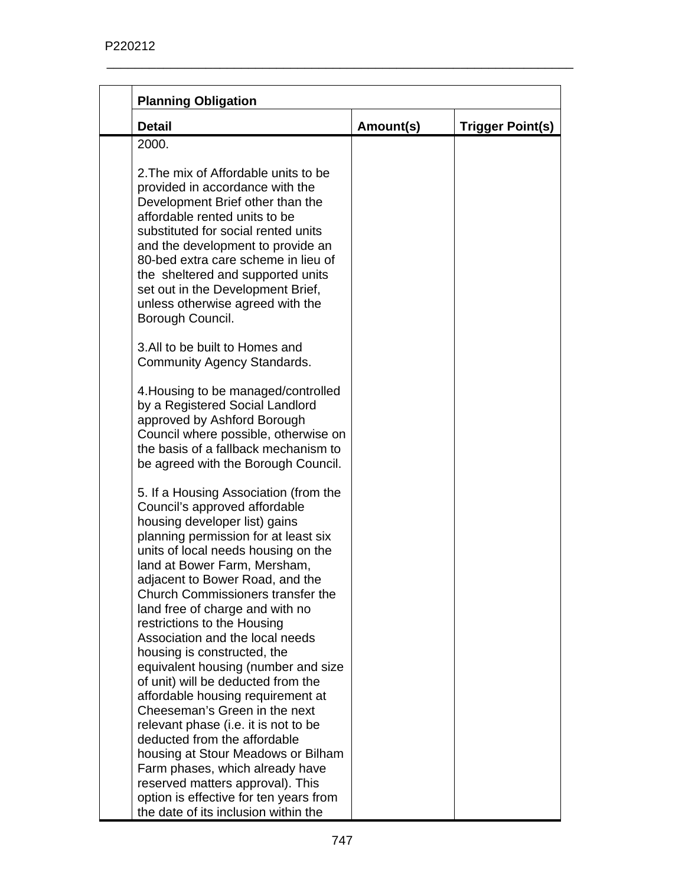| <b>Detail</b>                                                                                                                                                                                                                                                                                                                                                                                       | Amount(s) | <b>Trigger Point(s)</b> |
|-----------------------------------------------------------------------------------------------------------------------------------------------------------------------------------------------------------------------------------------------------------------------------------------------------------------------------------------------------------------------------------------------------|-----------|-------------------------|
| 2000.                                                                                                                                                                                                                                                                                                                                                                                               |           |                         |
| 2. The mix of Affordable units to be<br>provided in accordance with the<br>Development Brief other than the<br>affordable rented units to be<br>substituted for social rented units<br>and the development to provide an<br>80-bed extra care scheme in lieu of<br>the sheltered and supported units                                                                                                |           |                         |
| set out in the Development Brief,<br>unless otherwise agreed with the<br>Borough Council.                                                                                                                                                                                                                                                                                                           |           |                         |
| 3.All to be built to Homes and<br>Community Agency Standards.                                                                                                                                                                                                                                                                                                                                       |           |                         |
| 4. Housing to be managed/controlled<br>by a Registered Social Landlord<br>approved by Ashford Borough<br>Council where possible, otherwise on<br>the basis of a fallback mechanism to<br>be agreed with the Borough Council.                                                                                                                                                                        |           |                         |
| 5. If a Housing Association (from the<br>Council's approved affordable<br>housing developer list) gains<br>planning permission for at least six<br>units of local needs housing on the<br>land at Bower Farm, Mersham,<br>adjacent to Bower Road, and the<br>Church Commissioners transfer the<br>land free of charge and with no<br>restrictions to the Housing<br>Association and the local needs |           |                         |
| housing is constructed, the<br>equivalent housing (number and size<br>of unit) will be deducted from the<br>affordable housing requirement at<br>Cheeseman's Green in the next                                                                                                                                                                                                                      |           |                         |
| relevant phase (i.e. it is not to be<br>deducted from the affordable<br>housing at Stour Meadows or Bilham<br>Farm phases, which already have<br>reserved matters approval). This                                                                                                                                                                                                                   |           |                         |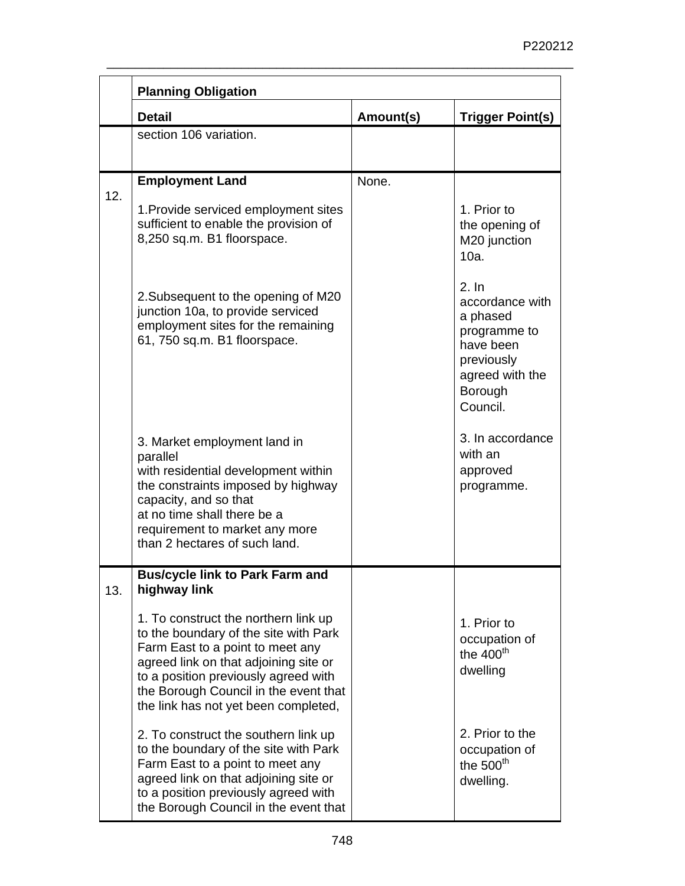|     | <b>Planning Obligation</b>                                                                                                                                                                                                                                                          |           |                                                                                                                           |
|-----|-------------------------------------------------------------------------------------------------------------------------------------------------------------------------------------------------------------------------------------------------------------------------------------|-----------|---------------------------------------------------------------------------------------------------------------------------|
|     | <b>Detail</b>                                                                                                                                                                                                                                                                       | Amount(s) | <b>Trigger Point(s)</b>                                                                                                   |
|     | section 106 variation.                                                                                                                                                                                                                                                              |           |                                                                                                                           |
|     |                                                                                                                                                                                                                                                                                     |           |                                                                                                                           |
| 12. | <b>Employment Land</b>                                                                                                                                                                                                                                                              | None.     |                                                                                                                           |
|     | 1. Provide serviced employment sites<br>sufficient to enable the provision of<br>8,250 sq.m. B1 floorspace.                                                                                                                                                                         |           | 1. Prior to<br>the opening of<br>M20 junction<br>10a.                                                                     |
|     | 2. Subsequent to the opening of M20<br>junction 10a, to provide serviced<br>employment sites for the remaining<br>61, 750 sq.m. B1 floorspace.                                                                                                                                      |           | 2. In<br>accordance with<br>a phased<br>programme to<br>have been<br>previously<br>agreed with the<br>Borough<br>Council. |
|     | 3. Market employment land in<br>parallel<br>with residential development within<br>the constraints imposed by highway<br>capacity, and so that<br>at no time shall there be a<br>requirement to market any more<br>than 2 hectares of such land.                                    |           | 3. In accordance<br>with an<br>approved<br>programme.                                                                     |
| 13. | <b>Bus/cycle link to Park Farm and</b><br>highway link                                                                                                                                                                                                                              |           |                                                                                                                           |
|     | 1. To construct the northern link up<br>to the boundary of the site with Park<br>Farm East to a point to meet any<br>agreed link on that adjoining site or<br>to a position previously agreed with<br>the Borough Council in the event that<br>the link has not yet been completed, |           | 1. Prior to<br>occupation of<br>the $400th$<br>dwelling                                                                   |
|     | 2. To construct the southern link up<br>to the boundary of the site with Park<br>Farm East to a point to meet any<br>agreed link on that adjoining site or<br>to a position previously agreed with<br>the Borough Council in the event that                                         |           | 2. Prior to the<br>occupation of<br>the $500th$<br>dwelling.                                                              |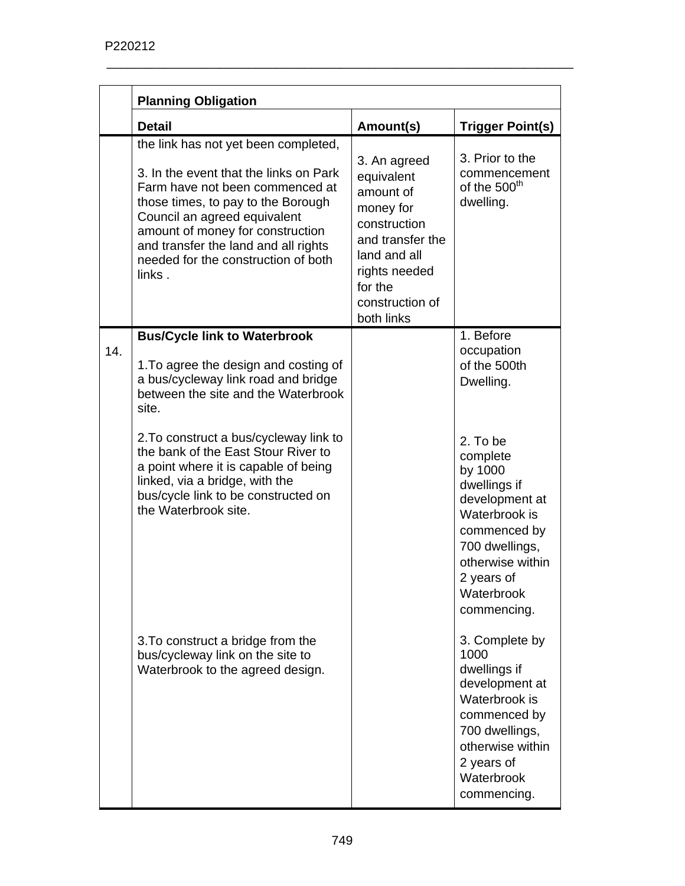|     | <b>Planning Obligation</b>                                                                                                                                                                                                                                                                                           |                                                                                                                                                                       |                                                                                                                                                                                     |
|-----|----------------------------------------------------------------------------------------------------------------------------------------------------------------------------------------------------------------------------------------------------------------------------------------------------------------------|-----------------------------------------------------------------------------------------------------------------------------------------------------------------------|-------------------------------------------------------------------------------------------------------------------------------------------------------------------------------------|
|     | <b>Detail</b>                                                                                                                                                                                                                                                                                                        | Amount(s)                                                                                                                                                             | <b>Trigger Point(s)</b>                                                                                                                                                             |
|     | the link has not yet been completed,<br>3. In the event that the links on Park<br>Farm have not been commenced at<br>those times, to pay to the Borough<br>Council an agreed equivalent<br>amount of money for construction<br>and transfer the land and all rights<br>needed for the construction of both<br>links. | 3. An agreed<br>equivalent<br>amount of<br>money for<br>construction<br>and transfer the<br>land and all<br>rights needed<br>for the<br>construction of<br>both links | 3. Prior to the<br>commencement<br>of the 500 <sup>th</sup><br>dwelling.                                                                                                            |
| 14. | <b>Bus/Cycle link to Waterbrook</b><br>1. To agree the design and costing of<br>a bus/cycleway link road and bridge<br>between the site and the Waterbrook<br>site.<br>2. To construct a bus/cycleway link to                                                                                                        |                                                                                                                                                                       | 1. Before<br>occupation<br>of the 500th<br>Dwelling.                                                                                                                                |
|     | the bank of the East Stour River to<br>a point where it is capable of being<br>linked, via a bridge, with the<br>bus/cycle link to be constructed on<br>the Waterbrook site.                                                                                                                                         |                                                                                                                                                                       | 2. To be<br>complete<br>by 1000<br>dwellings if<br>development at<br>Waterbrook is<br>commenced by<br>700 dwellings,<br>otherwise within<br>2 years of<br>Waterbrook<br>commencing. |
|     | 3. To construct a bridge from the<br>bus/cycleway link on the site to<br>Waterbrook to the agreed design.                                                                                                                                                                                                            |                                                                                                                                                                       | 3. Complete by<br>1000<br>dwellings if<br>development at<br>Waterbrook is<br>commenced by<br>700 dwellings,<br>otherwise within<br>2 years of<br>Waterbrook<br>commencing.          |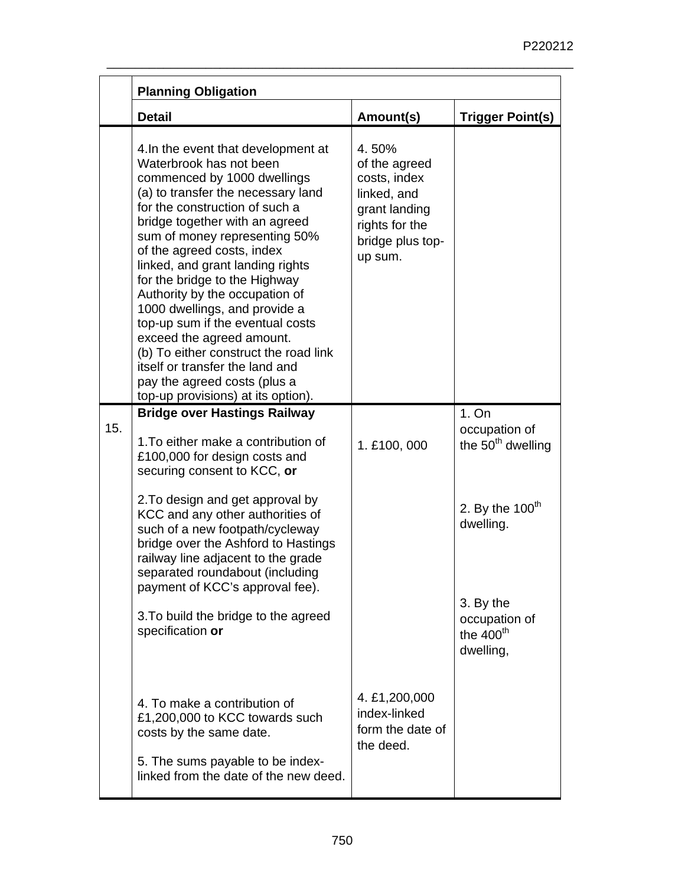|     | <b>Planning Obligation</b>                                                                                                                                                                                                                                                                                                                                                                                                                                                                                                                                                                                                        |                                                                                                                         |                                                         |
|-----|-----------------------------------------------------------------------------------------------------------------------------------------------------------------------------------------------------------------------------------------------------------------------------------------------------------------------------------------------------------------------------------------------------------------------------------------------------------------------------------------------------------------------------------------------------------------------------------------------------------------------------------|-------------------------------------------------------------------------------------------------------------------------|---------------------------------------------------------|
|     | <b>Detail</b>                                                                                                                                                                                                                                                                                                                                                                                                                                                                                                                                                                                                                     | Amount(s)                                                                                                               | <b>Trigger Point(s)</b>                                 |
|     | 4. In the event that development at<br>Waterbrook has not been<br>commenced by 1000 dwellings<br>(a) to transfer the necessary land<br>for the construction of such a<br>bridge together with an agreed<br>sum of money representing 50%<br>of the agreed costs, index<br>linked, and grant landing rights<br>for the bridge to the Highway<br>Authority by the occupation of<br>1000 dwellings, and provide a<br>top-up sum if the eventual costs<br>exceed the agreed amount.<br>(b) To either construct the road link<br>itself or transfer the land and<br>pay the agreed costs (plus a<br>top-up provisions) at its option). | 4.50%<br>of the agreed<br>costs, index<br>linked, and<br>grant landing<br>rights for the<br>bridge plus top-<br>up sum. |                                                         |
| 15. | <b>Bridge over Hastings Railway</b><br>1. To either make a contribution of<br>£100,000 for design costs and<br>securing consent to KCC, or                                                                                                                                                                                                                                                                                                                                                                                                                                                                                        | 1. £100, 000                                                                                                            | 1. On<br>occupation of<br>the 50 <sup>th</sup> dwelling |
|     | 2. To design and get approval by<br>KCC and any other authorities of<br>such of a new footpath/cycleway<br>bridge over the Ashford to Hastings<br>railway line adjacent to the grade<br>separated roundabout (including                                                                                                                                                                                                                                                                                                                                                                                                           |                                                                                                                         | 2. By the $100th$<br>dwelling.                          |
|     | payment of KCC's approval fee).<br>3. To build the bridge to the agreed<br>specification or                                                                                                                                                                                                                                                                                                                                                                                                                                                                                                                                       |                                                                                                                         | 3. By the<br>occupation of<br>the $400th$<br>dwelling,  |
|     | 4. To make a contribution of<br>£1,200,000 to KCC towards such<br>costs by the same date.<br>5. The sums payable to be index-<br>linked from the date of the new deed.                                                                                                                                                                                                                                                                                                                                                                                                                                                            | 4. £1,200,000<br>index-linked<br>form the date of<br>the deed.                                                          |                                                         |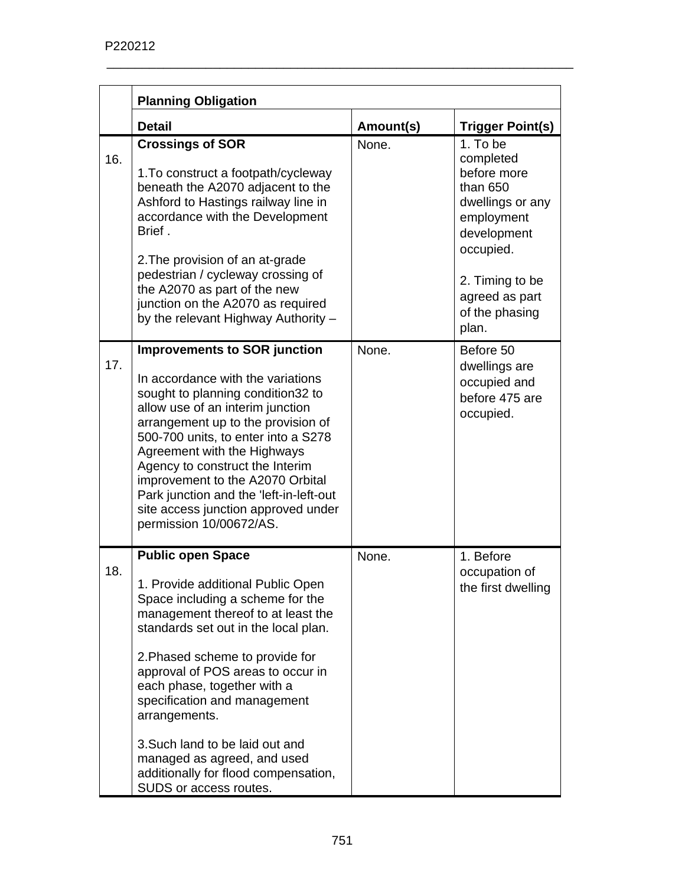|     | <b>Planning Obligation</b>                                                                                                                                                                                                                                                                                                                                                                                                                                                  |           |                                                                                                                                                                                |
|-----|-----------------------------------------------------------------------------------------------------------------------------------------------------------------------------------------------------------------------------------------------------------------------------------------------------------------------------------------------------------------------------------------------------------------------------------------------------------------------------|-----------|--------------------------------------------------------------------------------------------------------------------------------------------------------------------------------|
|     | <b>Detail</b>                                                                                                                                                                                                                                                                                                                                                                                                                                                               | Amount(s) | <b>Trigger Point(s)</b>                                                                                                                                                        |
| 16. | <b>Crossings of SOR</b><br>1. To construct a footpath/cycleway<br>beneath the A2070 adjacent to the<br>Ashford to Hastings railway line in<br>accordance with the Development<br>Brief.<br>2. The provision of an at-grade<br>pedestrian / cycleway crossing of<br>the A2070 as part of the new<br>junction on the A2070 as required<br>by the relevant Highway Authority -                                                                                                 | None.     | 1. To be<br>completed<br>before more<br>than 650<br>dwellings or any<br>employment<br>development<br>occupied.<br>2. Timing to be<br>agreed as part<br>of the phasing<br>plan. |
| 17. | <b>Improvements to SOR junction</b><br>In accordance with the variations<br>sought to planning condition32 to<br>allow use of an interim junction<br>arrangement up to the provision of<br>500-700 units, to enter into a S278<br>Agreement with the Highways<br>Agency to construct the Interim<br>improvement to the A2070 Orbital<br>Park junction and the 'left-in-left-out<br>site access junction approved under<br>permission 10/00672/AS.                           | None.     | Before 50<br>dwellings are<br>occupied and<br>before 475 are<br>occupied.                                                                                                      |
| 18. | <b>Public open Space</b><br>1. Provide additional Public Open<br>Space including a scheme for the<br>management thereof to at least the<br>standards set out in the local plan.<br>2. Phased scheme to provide for<br>approval of POS areas to occur in<br>each phase, together with a<br>specification and management<br>arrangements.<br>3. Such land to be laid out and<br>managed as agreed, and used<br>additionally for flood compensation,<br>SUDS or access routes. | None.     | 1. Before<br>occupation of<br>the first dwelling                                                                                                                               |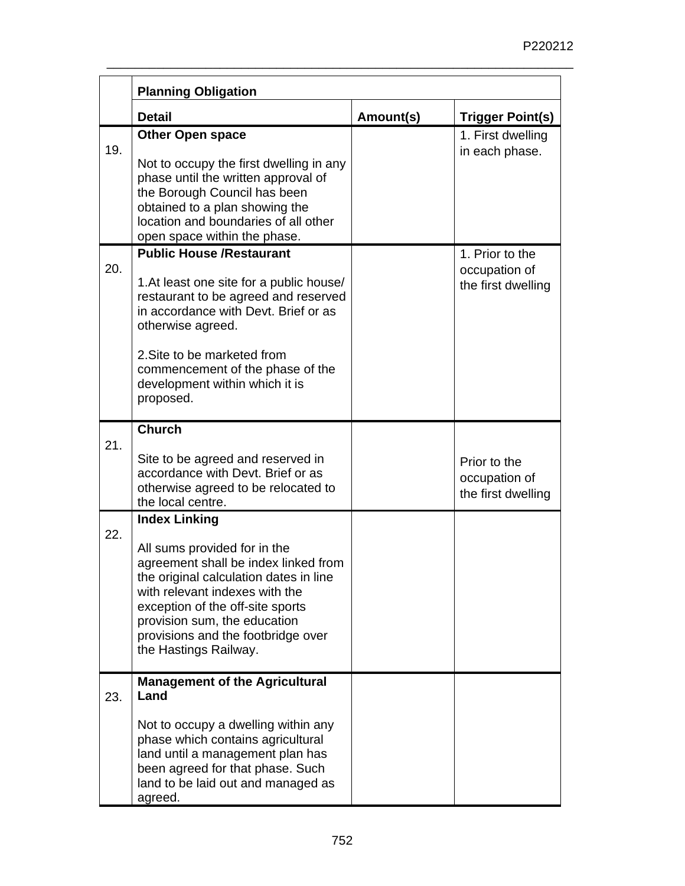|     | <b>Planning Obligation</b>                                                                                                                                                                                                                                                                                  |           |                                                        |
|-----|-------------------------------------------------------------------------------------------------------------------------------------------------------------------------------------------------------------------------------------------------------------------------------------------------------------|-----------|--------------------------------------------------------|
|     | <b>Detail</b>                                                                                                                                                                                                                                                                                               | Amount(s) | <b>Trigger Point(s)</b>                                |
| 19. | <b>Other Open space</b><br>Not to occupy the first dwelling in any<br>phase until the written approval of<br>the Borough Council has been<br>obtained to a plan showing the<br>location and boundaries of all other<br>open space within the phase.                                                         |           | 1. First dwelling<br>in each phase.                    |
| 20. | <b>Public House /Restaurant</b><br>1. At least one site for a public house/<br>restaurant to be agreed and reserved<br>in accordance with Devt. Brief or as<br>otherwise agreed.<br>2. Site to be marketed from<br>commencement of the phase of the<br>development within which it is<br>proposed.          |           | 1. Prior to the<br>occupation of<br>the first dwelling |
| 21. | <b>Church</b><br>Site to be agreed and reserved in<br>accordance with Devt. Brief or as<br>otherwise agreed to be relocated to<br>the local centre.                                                                                                                                                         |           | Prior to the<br>occupation of<br>the first dwelling    |
| 22. | <b>Index Linking</b><br>All sums provided for in the<br>agreement shall be index linked from<br>the original calculation dates in line<br>with relevant indexes with the<br>exception of the off-site sports<br>provision sum, the education<br>provisions and the footbridge over<br>the Hastings Railway. |           |                                                        |
| 23. | <b>Management of the Agricultural</b><br>Land<br>Not to occupy a dwelling within any<br>phase which contains agricultural<br>land until a management plan has<br>been agreed for that phase. Such<br>land to be laid out and managed as<br>agreed.                                                          |           |                                                        |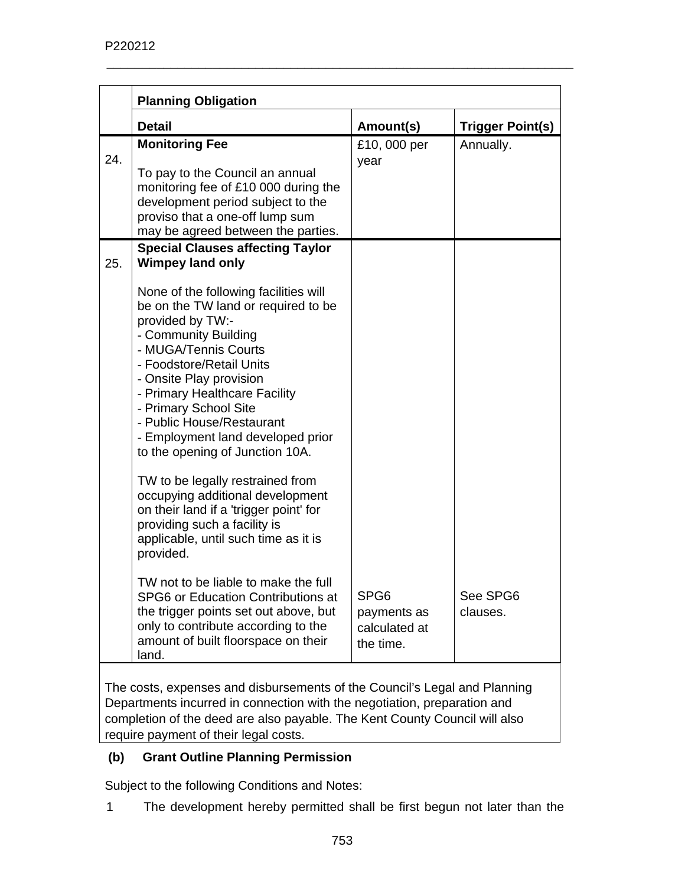|     | <b>Planning Obligation</b>                                                                                                                                                                                                                                                                                                                                             |                                                               |                         |
|-----|------------------------------------------------------------------------------------------------------------------------------------------------------------------------------------------------------------------------------------------------------------------------------------------------------------------------------------------------------------------------|---------------------------------------------------------------|-------------------------|
|     | <b>Detail</b>                                                                                                                                                                                                                                                                                                                                                          | Amount(s)                                                     | <b>Trigger Point(s)</b> |
| 24. | <b>Monitoring Fee</b><br>To pay to the Council an annual<br>monitoring fee of £10 000 during the                                                                                                                                                                                                                                                                       | £10,000 per<br>year                                           | Annually.               |
|     | development period subject to the<br>proviso that a one-off lump sum<br>may be agreed between the parties.                                                                                                                                                                                                                                                             |                                                               |                         |
| 25. | <b>Special Clauses affecting Taylor</b><br><b>Wimpey land only</b>                                                                                                                                                                                                                                                                                                     |                                                               |                         |
|     | None of the following facilities will<br>be on the TW land or required to be<br>provided by TW:-<br>- Community Building<br>- MUGA/Tennis Courts<br>- Foodstore/Retail Units<br>- Onsite Play provision<br>- Primary Healthcare Facility<br>- Primary School Site<br>- Public House/Restaurant<br>- Employment land developed prior<br>to the opening of Junction 10A. |                                                               |                         |
|     | TW to be legally restrained from<br>occupying additional development<br>on their land if a 'trigger point' for<br>providing such a facility is<br>applicable, until such time as it is<br>provided.                                                                                                                                                                    |                                                               |                         |
|     | TW not to be liable to make the full<br>SPG6 or Education Contributions at<br>the trigger points set out above, but<br>only to contribute according to the<br>amount of built floorspace on their<br>land.                                                                                                                                                             | SPG <sub>6</sub><br>payments as<br>calculated at<br>the time. | See SPG6<br>clauses.    |

The costs, expenses and disbursements of the Council's Legal and Planning Departments incurred in connection with the negotiation, preparation and completion of the deed are also payable. The Kent County Council will also require payment of their legal costs.

# **(b) Grant Outline Planning Permission**

Subject to the following Conditions and Notes:

1 The development hereby permitted shall be first begun not later than the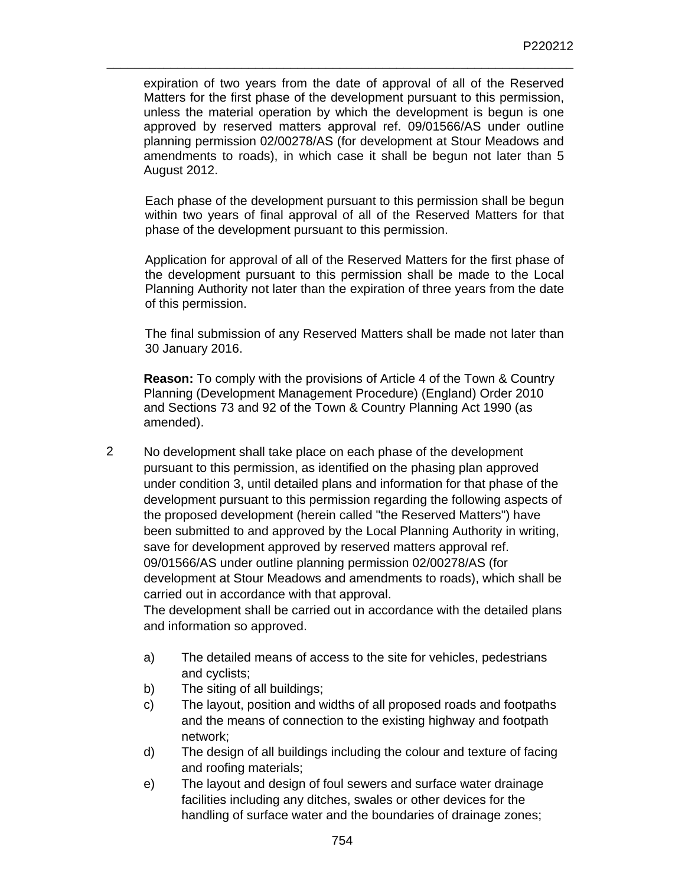expiration of two years from the date of approval of all of the Reserved Matters for the first phase of the development pursuant to this permission, unless the material operation by which the development is begun is one approved by reserved matters approval ref. 09/01566/AS under outline planning permission 02/00278/AS (for development at Stour Meadows and amendments to roads), in which case it shall be begun not later than 5 August 2012.

\_\_\_\_\_\_\_\_\_\_\_\_\_\_\_\_\_\_\_\_\_\_\_\_\_\_\_\_\_\_\_\_\_\_\_\_\_\_\_\_\_\_\_\_\_\_\_\_\_\_\_\_\_\_\_\_\_\_\_\_\_\_\_\_\_\_

Each phase of the development pursuant to this permission shall be begun within two years of final approval of all of the Reserved Matters for that phase of the development pursuant to this permission.

Application for approval of all of the Reserved Matters for the first phase of the development pursuant to this permission shall be made to the Local Planning Authority not later than the expiration of three years from the date of this permission.

The final submission of any Reserved Matters shall be made not later than 30 January 2016.

**Reason:** To comply with the provisions of Article 4 of the Town & Country Planning (Development Management Procedure) (England) Order 2010 and Sections 73 and 92 of the Town & Country Planning Act 1990 (as amended).

2 No development shall take place on each phase of the development pursuant to this permission, as identified on the phasing plan approved under condition 3, until detailed plans and information for that phase of the development pursuant to this permission regarding the following aspects of the proposed development (herein called "the Reserved Matters") have been submitted to and approved by the Local Planning Authority in writing, save for development approved by reserved matters approval ref. 09/01566/AS under outline planning permission 02/00278/AS (for development at Stour Meadows and amendments to roads), which shall be carried out in accordance with that approval. The development shall be carried out in accordance with the detailed plans

and information so approved.

- a) The detailed means of access to the site for vehicles, pedestrians and cyclists;
- b) The siting of all buildings;
- c) The layout, position and widths of all proposed roads and footpaths and the means of connection to the existing highway and footpath network;
- d) The design of all buildings including the colour and texture of facing and roofing materials;
- e) The layout and design of foul sewers and surface water drainage facilities including any ditches, swales or other devices for the handling of surface water and the boundaries of drainage zones;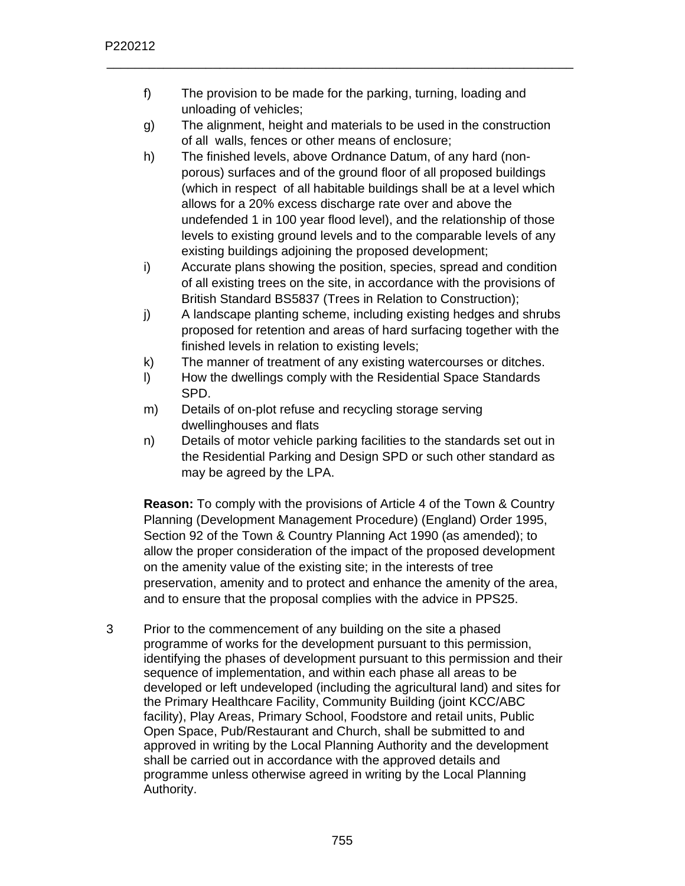f) The provision to be made for the parking, turning, loading and unloading of vehicles;

\_\_\_\_\_\_\_\_\_\_\_\_\_\_\_\_\_\_\_\_\_\_\_\_\_\_\_\_\_\_\_\_\_\_\_\_\_\_\_\_\_\_\_\_\_\_\_\_\_\_\_\_\_\_\_\_\_\_\_\_\_\_\_\_\_\_

- g) The alignment, height and materials to be used in the construction of all walls, fences or other means of enclosure;
- h) The finished levels, above Ordnance Datum, of any hard (nonporous) surfaces and of the ground floor of all proposed buildings (which in respect of all habitable buildings shall be at a level which allows for a 20% excess discharge rate over and above the undefended 1 in 100 year flood level), and the relationship of those levels to existing ground levels and to the comparable levels of any existing buildings adjoining the proposed development;
- i) Accurate plans showing the position, species, spread and condition of all existing trees on the site, in accordance with the provisions of British Standard BS5837 (Trees in Relation to Construction);
- j) A landscape planting scheme, including existing hedges and shrubs proposed for retention and areas of hard surfacing together with the finished levels in relation to existing levels;
- k) The manner of treatment of any existing watercourses or ditches.
- l) How the dwellings comply with the Residential Space Standards SPD.
- m) Details of on-plot refuse and recycling storage serving dwellinghouses and flats
- n) Details of motor vehicle parking facilities to the standards set out in the Residential Parking and Design SPD or such other standard as may be agreed by the LPA.

**Reason:** To comply with the provisions of Article 4 of the Town & Country Planning (Development Management Procedure) (England) Order 1995, Section 92 of the Town & Country Planning Act 1990 (as amended); to allow the proper consideration of the impact of the proposed development on the amenity value of the existing site; in the interests of tree preservation, amenity and to protect and enhance the amenity of the area, and to ensure that the proposal complies with the advice in PPS25.

3 Prior to the commencement of any building on the site a phased programme of works for the development pursuant to this permission, identifying the phases of development pursuant to this permission and their sequence of implementation, and within each phase all areas to be developed or left undeveloped (including the agricultural land) and sites for the Primary Healthcare Facility, Community Building (joint KCC/ABC facility), Play Areas, Primary School, Foodstore and retail units, Public Open Space, Pub/Restaurant and Church, shall be submitted to and approved in writing by the Local Planning Authority and the development shall be carried out in accordance with the approved details and programme unless otherwise agreed in writing by the Local Planning Authority.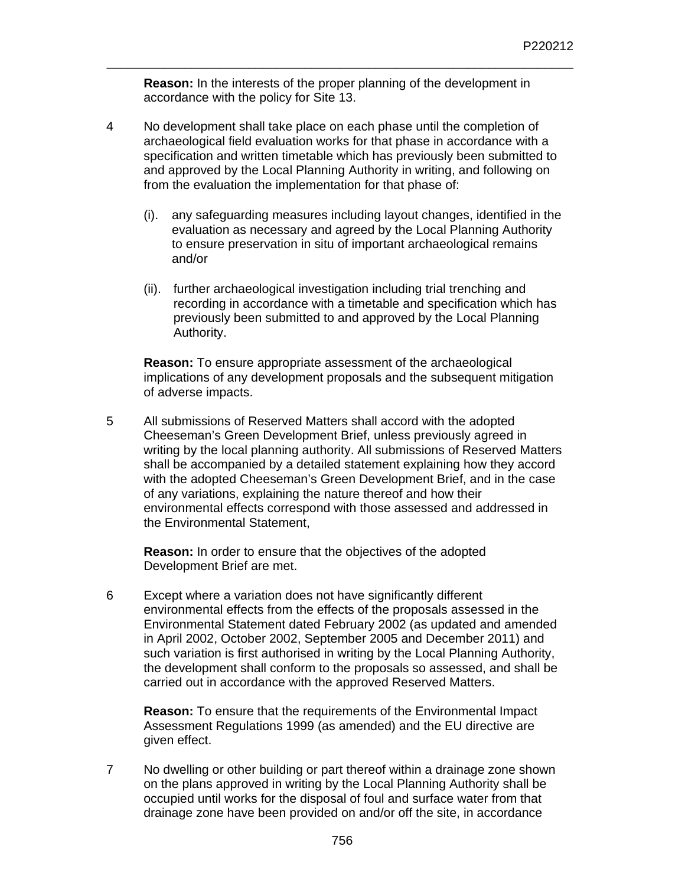**Reason:** In the interests of the proper planning of the development in accordance with the policy for Site 13.

\_\_\_\_\_\_\_\_\_\_\_\_\_\_\_\_\_\_\_\_\_\_\_\_\_\_\_\_\_\_\_\_\_\_\_\_\_\_\_\_\_\_\_\_\_\_\_\_\_\_\_\_\_\_\_\_\_\_\_\_\_\_\_\_\_\_

- 4 No development shall take place on each phase until the completion of archaeological field evaluation works for that phase in accordance with a specification and written timetable which has previously been submitted to and approved by the Local Planning Authority in writing, and following on from the evaluation the implementation for that phase of:
	- (i). any safeguarding measures including layout changes, identified in the evaluation as necessary and agreed by the Local Planning Authority to ensure preservation in situ of important archaeological remains and/or
	- (ii). further archaeological investigation including trial trenching and recording in accordance with a timetable and specification which has previously been submitted to and approved by the Local Planning Authority.

**Reason:** To ensure appropriate assessment of the archaeological implications of any development proposals and the subsequent mitigation of adverse impacts.

5 All submissions of Reserved Matters shall accord with the adopted Cheeseman's Green Development Brief, unless previously agreed in writing by the local planning authority. All submissions of Reserved Matters shall be accompanied by a detailed statement explaining how they accord with the adopted Cheeseman's Green Development Brief, and in the case of any variations, explaining the nature thereof and how their environmental effects correspond with those assessed and addressed in the Environmental Statement,

**Reason:** In order to ensure that the objectives of the adopted Development Brief are met.

6 Except where a variation does not have significantly different environmental effects from the effects of the proposals assessed in the Environmental Statement dated February 2002 (as updated and amended in April 2002, October 2002, September 2005 and December 2011) and such variation is first authorised in writing by the Local Planning Authority, the development shall conform to the proposals so assessed, and shall be carried out in accordance with the approved Reserved Matters.

**Reason:** To ensure that the requirements of the Environmental Impact Assessment Regulations 1999 (as amended) and the EU directive are given effect.

7 No dwelling or other building or part thereof within a drainage zone shown on the plans approved in writing by the Local Planning Authority shall be occupied until works for the disposal of foul and surface water from that drainage zone have been provided on and/or off the site, in accordance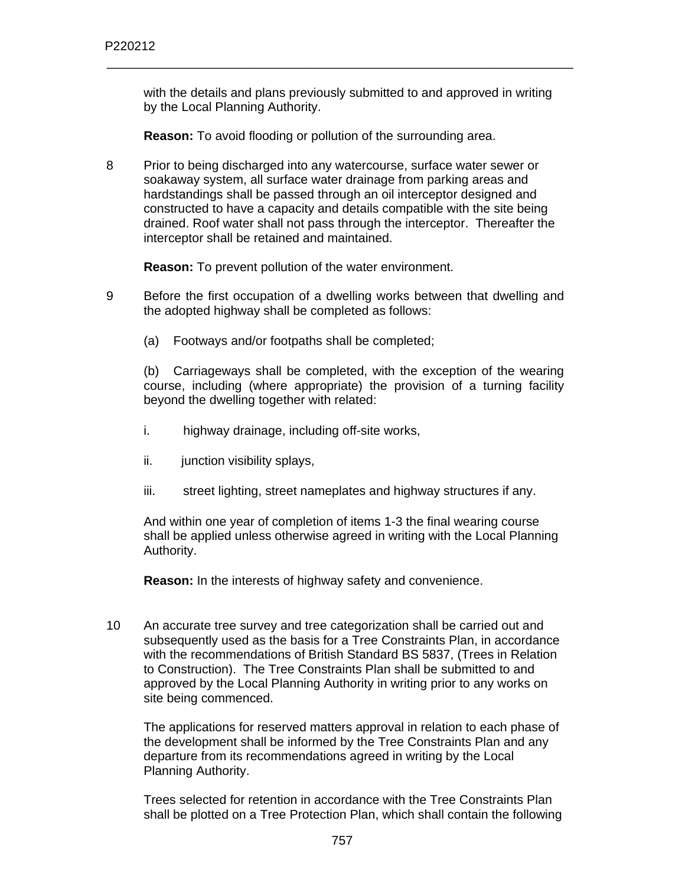with the details and plans previously submitted to and approved in writing by the Local Planning Authority.

\_\_\_\_\_\_\_\_\_\_\_\_\_\_\_\_\_\_\_\_\_\_\_\_\_\_\_\_\_\_\_\_\_\_\_\_\_\_\_\_\_\_\_\_\_\_\_\_\_\_\_\_\_\_\_\_\_\_\_\_\_\_\_\_\_\_

**Reason:** To avoid flooding or pollution of the surrounding area.

8 Prior to being discharged into any watercourse, surface water sewer or soakaway system, all surface water drainage from parking areas and hardstandings shall be passed through an oil interceptor designed and constructed to have a capacity and details compatible with the site being drained. Roof water shall not pass through the interceptor. Thereafter the interceptor shall be retained and maintained.

**Reason:** To prevent pollution of the water environment.

- 9 Before the first occupation of a dwelling works between that dwelling and the adopted highway shall be completed as follows:
	- (a) Footways and/or footpaths shall be completed;

(b) Carriageways shall be completed, with the exception of the wearing course, including (where appropriate) the provision of a turning facility beyond the dwelling together with related:

- i. highway drainage, including off-site works,
- ii. junction visibility splays,
- iii. street lighting, street nameplates and highway structures if any.

And within one year of completion of items 1-3 the final wearing course shall be applied unless otherwise agreed in writing with the Local Planning Authority.

**Reason:** In the interests of highway safety and convenience.

10 An accurate tree survey and tree categorization shall be carried out and subsequently used as the basis for a Tree Constraints Plan, in accordance with the recommendations of British Standard BS 5837, (Trees in Relation to Construction). The Tree Constraints Plan shall be submitted to and approved by the Local Planning Authority in writing prior to any works on site being commenced.

The applications for reserved matters approval in relation to each phase of the development shall be informed by the Tree Constraints Plan and any departure from its recommendations agreed in writing by the Local Planning Authority.

Trees selected for retention in accordance with the Tree Constraints Plan shall be plotted on a Tree Protection Plan, which shall contain the following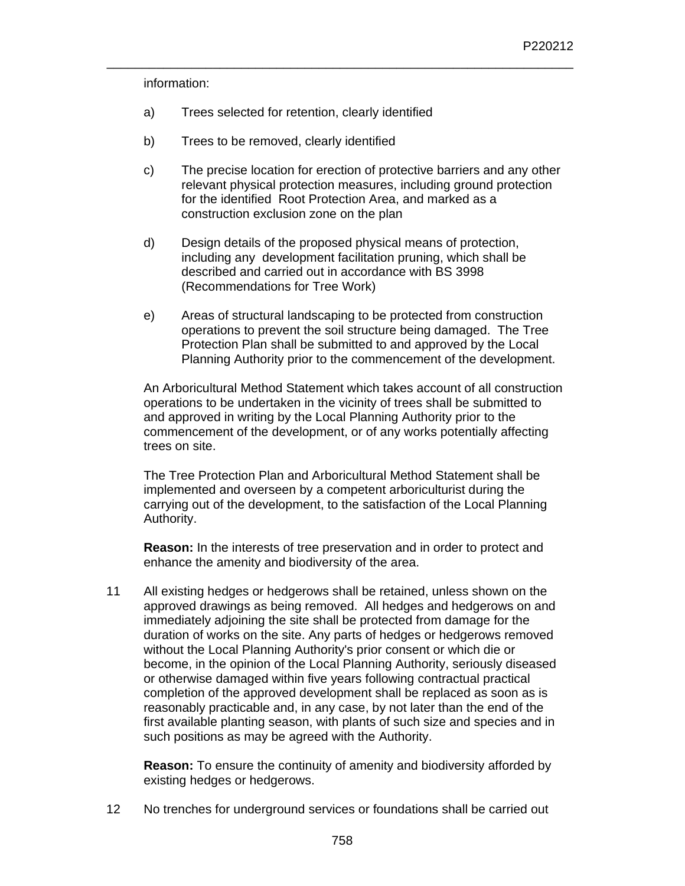information:

- a) Trees selected for retention, clearly identified
- b) Trees to be removed, clearly identified
- c) The precise location for erection of protective barriers and any other relevant physical protection measures, including ground protection for the identified Root Protection Area, and marked as a construction exclusion zone on the plan

\_\_\_\_\_\_\_\_\_\_\_\_\_\_\_\_\_\_\_\_\_\_\_\_\_\_\_\_\_\_\_\_\_\_\_\_\_\_\_\_\_\_\_\_\_\_\_\_\_\_\_\_\_\_\_\_\_\_\_\_\_\_\_\_\_\_

- d) Design details of the proposed physical means of protection, including any development facilitation pruning, which shall be described and carried out in accordance with BS 3998 (Recommendations for Tree Work)
- e) Areas of structural landscaping to be protected from construction operations to prevent the soil structure being damaged. The Tree Protection Plan shall be submitted to and approved by the Local Planning Authority prior to the commencement of the development.

An Arboricultural Method Statement which takes account of all construction operations to be undertaken in the vicinity of trees shall be submitted to and approved in writing by the Local Planning Authority prior to the commencement of the development, or of any works potentially affecting trees on site.

The Tree Protection Plan and Arboricultural Method Statement shall be implemented and overseen by a competent arboriculturist during the carrying out of the development, to the satisfaction of the Local Planning Authority.

**Reason:** In the interests of tree preservation and in order to protect and enhance the amenity and biodiversity of the area.

11 All existing hedges or hedgerows shall be retained, unless shown on the approved drawings as being removed. All hedges and hedgerows on and immediately adjoining the site shall be protected from damage for the duration of works on the site. Any parts of hedges or hedgerows removed without the Local Planning Authority's prior consent or which die or become, in the opinion of the Local Planning Authority, seriously diseased or otherwise damaged within five years following contractual practical completion of the approved development shall be replaced as soon as is reasonably practicable and, in any case, by not later than the end of the first available planting season, with plants of such size and species and in such positions as may be agreed with the Authority.

**Reason:** To ensure the continuity of amenity and biodiversity afforded by existing hedges or hedgerows.

12 No trenches for underground services or foundations shall be carried out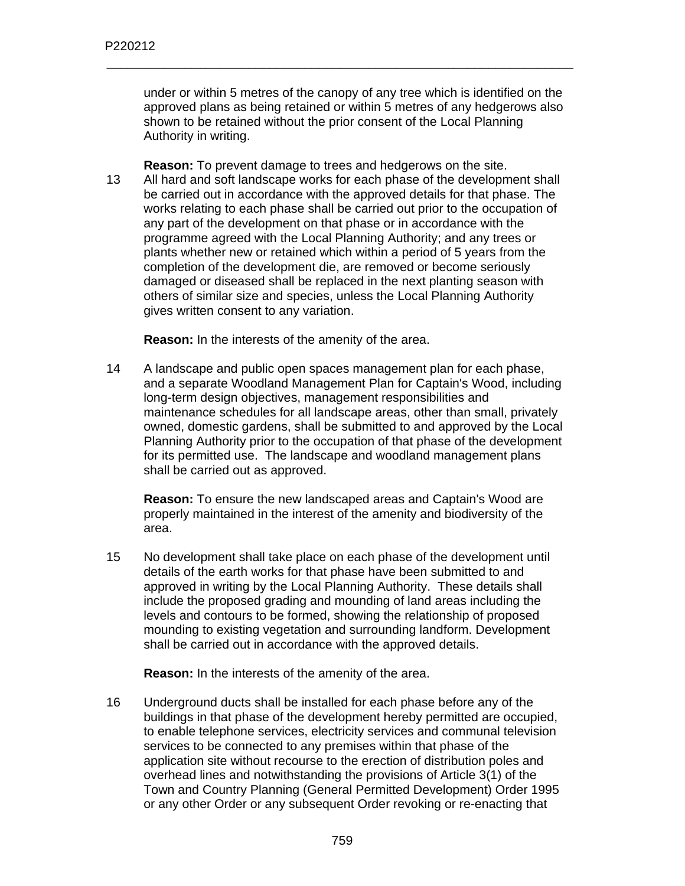under or within 5 metres of the canopy of any tree which is identified on the approved plans as being retained or within 5 metres of any hedgerows also shown to be retained without the prior consent of the Local Planning Authority in writing.

\_\_\_\_\_\_\_\_\_\_\_\_\_\_\_\_\_\_\_\_\_\_\_\_\_\_\_\_\_\_\_\_\_\_\_\_\_\_\_\_\_\_\_\_\_\_\_\_\_\_\_\_\_\_\_\_\_\_\_\_\_\_\_\_\_\_

**Reason:** To prevent damage to trees and hedgerows on the site. 13 All hard and soft landscape works for each phase of the development shall be carried out in accordance with the approved details for that phase. The works relating to each phase shall be carried out prior to the occupation of any part of the development on that phase or in accordance with the programme agreed with the Local Planning Authority; and any trees or plants whether new or retained which within a period of 5 years from the completion of the development die, are removed or become seriously damaged or diseased shall be replaced in the next planting season with others of similar size and species, unless the Local Planning Authority gives written consent to any variation.

**Reason:** In the interests of the amenity of the area.

14 A landscape and public open spaces management plan for each phase, and a separate Woodland Management Plan for Captain's Wood, including long-term design objectives, management responsibilities and maintenance schedules for all landscape areas, other than small, privately owned, domestic gardens, shall be submitted to and approved by the Local Planning Authority prior to the occupation of that phase of the development for its permitted use. The landscape and woodland management plans shall be carried out as approved.

**Reason:** To ensure the new landscaped areas and Captain's Wood are properly maintained in the interest of the amenity and biodiversity of the area.

15 No development shall take place on each phase of the development until details of the earth works for that phase have been submitted to and approved in writing by the Local Planning Authority. These details shall include the proposed grading and mounding of land areas including the levels and contours to be formed, showing the relationship of proposed mounding to existing vegetation and surrounding landform. Development shall be carried out in accordance with the approved details.

**Reason:** In the interests of the amenity of the area.

16 Underground ducts shall be installed for each phase before any of the buildings in that phase of the development hereby permitted are occupied, to enable telephone services, electricity services and communal television services to be connected to any premises within that phase of the application site without recourse to the erection of distribution poles and overhead lines and notwithstanding the provisions of Article 3(1) of the Town and Country Planning (General Permitted Development) Order 1995 or any other Order or any subsequent Order revoking or re-enacting that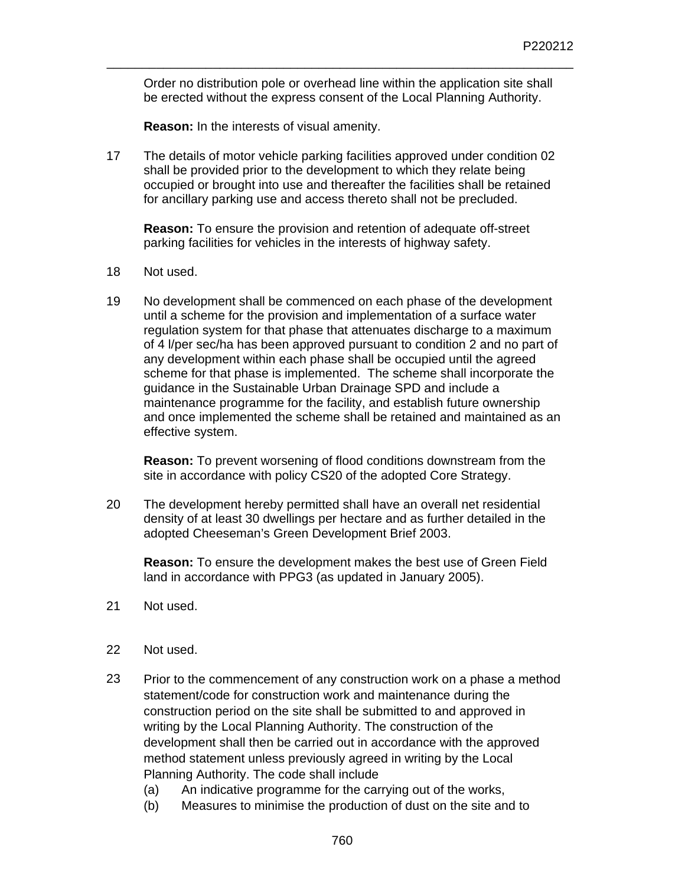Order no distribution pole or overhead line within the application site shall be erected without the express consent of the Local Planning Authority.

\_\_\_\_\_\_\_\_\_\_\_\_\_\_\_\_\_\_\_\_\_\_\_\_\_\_\_\_\_\_\_\_\_\_\_\_\_\_\_\_\_\_\_\_\_\_\_\_\_\_\_\_\_\_\_\_\_\_\_\_\_\_\_\_\_\_

**Reason:** In the interests of visual amenity.

17 The details of motor vehicle parking facilities approved under condition 02 shall be provided prior to the development to which they relate being occupied or brought into use and thereafter the facilities shall be retained for ancillary parking use and access thereto shall not be precluded.

**Reason:** To ensure the provision and retention of adequate off-street parking facilities for vehicles in the interests of highway safety.

- 18 Not used.
- 19 No development shall be commenced on each phase of the development until a scheme for the provision and implementation of a surface water regulation system for that phase that attenuates discharge to a maximum of 4 l/per sec/ha has been approved pursuant to condition 2 and no part of any development within each phase shall be occupied until the agreed scheme for that phase is implemented. The scheme shall incorporate the guidance in the Sustainable Urban Drainage SPD and include a maintenance programme for the facility, and establish future ownership and once implemented the scheme shall be retained and maintained as an effective system.

**Reason:** To prevent worsening of flood conditions downstream from the site in accordance with policy CS20 of the adopted Core Strategy.

20 The development hereby permitted shall have an overall net residential density of at least 30 dwellings per hectare and as further detailed in the adopted Cheeseman's Green Development Brief 2003.

**Reason:** To ensure the development makes the best use of Green Field land in accordance with PPG3 (as updated in January 2005).

- 21 Not used.
- 22 Not used.
- 23 Prior to the commencement of any construction work on a phase a method statement/code for construction work and maintenance during the construction period on the site shall be submitted to and approved in writing by the Local Planning Authority. The construction of the development shall then be carried out in accordance with the approved method statement unless previously agreed in writing by the Local Planning Authority. The code shall include
	- (a) An indicative programme for the carrying out of the works,
	- (b) Measures to minimise the production of dust on the site and to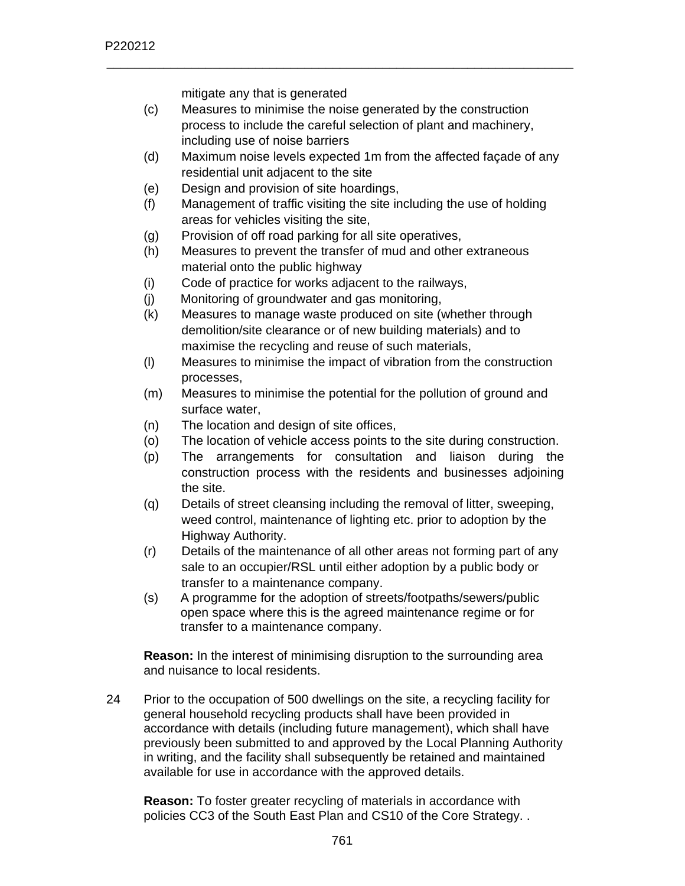mitigate any that is generated

(c) Measures to minimise the noise generated by the construction process to include the careful selection of plant and machinery, including use of noise barriers

\_\_\_\_\_\_\_\_\_\_\_\_\_\_\_\_\_\_\_\_\_\_\_\_\_\_\_\_\_\_\_\_\_\_\_\_\_\_\_\_\_\_\_\_\_\_\_\_\_\_\_\_\_\_\_\_\_\_\_\_\_\_\_\_\_\_

- (d) Maximum noise levels expected 1m from the affected façade of any residential unit adjacent to the site
- (e) Design and provision of site hoardings,
- (f) Management of traffic visiting the site including the use of holding areas for vehicles visiting the site,
- (g) Provision of off road parking for all site operatives,
- (h) Measures to prevent the transfer of mud and other extraneous material onto the public highway
- (i) Code of practice for works adjacent to the railways,
- (j) Monitoring of groundwater and gas monitoring,
- (k) Measures to manage waste produced on site (whether through demolition/site clearance or of new building materials) and to maximise the recycling and reuse of such materials,
- (l) Measures to minimise the impact of vibration from the construction processes,
- (m) Measures to minimise the potential for the pollution of ground and surface water,
- (n) The location and design of site offices,
- (o) The location of vehicle access points to the site during construction.
- (p) The arrangements for consultation and liaison during the construction process with the residents and businesses adjoining the site.
- (q) Details of street cleansing including the removal of litter, sweeping, weed control, maintenance of lighting etc. prior to adoption by the Highway Authority.
- (r) Details of the maintenance of all other areas not forming part of any sale to an occupier/RSL until either adoption by a public body or transfer to a maintenance company.
- (s) A programme for the adoption of streets/footpaths/sewers/public open space where this is the agreed maintenance regime or for transfer to a maintenance company.

**Reason:** In the interest of minimising disruption to the surrounding area and nuisance to local residents.

24 Prior to the occupation of 500 dwellings on the site, a recycling facility for general household recycling products shall have been provided in accordance with details (including future management), which shall have previously been submitted to and approved by the Local Planning Authority in writing, and the facility shall subsequently be retained and maintained available for use in accordance with the approved details.

**Reason:** To foster greater recycling of materials in accordance with policies CC3 of the South East Plan and CS10 of the Core Strategy. .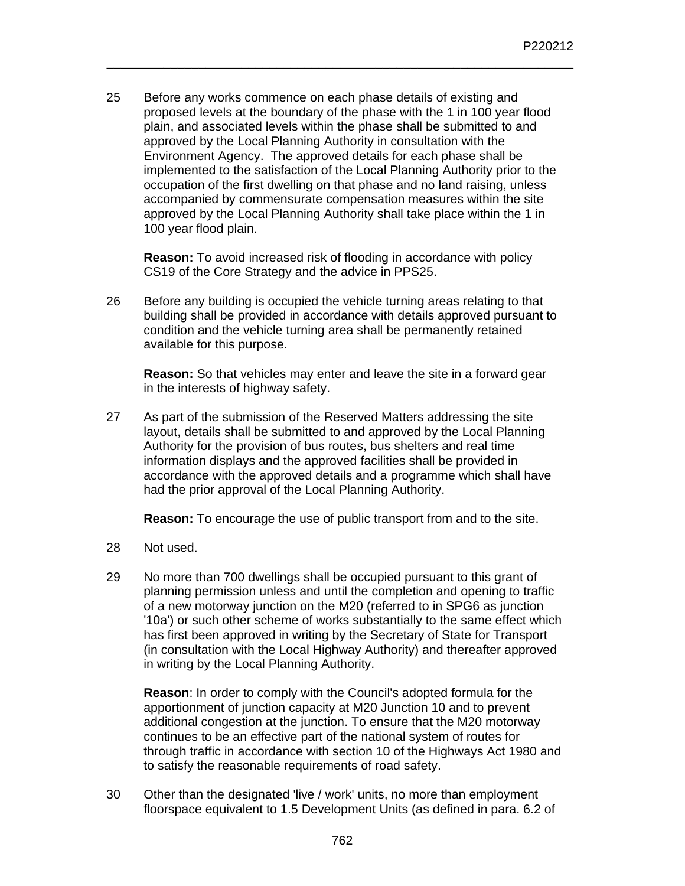25 Before any works commence on each phase details of existing and proposed levels at the boundary of the phase with the 1 in 100 year flood plain, and associated levels within the phase shall be submitted to and approved by the Local Planning Authority in consultation with the Environment Agency. The approved details for each phase shall be implemented to the satisfaction of the Local Planning Authority prior to the occupation of the first dwelling on that phase and no land raising, unless accompanied by commensurate compensation measures within the site approved by the Local Planning Authority shall take place within the 1 in 100 year flood plain.

\_\_\_\_\_\_\_\_\_\_\_\_\_\_\_\_\_\_\_\_\_\_\_\_\_\_\_\_\_\_\_\_\_\_\_\_\_\_\_\_\_\_\_\_\_\_\_\_\_\_\_\_\_\_\_\_\_\_\_\_\_\_\_\_\_\_

**Reason:** To avoid increased risk of flooding in accordance with policy CS19 of the Core Strategy and the advice in PPS25.

26 Before any building is occupied the vehicle turning areas relating to that building shall be provided in accordance with details approved pursuant to condition and the vehicle turning area shall be permanently retained available for this purpose.

**Reason:** So that vehicles may enter and leave the site in a forward gear in the interests of highway safety.

27 As part of the submission of the Reserved Matters addressing the site layout, details shall be submitted to and approved by the Local Planning Authority for the provision of bus routes, bus shelters and real time information displays and the approved facilities shall be provided in accordance with the approved details and a programme which shall have had the prior approval of the Local Planning Authority.

**Reason:** To encourage the use of public transport from and to the site.

- 28 Not used.
- 29 No more than 700 dwellings shall be occupied pursuant to this grant of planning permission unless and until the completion and opening to traffic of a new motorway junction on the M20 (referred to in SPG6 as junction '10a') or such other scheme of works substantially to the same effect which has first been approved in writing by the Secretary of State for Transport (in consultation with the Local Highway Authority) and thereafter approved in writing by the Local Planning Authority.

**Reason**: In order to comply with the Council's adopted formula for the apportionment of junction capacity at M20 Junction 10 and to prevent additional congestion at the junction. To ensure that the M20 motorway continues to be an effective part of the national system of routes for through traffic in accordance with section 10 of the Highways Act 1980 and to satisfy the reasonable requirements of road safety.

30 Other than the designated 'live / work' units, no more than employment floorspace equivalent to 1.5 Development Units (as defined in para. 6.2 of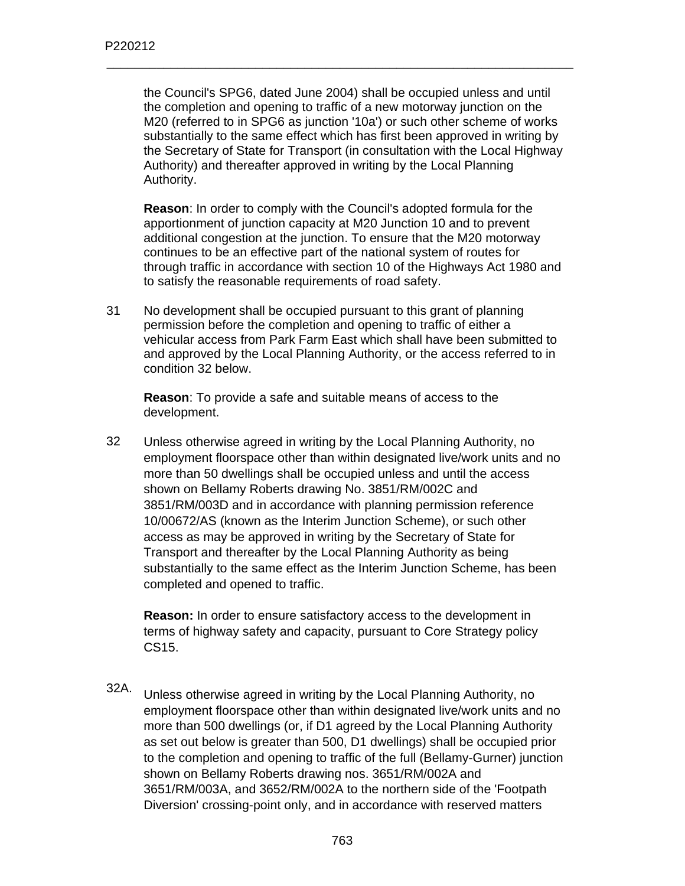the Council's SPG6, dated June 2004) shall be occupied unless and until the completion and opening to traffic of a new motorway junction on the M20 (referred to in SPG6 as junction '10a') or such other scheme of works substantially to the same effect which has first been approved in writing by the Secretary of State for Transport (in consultation with the Local Highway Authority) and thereafter approved in writing by the Local Planning Authority.

\_\_\_\_\_\_\_\_\_\_\_\_\_\_\_\_\_\_\_\_\_\_\_\_\_\_\_\_\_\_\_\_\_\_\_\_\_\_\_\_\_\_\_\_\_\_\_\_\_\_\_\_\_\_\_\_\_\_\_\_\_\_\_\_\_\_

**Reason**: In order to comply with the Council's adopted formula for the apportionment of junction capacity at M20 Junction 10 and to prevent additional congestion at the junction. To ensure that the M20 motorway continues to be an effective part of the national system of routes for through traffic in accordance with section 10 of the Highways Act 1980 and to satisfy the reasonable requirements of road safety.

31 No development shall be occupied pursuant to this grant of planning permission before the completion and opening to traffic of either a vehicular access from Park Farm East which shall have been submitted to and approved by the Local Planning Authority, or the access referred to in condition 32 below.

**Reason**: To provide a safe and suitable means of access to the development.

32 Unless otherwise agreed in writing by the Local Planning Authority, no employment floorspace other than within designated live/work units and no more than 50 dwellings shall be occupied unless and until the access shown on Bellamy Roberts drawing No. 3851/RM/002C and 3851/RM/003D and in accordance with planning permission reference 10/00672/AS (known as the Interim Junction Scheme), or such other access as may be approved in writing by the Secretary of State for Transport and thereafter by the Local Planning Authority as being substantially to the same effect as the Interim Junction Scheme, has been completed and opened to traffic.

**Reason:** In order to ensure satisfactory access to the development in terms of highway safety and capacity, pursuant to Core Strategy policy CS15.

32A. Unless otherwise agreed in writing by the Local Planning Authority, no employment floorspace other than within designated live/work units and no more than 500 dwellings (or, if D1 agreed by the Local Planning Authority as set out below is greater than 500, D1 dwellings) shall be occupied prior to the completion and opening to traffic of the full (Bellamy-Gurner) junction shown on Bellamy Roberts drawing nos. 3651/RM/002A and 3651/RM/003A, and 3652/RM/002A to the northern side of the 'Footpath Diversion' crossing-point only, and in accordance with reserved matters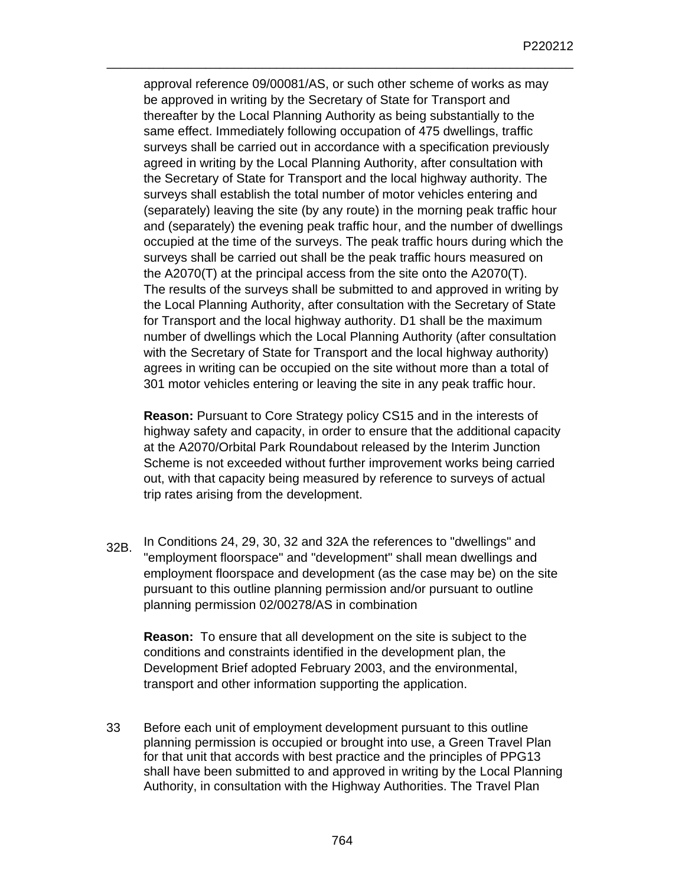approval reference 09/00081/AS, or such other scheme of works as may be approved in writing by the Secretary of State for Transport and thereafter by the Local Planning Authority as being substantially to the same effect. Immediately following occupation of 475 dwellings, traffic surveys shall be carried out in accordance with a specification previously agreed in writing by the Local Planning Authority, after consultation with the Secretary of State for Transport and the local highway authority. The surveys shall establish the total number of motor vehicles entering and (separately) leaving the site (by any route) in the morning peak traffic hour and (separately) the evening peak traffic hour, and the number of dwellings occupied at the time of the surveys. The peak traffic hours during which the surveys shall be carried out shall be the peak traffic hours measured on the A2070(T) at the principal access from the site onto the A2070(T). The results of the surveys shall be submitted to and approved in writing by the Local Planning Authority, after consultation with the Secretary of State for Transport and the local highway authority. D1 shall be the maximum number of dwellings which the Local Planning Authority (after consultation with the Secretary of State for Transport and the local highway authority) agrees in writing can be occupied on the site without more than a total of 301 motor vehicles entering or leaving the site in any peak traffic hour.

\_\_\_\_\_\_\_\_\_\_\_\_\_\_\_\_\_\_\_\_\_\_\_\_\_\_\_\_\_\_\_\_\_\_\_\_\_\_\_\_\_\_\_\_\_\_\_\_\_\_\_\_\_\_\_\_\_\_\_\_\_\_\_\_\_\_

**Reason:** Pursuant to Core Strategy policy CS15 and in the interests of highway safety and capacity, in order to ensure that the additional capacity at the A2070/Orbital Park Roundabout released by the Interim Junction Scheme is not exceeded without further improvement works being carried out, with that capacity being measured by reference to surveys of actual trip rates arising from the development.

32B. In Conditions 24, 29, 30, 32 and 32A the references to "dwellings" and "employment floorspace" and "development" shall mean dwellings and employment floorspace and development (as the case may be) on the site pursuant to this outline planning permission and/or pursuant to outline planning permission 02/00278/AS in combination

**Reason:** To ensure that all development on the site is subject to the conditions and constraints identified in the development plan, the Development Brief adopted February 2003, and the environmental, transport and other information supporting the application.

33 Before each unit of employment development pursuant to this outline planning permission is occupied or brought into use, a Green Travel Plan for that unit that accords with best practice and the principles of PPG13 shall have been submitted to and approved in writing by the Local Planning Authority, in consultation with the Highway Authorities. The Travel Plan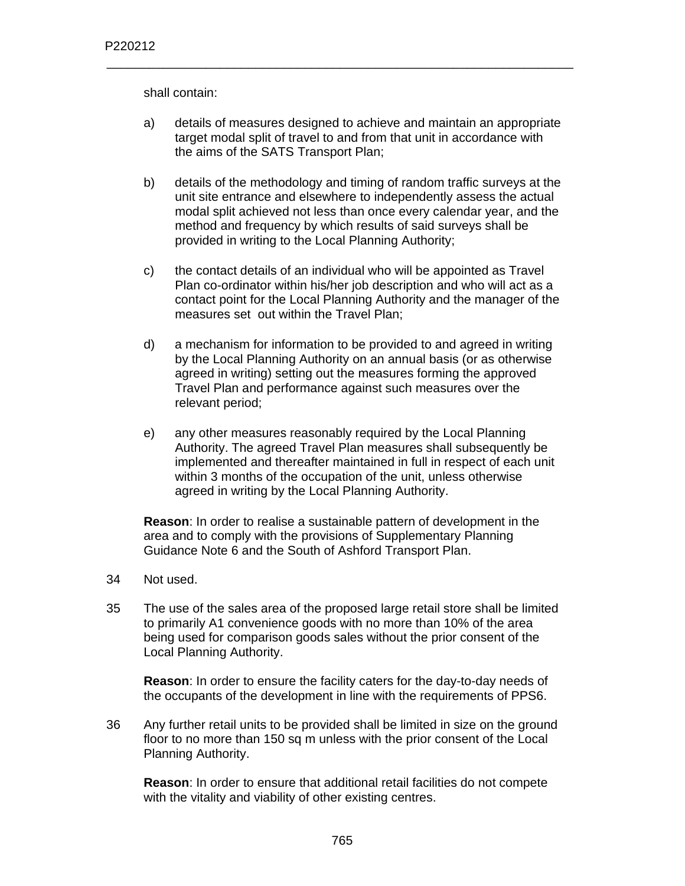shall contain:

a) details of measures designed to achieve and maintain an appropriate target modal split of travel to and from that unit in accordance with the aims of the SATS Transport Plan;

\_\_\_\_\_\_\_\_\_\_\_\_\_\_\_\_\_\_\_\_\_\_\_\_\_\_\_\_\_\_\_\_\_\_\_\_\_\_\_\_\_\_\_\_\_\_\_\_\_\_\_\_\_\_\_\_\_\_\_\_\_\_\_\_\_\_

- b) details of the methodology and timing of random traffic surveys at the unit site entrance and elsewhere to independently assess the actual modal split achieved not less than once every calendar year, and the method and frequency by which results of said surveys shall be provided in writing to the Local Planning Authority;
- c) the contact details of an individual who will be appointed as Travel Plan co-ordinator within his/her job description and who will act as a contact point for the Local Planning Authority and the manager of the measures set out within the Travel Plan;
- d) a mechanism for information to be provided to and agreed in writing by the Local Planning Authority on an annual basis (or as otherwise agreed in writing) setting out the measures forming the approved Travel Plan and performance against such measures over the relevant period;
- e) any other measures reasonably required by the Local Planning Authority. The agreed Travel Plan measures shall subsequently be implemented and thereafter maintained in full in respect of each unit within 3 months of the occupation of the unit, unless otherwise agreed in writing by the Local Planning Authority.

**Reason**: In order to realise a sustainable pattern of development in the area and to comply with the provisions of Supplementary Planning Guidance Note 6 and the South of Ashford Transport Plan.

- 34 Not used.
- 35 The use of the sales area of the proposed large retail store shall be limited to primarily A1 convenience goods with no more than 10% of the area being used for comparison goods sales without the prior consent of the Local Planning Authority.

**Reason**: In order to ensure the facility caters for the day-to-day needs of the occupants of the development in line with the requirements of PPS6.

36 Any further retail units to be provided shall be limited in size on the ground floor to no more than 150 sq m unless with the prior consent of the Local Planning Authority.

**Reason**: In order to ensure that additional retail facilities do not compete with the vitality and viability of other existing centres.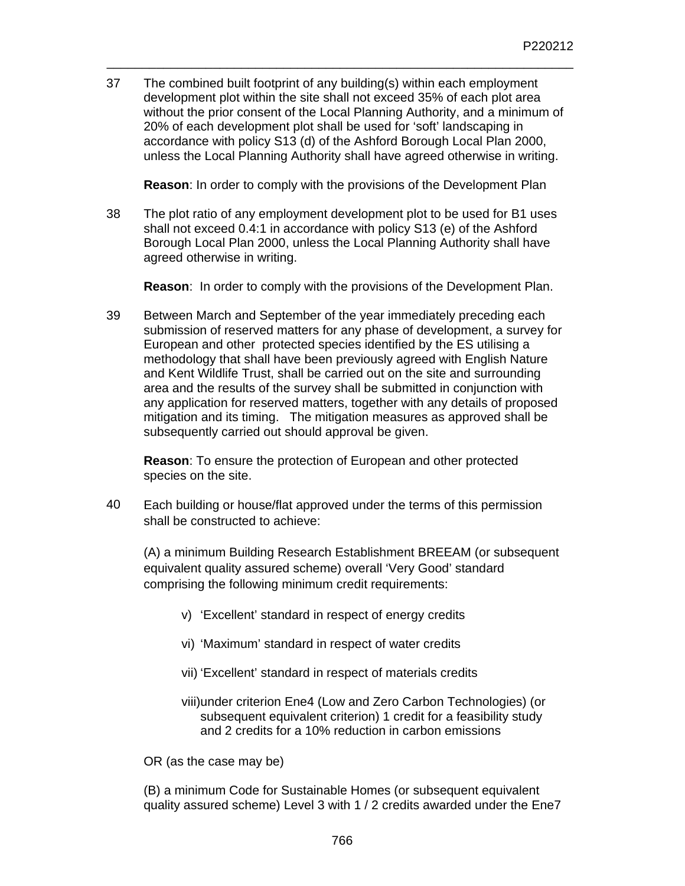37 The combined built footprint of any building(s) within each employment development plot within the site shall not exceed 35% of each plot area without the prior consent of the Local Planning Authority, and a minimum of 20% of each development plot shall be used for 'soft' landscaping in accordance with policy S13 (d) of the Ashford Borough Local Plan 2000, unless the Local Planning Authority shall have agreed otherwise in writing.

\_\_\_\_\_\_\_\_\_\_\_\_\_\_\_\_\_\_\_\_\_\_\_\_\_\_\_\_\_\_\_\_\_\_\_\_\_\_\_\_\_\_\_\_\_\_\_\_\_\_\_\_\_\_\_\_\_\_\_\_\_\_\_\_\_\_

**Reason**: In order to comply with the provisions of the Development Plan

38 The plot ratio of any employment development plot to be used for B1 uses shall not exceed 0.4:1 in accordance with policy S13 (e) of the Ashford Borough Local Plan 2000, unless the Local Planning Authority shall have agreed otherwise in writing.

**Reason**: In order to comply with the provisions of the Development Plan.

39 Between March and September of the year immediately preceding each submission of reserved matters for any phase of development, a survey for European and other protected species identified by the ES utilising a methodology that shall have been previously agreed with English Nature and Kent Wildlife Trust, shall be carried out on the site and surrounding area and the results of the survey shall be submitted in conjunction with any application for reserved matters, together with any details of proposed mitigation and its timing. The mitigation measures as approved shall be subsequently carried out should approval be given.

**Reason**: To ensure the protection of European and other protected species on the site.

40 Each building or house/flat approved under the terms of this permission shall be constructed to achieve:

(A) a minimum Building Research Establishment BREEAM (or subsequent equivalent quality assured scheme) overall 'Very Good' standard comprising the following minimum credit requirements:

- v) 'Excellent' standard in respect of energy credits
- vi) 'Maximum' standard in respect of water credits
- vii) 'Excellent' standard in respect of materials credits
- viii)under criterion Ene4 (Low and Zero Carbon Technologies) (or subsequent equivalent criterion) 1 credit for a feasibility study and 2 credits for a 10% reduction in carbon emissions

OR (as the case may be)

(B) a minimum Code for Sustainable Homes (or subsequent equivalent quality assured scheme) Level 3 with 1 / 2 credits awarded under the Ene7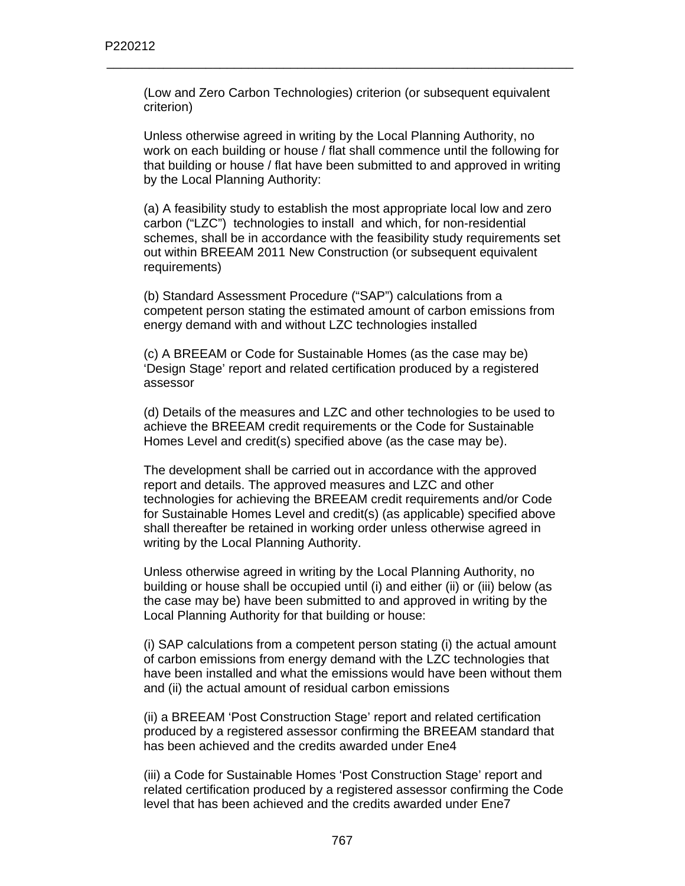(Low and Zero Carbon Technologies) criterion (or subsequent equivalent criterion)

\_\_\_\_\_\_\_\_\_\_\_\_\_\_\_\_\_\_\_\_\_\_\_\_\_\_\_\_\_\_\_\_\_\_\_\_\_\_\_\_\_\_\_\_\_\_\_\_\_\_\_\_\_\_\_\_\_\_\_\_\_\_\_\_\_\_

Unless otherwise agreed in writing by the Local Planning Authority, no work on each building or house / flat shall commence until the following for that building or house / flat have been submitted to and approved in writing by the Local Planning Authority:

(a) A feasibility study to establish the most appropriate local low and zero carbon ("LZC") technologies to install and which, for non-residential schemes, shall be in accordance with the feasibility study requirements set out within BREEAM 2011 New Construction (or subsequent equivalent requirements)

(b) Standard Assessment Procedure ("SAP") calculations from a competent person stating the estimated amount of carbon emissions from energy demand with and without LZC technologies installed

(c) A BREEAM or Code for Sustainable Homes (as the case may be) 'Design Stage' report and related certification produced by a registered assessor

(d) Details of the measures and LZC and other technologies to be used to achieve the BREEAM credit requirements or the Code for Sustainable Homes Level and credit(s) specified above (as the case may be).

The development shall be carried out in accordance with the approved report and details. The approved measures and LZC and other technologies for achieving the BREEAM credit requirements and/or Code for Sustainable Homes Level and credit(s) (as applicable) specified above shall thereafter be retained in working order unless otherwise agreed in writing by the Local Planning Authority.

Unless otherwise agreed in writing by the Local Planning Authority, no building or house shall be occupied until (i) and either (ii) or (iii) below (as the case may be) have been submitted to and approved in writing by the Local Planning Authority for that building or house:

(i) SAP calculations from a competent person stating (i) the actual amount of carbon emissions from energy demand with the LZC technologies that have been installed and what the emissions would have been without them and (ii) the actual amount of residual carbon emissions

(ii) a BREEAM 'Post Construction Stage' report and related certification produced by a registered assessor confirming the BREEAM standard that has been achieved and the credits awarded under Ene4

(iii) a Code for Sustainable Homes 'Post Construction Stage' report and related certification produced by a registered assessor confirming the Code level that has been achieved and the credits awarded under Ene7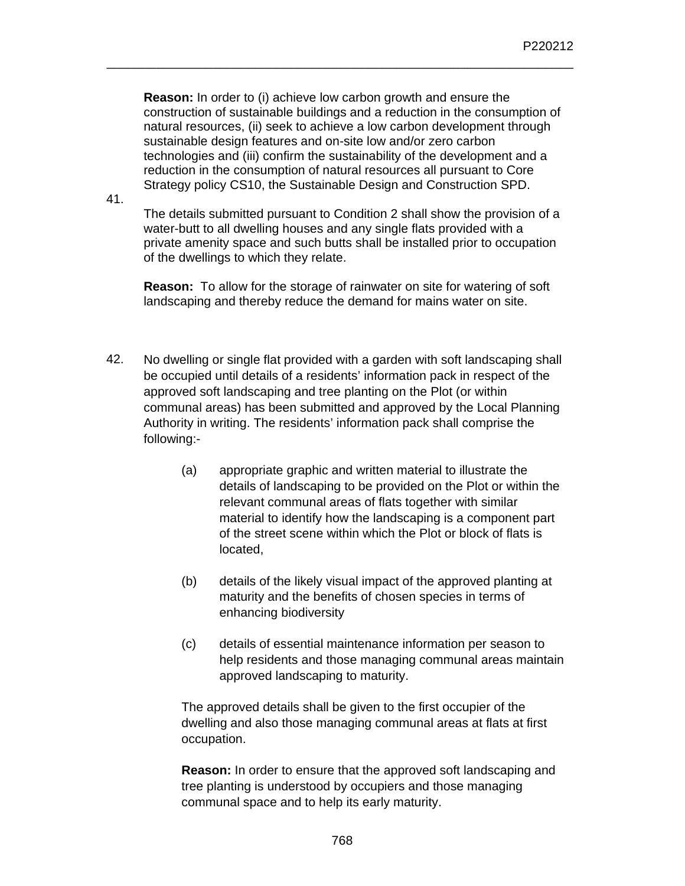**Reason:** In order to (i) achieve low carbon growth and ensure the construction of sustainable buildings and a reduction in the consumption of natural resources, (ii) seek to achieve a low carbon development through sustainable design features and on-site low and/or zero carbon technologies and (iii) confirm the sustainability of the development and a reduction in the consumption of natural resources all pursuant to Core Strategy policy CS10, the Sustainable Design and Construction SPD.

\_\_\_\_\_\_\_\_\_\_\_\_\_\_\_\_\_\_\_\_\_\_\_\_\_\_\_\_\_\_\_\_\_\_\_\_\_\_\_\_\_\_\_\_\_\_\_\_\_\_\_\_\_\_\_\_\_\_\_\_\_\_\_\_\_\_

41.

The details submitted pursuant to Condition 2 shall show the provision of a water-butt to all dwelling houses and any single flats provided with a private amenity space and such butts shall be installed prior to occupation of the dwellings to which they relate.

**Reason:** To allow for the storage of rainwater on site for watering of soft landscaping and thereby reduce the demand for mains water on site.

- 42. No dwelling or single flat provided with a garden with soft landscaping shall be occupied until details of a residents' information pack in respect of the approved soft landscaping and tree planting on the Plot (or within communal areas) has been submitted and approved by the Local Planning Authority in writing. The residents' information pack shall comprise the following:-
	- (a) appropriate graphic and written material to illustrate the details of landscaping to be provided on the Plot or within the relevant communal areas of flats together with similar material to identify how the landscaping is a component part of the street scene within which the Plot or block of flats is located,
	- (b) details of the likely visual impact of the approved planting at maturity and the benefits of chosen species in terms of enhancing biodiversity
	- (c) details of essential maintenance information per season to help residents and those managing communal areas maintain approved landscaping to maturity.

 The approved details shall be given to the first occupier of the dwelling and also those managing communal areas at flats at first occupation.

**Reason:** In order to ensure that the approved soft landscaping and tree planting is understood by occupiers and those managing communal space and to help its early maturity.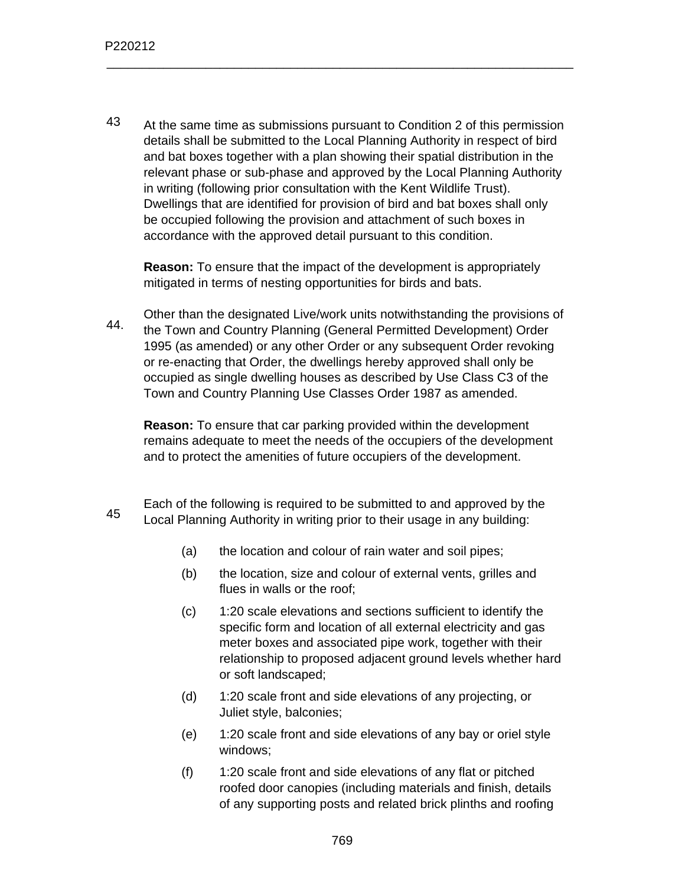43 At the same time as submissions pursuant to Condition 2 of this permission details shall be submitted to the Local Planning Authority in respect of bird and bat boxes together with a plan showing their spatial distribution in the relevant phase or sub-phase and approved by the Local Planning Authority in writing (following prior consultation with the Kent Wildlife Trust). Dwellings that are identified for provision of bird and bat boxes shall only be occupied following the provision and attachment of such boxes in accordance with the approved detail pursuant to this condition.

\_\_\_\_\_\_\_\_\_\_\_\_\_\_\_\_\_\_\_\_\_\_\_\_\_\_\_\_\_\_\_\_\_\_\_\_\_\_\_\_\_\_\_\_\_\_\_\_\_\_\_\_\_\_\_\_\_\_\_\_\_\_\_\_\_\_

**Reason:** To ensure that the impact of the development is appropriately mitigated in terms of nesting opportunities for birds and bats.

44. Other than the designated Live/work units notwithstanding the provisions of the Town and Country Planning (General Permitted Development) Order 1995 (as amended) or any other Order or any subsequent Order revoking or re-enacting that Order, the dwellings hereby approved shall only be occupied as single dwelling houses as described by Use Class C3 of the Town and Country Planning Use Classes Order 1987 as amended.

**Reason:** To ensure that car parking provided within the development remains adequate to meet the needs of the occupiers of the development and to protect the amenities of future occupiers of the development.

- 45 Each of the following is required to be submitted to and approved by the Local Planning Authority in writing prior to their usage in any building:
	- (a) the location and colour of rain water and soil pipes;
	- (b) the location, size and colour of external vents, grilles and flues in walls or the roof;
	- (c) 1:20 scale elevations and sections sufficient to identify the specific form and location of all external electricity and gas meter boxes and associated pipe work, together with their relationship to proposed adjacent ground levels whether hard or soft landscaped;
	- (d) 1:20 scale front and side elevations of any projecting, or Juliet style, balconies;
	- (e) 1:20 scale front and side elevations of any bay or oriel style windows;
	- (f) 1:20 scale front and side elevations of any flat or pitched roofed door canopies (including materials and finish, details of any supporting posts and related brick plinths and roofing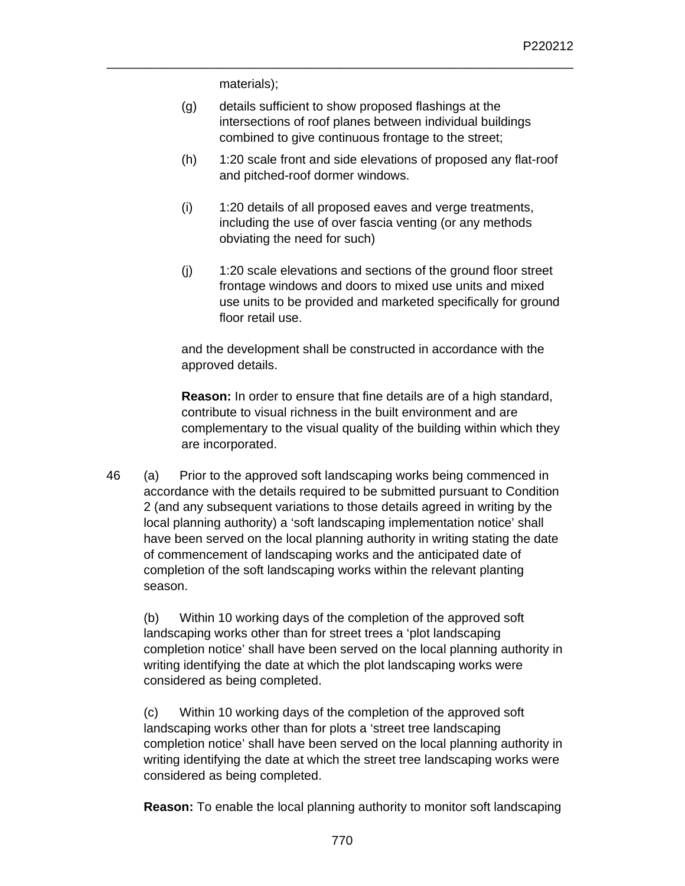materials);

(g) details sufficient to show proposed flashings at the intersections of roof planes between individual buildings combined to give continuous frontage to the street;

\_\_\_\_\_\_\_\_\_\_\_\_\_\_\_\_\_\_\_\_\_\_\_\_\_\_\_\_\_\_\_\_\_\_\_\_\_\_\_\_\_\_\_\_\_\_\_\_\_\_\_\_\_\_\_\_\_\_\_\_\_\_\_\_\_\_

- (h) 1:20 scale front and side elevations of proposed any flat-roof and pitched-roof dormer windows.
- (i) 1:20 details of all proposed eaves and verge treatments, including the use of over fascia venting (or any methods obviating the need for such)
- (j) 1:20 scale elevations and sections of the ground floor street frontage windows and doors to mixed use units and mixed use units to be provided and marketed specifically for ground floor retail use.

and the development shall be constructed in accordance with the approved details.

**Reason:** In order to ensure that fine details are of a high standard, contribute to visual richness in the built environment and are complementary to the visual quality of the building within which they are incorporated.

46 (a) Prior to the approved soft landscaping works being commenced in accordance with the details required to be submitted pursuant to Condition 2 (and any subsequent variations to those details agreed in writing by the local planning authority) a 'soft landscaping implementation notice' shall have been served on the local planning authority in writing stating the date of commencement of landscaping works and the anticipated date of completion of the soft landscaping works within the relevant planting season.

(b) Within 10 working days of the completion of the approved soft landscaping works other than for street trees a 'plot landscaping completion notice' shall have been served on the local planning authority in writing identifying the date at which the plot landscaping works were considered as being completed.

(c) Within 10 working days of the completion of the approved soft landscaping works other than for plots a 'street tree landscaping completion notice' shall have been served on the local planning authority in writing identifying the date at which the street tree landscaping works were considered as being completed.

**Reason:** To enable the local planning authority to monitor soft landscaping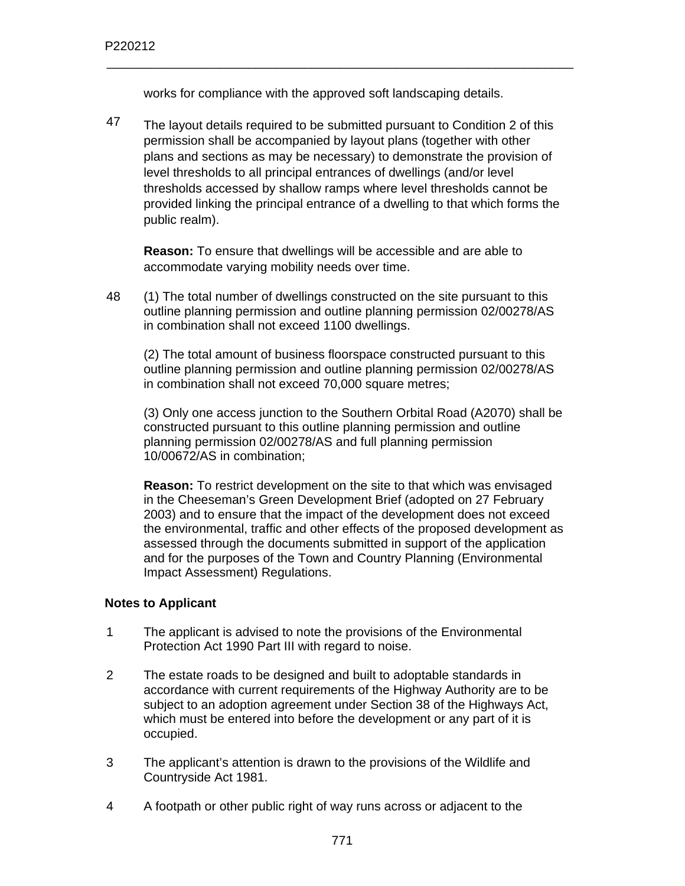works for compliance with the approved soft landscaping details.

\_\_\_\_\_\_\_\_\_\_\_\_\_\_\_\_\_\_\_\_\_\_\_\_\_\_\_\_\_\_\_\_\_\_\_\_\_\_\_\_\_\_\_\_\_\_\_\_\_\_\_\_\_\_\_\_\_\_\_\_\_\_\_\_\_\_

47 The layout details required to be submitted pursuant to Condition 2 of this permission shall be accompanied by layout plans (together with other plans and sections as may be necessary) to demonstrate the provision of level thresholds to all principal entrances of dwellings (and/or level thresholds accessed by shallow ramps where level thresholds cannot be provided linking the principal entrance of a dwelling to that which forms the public realm).

**Reason:** To ensure that dwellings will be accessible and are able to accommodate varying mobility needs over time.

48 (1) The total number of dwellings constructed on the site pursuant to this outline planning permission and outline planning permission 02/00278/AS in combination shall not exceed 1100 dwellings.

(2) The total amount of business floorspace constructed pursuant to this outline planning permission and outline planning permission 02/00278/AS in combination shall not exceed 70,000 square metres;

(3) Only one access junction to the Southern Orbital Road (A2070) shall be constructed pursuant to this outline planning permission and outline planning permission 02/00278/AS and full planning permission 10/00672/AS in combination;

**Reason:** To restrict development on the site to that which was envisaged in the Cheeseman's Green Development Brief (adopted on 27 February 2003) and to ensure that the impact of the development does not exceed the environmental, traffic and other effects of the proposed development as assessed through the documents submitted in support of the application and for the purposes of the Town and Country Planning (Environmental Impact Assessment) Regulations.

## **Notes to Applicant**

- 1 The applicant is advised to note the provisions of the Environmental Protection Act 1990 Part III with regard to noise.
- 2 The estate roads to be designed and built to adoptable standards in accordance with current requirements of the Highway Authority are to be subject to an adoption agreement under Section 38 of the Highways Act, which must be entered into before the development or any part of it is occupied.
- 3 The applicant's attention is drawn to the provisions of the Wildlife and Countryside Act 1981.
- 4 A footpath or other public right of way runs across or adjacent to the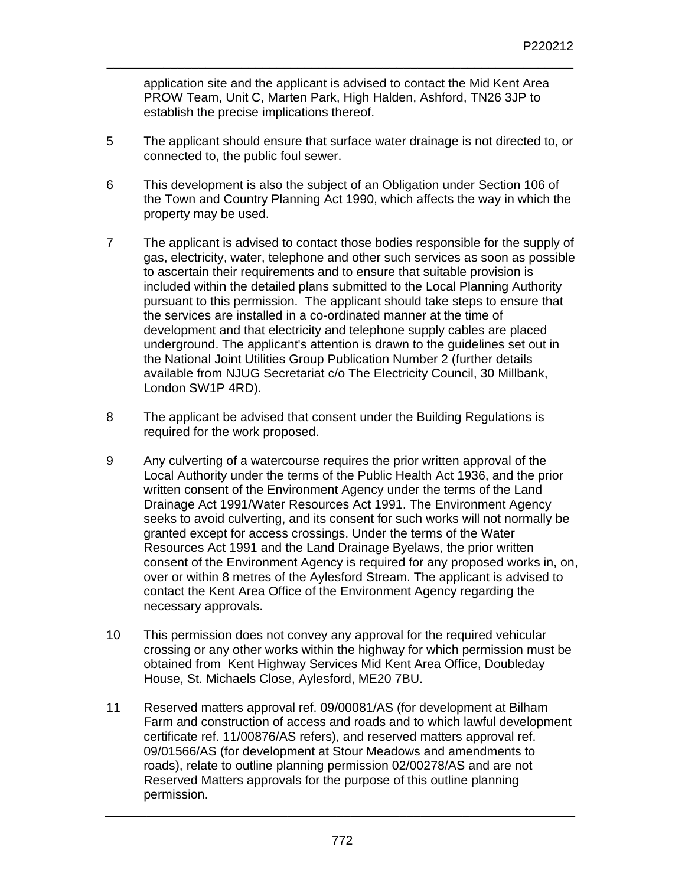application site and the applicant is advised to contact the Mid Kent Area PROW Team, Unit C, Marten Park, High Halden, Ashford, TN26 3JP to establish the precise implications thereof.

\_\_\_\_\_\_\_\_\_\_\_\_\_\_\_\_\_\_\_\_\_\_\_\_\_\_\_\_\_\_\_\_\_\_\_\_\_\_\_\_\_\_\_\_\_\_\_\_\_\_\_\_\_\_\_\_\_\_\_\_\_\_\_\_\_\_

- 5 The applicant should ensure that surface water drainage is not directed to, or connected to, the public foul sewer.
- 6 This development is also the subject of an Obligation under Section 106 of the Town and Country Planning Act 1990, which affects the way in which the property may be used.
- 7 The applicant is advised to contact those bodies responsible for the supply of gas, electricity, water, telephone and other such services as soon as possible to ascertain their requirements and to ensure that suitable provision is included within the detailed plans submitted to the Local Planning Authority pursuant to this permission. The applicant should take steps to ensure that the services are installed in a co-ordinated manner at the time of development and that electricity and telephone supply cables are placed underground. The applicant's attention is drawn to the guidelines set out in the National Joint Utilities Group Publication Number 2 (further details available from NJUG Secretariat c/o The Electricity Council, 30 Millbank, London SW1P 4RD).
- 8 The applicant be advised that consent under the Building Regulations is required for the work proposed.
- 9 Any culverting of a watercourse requires the prior written approval of the Local Authority under the terms of the Public Health Act 1936, and the prior written consent of the Environment Agency under the terms of the Land Drainage Act 1991/Water Resources Act 1991. The Environment Agency seeks to avoid culverting, and its consent for such works will not normally be granted except for access crossings. Under the terms of the Water Resources Act 1991 and the Land Drainage Byelaws, the prior written consent of the Environment Agency is required for any proposed works in, on, over or within 8 metres of the Aylesford Stream. The applicant is advised to contact the Kent Area Office of the Environment Agency regarding the necessary approvals.
- 10 This permission does not convey any approval for the required vehicular crossing or any other works within the highway for which permission must be obtained from Kent Highway Services Mid Kent Area Office, Doubleday House, St. Michaels Close, Aylesford, ME20 7BU.
- 11 Reserved matters approval ref. 09/00081/AS (for development at Bilham Farm and construction of access and roads and to which lawful development certificate ref. 11/00876/AS refers), and reserved matters approval ref. 09/01566/AS (for development at Stour Meadows and amendments to roads), relate to outline planning permission 02/00278/AS and are not Reserved Matters approvals for the purpose of this outline planning permission.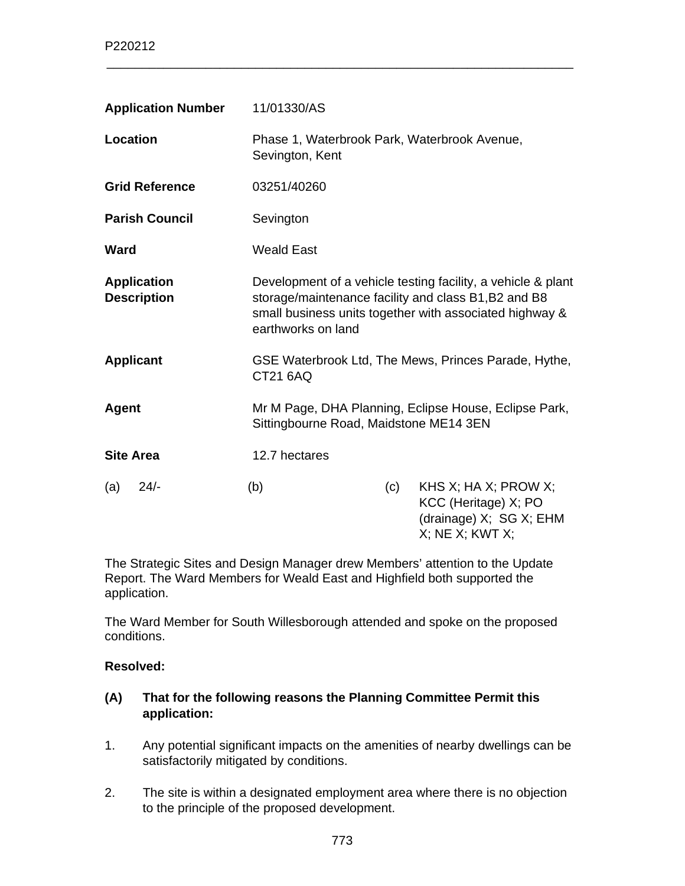| <b>Application Number</b>                | 11/01330/AS                                                                                                                                                                                           |     |                                                                                                     |
|------------------------------------------|-------------------------------------------------------------------------------------------------------------------------------------------------------------------------------------------------------|-----|-----------------------------------------------------------------------------------------------------|
| <b>Location</b>                          | Phase 1, Waterbrook Park, Waterbrook Avenue,<br>Sevington, Kent                                                                                                                                       |     |                                                                                                     |
| <b>Grid Reference</b>                    | 03251/40260                                                                                                                                                                                           |     |                                                                                                     |
| <b>Parish Council</b>                    | Sevington                                                                                                                                                                                             |     |                                                                                                     |
| <b>Ward</b>                              | <b>Weald East</b>                                                                                                                                                                                     |     |                                                                                                     |
| <b>Application</b><br><b>Description</b> | Development of a vehicle testing facility, a vehicle & plant<br>storage/maintenance facility and class B1, B2 and B8<br>small business units together with associated highway &<br>earthworks on land |     |                                                                                                     |
| <b>Applicant</b>                         | GSE Waterbrook Ltd, The Mews, Princes Parade, Hythe,<br>CT21 6AQ                                                                                                                                      |     |                                                                                                     |
| <b>Agent</b>                             | Sittingbourne Road, Maidstone ME14 3EN                                                                                                                                                                |     | Mr M Page, DHA Planning, Eclipse House, Eclipse Park,                                               |
| <b>Site Area</b>                         | 12.7 hectares                                                                                                                                                                                         |     |                                                                                                     |
| $24/-$<br>(a)                            | (b)                                                                                                                                                                                                   | (c) | KHS X; HA X; PROW X;<br>KCC (Heritage) X; PO<br>(drainage) X; SG X; EHM<br>$X$ ; NE $X$ ; KWT $X$ ; |

The Strategic Sites and Design Manager drew Members' attention to the Update Report. The Ward Members for Weald East and Highfield both supported the application.

The Ward Member for South Willesborough attended and spoke on the proposed conditions.

#### **Resolved:**

### **(A) That for the following reasons the Planning Committee Permit this application:**

- 1. Any potential significant impacts on the amenities of nearby dwellings can be satisfactorily mitigated by conditions.
- 2. The site is within a designated employment area where there is no objection to the principle of the proposed development.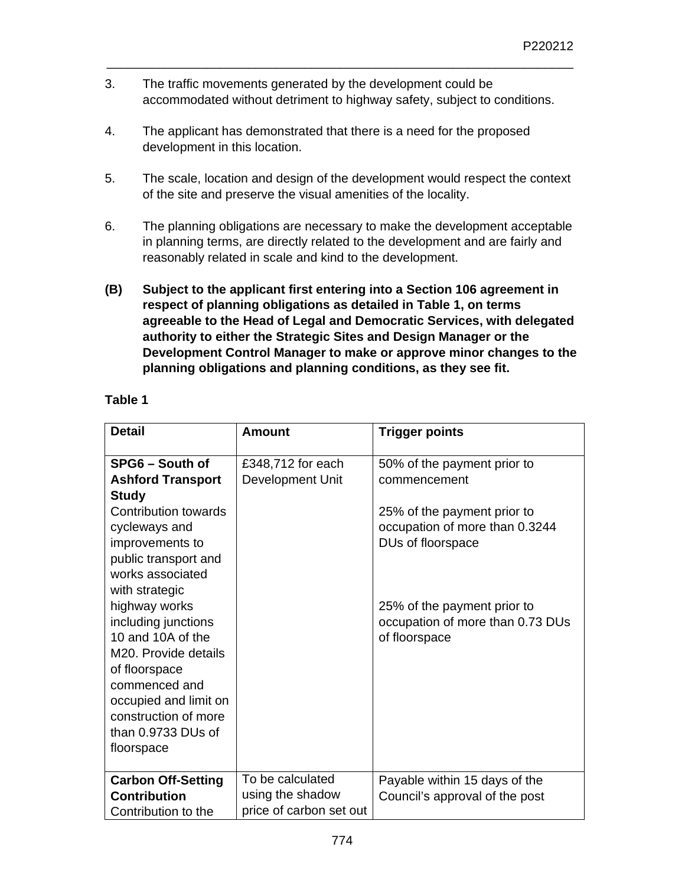3. The traffic movements generated by the development could be accommodated without detriment to highway safety, subject to conditions.

\_\_\_\_\_\_\_\_\_\_\_\_\_\_\_\_\_\_\_\_\_\_\_\_\_\_\_\_\_\_\_\_\_\_\_\_\_\_\_\_\_\_\_\_\_\_\_\_\_\_\_\_\_\_\_\_\_\_\_\_\_\_\_\_\_\_

- 4. The applicant has demonstrated that there is a need for the proposed development in this location.
- 5. The scale, location and design of the development would respect the context of the site and preserve the visual amenities of the locality.
- 6. The planning obligations are necessary to make the development acceptable in planning terms, are directly related to the development and are fairly and reasonably related in scale and kind to the development.
- **(B) Subject to the applicant first entering into a Section 106 agreement in respect of planning obligations as detailed in Table 1, on terms agreeable to the Head of Legal and Democratic Services, with delegated authority to either the Strategic Sites and Design Manager or the Development Control Manager to make or approve minor changes to the planning obligations and planning conditions, as they see fit.**

## **Table 1**

| <b>Detail</b>                     | <b>Amount</b>           | <b>Trigger points</b>            |
|-----------------------------------|-------------------------|----------------------------------|
| SPG6 - South of                   | £348,712 for each       | 50% of the payment prior to      |
| <b>Ashford Transport</b>          | Development Unit        | commencement                     |
| <b>Study</b>                      |                         |                                  |
| Contribution towards              |                         | 25% of the payment prior to      |
| cycleways and                     |                         | occupation of more than 0.3244   |
| improvements to                   |                         | DUs of floorspace                |
| public transport and              |                         |                                  |
| works associated                  |                         |                                  |
| with strategic                    |                         |                                  |
| highway works                     |                         | 25% of the payment prior to      |
| including junctions               |                         | occupation of more than 0.73 DUs |
| 10 and 10A of the                 |                         | of floorspace                    |
| M <sub>20</sub> . Provide details |                         |                                  |
| of floorspace                     |                         |                                  |
| commenced and                     |                         |                                  |
| occupied and limit on             |                         |                                  |
| construction of more              |                         |                                  |
| than 0.9733 DUs of                |                         |                                  |
| floorspace                        |                         |                                  |
|                                   |                         |                                  |
| <b>Carbon Off-Setting</b>         | To be calculated        | Payable within 15 days of the    |
| <b>Contribution</b>               | using the shadow        | Council's approval of the post   |
| Contribution to the               | price of carbon set out |                                  |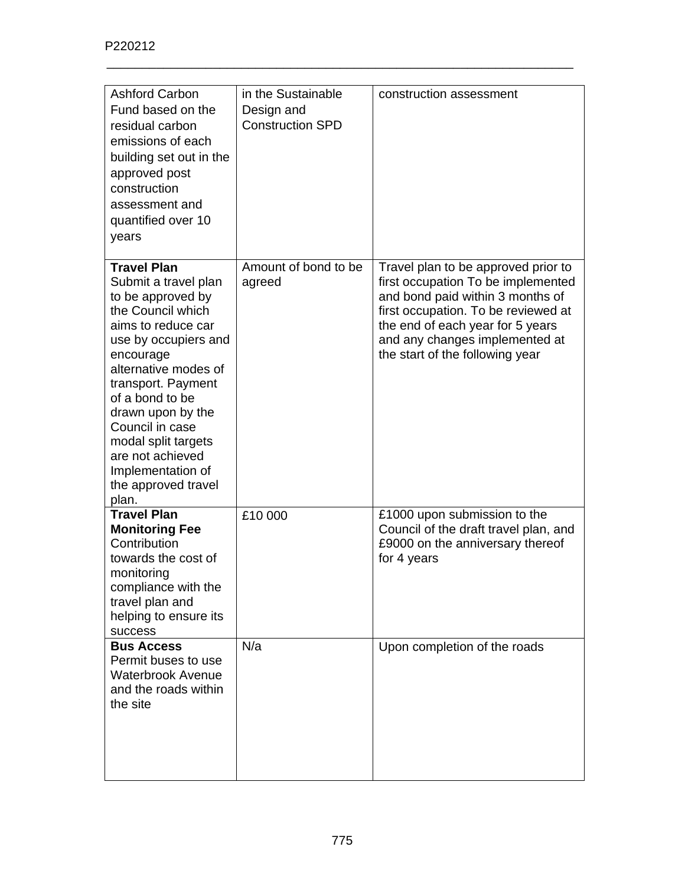| <b>Ashford Carbon</b><br>Fund based on the<br>residual carbon<br>emissions of each<br>building set out in the<br>approved post<br>construction<br>assessment and<br>quantified over 10<br>years                                                                                                                                                          | in the Sustainable<br>Design and<br><b>Construction SPD</b> | construction assessment                                                                                                                                                                                                                                       |
|----------------------------------------------------------------------------------------------------------------------------------------------------------------------------------------------------------------------------------------------------------------------------------------------------------------------------------------------------------|-------------------------------------------------------------|---------------------------------------------------------------------------------------------------------------------------------------------------------------------------------------------------------------------------------------------------------------|
| <b>Travel Plan</b><br>Submit a travel plan<br>to be approved by<br>the Council which<br>aims to reduce car<br>use by occupiers and<br>encourage<br>alternative modes of<br>transport. Payment<br>of a bond to be<br>drawn upon by the<br>Council in case<br>modal split targets<br>are not achieved<br>Implementation of<br>the approved travel<br>plan. | Amount of bond to be<br>agreed                              | Travel plan to be approved prior to<br>first occupation To be implemented<br>and bond paid within 3 months of<br>first occupation. To be reviewed at<br>the end of each year for 5 years<br>and any changes implemented at<br>the start of the following year |
| <b>Travel Plan</b><br><b>Monitoring Fee</b><br>Contribution<br>towards the cost of<br>monitoring<br>compliance with the<br>travel plan and<br>helping to ensure its<br>success                                                                                                                                                                           | £10 000                                                     | £1000 upon submission to the<br>Council of the draft travel plan, and<br>£9000 on the anniversary thereof<br>for 4 years                                                                                                                                      |
| <b>Bus Access</b><br>Permit buses to use<br><b>Waterbrook Avenue</b><br>and the roads within<br>the site                                                                                                                                                                                                                                                 | N/a                                                         | Upon completion of the roads                                                                                                                                                                                                                                  |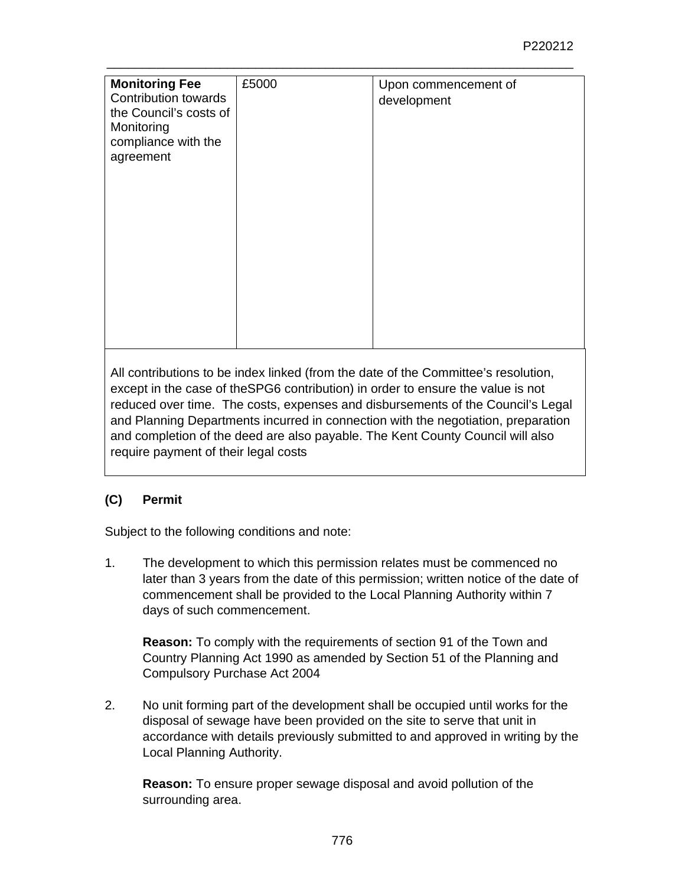| <b>Monitoring Fee</b><br>Contribution towards<br>the Council's costs of<br>Monitoring<br>compliance with the<br>agreement | £5000 | Upon commencement of<br>development |
|---------------------------------------------------------------------------------------------------------------------------|-------|-------------------------------------|
|                                                                                                                           |       |                                     |

All contributions to be index linked (from the date of the Committee's resolution, except in the case of theSPG6 contribution) in order to ensure the value is not reduced over time. The costs, expenses and disbursements of the Council's Legal and Planning Departments incurred in connection with the negotiation, preparation and completion of the deed are also payable. The Kent County Council will also require payment of their legal costs

# **(C) Permit**

Subject to the following conditions and note:

1. The development to which this permission relates must be commenced no later than 3 years from the date of this permission; written notice of the date of commencement shall be provided to the Local Planning Authority within 7 days of such commencement.

**Reason:** To comply with the requirements of section 91 of the Town and Country Planning Act 1990 as amended by Section 51 of the Planning and Compulsory Purchase Act 2004

2. No unit forming part of the development shall be occupied until works for the disposal of sewage have been provided on the site to serve that unit in accordance with details previously submitted to and approved in writing by the Local Planning Authority.

**Reason:** To ensure proper sewage disposal and avoid pollution of the surrounding area.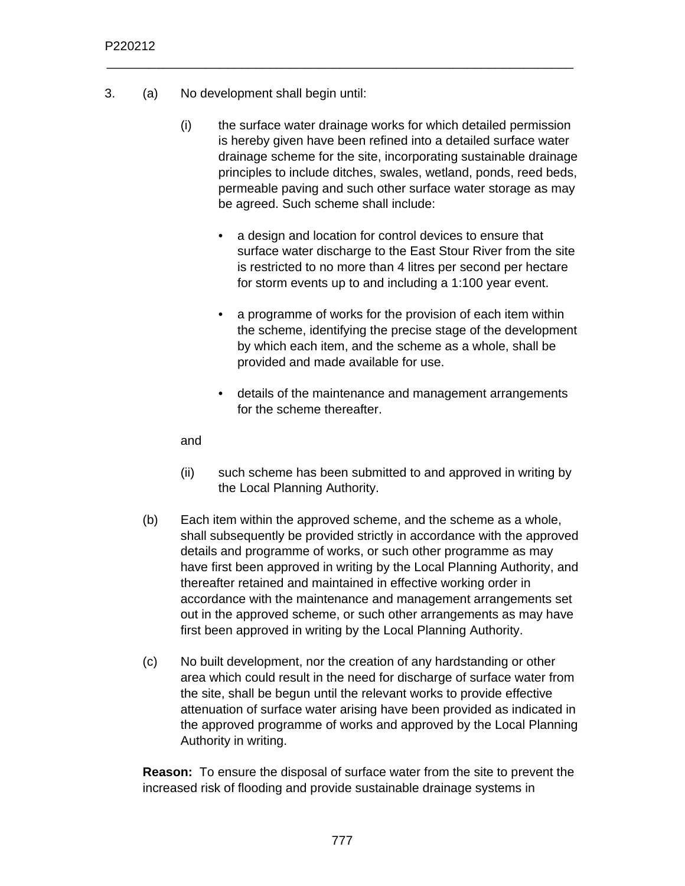- 3. (a) No development shall begin until:
	- (i) the surface water drainage works for which detailed permission is hereby given have been refined into a detailed surface water drainage scheme for the site, incorporating sustainable drainage principles to include ditches, swales, wetland, ponds, reed beds, permeable paving and such other surface water storage as may be agreed. Such scheme shall include:

- a design and location for control devices to ensure that surface water discharge to the East Stour River from the site is restricted to no more than 4 litres per second per hectare for storm events up to and including a 1:100 year event.
- a programme of works for the provision of each item within the scheme, identifying the precise stage of the development by which each item, and the scheme as a whole, shall be provided and made available for use.
- details of the maintenance and management arrangements for the scheme thereafter.

and

- (ii) such scheme has been submitted to and approved in writing by the Local Planning Authority.
- (b) Each item within the approved scheme, and the scheme as a whole, shall subsequently be provided strictly in accordance with the approved details and programme of works, or such other programme as may have first been approved in writing by the Local Planning Authority, and thereafter retained and maintained in effective working order in accordance with the maintenance and management arrangements set out in the approved scheme, or such other arrangements as may have first been approved in writing by the Local Planning Authority.
- (c) No built development, nor the creation of any hardstanding or other area which could result in the need for discharge of surface water from the site, shall be begun until the relevant works to provide effective attenuation of surface water arising have been provided as indicated in the approved programme of works and approved by the Local Planning Authority in writing.

**Reason:** To ensure the disposal of surface water from the site to prevent the increased risk of flooding and provide sustainable drainage systems in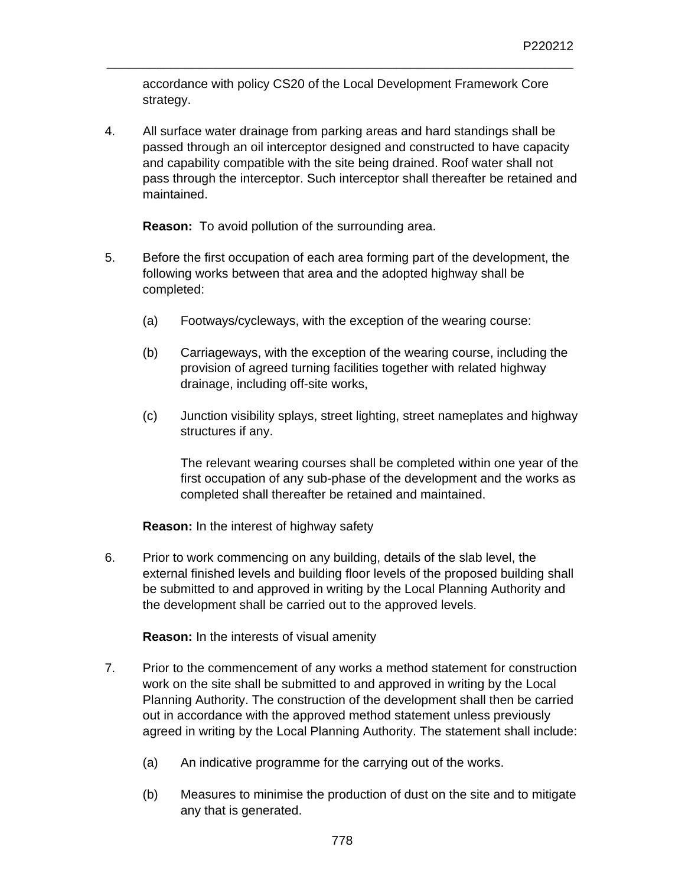accordance with policy CS20 of the Local Development Framework Core strategy.

\_\_\_\_\_\_\_\_\_\_\_\_\_\_\_\_\_\_\_\_\_\_\_\_\_\_\_\_\_\_\_\_\_\_\_\_\_\_\_\_\_\_\_\_\_\_\_\_\_\_\_\_\_\_\_\_\_\_\_\_\_\_\_\_\_\_

4. All surface water drainage from parking areas and hard standings shall be passed through an oil interceptor designed and constructed to have capacity and capability compatible with the site being drained. Roof water shall not pass through the interceptor. Such interceptor shall thereafter be retained and maintained.

**Reason:** To avoid pollution of the surrounding area.

- 5. Before the first occupation of each area forming part of the development, the following works between that area and the adopted highway shall be completed:
	- (a) Footways/cycleways, with the exception of the wearing course:
	- (b) Carriageways, with the exception of the wearing course, including the provision of agreed turning facilities together with related highway drainage, including off-site works,
	- (c) Junction visibility splays, street lighting, street nameplates and highway structures if any.

The relevant wearing courses shall be completed within one year of the first occupation of any sub-phase of the development and the works as completed shall thereafter be retained and maintained.

**Reason:** In the interest of highway safety

6. Prior to work commencing on any building, details of the slab level, the external finished levels and building floor levels of the proposed building shall be submitted to and approved in writing by the Local Planning Authority and the development shall be carried out to the approved levels.

**Reason:** In the interests of visual amenity

- 7. Prior to the commencement of any works a method statement for construction work on the site shall be submitted to and approved in writing by the Local Planning Authority. The construction of the development shall then be carried out in accordance with the approved method statement unless previously agreed in writing by the Local Planning Authority. The statement shall include:
	- (a) An indicative programme for the carrying out of the works.
	- (b) Measures to minimise the production of dust on the site and to mitigate any that is generated.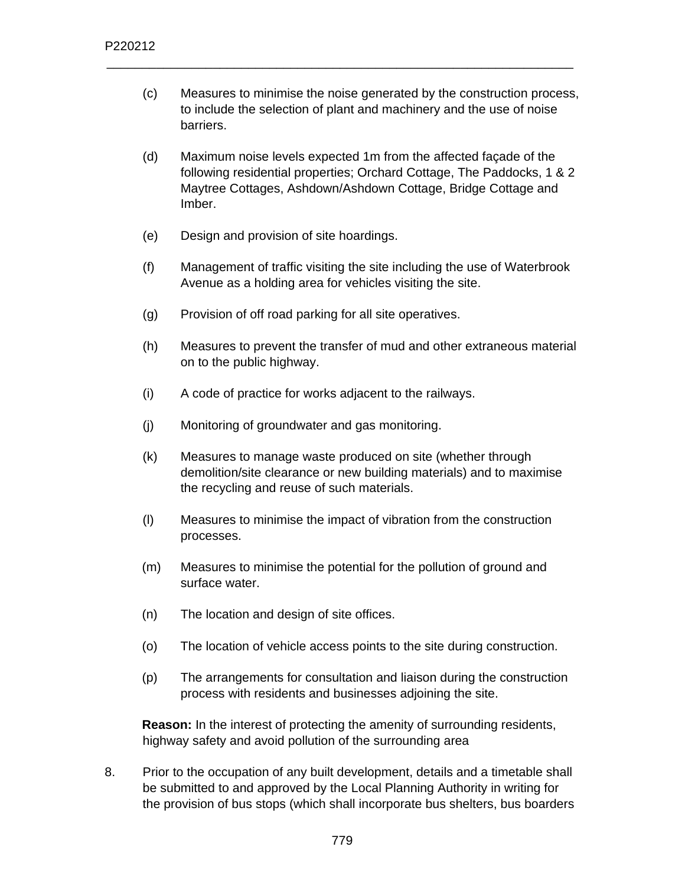(c) Measures to minimise the noise generated by the construction process, to include the selection of plant and machinery and the use of noise barriers.

\_\_\_\_\_\_\_\_\_\_\_\_\_\_\_\_\_\_\_\_\_\_\_\_\_\_\_\_\_\_\_\_\_\_\_\_\_\_\_\_\_\_\_\_\_\_\_\_\_\_\_\_\_\_\_\_\_\_\_\_\_\_\_\_\_\_

- (d) Maximum noise levels expected 1m from the affected façade of the following residential properties; Orchard Cottage, The Paddocks, 1 & 2 Maytree Cottages, Ashdown/Ashdown Cottage, Bridge Cottage and Imber.
- (e) Design and provision of site hoardings.
- (f) Management of traffic visiting the site including the use of Waterbrook Avenue as a holding area for vehicles visiting the site.
- (g) Provision of off road parking for all site operatives.
- (h) Measures to prevent the transfer of mud and other extraneous material on to the public highway.
- (i) A code of practice for works adjacent to the railways.
- (j) Monitoring of groundwater and gas monitoring.
- (k) Measures to manage waste produced on site (whether through demolition/site clearance or new building materials) and to maximise the recycling and reuse of such materials.
- (l) Measures to minimise the impact of vibration from the construction processes.
- (m) Measures to minimise the potential for the pollution of ground and surface water.
- (n) The location and design of site offices.
- (o) The location of vehicle access points to the site during construction.
- (p) The arrangements for consultation and liaison during the construction process with residents and businesses adjoining the site.

**Reason:** In the interest of protecting the amenity of surrounding residents, highway safety and avoid pollution of the surrounding area

8. Prior to the occupation of any built development, details and a timetable shall be submitted to and approved by the Local Planning Authority in writing for the provision of bus stops (which shall incorporate bus shelters, bus boarders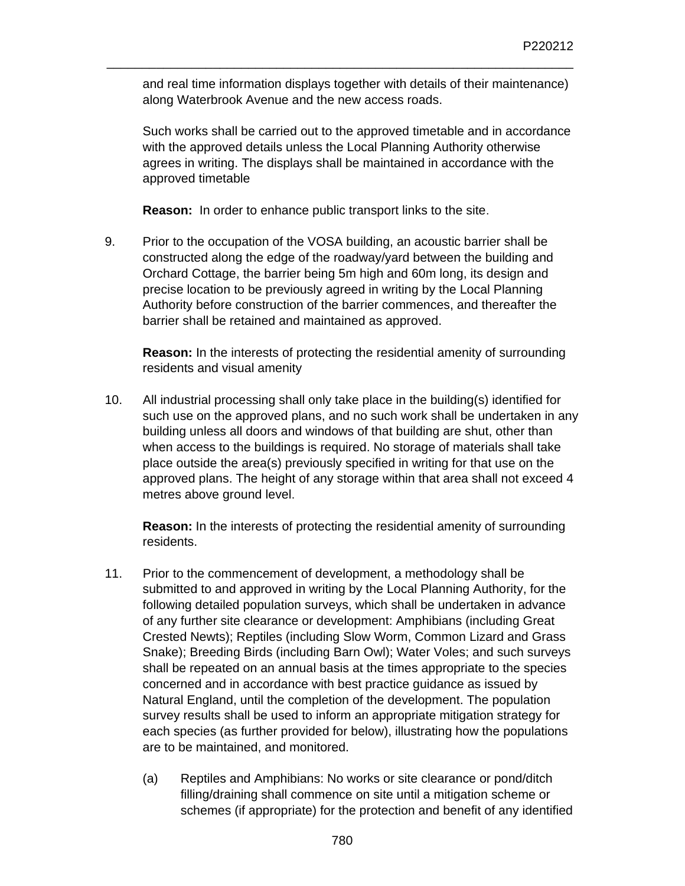and real time information displays together with details of their maintenance) along Waterbrook Avenue and the new access roads.

\_\_\_\_\_\_\_\_\_\_\_\_\_\_\_\_\_\_\_\_\_\_\_\_\_\_\_\_\_\_\_\_\_\_\_\_\_\_\_\_\_\_\_\_\_\_\_\_\_\_\_\_\_\_\_\_\_\_\_\_\_\_\_\_\_\_

Such works shall be carried out to the approved timetable and in accordance with the approved details unless the Local Planning Authority otherwise agrees in writing. The displays shall be maintained in accordance with the approved timetable

**Reason:** In order to enhance public transport links to the site.

9. Prior to the occupation of the VOSA building, an acoustic barrier shall be constructed along the edge of the roadway/yard between the building and Orchard Cottage, the barrier being 5m high and 60m long, its design and precise location to be previously agreed in writing by the Local Planning Authority before construction of the barrier commences, and thereafter the barrier shall be retained and maintained as approved.

**Reason:** In the interests of protecting the residential amenity of surrounding residents and visual amenity

10. All industrial processing shall only take place in the building(s) identified for such use on the approved plans, and no such work shall be undertaken in any building unless all doors and windows of that building are shut, other than when access to the buildings is required. No storage of materials shall take place outside the area(s) previously specified in writing for that use on the approved plans. The height of any storage within that area shall not exceed 4 metres above ground level.

**Reason:** In the interests of protecting the residential amenity of surrounding residents.

- 11. Prior to the commencement of development, a methodology shall be submitted to and approved in writing by the Local Planning Authority, for the following detailed population surveys, which shall be undertaken in advance of any further site clearance or development: Amphibians (including Great Crested Newts); Reptiles (including Slow Worm, Common Lizard and Grass Snake); Breeding Birds (including Barn Owl); Water Voles; and such surveys shall be repeated on an annual basis at the times appropriate to the species concerned and in accordance with best practice guidance as issued by Natural England, until the completion of the development. The population survey results shall be used to inform an appropriate mitigation strategy for each species (as further provided for below), illustrating how the populations are to be maintained, and monitored.
	- (a) Reptiles and Amphibians: No works or site clearance or pond/ditch filling/draining shall commence on site until a mitigation scheme or schemes (if appropriate) for the protection and benefit of any identified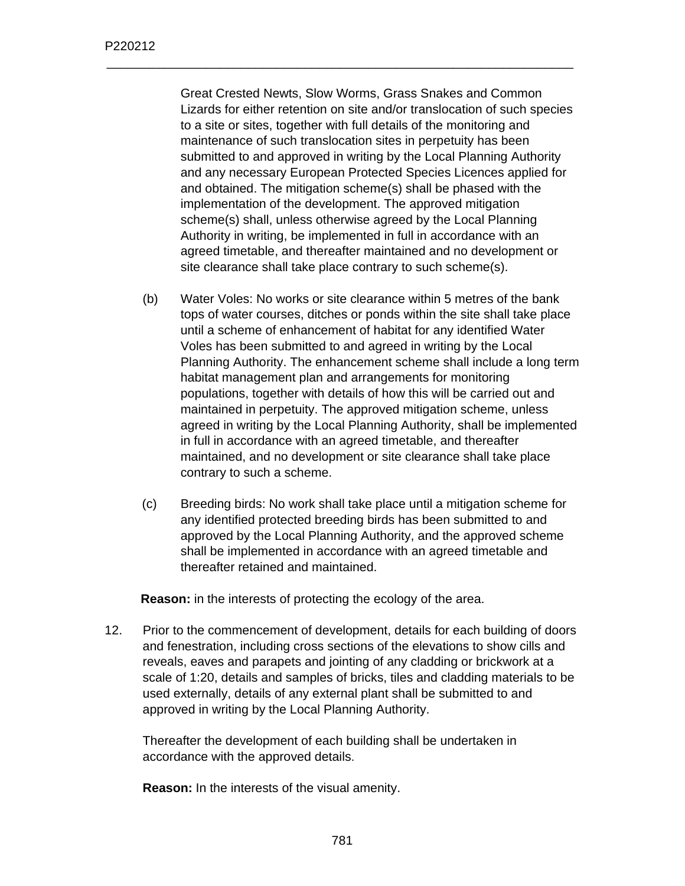Great Crested Newts, Slow Worms, Grass Snakes and Common Lizards for either retention on site and/or translocation of such species to a site or sites, together with full details of the monitoring and maintenance of such translocation sites in perpetuity has been submitted to and approved in writing by the Local Planning Authority and any necessary European Protected Species Licences applied for and obtained. The mitigation scheme(s) shall be phased with the implementation of the development. The approved mitigation scheme(s) shall, unless otherwise agreed by the Local Planning Authority in writing, be implemented in full in accordance with an agreed timetable, and thereafter maintained and no development or site clearance shall take place contrary to such scheme(s).

\_\_\_\_\_\_\_\_\_\_\_\_\_\_\_\_\_\_\_\_\_\_\_\_\_\_\_\_\_\_\_\_\_\_\_\_\_\_\_\_\_\_\_\_\_\_\_\_\_\_\_\_\_\_\_\_\_\_\_\_\_\_\_\_\_\_

- (b) Water Voles: No works or site clearance within 5 metres of the bank tops of water courses, ditches or ponds within the site shall take place until a scheme of enhancement of habitat for any identified Water Voles has been submitted to and agreed in writing by the Local Planning Authority. The enhancement scheme shall include a long term habitat management plan and arrangements for monitoring populations, together with details of how this will be carried out and maintained in perpetuity. The approved mitigation scheme, unless agreed in writing by the Local Planning Authority, shall be implemented in full in accordance with an agreed timetable, and thereafter maintained, and no development or site clearance shall take place contrary to such a scheme.
- (c) Breeding birds: No work shall take place until a mitigation scheme for any identified protected breeding birds has been submitted to and approved by the Local Planning Authority, and the approved scheme shall be implemented in accordance with an agreed timetable and thereafter retained and maintained.

**Reason:** in the interests of protecting the ecology of the area.

12. Prior to the commencement of development, details for each building of doors and fenestration, including cross sections of the elevations to show cills and reveals, eaves and parapets and jointing of any cladding or brickwork at a scale of 1:20, details and samples of bricks, tiles and cladding materials to be used externally, details of any external plant shall be submitted to and approved in writing by the Local Planning Authority.

Thereafter the development of each building shall be undertaken in accordance with the approved details.

**Reason:** In the interests of the visual amenity.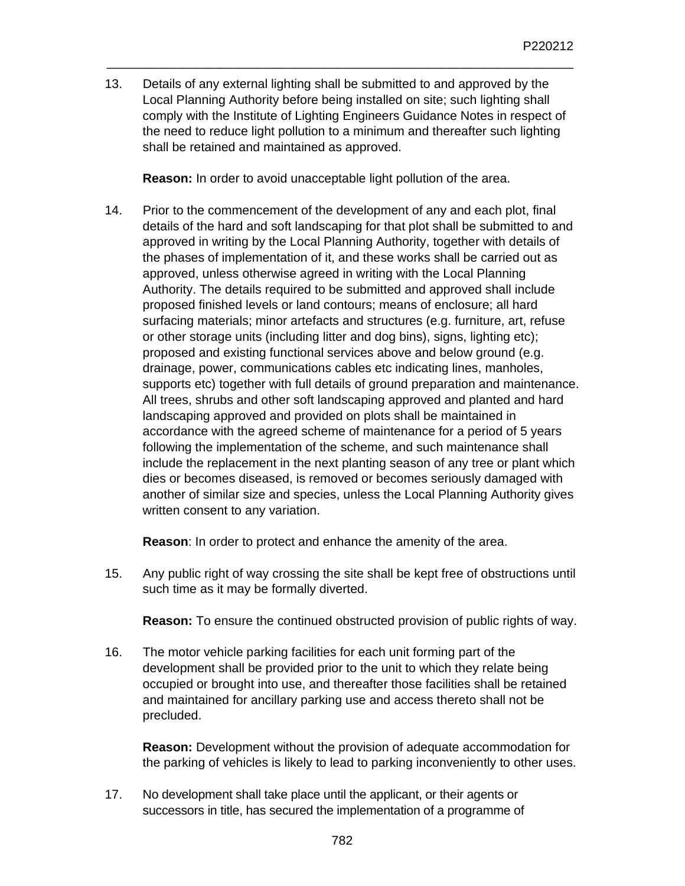13. Details of any external lighting shall be submitted to and approved by the Local Planning Authority before being installed on site; such lighting shall comply with the Institute of Lighting Engineers Guidance Notes in respect of the need to reduce light pollution to a minimum and thereafter such lighting shall be retained and maintained as approved.

\_\_\_\_\_\_\_\_\_\_\_\_\_\_\_\_\_\_\_\_\_\_\_\_\_\_\_\_\_\_\_\_\_\_\_\_\_\_\_\_\_\_\_\_\_\_\_\_\_\_\_\_\_\_\_\_\_\_\_\_\_\_\_\_\_\_

**Reason:** In order to avoid unacceptable light pollution of the area.

14. Prior to the commencement of the development of any and each plot, final details of the hard and soft landscaping for that plot shall be submitted to and approved in writing by the Local Planning Authority, together with details of the phases of implementation of it, and these works shall be carried out as approved, unless otherwise agreed in writing with the Local Planning Authority. The details required to be submitted and approved shall include proposed finished levels or land contours; means of enclosure; all hard surfacing materials; minor artefacts and structures (e.g. furniture, art, refuse or other storage units (including litter and dog bins), signs, lighting etc); proposed and existing functional services above and below ground (e.g. drainage, power, communications cables etc indicating lines, manholes, supports etc) together with full details of ground preparation and maintenance. All trees, shrubs and other soft landscaping approved and planted and hard landscaping approved and provided on plots shall be maintained in accordance with the agreed scheme of maintenance for a period of 5 years following the implementation of the scheme, and such maintenance shall include the replacement in the next planting season of any tree or plant which dies or becomes diseased, is removed or becomes seriously damaged with another of similar size and species, unless the Local Planning Authority gives written consent to any variation.

**Reason**: In order to protect and enhance the amenity of the area.

15. Any public right of way crossing the site shall be kept free of obstructions until such time as it may be formally diverted.

**Reason:** To ensure the continued obstructed provision of public rights of way.

16. The motor vehicle parking facilities for each unit forming part of the development shall be provided prior to the unit to which they relate being occupied or brought into use, and thereafter those facilities shall be retained and maintained for ancillary parking use and access thereto shall not be precluded.

**Reason:** Development without the provision of adequate accommodation for the parking of vehicles is likely to lead to parking inconveniently to other uses.

17. No development shall take place until the applicant, or their agents or successors in title, has secured the implementation of a programme of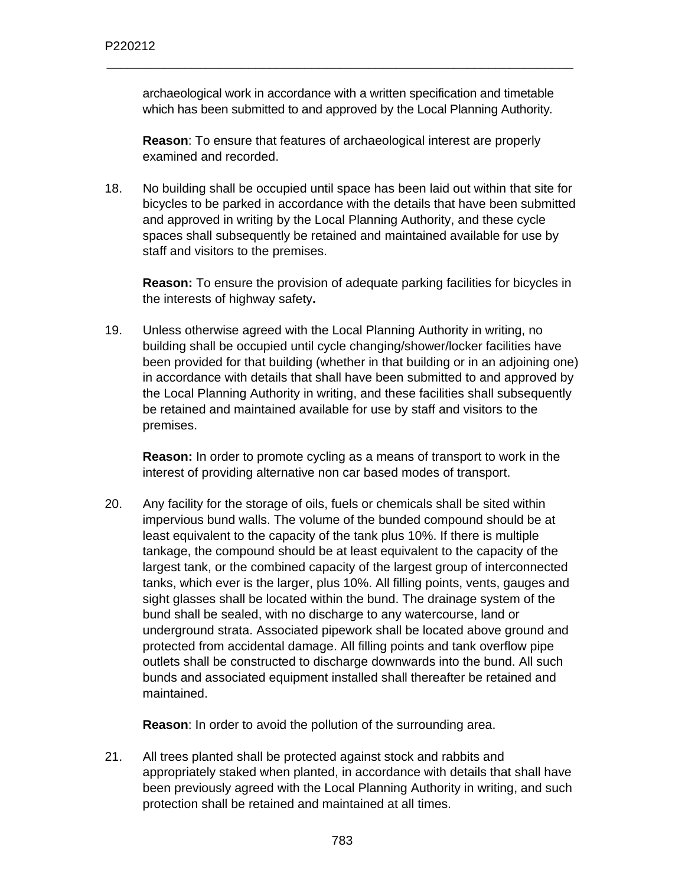archaeological work in accordance with a written specification and timetable which has been submitted to and approved by the Local Planning Authority*.*

\_\_\_\_\_\_\_\_\_\_\_\_\_\_\_\_\_\_\_\_\_\_\_\_\_\_\_\_\_\_\_\_\_\_\_\_\_\_\_\_\_\_\_\_\_\_\_\_\_\_\_\_\_\_\_\_\_\_\_\_\_\_\_\_\_\_

**Reason**: To ensure that features of archaeological interest are properly examined and recorded.

18. No building shall be occupied until space has been laid out within that site for bicycles to be parked in accordance with the details that have been submitted and approved in writing by the Local Planning Authority, and these cycle spaces shall subsequently be retained and maintained available for use by staff and visitors to the premises.

**Reason:** To ensure the provision of adequate parking facilities for bicycles in the interests of highway safety**.** 

19. Unless otherwise agreed with the Local Planning Authority in writing, no building shall be occupied until cycle changing/shower/locker facilities have been provided for that building (whether in that building or in an adjoining one) in accordance with details that shall have been submitted to and approved by the Local Planning Authority in writing, and these facilities shall subsequently be retained and maintained available for use by staff and visitors to the premises.

**Reason:** In order to promote cycling as a means of transport to work in the interest of providing alternative non car based modes of transport.

20. Any facility for the storage of oils, fuels or chemicals shall be sited within impervious bund walls. The volume of the bunded compound should be at least equivalent to the capacity of the tank plus 10%. If there is multiple tankage, the compound should be at least equivalent to the capacity of the largest tank, or the combined capacity of the largest group of interconnected tanks, which ever is the larger, plus 10%. All filling points, vents, gauges and sight glasses shall be located within the bund. The drainage system of the bund shall be sealed, with no discharge to any watercourse, land or underground strata. Associated pipework shall be located above ground and protected from accidental damage. All filling points and tank overflow pipe outlets shall be constructed to discharge downwards into the bund. All such bunds and associated equipment installed shall thereafter be retained and maintained.

**Reason**: In order to avoid the pollution of the surrounding area.

21. All trees planted shall be protected against stock and rabbits and appropriately staked when planted, in accordance with details that shall have been previously agreed with the Local Planning Authority in writing, and such protection shall be retained and maintained at all times.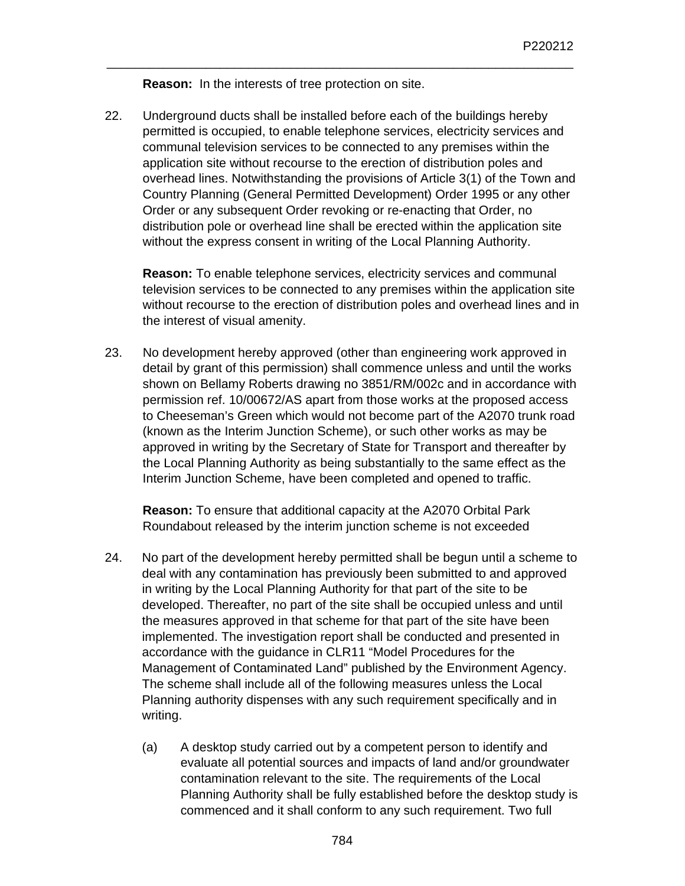**Reason:** In the interests of tree protection on site.

22. Underground ducts shall be installed before each of the buildings hereby permitted is occupied, to enable telephone services, electricity services and communal television services to be connected to any premises within the application site without recourse to the erection of distribution poles and overhead lines. Notwithstanding the provisions of Article 3(1) of the Town and Country Planning (General Permitted Development) Order 1995 or any other Order or any subsequent Order revoking or re-enacting that Order, no distribution pole or overhead line shall be erected within the application site without the express consent in writing of the Local Planning Authority.

\_\_\_\_\_\_\_\_\_\_\_\_\_\_\_\_\_\_\_\_\_\_\_\_\_\_\_\_\_\_\_\_\_\_\_\_\_\_\_\_\_\_\_\_\_\_\_\_\_\_\_\_\_\_\_\_\_\_\_\_\_\_\_\_\_\_

**Reason:** To enable telephone services, electricity services and communal television services to be connected to any premises within the application site without recourse to the erection of distribution poles and overhead lines and in the interest of visual amenity.

23. No development hereby approved (other than engineering work approved in detail by grant of this permission) shall commence unless and until the works shown on Bellamy Roberts drawing no 3851/RM/002c and in accordance with permission ref. 10/00672/AS apart from those works at the proposed access to Cheeseman's Green which would not become part of the A2070 trunk road (known as the Interim Junction Scheme), or such other works as may be approved in writing by the Secretary of State for Transport and thereafter by the Local Planning Authority as being substantially to the same effect as the Interim Junction Scheme, have been completed and opened to traffic.

**Reason:** To ensure that additional capacity at the A2070 Orbital Park Roundabout released by the interim junction scheme is not exceeded

- 24. No part of the development hereby permitted shall be begun until a scheme to deal with any contamination has previously been submitted to and approved in writing by the Local Planning Authority for that part of the site to be developed. Thereafter, no part of the site shall be occupied unless and until the measures approved in that scheme for that part of the site have been implemented. The investigation report shall be conducted and presented in accordance with the guidance in CLR11 "Model Procedures for the Management of Contaminated Land" published by the Environment Agency. The scheme shall include all of the following measures unless the Local Planning authority dispenses with any such requirement specifically and in writing.
	- (a) A desktop study carried out by a competent person to identify and evaluate all potential sources and impacts of land and/or groundwater contamination relevant to the site. The requirements of the Local Planning Authority shall be fully established before the desktop study is commenced and it shall conform to any such requirement. Two full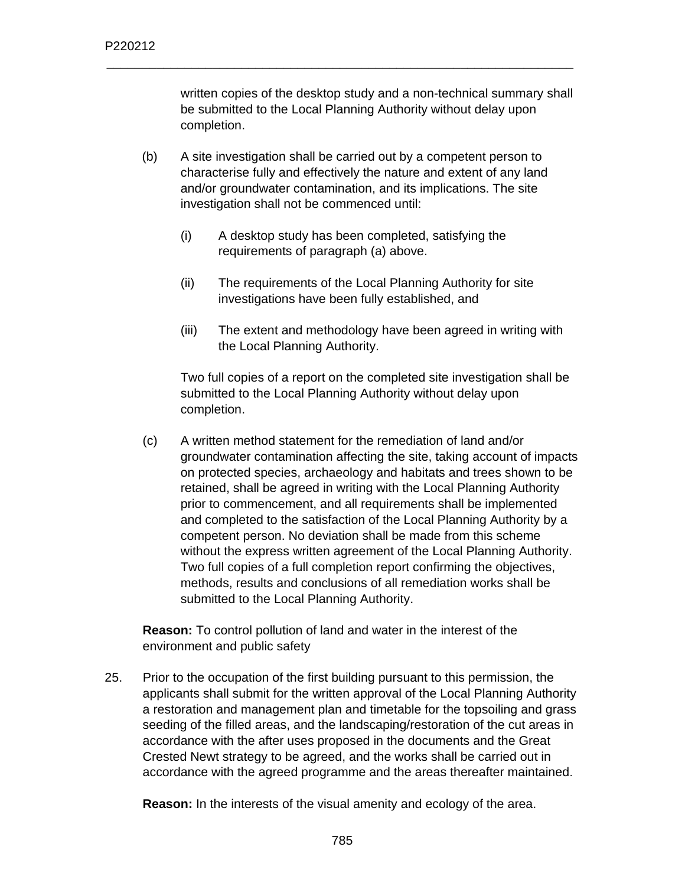written copies of the desktop study and a non-technical summary shall be submitted to the Local Planning Authority without delay upon completion.

(b) A site investigation shall be carried out by a competent person to characterise fully and effectively the nature and extent of any land and/or groundwater contamination, and its implications. The site investigation shall not be commenced until:

\_\_\_\_\_\_\_\_\_\_\_\_\_\_\_\_\_\_\_\_\_\_\_\_\_\_\_\_\_\_\_\_\_\_\_\_\_\_\_\_\_\_\_\_\_\_\_\_\_\_\_\_\_\_\_\_\_\_\_\_\_\_\_\_\_\_

- (i) A desktop study has been completed, satisfying the requirements of paragraph (a) above.
- (ii) The requirements of the Local Planning Authority for site investigations have been fully established, and
- (iii) The extent and methodology have been agreed in writing with the Local Planning Authority.

Two full copies of a report on the completed site investigation shall be submitted to the Local Planning Authority without delay upon completion.

(c) A written method statement for the remediation of land and/or groundwater contamination affecting the site, taking account of impacts on protected species, archaeology and habitats and trees shown to be retained, shall be agreed in writing with the Local Planning Authority prior to commencement, and all requirements shall be implemented and completed to the satisfaction of the Local Planning Authority by a competent person. No deviation shall be made from this scheme without the express written agreement of the Local Planning Authority. Two full copies of a full completion report confirming the objectives, methods, results and conclusions of all remediation works shall be submitted to the Local Planning Authority.

**Reason:** To control pollution of land and water in the interest of the environment and public safety

25. Prior to the occupation of the first building pursuant to this permission, the applicants shall submit for the written approval of the Local Planning Authority a restoration and management plan and timetable for the topsoiling and grass seeding of the filled areas, and the landscaping/restoration of the cut areas in accordance with the after uses proposed in the documents and the Great Crested Newt strategy to be agreed, and the works shall be carried out in accordance with the agreed programme and the areas thereafter maintained.

**Reason:** In the interests of the visual amenity and ecology of the area.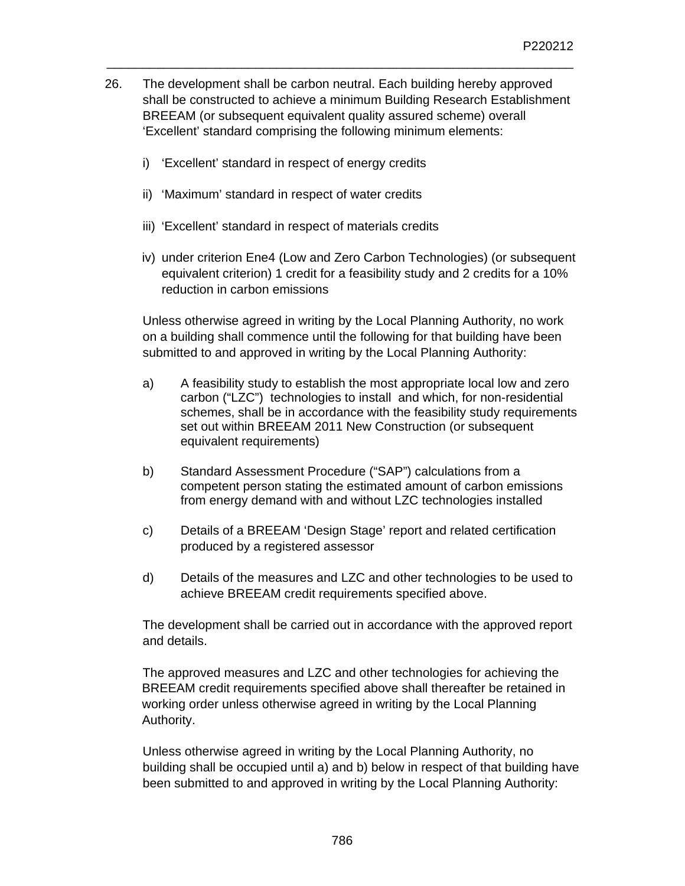26. The development shall be carbon neutral. Each building hereby approved shall be constructed to achieve a minimum Building Research Establishment BREEAM (or subsequent equivalent quality assured scheme) overall 'Excellent' standard comprising the following minimum elements:

\_\_\_\_\_\_\_\_\_\_\_\_\_\_\_\_\_\_\_\_\_\_\_\_\_\_\_\_\_\_\_\_\_\_\_\_\_\_\_\_\_\_\_\_\_\_\_\_\_\_\_\_\_\_\_\_\_\_\_\_\_\_\_\_\_\_

- i) 'Excellent' standard in respect of energy credits
- ii) 'Maximum' standard in respect of water credits
- iii) 'Excellent' standard in respect of materials credits
- iv) under criterion Ene4 (Low and Zero Carbon Technologies) (or subsequent equivalent criterion) 1 credit for a feasibility study and 2 credits for a 10% reduction in carbon emissions

Unless otherwise agreed in writing by the Local Planning Authority, no work on a building shall commence until the following for that building have been submitted to and approved in writing by the Local Planning Authority:

- a) A feasibility study to establish the most appropriate local low and zero carbon ("LZC") technologies to install and which, for non-residential schemes, shall be in accordance with the feasibility study requirements set out within BREEAM 2011 New Construction (or subsequent equivalent requirements)
- b) Standard Assessment Procedure ("SAP") calculations from a competent person stating the estimated amount of carbon emissions from energy demand with and without LZC technologies installed
- c) Details of a BREEAM 'Design Stage' report and related certification produced by a registered assessor
- d) Details of the measures and LZC and other technologies to be used to achieve BREEAM credit requirements specified above.

The development shall be carried out in accordance with the approved report and details.

The approved measures and LZC and other technologies for achieving the BREEAM credit requirements specified above shall thereafter be retained in working order unless otherwise agreed in writing by the Local Planning Authority.

Unless otherwise agreed in writing by the Local Planning Authority, no building shall be occupied until a) and b) below in respect of that building have been submitted to and approved in writing by the Local Planning Authority: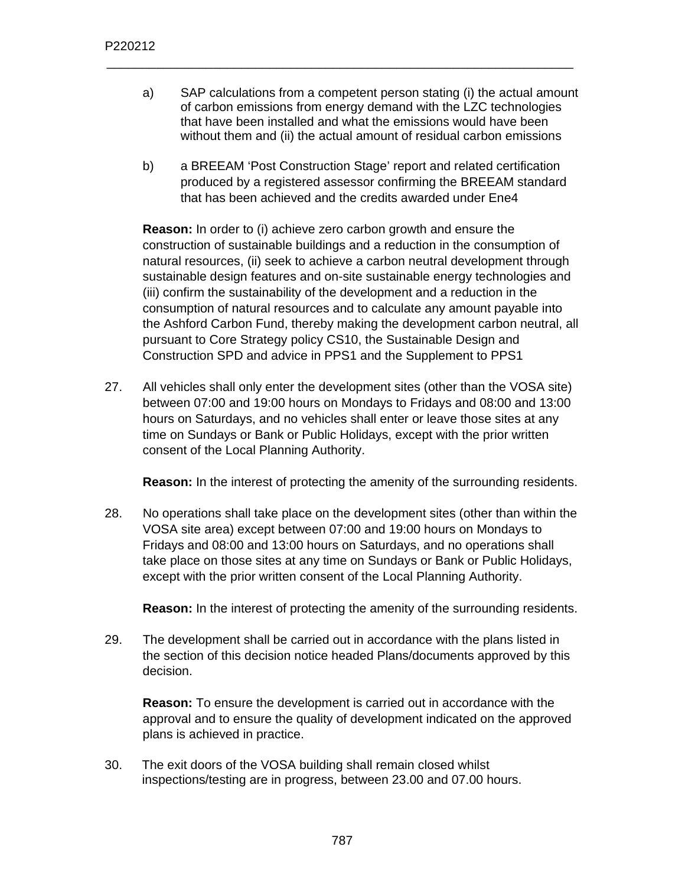a) SAP calculations from a competent person stating (i) the actual amount of carbon emissions from energy demand with the LZC technologies that have been installed and what the emissions would have been without them and (ii) the actual amount of residual carbon emissions

\_\_\_\_\_\_\_\_\_\_\_\_\_\_\_\_\_\_\_\_\_\_\_\_\_\_\_\_\_\_\_\_\_\_\_\_\_\_\_\_\_\_\_\_\_\_\_\_\_\_\_\_\_\_\_\_\_\_\_\_\_\_\_\_\_\_

b) a BREEAM 'Post Construction Stage' report and related certification produced by a registered assessor confirming the BREEAM standard that has been achieved and the credits awarded under Ene4

**Reason:** In order to (i) achieve zero carbon growth and ensure the construction of sustainable buildings and a reduction in the consumption of natural resources, (ii) seek to achieve a carbon neutral development through sustainable design features and on-site sustainable energy technologies and (iii) confirm the sustainability of the development and a reduction in the consumption of natural resources and to calculate any amount payable into the Ashford Carbon Fund, thereby making the development carbon neutral, all pursuant to Core Strategy policy CS10, the Sustainable Design and Construction SPD and advice in PPS1 and the Supplement to PPS1

27. All vehicles shall only enter the development sites (other than the VOSA site) between 07:00 and 19:00 hours on Mondays to Fridays and 08:00 and 13:00 hours on Saturdays, and no vehicles shall enter or leave those sites at any time on Sundays or Bank or Public Holidays, except with the prior written consent of the Local Planning Authority.

**Reason:** In the interest of protecting the amenity of the surrounding residents.

28. No operations shall take place on the development sites (other than within the VOSA site area) except between 07:00 and 19:00 hours on Mondays to Fridays and 08:00 and 13:00 hours on Saturdays, and no operations shall take place on those sites at any time on Sundays or Bank or Public Holidays, except with the prior written consent of the Local Planning Authority.

**Reason:** In the interest of protecting the amenity of the surrounding residents.

29. The development shall be carried out in accordance with the plans listed in the section of this decision notice headed Plans/documents approved by this decision.

**Reason:** To ensure the development is carried out in accordance with the approval and to ensure the quality of development indicated on the approved plans is achieved in practice.

30. The exit doors of the VOSA building shall remain closed whilst inspections/testing are in progress, between 23.00 and 07.00 hours.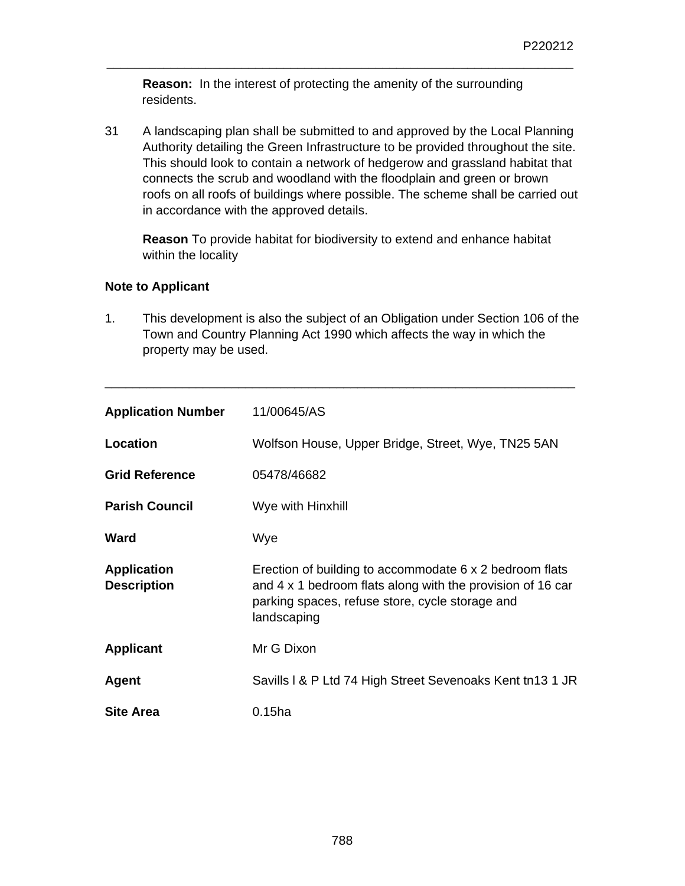**Reason:** In the interest of protecting the amenity of the surrounding residents.

\_\_\_\_\_\_\_\_\_\_\_\_\_\_\_\_\_\_\_\_\_\_\_\_\_\_\_\_\_\_\_\_\_\_\_\_\_\_\_\_\_\_\_\_\_\_\_\_\_\_\_\_\_\_\_\_\_\_\_\_\_\_\_\_\_\_

31 A landscaping plan shall be submitted to and approved by the Local Planning Authority detailing the Green Infrastructure to be provided throughout the site. This should look to contain a network of hedgerow and grassland habitat that connects the scrub and woodland with the floodplain and green or brown roofs on all roofs of buildings where possible. The scheme shall be carried out in accordance with the approved details.

**Reason** To provide habitat for biodiversity to extend and enhance habitat within the locality

## **Note to Applicant**

1. This development is also the subject of an Obligation under Section 106 of the Town and Country Planning Act 1990 which affects the way in which the property may be used.

\_\_\_\_\_\_\_\_\_\_\_\_\_\_\_\_\_\_\_\_\_\_\_\_\_\_\_\_\_\_\_\_\_\_\_\_\_\_\_\_\_\_\_\_\_\_\_\_\_\_\_\_\_\_\_\_\_\_\_\_\_\_\_\_\_\_\_

| <b>Application Number</b>                | 11/00645/AS                                                                                                                                                                             |  |
|------------------------------------------|-----------------------------------------------------------------------------------------------------------------------------------------------------------------------------------------|--|
| Location                                 | Wolfson House, Upper Bridge, Street, Wye, TN25 5AN                                                                                                                                      |  |
| <b>Grid Reference</b>                    | 05478/46682                                                                                                                                                                             |  |
| <b>Parish Council</b>                    | Wye with Hinxhill                                                                                                                                                                       |  |
| Ward                                     | Wye                                                                                                                                                                                     |  |
| <b>Application</b><br><b>Description</b> | Erection of building to accommodate 6 x 2 bedroom flats<br>and 4 x 1 bedroom flats along with the provision of 16 car<br>parking spaces, refuse store, cycle storage and<br>landscaping |  |
| <b>Applicant</b>                         | Mr G Dixon                                                                                                                                                                              |  |
| Agent                                    | Savills I & P Ltd 74 High Street Sevenoaks Kent tn13 1 JR                                                                                                                               |  |
| <b>Site Area</b>                         | $0.15$ ha                                                                                                                                                                               |  |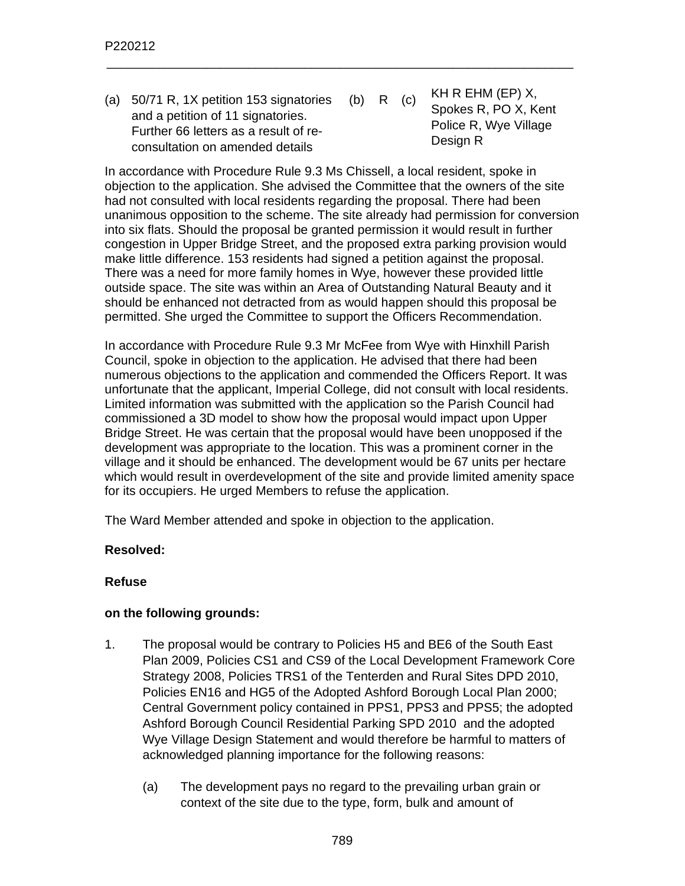(a) 50/71 R, 1X petition 153 signatories and a petition of 11 signatories. Further 66 letters as a result of reconsultation on amended details (b) R (c) KH R EHM (EP)  $X$ , Spokes R, PO X, Kent Police R, Wye Village Design R

\_\_\_\_\_\_\_\_\_\_\_\_\_\_\_\_\_\_\_\_\_\_\_\_\_\_\_\_\_\_\_\_\_\_\_\_\_\_\_\_\_\_\_\_\_\_\_\_\_\_\_\_\_\_\_\_\_\_\_\_\_\_\_\_\_\_

In accordance with Procedure Rule 9.3 Ms Chissell, a local resident, spoke in objection to the application. She advised the Committee that the owners of the site had not consulted with local residents regarding the proposal. There had been unanimous opposition to the scheme. The site already had permission for conversion into six flats. Should the proposal be granted permission it would result in further congestion in Upper Bridge Street, and the proposed extra parking provision would make little difference. 153 residents had signed a petition against the proposal. There was a need for more family homes in Wye, however these provided little outside space. The site was within an Area of Outstanding Natural Beauty and it should be enhanced not detracted from as would happen should this proposal be permitted. She urged the Committee to support the Officers Recommendation.

In accordance with Procedure Rule 9.3 Mr McFee from Wye with Hinxhill Parish Council, spoke in objection to the application. He advised that there had been numerous objections to the application and commended the Officers Report. It was unfortunate that the applicant, Imperial College, did not consult with local residents. Limited information was submitted with the application so the Parish Council had commissioned a 3D model to show how the proposal would impact upon Upper Bridge Street. He was certain that the proposal would have been unopposed if the development was appropriate to the location. This was a prominent corner in the village and it should be enhanced. The development would be 67 units per hectare which would result in overdevelopment of the site and provide limited amenity space for its occupiers. He urged Members to refuse the application.

The Ward Member attended and spoke in objection to the application.

### **Resolved:**

### **Refuse**

### **on the following grounds:**

- 1. The proposal would be contrary to Policies H5 and BE6 of the South East Plan 2009, Policies CS1 and CS9 of the Local Development Framework Core Strategy 2008, Policies TRS1 of the Tenterden and Rural Sites DPD 2010, Policies EN16 and HG5 of the Adopted Ashford Borough Local Plan 2000; Central Government policy contained in PPS1, PPS3 and PPS5; the adopted Ashford Borough Council Residential Parking SPD 2010 and the adopted Wye Village Design Statement and would therefore be harmful to matters of acknowledged planning importance for the following reasons:
	- (a) The development pays no regard to the prevailing urban grain or context of the site due to the type, form, bulk and amount of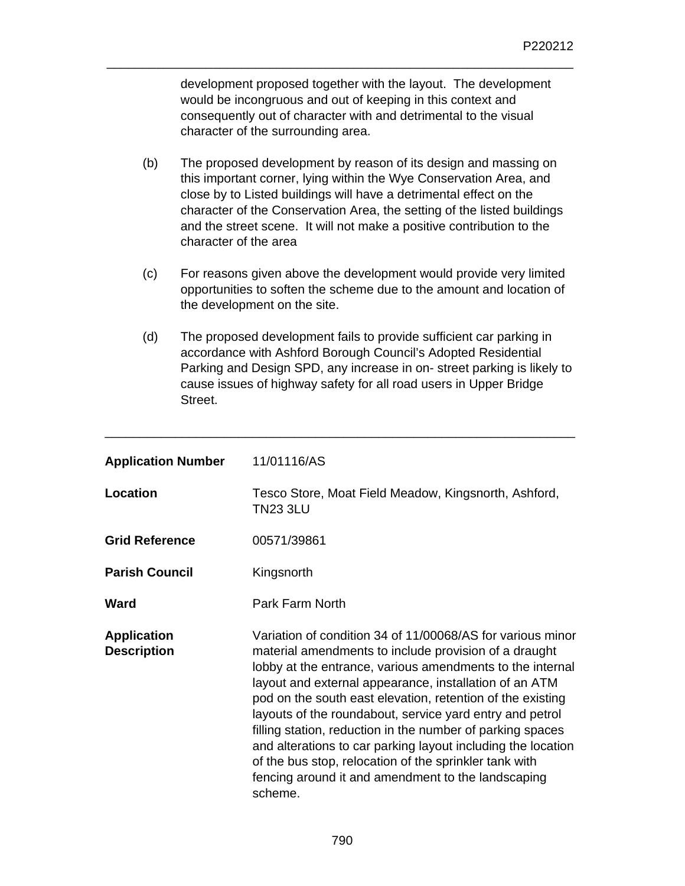development proposed together with the layout. The development would be incongruous and out of keeping in this context and consequently out of character with and detrimental to the visual character of the surrounding area.

\_\_\_\_\_\_\_\_\_\_\_\_\_\_\_\_\_\_\_\_\_\_\_\_\_\_\_\_\_\_\_\_\_\_\_\_\_\_\_\_\_\_\_\_\_\_\_\_\_\_\_\_\_\_\_\_\_\_\_\_\_\_\_\_\_\_

- (b) The proposed development by reason of its design and massing on this important corner, lying within the Wye Conservation Area, and close by to Listed buildings will have a detrimental effect on the character of the Conservation Area, the setting of the listed buildings and the street scene. It will not make a positive contribution to the character of the area
- (c) For reasons given above the development would provide very limited opportunities to soften the scheme due to the amount and location of the development on the site.
- (d) The proposed development fails to provide sufficient car parking in accordance with Ashford Borough Council's Adopted Residential Parking and Design SPD, any increase in on- street parking is likely to cause issues of highway safety for all road users in Upper Bridge Street.

\_\_\_\_\_\_\_\_\_\_\_\_\_\_\_\_\_\_\_\_\_\_\_\_\_\_\_\_\_\_\_\_\_\_\_\_\_\_\_\_\_\_\_\_\_\_\_\_\_\_\_\_\_\_\_\_\_\_\_\_\_\_\_\_\_\_\_

| <b>Application Number</b>                | 11/01116/AS                                                                                                                                                                                                                                                                                                                                                                                                                                                                                                                                                                                                                   |
|------------------------------------------|-------------------------------------------------------------------------------------------------------------------------------------------------------------------------------------------------------------------------------------------------------------------------------------------------------------------------------------------------------------------------------------------------------------------------------------------------------------------------------------------------------------------------------------------------------------------------------------------------------------------------------|
| Location                                 | Tesco Store, Moat Field Meadow, Kingsnorth, Ashford,<br><b>TN23 3LU</b>                                                                                                                                                                                                                                                                                                                                                                                                                                                                                                                                                       |
| <b>Grid Reference</b>                    | 00571/39861                                                                                                                                                                                                                                                                                                                                                                                                                                                                                                                                                                                                                   |
| <b>Parish Council</b>                    | Kingsnorth                                                                                                                                                                                                                                                                                                                                                                                                                                                                                                                                                                                                                    |
| Ward                                     | Park Farm North                                                                                                                                                                                                                                                                                                                                                                                                                                                                                                                                                                                                               |
| <b>Application</b><br><b>Description</b> | Variation of condition 34 of 11/00068/AS for various minor<br>material amendments to include provision of a draught<br>lobby at the entrance, various amendments to the internal<br>layout and external appearance, installation of an ATM<br>pod on the south east elevation, retention of the existing<br>layouts of the roundabout, service yard entry and petrol<br>filling station, reduction in the number of parking spaces<br>and alterations to car parking layout including the location<br>of the bus stop, relocation of the sprinkler tank with<br>fencing around it and amendment to the landscaping<br>scheme. |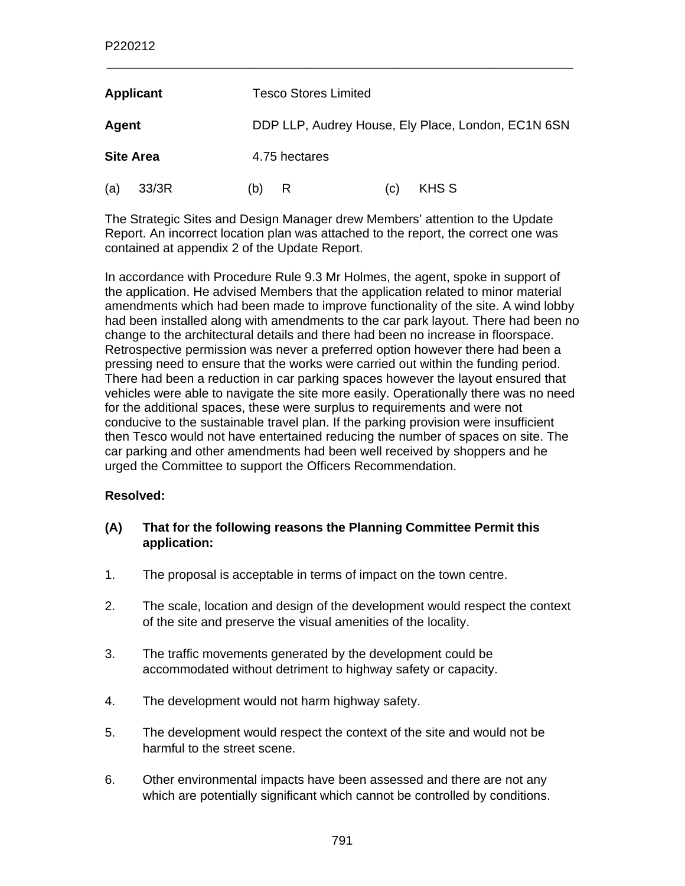| <b>Applicant</b> |       | <b>Tesco Stores Limited</b>                        |               |     |       |
|------------------|-------|----------------------------------------------------|---------------|-----|-------|
| Agent            |       | DDP LLP, Audrey House, Ely Place, London, EC1N 6SN |               |     |       |
| <b>Site Area</b> |       |                                                    | 4.75 hectares |     |       |
| (a)              | 33/3R | (b)                                                | R             | (C) | KHS S |

The Strategic Sites and Design Manager drew Members' attention to the Update Report. An incorrect location plan was attached to the report, the correct one was contained at appendix 2 of the Update Report.

In accordance with Procedure Rule 9.3 Mr Holmes, the agent, spoke in support of the application. He advised Members that the application related to minor material amendments which had been made to improve functionality of the site. A wind lobby had been installed along with amendments to the car park layout. There had been no change to the architectural details and there had been no increase in floorspace. Retrospective permission was never a preferred option however there had been a pressing need to ensure that the works were carried out within the funding period. There had been a reduction in car parking spaces however the layout ensured that vehicles were able to navigate the site more easily. Operationally there was no need for the additional spaces, these were surplus to requirements and were not conducive to the sustainable travel plan. If the parking provision were insufficient then Tesco would not have entertained reducing the number of spaces on site. The car parking and other amendments had been well received by shoppers and he urged the Committee to support the Officers Recommendation.

### **Resolved:**

- **(A) That for the following reasons the Planning Committee Permit this application:**
- 1. The proposal is acceptable in terms of impact on the town centre.
- 2. The scale, location and design of the development would respect the context of the site and preserve the visual amenities of the locality.
- 3. The traffic movements generated by the development could be accommodated without detriment to highway safety or capacity.
- 4. The development would not harm highway safety.
- 5. The development would respect the context of the site and would not be harmful to the street scene.
- 6. Other environmental impacts have been assessed and there are not any which are potentially significant which cannot be controlled by conditions.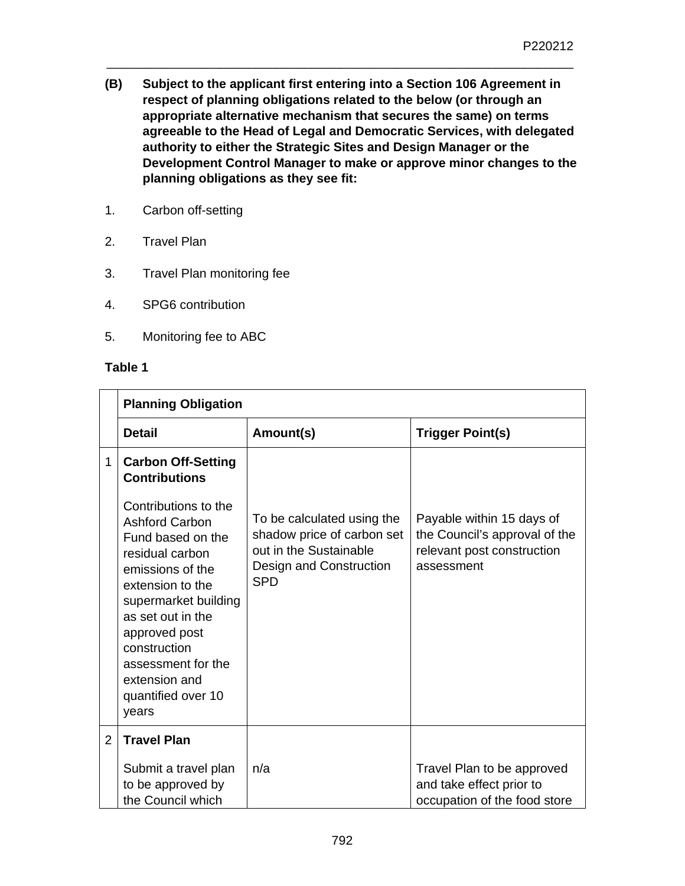**(B) Subject to the applicant first entering into a Section 106 Agreement in respect of planning obligations related to the below (or through an appropriate alternative mechanism that secures the same) on terms agreeable to the Head of Legal and Democratic Services, with delegated authority to either the Strategic Sites and Design Manager or the Development Control Manager to make or approve minor changes to the planning obligations as they see fit:** 

\_\_\_\_\_\_\_\_\_\_\_\_\_\_\_\_\_\_\_\_\_\_\_\_\_\_\_\_\_\_\_\_\_\_\_\_\_\_\_\_\_\_\_\_\_\_\_\_\_\_\_\_\_\_\_\_\_\_\_\_\_\_\_\_\_\_

- 1. Carbon off-setting
- 2. Travel Plan
- 3. Travel Plan monitoring fee
- 4. SPG6 contribution
- 5. Monitoring fee to ABC

#### **Table 1**

|                | <b>Planning Obligation</b>                                                                                                                                                                                                                                                        |                                                                                                                             |                                                                                                        |  |
|----------------|-----------------------------------------------------------------------------------------------------------------------------------------------------------------------------------------------------------------------------------------------------------------------------------|-----------------------------------------------------------------------------------------------------------------------------|--------------------------------------------------------------------------------------------------------|--|
|                | <b>Detail</b>                                                                                                                                                                                                                                                                     | Amount(s)                                                                                                                   | <b>Trigger Point(s)</b>                                                                                |  |
| 1              | <b>Carbon Off-Setting</b><br><b>Contributions</b>                                                                                                                                                                                                                                 |                                                                                                                             |                                                                                                        |  |
|                | Contributions to the<br><b>Ashford Carbon</b><br>Fund based on the<br>residual carbon<br>emissions of the<br>extension to the<br>supermarket building<br>as set out in the<br>approved post<br>construction<br>assessment for the<br>extension and<br>quantified over 10<br>years | To be calculated using the<br>shadow price of carbon set<br>out in the Sustainable<br>Design and Construction<br><b>SPD</b> | Payable within 15 days of<br>the Council's approval of the<br>relevant post construction<br>assessment |  |
| $\overline{2}$ | <b>Travel Plan</b>                                                                                                                                                                                                                                                                |                                                                                                                             |                                                                                                        |  |
|                | Submit a travel plan<br>to be approved by<br>the Council which                                                                                                                                                                                                                    | n/a                                                                                                                         | Travel Plan to be approved<br>and take effect prior to<br>occupation of the food store                 |  |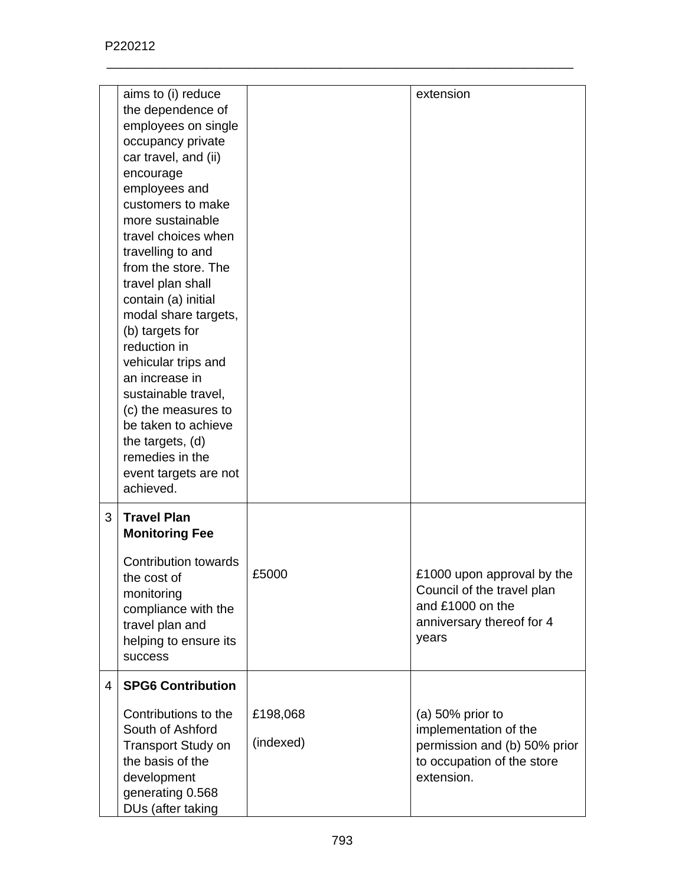|   | aims to (i) reduce<br>the dependence of<br>employees on single<br>occupancy private<br>car travel, and (ii)                                                                                                                                                                                                                                                                                                                              |                       | extension                                                                                                                |
|---|------------------------------------------------------------------------------------------------------------------------------------------------------------------------------------------------------------------------------------------------------------------------------------------------------------------------------------------------------------------------------------------------------------------------------------------|-----------------------|--------------------------------------------------------------------------------------------------------------------------|
|   | encourage<br>employees and<br>customers to make<br>more sustainable<br>travel choices when<br>travelling to and<br>from the store. The<br>travel plan shall<br>contain (a) initial<br>modal share targets,<br>(b) targets for<br>reduction in<br>vehicular trips and<br>an increase in<br>sustainable travel,<br>(c) the measures to<br>be taken to achieve<br>the targets, (d)<br>remedies in the<br>event targets are not<br>achieved. |                       |                                                                                                                          |
| 3 | <b>Travel Plan</b><br><b>Monitoring Fee</b>                                                                                                                                                                                                                                                                                                                                                                                              |                       |                                                                                                                          |
|   | <b>Contribution towards</b><br>the cost of<br>monitoring<br>compliance with the<br>travel plan and<br>helping to ensure its<br>success                                                                                                                                                                                                                                                                                                   | £5000                 | £1000 upon approval by the<br>Council of the travel plan<br>and £1000 on the<br>anniversary thereof for 4<br>years       |
| 4 | <b>SPG6 Contribution</b>                                                                                                                                                                                                                                                                                                                                                                                                                 |                       |                                                                                                                          |
|   | Contributions to the<br>South of Ashford<br><b>Transport Study on</b><br>the basis of the<br>development<br>generating 0.568<br>DUs (after taking                                                                                                                                                                                                                                                                                        | £198,068<br>(indexed) | (a) $50\%$ prior to<br>implementation of the<br>permission and (b) 50% prior<br>to occupation of the store<br>extension. |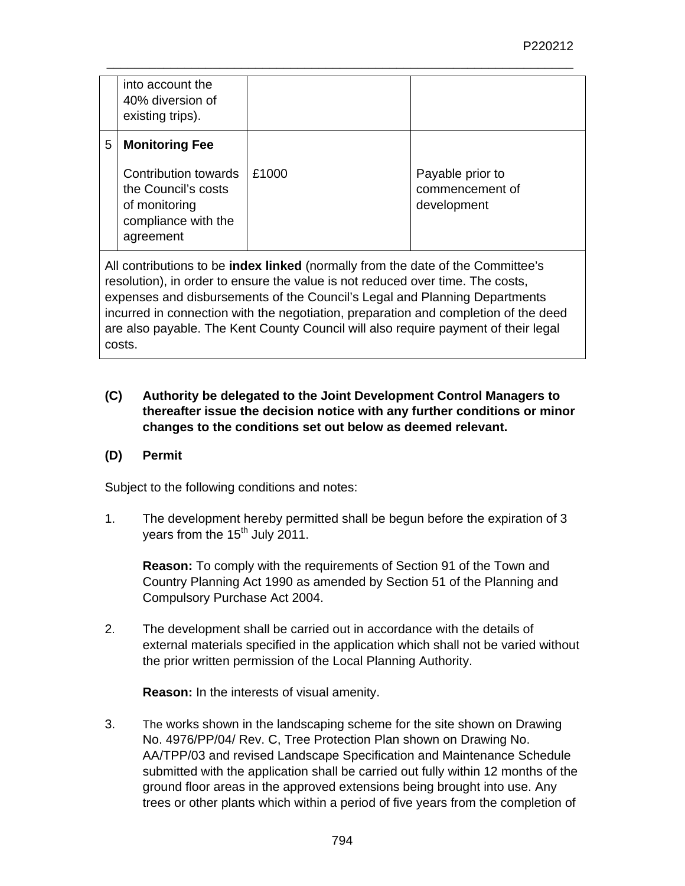|   | into account the<br>40% diversion of<br>existing trips).                                                                  |       |                                                    |
|---|---------------------------------------------------------------------------------------------------------------------------|-------|----------------------------------------------------|
| 5 | <b>Monitoring Fee</b><br>Contribution towards<br>the Council's costs<br>of monitoring<br>compliance with the<br>agreement | £1000 | Payable prior to<br>commencement of<br>development |

All contributions to be **index linked** (normally from the date of the Committee's resolution), in order to ensure the value is not reduced over time. The costs, expenses and disbursements of the Council's Legal and Planning Departments incurred in connection with the negotiation, preparation and completion of the deed are also payable. The Kent County Council will also require payment of their legal costs.

## **(C) Authority be delegated to the Joint Development Control Managers to thereafter issue the decision notice with any further conditions or minor changes to the conditions set out below as deemed relevant.**

## **(D) Permit**

Subject to the following conditions and notes:

1. The development hereby permitted shall be begun before the expiration of 3 years from the 15<sup>th</sup> July 2011.

**Reason:** To comply with the requirements of Section 91 of the Town and Country Planning Act 1990 as amended by Section 51 of the Planning and Compulsory Purchase Act 2004.

2. The development shall be carried out in accordance with the details of external materials specified in the application which shall not be varied without the prior written permission of the Local Planning Authority.

**Reason:** In the interests of visual amenity.

3. The works shown in the landscaping scheme for the site shown on Drawing No. 4976/PP/04/ Rev. C, Tree Protection Plan shown on Drawing No. AA/TPP/03 and revised Landscape Specification and Maintenance Schedule submitted with the application shall be carried out fully within 12 months of the ground floor areas in the approved extensions being brought into use. Any trees or other plants which within a period of five years from the completion of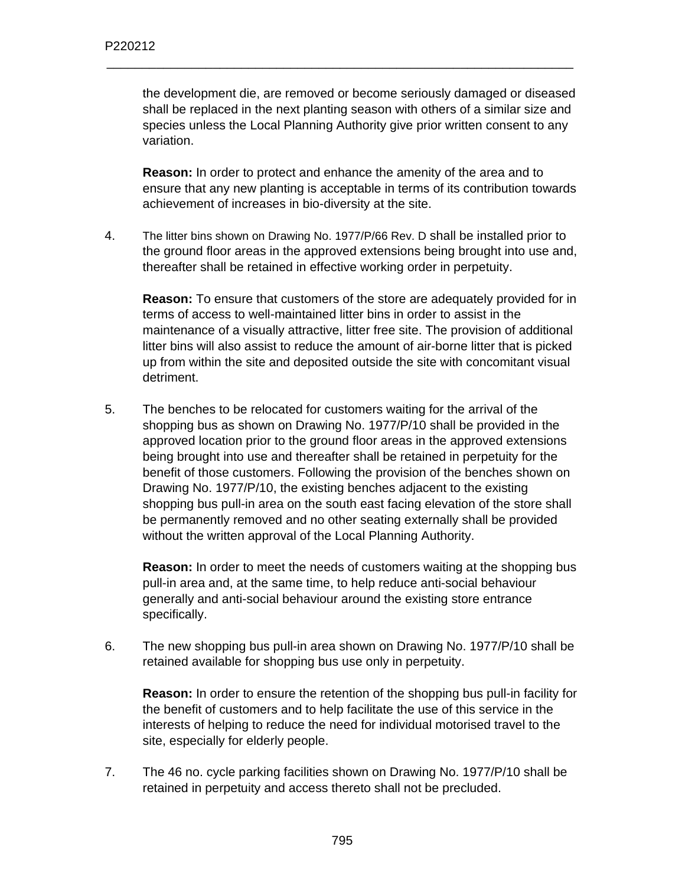the development die, are removed or become seriously damaged or diseased shall be replaced in the next planting season with others of a similar size and species unless the Local Planning Authority give prior written consent to any variation.

\_\_\_\_\_\_\_\_\_\_\_\_\_\_\_\_\_\_\_\_\_\_\_\_\_\_\_\_\_\_\_\_\_\_\_\_\_\_\_\_\_\_\_\_\_\_\_\_\_\_\_\_\_\_\_\_\_\_\_\_\_\_\_\_\_\_

**Reason:** In order to protect and enhance the amenity of the area and to ensure that any new planting is acceptable in terms of its contribution towards achievement of increases in bio-diversity at the site.

4. The litter bins shown on Drawing No. 1977/P/66 Rev. D shall be installed prior to the ground floor areas in the approved extensions being brought into use and, thereafter shall be retained in effective working order in perpetuity.

**Reason:** To ensure that customers of the store are adequately provided for in terms of access to well-maintained litter bins in order to assist in the maintenance of a visually attractive, litter free site. The provision of additional litter bins will also assist to reduce the amount of air-borne litter that is picked up from within the site and deposited outside the site with concomitant visual detriment.

5. The benches to be relocated for customers waiting for the arrival of the shopping bus as shown on Drawing No. 1977/P/10 shall be provided in the approved location prior to the ground floor areas in the approved extensions being brought into use and thereafter shall be retained in perpetuity for the benefit of those customers. Following the provision of the benches shown on Drawing No. 1977/P/10, the existing benches adjacent to the existing shopping bus pull-in area on the south east facing elevation of the store shall be permanently removed and no other seating externally shall be provided without the written approval of the Local Planning Authority.

**Reason:** In order to meet the needs of customers waiting at the shopping bus pull-in area and, at the same time, to help reduce anti-social behaviour generally and anti-social behaviour around the existing store entrance specifically.

6. The new shopping bus pull-in area shown on Drawing No. 1977/P/10 shall be retained available for shopping bus use only in perpetuity.

**Reason:** In order to ensure the retention of the shopping bus pull-in facility for the benefit of customers and to help facilitate the use of this service in the interests of helping to reduce the need for individual motorised travel to the site, especially for elderly people.

7. The 46 no. cycle parking facilities shown on Drawing No. 1977/P/10 shall be retained in perpetuity and access thereto shall not be precluded.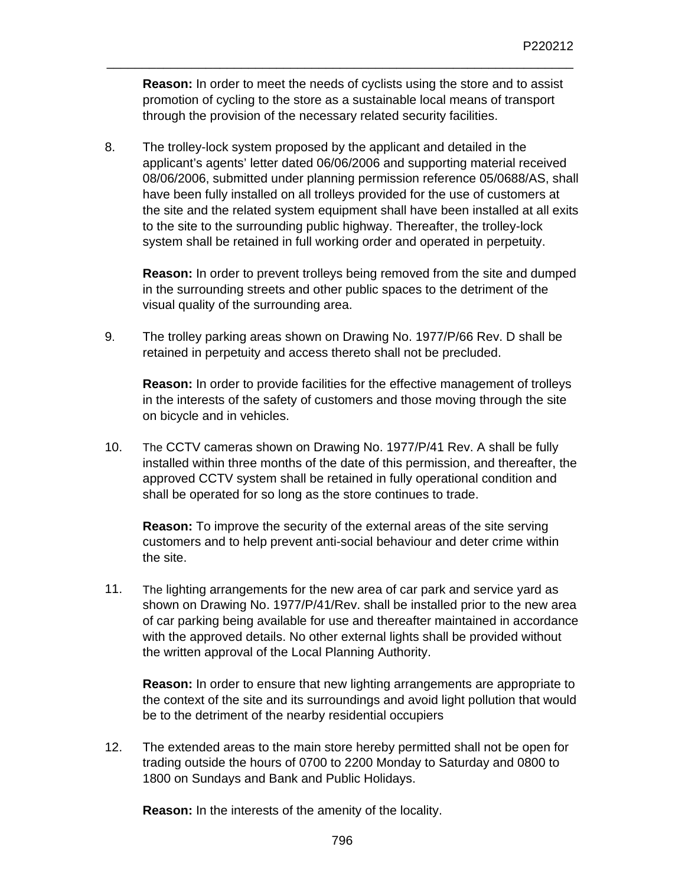**Reason:** In order to meet the needs of cyclists using the store and to assist promotion of cycling to the store as a sustainable local means of transport through the provision of the necessary related security facilities.

\_\_\_\_\_\_\_\_\_\_\_\_\_\_\_\_\_\_\_\_\_\_\_\_\_\_\_\_\_\_\_\_\_\_\_\_\_\_\_\_\_\_\_\_\_\_\_\_\_\_\_\_\_\_\_\_\_\_\_\_\_\_\_\_\_\_

8. The trolley-lock system proposed by the applicant and detailed in the applicant's agents' letter dated 06/06/2006 and supporting material received 08/06/2006, submitted under planning permission reference 05/0688/AS, shall have been fully installed on all trolleys provided for the use of customers at the site and the related system equipment shall have been installed at all exits to the site to the surrounding public highway. Thereafter, the trolley-lock system shall be retained in full working order and operated in perpetuity.

**Reason:** In order to prevent trolleys being removed from the site and dumped in the surrounding streets and other public spaces to the detriment of the visual quality of the surrounding area.

9. The trolley parking areas shown on Drawing No. 1977/P/66 Rev. D shall be retained in perpetuity and access thereto shall not be precluded.

**Reason:** In order to provide facilities for the effective management of trolleys in the interests of the safety of customers and those moving through the site on bicycle and in vehicles.

10. The CCTV cameras shown on Drawing No. 1977/P/41 Rev. A shall be fully installed within three months of the date of this permission, and thereafter, the approved CCTV system shall be retained in fully operational condition and shall be operated for so long as the store continues to trade.

**Reason:** To improve the security of the external areas of the site serving customers and to help prevent anti-social behaviour and deter crime within the site.

11. The lighting arrangements for the new area of car park and service yard as shown on Drawing No. 1977/P/41/Rev. shall be installed prior to the new area of car parking being available for use and thereafter maintained in accordance with the approved details. No other external lights shall be provided without the written approval of the Local Planning Authority.

**Reason:** In order to ensure that new lighting arrangements are appropriate to the context of the site and its surroundings and avoid light pollution that would be to the detriment of the nearby residential occupiers

12. The extended areas to the main store hereby permitted shall not be open for trading outside the hours of 0700 to 2200 Monday to Saturday and 0800 to 1800 on Sundays and Bank and Public Holidays.

**Reason:** In the interests of the amenity of the locality.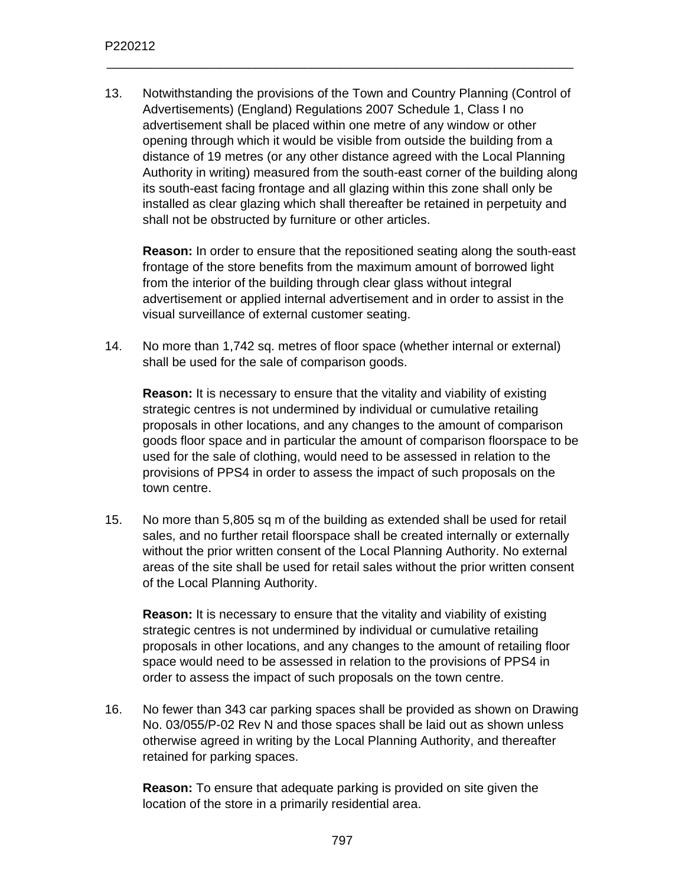13. Notwithstanding the provisions of the Town and Country Planning (Control of Advertisements) (England) Regulations 2007 Schedule 1, Class I no advertisement shall be placed within one metre of any window or other opening through which it would be visible from outside the building from a distance of 19 metres (or any other distance agreed with the Local Planning Authority in writing) measured from the south-east corner of the building along its south-east facing frontage and all glazing within this zone shall only be installed as clear glazing which shall thereafter be retained in perpetuity and shall not be obstructed by furniture or other articles.

\_\_\_\_\_\_\_\_\_\_\_\_\_\_\_\_\_\_\_\_\_\_\_\_\_\_\_\_\_\_\_\_\_\_\_\_\_\_\_\_\_\_\_\_\_\_\_\_\_\_\_\_\_\_\_\_\_\_\_\_\_\_\_\_\_\_

**Reason:** In order to ensure that the repositioned seating along the south-east frontage of the store benefits from the maximum amount of borrowed light from the interior of the building through clear glass without integral advertisement or applied internal advertisement and in order to assist in the visual surveillance of external customer seating.

14. No more than 1,742 sq. metres of floor space (whether internal or external) shall be used for the sale of comparison goods.

**Reason:** It is necessary to ensure that the vitality and viability of existing strategic centres is not undermined by individual or cumulative retailing proposals in other locations, and any changes to the amount of comparison goods floor space and in particular the amount of comparison floorspace to be used for the sale of clothing, would need to be assessed in relation to the provisions of PPS4 in order to assess the impact of such proposals on the town centre.

15. No more than 5,805 sq m of the building as extended shall be used for retail sales, and no further retail floorspace shall be created internally or externally without the prior written consent of the Local Planning Authority. No external areas of the site shall be used for retail sales without the prior written consent of the Local Planning Authority.

**Reason:** It is necessary to ensure that the vitality and viability of existing strategic centres is not undermined by individual or cumulative retailing proposals in other locations, and any changes to the amount of retailing floor space would need to be assessed in relation to the provisions of PPS4 in order to assess the impact of such proposals on the town centre.

16. No fewer than 343 car parking spaces shall be provided as shown on Drawing No. 03/055/P-02 Rev N and those spaces shall be laid out as shown unless otherwise agreed in writing by the Local Planning Authority, and thereafter retained for parking spaces.

**Reason:** To ensure that adequate parking is provided on site given the location of the store in a primarily residential area.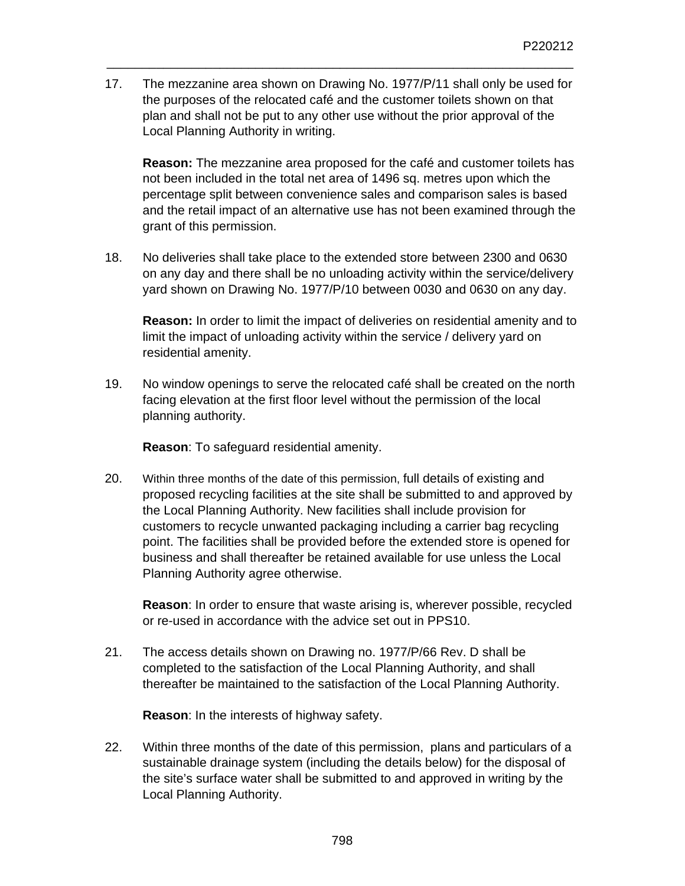17. The mezzanine area shown on Drawing No. 1977/P/11 shall only be used for the purposes of the relocated café and the customer toilets shown on that plan and shall not be put to any other use without the prior approval of the Local Planning Authority in writing.

\_\_\_\_\_\_\_\_\_\_\_\_\_\_\_\_\_\_\_\_\_\_\_\_\_\_\_\_\_\_\_\_\_\_\_\_\_\_\_\_\_\_\_\_\_\_\_\_\_\_\_\_\_\_\_\_\_\_\_\_\_\_\_\_\_\_

**Reason:** The mezzanine area proposed for the café and customer toilets has not been included in the total net area of 1496 sq. metres upon which the percentage split between convenience sales and comparison sales is based and the retail impact of an alternative use has not been examined through the grant of this permission.

18. No deliveries shall take place to the extended store between 2300 and 0630 on any day and there shall be no unloading activity within the service/delivery yard shown on Drawing No. 1977/P/10 between 0030 and 0630 on any day.

**Reason:** In order to limit the impact of deliveries on residential amenity and to limit the impact of unloading activity within the service / delivery yard on residential amenity.

19. No window openings to serve the relocated café shall be created on the north facing elevation at the first floor level without the permission of the local planning authority.

**Reason**: To safeguard residential amenity.

20. Within three months of the date of this permission, full details of existing and proposed recycling facilities at the site shall be submitted to and approved by the Local Planning Authority. New facilities shall include provision for customers to recycle unwanted packaging including a carrier bag recycling point. The facilities shall be provided before the extended store is opened for business and shall thereafter be retained available for use unless the Local Planning Authority agree otherwise.

**Reason**: In order to ensure that waste arising is, wherever possible, recycled or re-used in accordance with the advice set out in PPS10.

21. The access details shown on Drawing no. 1977/P/66 Rev. D shall be completed to the satisfaction of the Local Planning Authority, and shall thereafter be maintained to the satisfaction of the Local Planning Authority.

**Reason**: In the interests of highway safety.

22. Within three months of the date of this permission, plans and particulars of a sustainable drainage system (including the details below) for the disposal of the site's surface water shall be submitted to and approved in writing by the Local Planning Authority.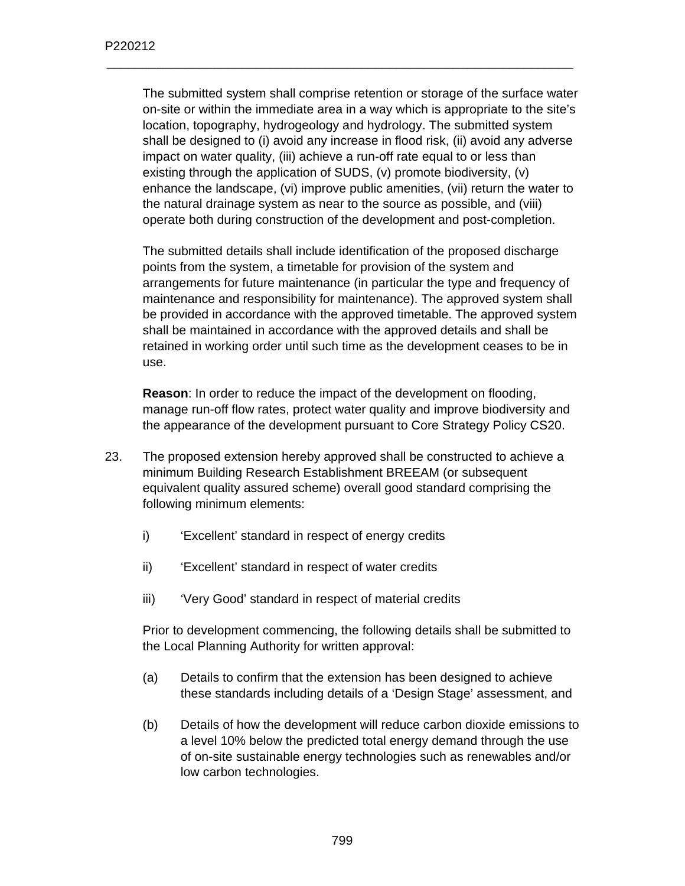The submitted system shall comprise retention or storage of the surface water on-site or within the immediate area in a way which is appropriate to the site's location, topography, hydrogeology and hydrology. The submitted system shall be designed to (i) avoid any increase in flood risk, (ii) avoid any adverse impact on water quality, (iii) achieve a run-off rate equal to or less than existing through the application of SUDS, (v) promote biodiversity, (v) enhance the landscape, (vi) improve public amenities, (vii) return the water to the natural drainage system as near to the source as possible, and (viii) operate both during construction of the development and post-completion.

\_\_\_\_\_\_\_\_\_\_\_\_\_\_\_\_\_\_\_\_\_\_\_\_\_\_\_\_\_\_\_\_\_\_\_\_\_\_\_\_\_\_\_\_\_\_\_\_\_\_\_\_\_\_\_\_\_\_\_\_\_\_\_\_\_\_

The submitted details shall include identification of the proposed discharge points from the system, a timetable for provision of the system and arrangements for future maintenance (in particular the type and frequency of maintenance and responsibility for maintenance). The approved system shall be provided in accordance with the approved timetable. The approved system shall be maintained in accordance with the approved details and shall be retained in working order until such time as the development ceases to be in use.

**Reason**: In order to reduce the impact of the development on flooding, manage run-off flow rates, protect water quality and improve biodiversity and the appearance of the development pursuant to Core Strategy Policy CS20.

- 23. The proposed extension hereby approved shall be constructed to achieve a minimum Building Research Establishment BREEAM (or subsequent equivalent quality assured scheme) overall good standard comprising the following minimum elements:
	- i) 'Excellent' standard in respect of energy credits
	- ii) 'Excellent' standard in respect of water credits
	- iii) 'Very Good' standard in respect of material credits

Prior to development commencing, the following details shall be submitted to the Local Planning Authority for written approval:

- (a) Details to confirm that the extension has been designed to achieve these standards including details of a 'Design Stage' assessment, and
- (b) Details of how the development will reduce carbon dioxide emissions to a level 10% below the predicted total energy demand through the use of on-site sustainable energy technologies such as renewables and/or low carbon technologies.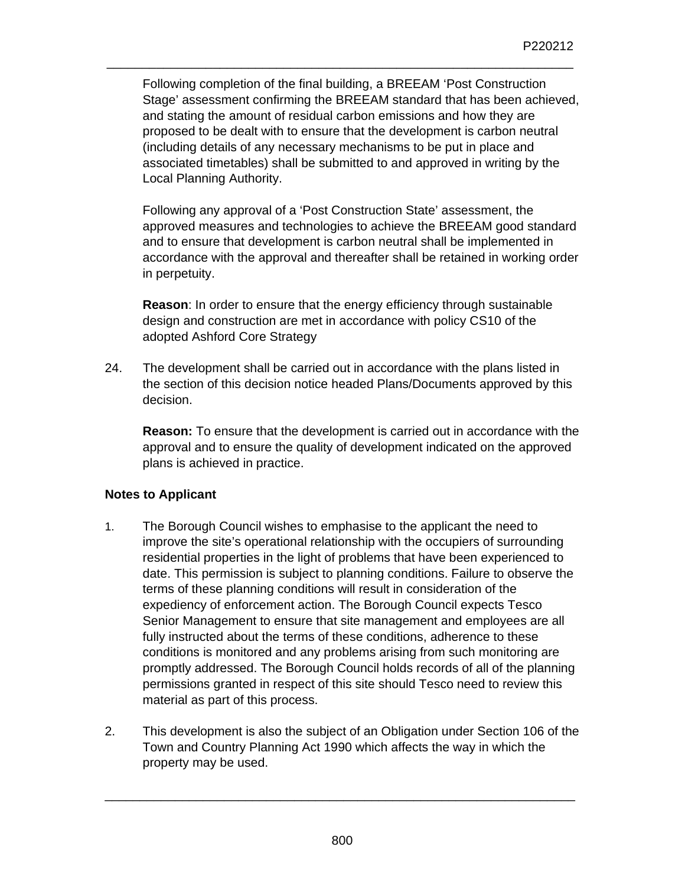Following completion of the final building, a BREEAM 'Post Construction Stage' assessment confirming the BREEAM standard that has been achieved, and stating the amount of residual carbon emissions and how they are proposed to be dealt with to ensure that the development is carbon neutral (including details of any necessary mechanisms to be put in place and associated timetables) shall be submitted to and approved in writing by the Local Planning Authority.

\_\_\_\_\_\_\_\_\_\_\_\_\_\_\_\_\_\_\_\_\_\_\_\_\_\_\_\_\_\_\_\_\_\_\_\_\_\_\_\_\_\_\_\_\_\_\_\_\_\_\_\_\_\_\_\_\_\_\_\_\_\_\_\_\_\_

Following any approval of a 'Post Construction State' assessment, the approved measures and technologies to achieve the BREEAM good standard and to ensure that development is carbon neutral shall be implemented in accordance with the approval and thereafter shall be retained in working order in perpetuity.

**Reason**: In order to ensure that the energy efficiency through sustainable design and construction are met in accordance with policy CS10 of the adopted Ashford Core Strategy

24. The development shall be carried out in accordance with the plans listed in the section of this decision notice headed Plans/Documents approved by this decision.

**Reason:** To ensure that the development is carried out in accordance with the approval and to ensure the quality of development indicated on the approved plans is achieved in practice.

## **Notes to Applicant**

- 1. The Borough Council wishes to emphasise to the applicant the need to improve the site's operational relationship with the occupiers of surrounding residential properties in the light of problems that have been experienced to date. This permission is subject to planning conditions. Failure to observe the terms of these planning conditions will result in consideration of the expediency of enforcement action. The Borough Council expects Tesco Senior Management to ensure that site management and employees are all fully instructed about the terms of these conditions, adherence to these conditions is monitored and any problems arising from such monitoring are promptly addressed. The Borough Council holds records of all of the planning permissions granted in respect of this site should Tesco need to review this material as part of this process.
- 2. This development is also the subject of an Obligation under Section 106 of the Town and Country Planning Act 1990 which affects the way in which the property may be used.

\_\_\_\_\_\_\_\_\_\_\_\_\_\_\_\_\_\_\_\_\_\_\_\_\_\_\_\_\_\_\_\_\_\_\_\_\_\_\_\_\_\_\_\_\_\_\_\_\_\_\_\_\_\_\_\_\_\_\_\_\_\_\_\_\_\_\_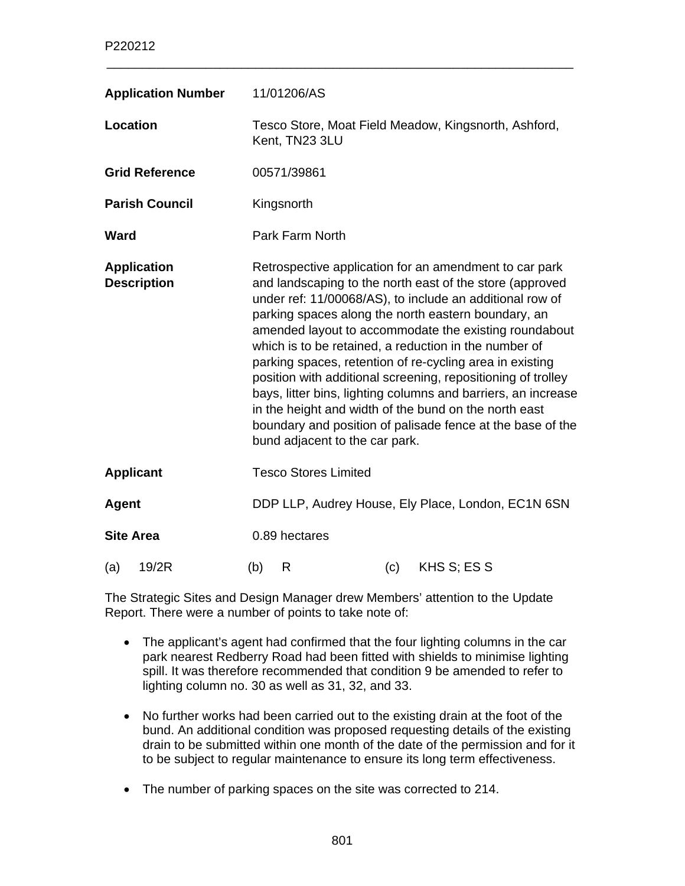| <b>Application Number</b>                | 11/01206/AS                                                                                                                                                                                                                                                                                                                                                                                                                                                                                                                                                                                                                                                                                                   |  |  |
|------------------------------------------|---------------------------------------------------------------------------------------------------------------------------------------------------------------------------------------------------------------------------------------------------------------------------------------------------------------------------------------------------------------------------------------------------------------------------------------------------------------------------------------------------------------------------------------------------------------------------------------------------------------------------------------------------------------------------------------------------------------|--|--|
| Location                                 | Tesco Store, Moat Field Meadow, Kingsnorth, Ashford,<br>Kent, TN23 3LU                                                                                                                                                                                                                                                                                                                                                                                                                                                                                                                                                                                                                                        |  |  |
| <b>Grid Reference</b>                    | 00571/39861                                                                                                                                                                                                                                                                                                                                                                                                                                                                                                                                                                                                                                                                                                   |  |  |
| <b>Parish Council</b>                    | Kingsnorth                                                                                                                                                                                                                                                                                                                                                                                                                                                                                                                                                                                                                                                                                                    |  |  |
| <b>Ward</b>                              | <b>Park Farm North</b>                                                                                                                                                                                                                                                                                                                                                                                                                                                                                                                                                                                                                                                                                        |  |  |
| <b>Application</b><br><b>Description</b> | Retrospective application for an amendment to car park<br>and landscaping to the north east of the store (approved<br>under ref: 11/00068/AS), to include an additional row of<br>parking spaces along the north eastern boundary, an<br>amended layout to accommodate the existing roundabout<br>which is to be retained, a reduction in the number of<br>parking spaces, retention of re-cycling area in existing<br>position with additional screening, repositioning of trolley<br>bays, litter bins, lighting columns and barriers, an increase<br>in the height and width of the bund on the north east<br>boundary and position of palisade fence at the base of the<br>bund adjacent to the car park. |  |  |
| <b>Applicant</b>                         | <b>Tesco Stores Limited</b>                                                                                                                                                                                                                                                                                                                                                                                                                                                                                                                                                                                                                                                                                   |  |  |
| <b>Agent</b>                             | DDP LLP, Audrey House, Ely Place, London, EC1N 6SN                                                                                                                                                                                                                                                                                                                                                                                                                                                                                                                                                                                                                                                            |  |  |
| <b>Site Area</b>                         | 0.89 hectares                                                                                                                                                                                                                                                                                                                                                                                                                                                                                                                                                                                                                                                                                                 |  |  |
| 19/2R<br>(a)                             | KHS S; ES S<br>(b)<br>R<br>(c)                                                                                                                                                                                                                                                                                                                                                                                                                                                                                                                                                                                                                                                                                |  |  |

The Strategic Sites and Design Manager drew Members' attention to the Update Report. There were a number of points to take note of:

- The applicant's agent had confirmed that the four lighting columns in the car park nearest Redberry Road had been fitted with shields to minimise lighting spill. It was therefore recommended that condition 9 be amended to refer to lighting column no. 30 as well as 31, 32, and 33.
- No further works had been carried out to the existing drain at the foot of the bund. An additional condition was proposed requesting details of the existing drain to be submitted within one month of the date of the permission and for it to be subject to regular maintenance to ensure its long term effectiveness.
- The number of parking spaces on the site was corrected to 214.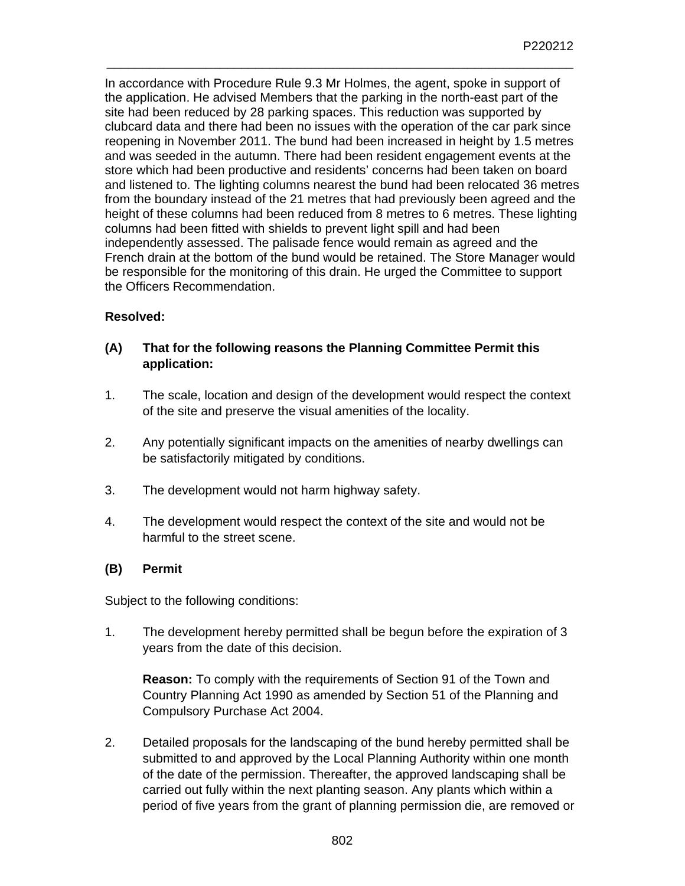In accordance with Procedure Rule 9.3 Mr Holmes, the agent, spoke in support of the application. He advised Members that the parking in the north-east part of the site had been reduced by 28 parking spaces. This reduction was supported by clubcard data and there had been no issues with the operation of the car park since reopening in November 2011. The bund had been increased in height by 1.5 metres and was seeded in the autumn. There had been resident engagement events at the store which had been productive and residents' concerns had been taken on board and listened to. The lighting columns nearest the bund had been relocated 36 metres from the boundary instead of the 21 metres that had previously been agreed and the height of these columns had been reduced from 8 metres to 6 metres. These lighting columns had been fitted with shields to prevent light spill and had been independently assessed. The palisade fence would remain as agreed and the French drain at the bottom of the bund would be retained. The Store Manager would be responsible for the monitoring of this drain. He urged the Committee to support the Officers Recommendation.

\_\_\_\_\_\_\_\_\_\_\_\_\_\_\_\_\_\_\_\_\_\_\_\_\_\_\_\_\_\_\_\_\_\_\_\_\_\_\_\_\_\_\_\_\_\_\_\_\_\_\_\_\_\_\_\_\_\_\_\_\_\_\_\_\_\_

## **Resolved:**

## **(A) That for the following reasons the Planning Committee Permit this application:**

- 1. The scale, location and design of the development would respect the context of the site and preserve the visual amenities of the locality.
- 2. Any potentially significant impacts on the amenities of nearby dwellings can be satisfactorily mitigated by conditions.
- 3. The development would not harm highway safety.
- 4. The development would respect the context of the site and would not be harmful to the street scene.

### **(B) Permit**

Subject to the following conditions:

1. The development hereby permitted shall be begun before the expiration of 3 years from the date of this decision.

**Reason:** To comply with the requirements of Section 91 of the Town and Country Planning Act 1990 as amended by Section 51 of the Planning and Compulsory Purchase Act 2004.

2. Detailed proposals for the landscaping of the bund hereby permitted shall be submitted to and approved by the Local Planning Authority within one month of the date of the permission. Thereafter, the approved landscaping shall be carried out fully within the next planting season. Any plants which within a period of five years from the grant of planning permission die, are removed or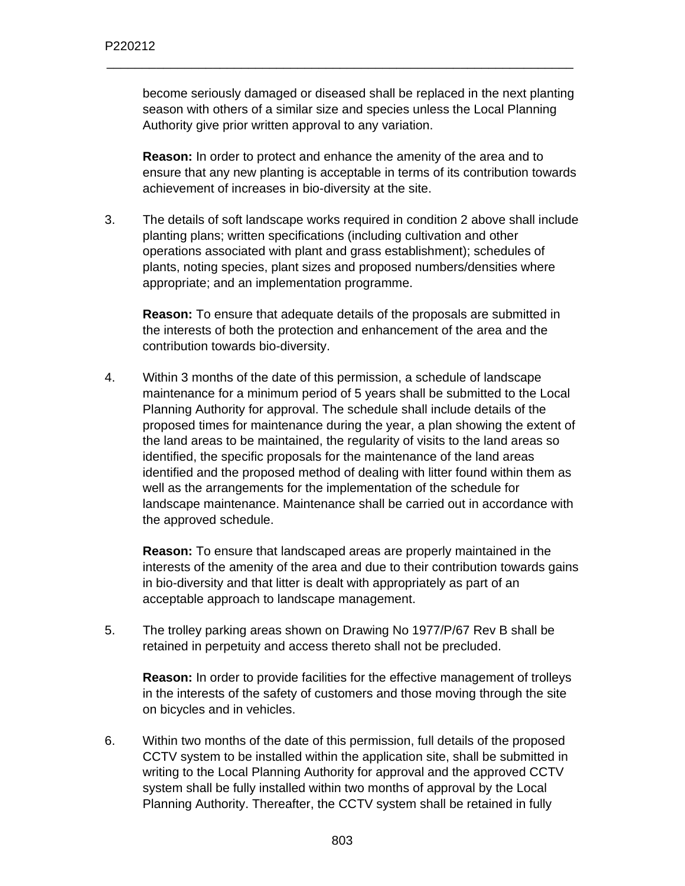become seriously damaged or diseased shall be replaced in the next planting season with others of a similar size and species unless the Local Planning Authority give prior written approval to any variation.

\_\_\_\_\_\_\_\_\_\_\_\_\_\_\_\_\_\_\_\_\_\_\_\_\_\_\_\_\_\_\_\_\_\_\_\_\_\_\_\_\_\_\_\_\_\_\_\_\_\_\_\_\_\_\_\_\_\_\_\_\_\_\_\_\_\_

**Reason:** In order to protect and enhance the amenity of the area and to ensure that any new planting is acceptable in terms of its contribution towards achievement of increases in bio-diversity at the site.

3. The details of soft landscape works required in condition 2 above shall include planting plans; written specifications (including cultivation and other operations associated with plant and grass establishment); schedules of plants, noting species, plant sizes and proposed numbers/densities where appropriate; and an implementation programme.

**Reason:** To ensure that adequate details of the proposals are submitted in the interests of both the protection and enhancement of the area and the contribution towards bio-diversity.

4. Within 3 months of the date of this permission, a schedule of landscape maintenance for a minimum period of 5 years shall be submitted to the Local Planning Authority for approval. The schedule shall include details of the proposed times for maintenance during the year, a plan showing the extent of the land areas to be maintained, the regularity of visits to the land areas so identified, the specific proposals for the maintenance of the land areas identified and the proposed method of dealing with litter found within them as well as the arrangements for the implementation of the schedule for landscape maintenance. Maintenance shall be carried out in accordance with the approved schedule.

**Reason:** To ensure that landscaped areas are properly maintained in the interests of the amenity of the area and due to their contribution towards gains in bio-diversity and that litter is dealt with appropriately as part of an acceptable approach to landscape management.

5. The trolley parking areas shown on Drawing No 1977/P/67 Rev B shall be retained in perpetuity and access thereto shall not be precluded.

**Reason:** In order to provide facilities for the effective management of trolleys in the interests of the safety of customers and those moving through the site on bicycles and in vehicles.

6. Within two months of the date of this permission, full details of the proposed CCTV system to be installed within the application site, shall be submitted in writing to the Local Planning Authority for approval and the approved CCTV system shall be fully installed within two months of approval by the Local Planning Authority. Thereafter, the CCTV system shall be retained in fully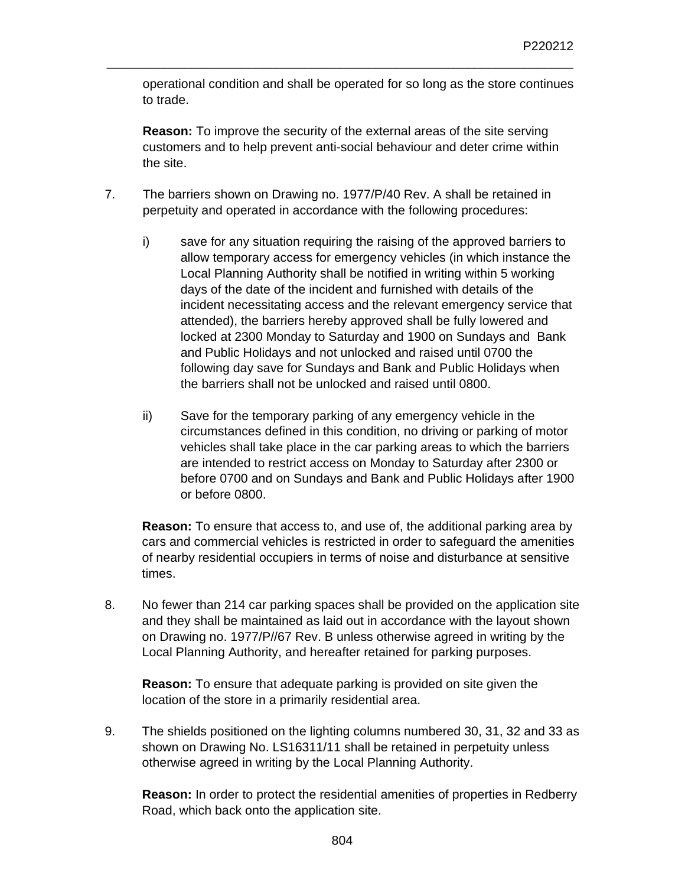operational condition and shall be operated for so long as the store continues to trade.

\_\_\_\_\_\_\_\_\_\_\_\_\_\_\_\_\_\_\_\_\_\_\_\_\_\_\_\_\_\_\_\_\_\_\_\_\_\_\_\_\_\_\_\_\_\_\_\_\_\_\_\_\_\_\_\_\_\_\_\_\_\_\_\_\_\_

**Reason:** To improve the security of the external areas of the site serving customers and to help prevent anti-social behaviour and deter crime within the site.

- 7. The barriers shown on Drawing no. 1977/P/40 Rev. A shall be retained in perpetuity and operated in accordance with the following procedures:
	- i) save for any situation requiring the raising of the approved barriers to allow temporary access for emergency vehicles (in which instance the Local Planning Authority shall be notified in writing within 5 working days of the date of the incident and furnished with details of the incident necessitating access and the relevant emergency service that attended), the barriers hereby approved shall be fully lowered and locked at 2300 Monday to Saturday and 1900 on Sundays and Bank and Public Holidays and not unlocked and raised until 0700 the following day save for Sundays and Bank and Public Holidays when the barriers shall not be unlocked and raised until 0800.
	- ii) Save for the temporary parking of any emergency vehicle in the circumstances defined in this condition, no driving or parking of motor vehicles shall take place in the car parking areas to which the barriers are intended to restrict access on Monday to Saturday after 2300 or before 0700 and on Sundays and Bank and Public Holidays after 1900 or before 0800.

**Reason:** To ensure that access to, and use of, the additional parking area by cars and commercial vehicles is restricted in order to safeguard the amenities of nearby residential occupiers in terms of noise and disturbance at sensitive times.

8. No fewer than 214 car parking spaces shall be provided on the application site and they shall be maintained as laid out in accordance with the layout shown on Drawing no. 1977/P//67 Rev. B unless otherwise agreed in writing by the Local Planning Authority, and hereafter retained for parking purposes.

**Reason:** To ensure that adequate parking is provided on site given the location of the store in a primarily residential area.

9. The shields positioned on the lighting columns numbered 30, 31, 32 and 33 as shown on Drawing No. LS16311/11 shall be retained in perpetuity unless otherwise agreed in writing by the Local Planning Authority.

**Reason:** In order to protect the residential amenities of properties in Redberry Road, which back onto the application site.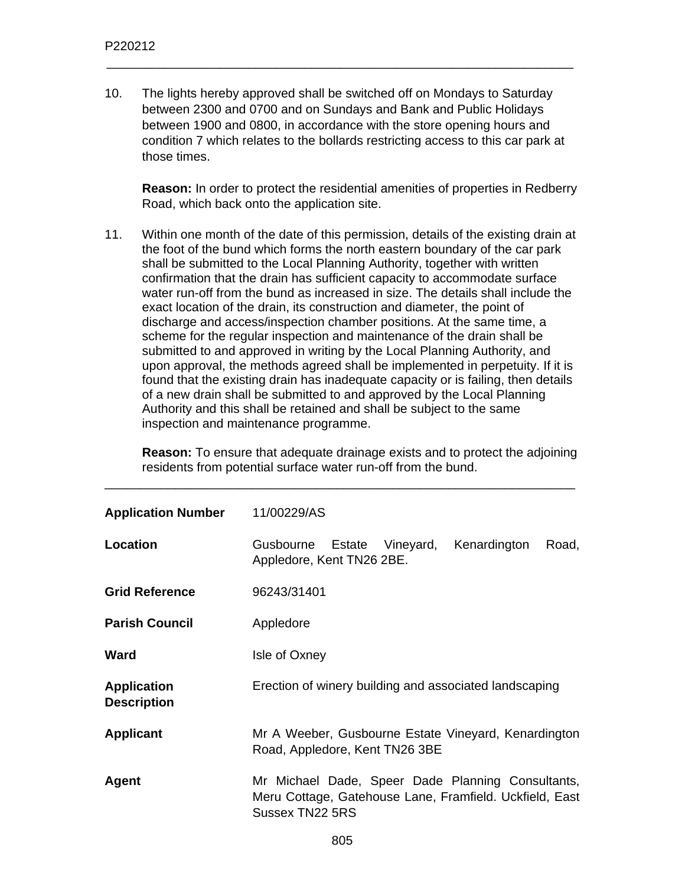10. The lights hereby approved shall be switched off on Mondays to Saturday between 2300 and 0700 and on Sundays and Bank and Public Holidays between 1900 and 0800, in accordance with the store opening hours and condition 7 which relates to the bollards restricting access to this car park at those times.

\_\_\_\_\_\_\_\_\_\_\_\_\_\_\_\_\_\_\_\_\_\_\_\_\_\_\_\_\_\_\_\_\_\_\_\_\_\_\_\_\_\_\_\_\_\_\_\_\_\_\_\_\_\_\_\_\_\_\_\_\_\_\_\_\_\_

**Reason:** In order to protect the residential amenities of properties in Redberry Road, which back onto the application site.

11. Within one month of the date of this permission, details of the existing drain at the foot of the bund which forms the north eastern boundary of the car park shall be submitted to the Local Planning Authority, together with written confirmation that the drain has sufficient capacity to accommodate surface water run-off from the bund as increased in size. The details shall include the exact location of the drain, its construction and diameter, the point of discharge and access/inspection chamber positions. At the same time, a scheme for the regular inspection and maintenance of the drain shall be submitted to and approved in writing by the Local Planning Authority, and upon approval, the methods agreed shall be implemented in perpetuity. If it is found that the existing drain has inadequate capacity or is failing, then details of a new drain shall be submitted to and approved by the Local Planning Authority and this shall be retained and shall be subject to the same inspection and maintenance programme.

**Reason:** To ensure that adequate drainage exists and to protect the adjoining residents from potential surface water run-off from the bund.

\_\_\_\_\_\_\_\_\_\_\_\_\_\_\_\_\_\_\_\_\_\_\_\_\_\_\_\_\_\_\_\_\_\_\_\_\_\_\_\_\_\_\_\_\_\_\_\_\_\_\_\_\_\_\_\_\_\_\_\_\_\_\_\_\_\_\_

| <b>Application Number</b>                | 11/00229/AS                                                                                                                     |  |  |
|------------------------------------------|---------------------------------------------------------------------------------------------------------------------------------|--|--|
| Location                                 | Gusbourne Estate Vineyard,<br>Kenardington<br>Road,<br>Appledore, Kent TN26 2BE.                                                |  |  |
| <b>Grid Reference</b>                    | 96243/31401                                                                                                                     |  |  |
| <b>Parish Council</b>                    | Appledore                                                                                                                       |  |  |
| Ward                                     | Isle of Oxney                                                                                                                   |  |  |
| <b>Application</b><br><b>Description</b> | Erection of winery building and associated landscaping                                                                          |  |  |
| <b>Applicant</b>                         | Mr A Weeber, Gusbourne Estate Vineyard, Kenardington<br>Road, Appledore, Kent TN26 3BE                                          |  |  |
| Agent                                    | Mr Michael Dade, Speer Dade Planning Consultants,<br>Meru Cottage, Gatehouse Lane, Framfield. Uckfield, East<br>Sussex TN22 5RS |  |  |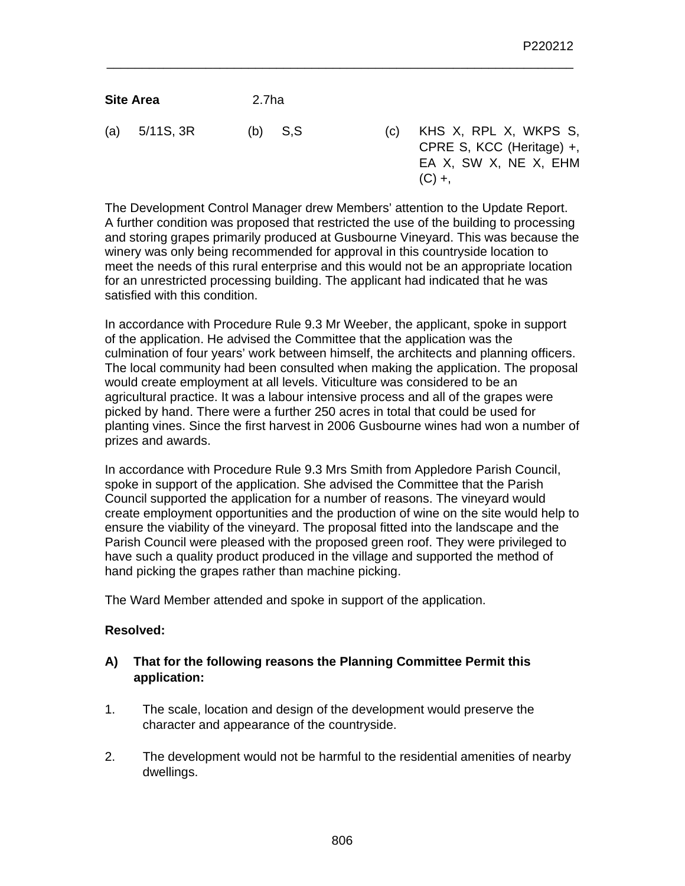| <b>Site Area</b> | 2.7ha     |  |
|------------------|-----------|--|
| (a) $5/11S$ , 3R | $(b)$ S,S |  |

S (c) KHS X, RPL X, WKPS S, CPRE S, KCC (Heritage) +, EA X, SW X, NE X, EHM  $(C) +$ ,

The Development Control Manager drew Members' attention to the Update Report. A further condition was proposed that restricted the use of the building to processing and storing grapes primarily produced at Gusbourne Vineyard. This was because the winery was only being recommended for approval in this countryside location to meet the needs of this rural enterprise and this would not be an appropriate location for an unrestricted processing building. The applicant had indicated that he was satisfied with this condition.

\_\_\_\_\_\_\_\_\_\_\_\_\_\_\_\_\_\_\_\_\_\_\_\_\_\_\_\_\_\_\_\_\_\_\_\_\_\_\_\_\_\_\_\_\_\_\_\_\_\_\_\_\_\_\_\_\_\_\_\_\_\_\_\_\_\_

In accordance with Procedure Rule 9.3 Mr Weeber, the applicant, spoke in support of the application. He advised the Committee that the application was the culmination of four years' work between himself, the architects and planning officers. The local community had been consulted when making the application. The proposal would create employment at all levels. Viticulture was considered to be an agricultural practice. It was a labour intensive process and all of the grapes were picked by hand. There were a further 250 acres in total that could be used for planting vines. Since the first harvest in 2006 Gusbourne wines had won a number of prizes and awards.

In accordance with Procedure Rule 9.3 Mrs Smith from Appledore Parish Council, spoke in support of the application. She advised the Committee that the Parish Council supported the application for a number of reasons. The vineyard would create employment opportunities and the production of wine on the site would help to ensure the viability of the vineyard. The proposal fitted into the landscape and the Parish Council were pleased with the proposed green roof. They were privileged to have such a quality product produced in the village and supported the method of hand picking the grapes rather than machine picking.

The Ward Member attended and spoke in support of the application.

## **Resolved:**

- **A) That for the following reasons the Planning Committee Permit this application:**
- 1. The scale, location and design of the development would preserve the character and appearance of the countryside.
- 2. The development would not be harmful to the residential amenities of nearby dwellings.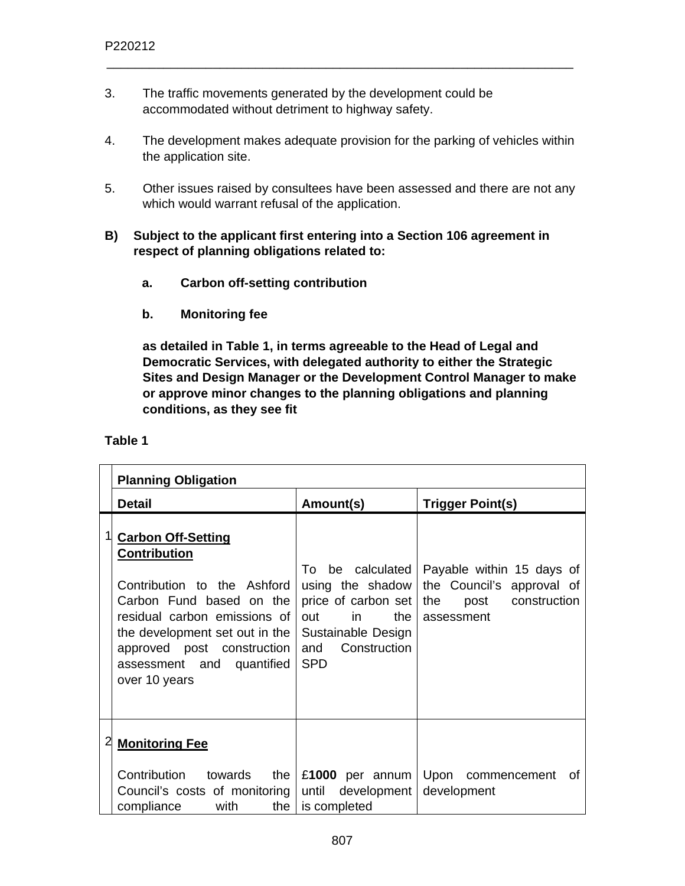- 3. The traffic movements generated by the development could be accommodated without detriment to highway safety.
- 4. The development makes adequate provision for the parking of vehicles within the application site.

- 5. Other issues raised by consultees have been assessed and there are not any which would warrant refusal of the application.
- **B) Subject to the applicant first entering into a Section 106 agreement in respect of planning obligations related to:** 
	- **a. Carbon off-setting contribution**
	- **b. Monitoring fee**

**as detailed in Table 1, in terms agreeable to the Head of Legal and Democratic Services, with delegated authority to either the Strategic Sites and Design Manager or the Development Control Manager to make or approve minor changes to the planning obligations and planning conditions, as they see fit** 

|   | <b>Planning Obligation</b>                                                                                                                                                                                                                                |                                                                                                                                                |                                                                                                     |
|---|-----------------------------------------------------------------------------------------------------------------------------------------------------------------------------------------------------------------------------------------------------------|------------------------------------------------------------------------------------------------------------------------------------------------|-----------------------------------------------------------------------------------------------------|
|   | <b>Detail</b>                                                                                                                                                                                                                                             | Amount(s)                                                                                                                                      | <b>Trigger Point(s)</b>                                                                             |
|   | <b>Carbon Off-Setting</b><br><b>Contribution</b><br>Contribution to the Ashford<br>Carbon Fund based on the<br>residual carbon emissions of<br>the development set out in the<br>approved post construction<br>assessment and quantified<br>over 10 years | be calculated<br>To:<br>using the shadow<br>price of carbon set<br>in<br>the<br>out<br>Sustainable Design<br>Construction<br>and<br><b>SPD</b> | Payable within 15 days of<br>the Council's approval of<br>construction<br>the<br>post<br>assessment |
| 2 | <b>Monitoring Fee</b>                                                                                                                                                                                                                                     |                                                                                                                                                |                                                                                                     |
|   | Contribution towards<br>the<br>Council's costs of monitoring<br>compliance<br>with<br>the                                                                                                                                                                 | £1000 per annum<br>until<br>development<br>is completed                                                                                        | Upon commencement<br>Οf<br>development                                                              |

**Table 1**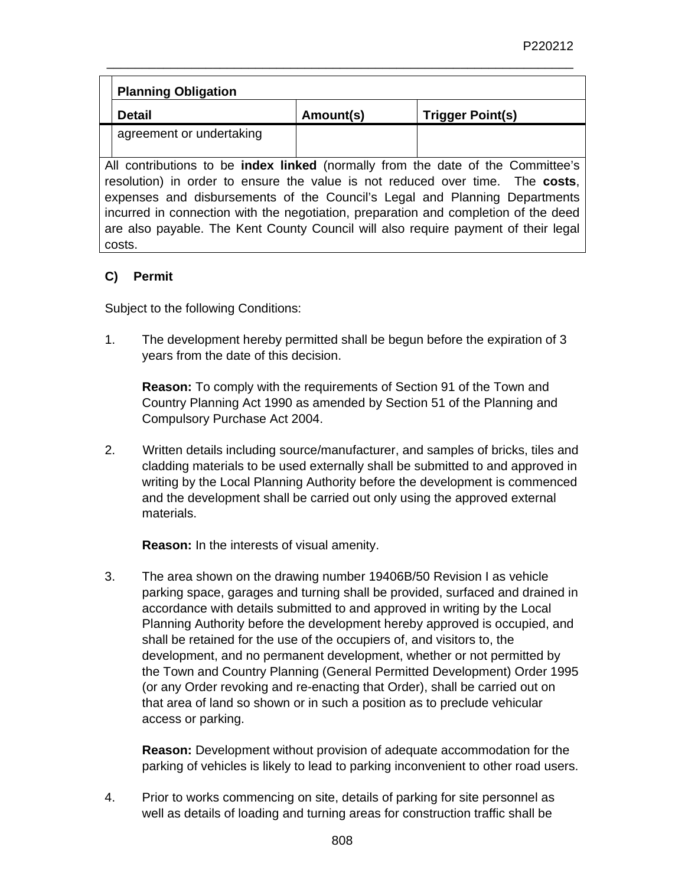|                                                                                        | <b>Planning Obligation</b>                                                 |           |                         |  |
|----------------------------------------------------------------------------------------|----------------------------------------------------------------------------|-----------|-------------------------|--|
|                                                                                        | <b>Detail</b>                                                              | Amount(s) | <b>Trigger Point(s)</b> |  |
|                                                                                        | agreement or undertaking                                                   |           |                         |  |
|                                                                                        |                                                                            |           |                         |  |
| All contributions to be <b>index linked</b> (normally from the date of the Committee's |                                                                            |           |                         |  |
| resolution) in order to ensure the value is not reduced over time. The costs,          |                                                                            |           |                         |  |
|                                                                                        | expenses and disbursements of the Council's Legal and Planning Departments |           |                         |  |

nses and disbursements of the Council's Legal and Planning Departments incurred in connection with the negotiation, preparation and completion of the deed are also payable. The Kent County Council will also require payment of their legal costs.

# **C) Permit**

Subject to the following Conditions:

1. The development hereby permitted shall be begun before the expiration of 3 years from the date of this decision.

**Reason:** To comply with the requirements of Section 91 of the Town and Country Planning Act 1990 as amended by Section 51 of the Planning and Compulsory Purchase Act 2004.

2. Written details including source/manufacturer, and samples of bricks, tiles and cladding materials to be used externally shall be submitted to and approved in writing by the Local Planning Authority before the development is commenced and the development shall be carried out only using the approved external materials.

**Reason:** In the interests of visual amenity.

3. The area shown on the drawing number 19406B/50 Revision I as vehicle parking space, garages and turning shall be provided, surfaced and drained in accordance with details submitted to and approved in writing by the Local Planning Authority before the development hereby approved is occupied, and shall be retained for the use of the occupiers of, and visitors to, the development, and no permanent development, whether or not permitted by the Town and Country Planning (General Permitted Development) Order 1995 (or any Order revoking and re-enacting that Order), shall be carried out on that area of land so shown or in such a position as to preclude vehicular access or parking.

**Reason:** Development without provision of adequate accommodation for the parking of vehicles is likely to lead to parking inconvenient to other road users.

4. Prior to works commencing on site, details of parking for site personnel as well as details of loading and turning areas for construction traffic shall be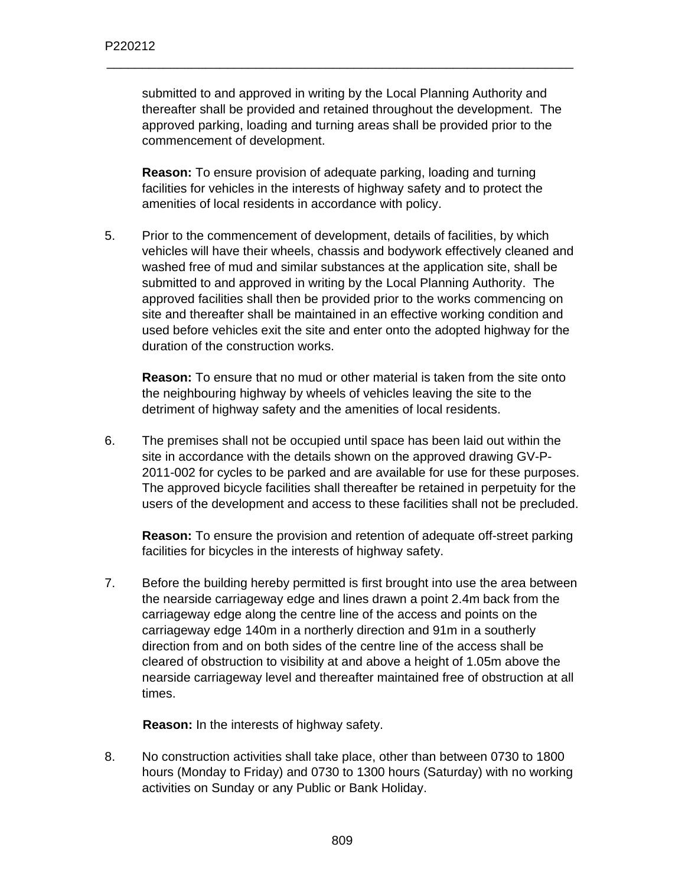submitted to and approved in writing by the Local Planning Authority and thereafter shall be provided and retained throughout the development. The approved parking, loading and turning areas shall be provided prior to the commencement of development.

\_\_\_\_\_\_\_\_\_\_\_\_\_\_\_\_\_\_\_\_\_\_\_\_\_\_\_\_\_\_\_\_\_\_\_\_\_\_\_\_\_\_\_\_\_\_\_\_\_\_\_\_\_\_\_\_\_\_\_\_\_\_\_\_\_\_

**Reason:** To ensure provision of adequate parking, loading and turning facilities for vehicles in the interests of highway safety and to protect the amenities of local residents in accordance with policy.

5. Prior to the commencement of development, details of facilities, by which vehicles will have their wheels, chassis and bodywork effectively cleaned and washed free of mud and similar substances at the application site, shall be submitted to and approved in writing by the Local Planning Authority. The approved facilities shall then be provided prior to the works commencing on site and thereafter shall be maintained in an effective working condition and used before vehicles exit the site and enter onto the adopted highway for the duration of the construction works.

**Reason:** To ensure that no mud or other material is taken from the site onto the neighbouring highway by wheels of vehicles leaving the site to the detriment of highway safety and the amenities of local residents.

6. The premises shall not be occupied until space has been laid out within the site in accordance with the details shown on the approved drawing GV-P-2011-002 for cycles to be parked and are available for use for these purposes. The approved bicycle facilities shall thereafter be retained in perpetuity for the users of the development and access to these facilities shall not be precluded.

**Reason:** To ensure the provision and retention of adequate off-street parking facilities for bicycles in the interests of highway safety.

7. Before the building hereby permitted is first brought into use the area between the nearside carriageway edge and lines drawn a point 2.4m back from the carriageway edge along the centre line of the access and points on the carriageway edge 140m in a northerly direction and 91m in a southerly direction from and on both sides of the centre line of the access shall be cleared of obstruction to visibility at and above a height of 1.05m above the nearside carriageway level and thereafter maintained free of obstruction at all times.

**Reason:** In the interests of highway safety.

8. No construction activities shall take place, other than between 0730 to 1800 hours (Monday to Friday) and 0730 to 1300 hours (Saturday) with no working activities on Sunday or any Public or Bank Holiday.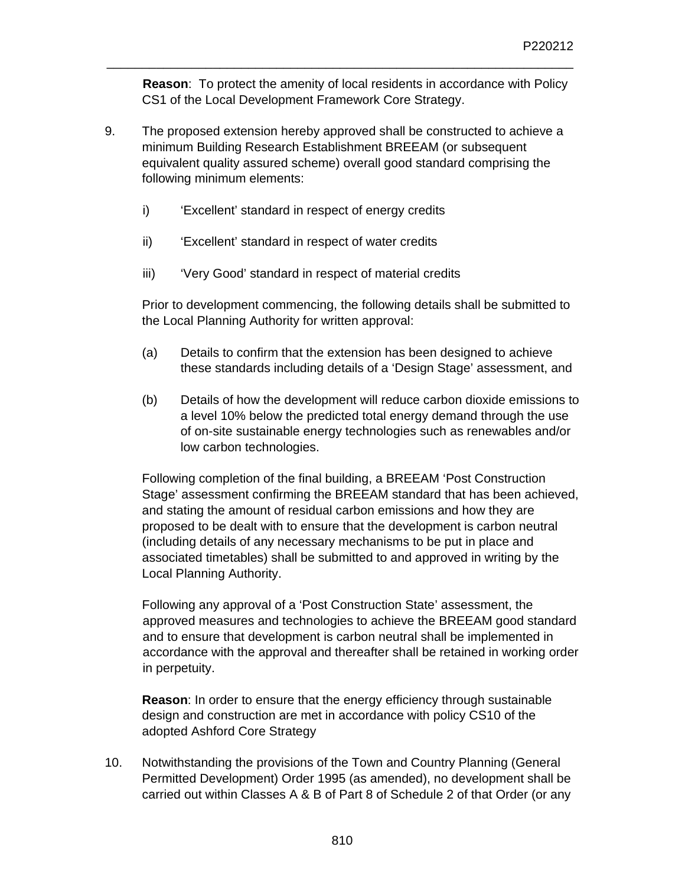**Reason**: To protect the amenity of local residents in accordance with Policy CS1 of the Local Development Framework Core Strategy.

\_\_\_\_\_\_\_\_\_\_\_\_\_\_\_\_\_\_\_\_\_\_\_\_\_\_\_\_\_\_\_\_\_\_\_\_\_\_\_\_\_\_\_\_\_\_\_\_\_\_\_\_\_\_\_\_\_\_\_\_\_\_\_\_\_\_

- 9. The proposed extension hereby approved shall be constructed to achieve a minimum Building Research Establishment BREEAM (or subsequent equivalent quality assured scheme) overall good standard comprising the following minimum elements:
	- i) 'Excellent' standard in respect of energy credits
	- ii) 'Excellent' standard in respect of water credits
	- iii) **Very Good' standard in respect of material credits**

Prior to development commencing, the following details shall be submitted to the Local Planning Authority for written approval:

- (a) Details to confirm that the extension has been designed to achieve these standards including details of a 'Design Stage' assessment, and
- (b) Details of how the development will reduce carbon dioxide emissions to a level 10% below the predicted total energy demand through the use of on-site sustainable energy technologies such as renewables and/or low carbon technologies.

Following completion of the final building, a BREEAM 'Post Construction Stage' assessment confirming the BREEAM standard that has been achieved, and stating the amount of residual carbon emissions and how they are proposed to be dealt with to ensure that the development is carbon neutral (including details of any necessary mechanisms to be put in place and associated timetables) shall be submitted to and approved in writing by the Local Planning Authority.

Following any approval of a 'Post Construction State' assessment, the approved measures and technologies to achieve the BREEAM good standard and to ensure that development is carbon neutral shall be implemented in accordance with the approval and thereafter shall be retained in working order in perpetuity.

**Reason**: In order to ensure that the energy efficiency through sustainable design and construction are met in accordance with policy CS10 of the adopted Ashford Core Strategy

10. Notwithstanding the provisions of the Town and Country Planning (General Permitted Development) Order 1995 (as amended), no development shall be carried out within Classes A & B of Part 8 of Schedule 2 of that Order (or any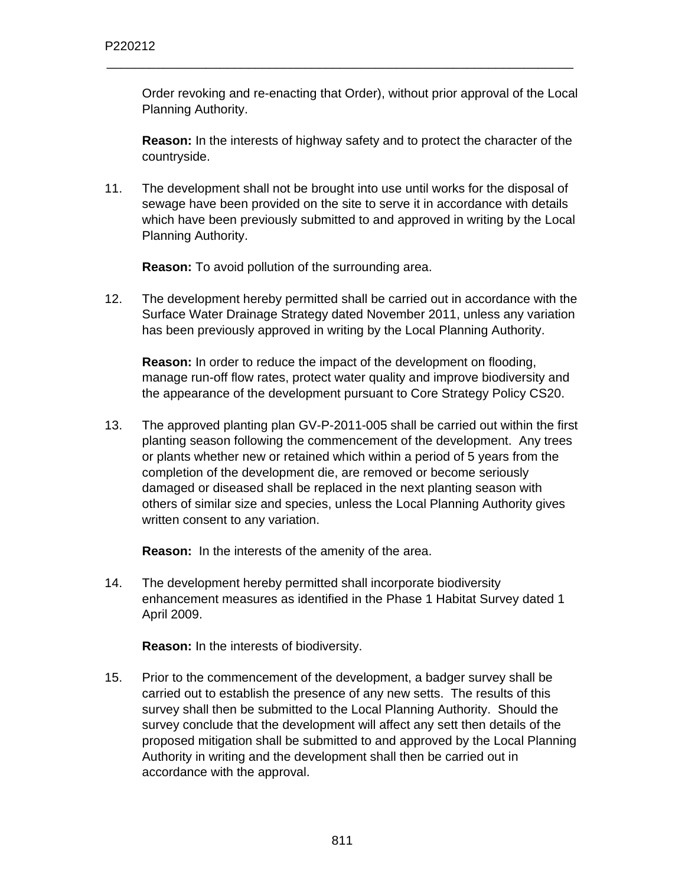Order revoking and re-enacting that Order), without prior approval of the Local Planning Authority.

\_\_\_\_\_\_\_\_\_\_\_\_\_\_\_\_\_\_\_\_\_\_\_\_\_\_\_\_\_\_\_\_\_\_\_\_\_\_\_\_\_\_\_\_\_\_\_\_\_\_\_\_\_\_\_\_\_\_\_\_\_\_\_\_\_\_

**Reason:** In the interests of highway safety and to protect the character of the countryside.

11. The development shall not be brought into use until works for the disposal of sewage have been provided on the site to serve it in accordance with details which have been previously submitted to and approved in writing by the Local Planning Authority.

**Reason:** To avoid pollution of the surrounding area.

12. The development hereby permitted shall be carried out in accordance with the Surface Water Drainage Strategy dated November 2011, unless any variation has been previously approved in writing by the Local Planning Authority.

**Reason:** In order to reduce the impact of the development on flooding, manage run-off flow rates, protect water quality and improve biodiversity and the appearance of the development pursuant to Core Strategy Policy CS20.

13. The approved planting plan GV-P-2011-005 shall be carried out within the first planting season following the commencement of the development. Any trees or plants whether new or retained which within a period of 5 years from the completion of the development die, are removed or become seriously damaged or diseased shall be replaced in the next planting season with others of similar size and species, unless the Local Planning Authority gives written consent to any variation.

**Reason:** In the interests of the amenity of the area.

14. The development hereby permitted shall incorporate biodiversity enhancement measures as identified in the Phase 1 Habitat Survey dated 1 April 2009.

**Reason:** In the interests of biodiversity.

15. Prior to the commencement of the development, a badger survey shall be carried out to establish the presence of any new setts. The results of this survey shall then be submitted to the Local Planning Authority. Should the survey conclude that the development will affect any sett then details of the proposed mitigation shall be submitted to and approved by the Local Planning Authority in writing and the development shall then be carried out in accordance with the approval.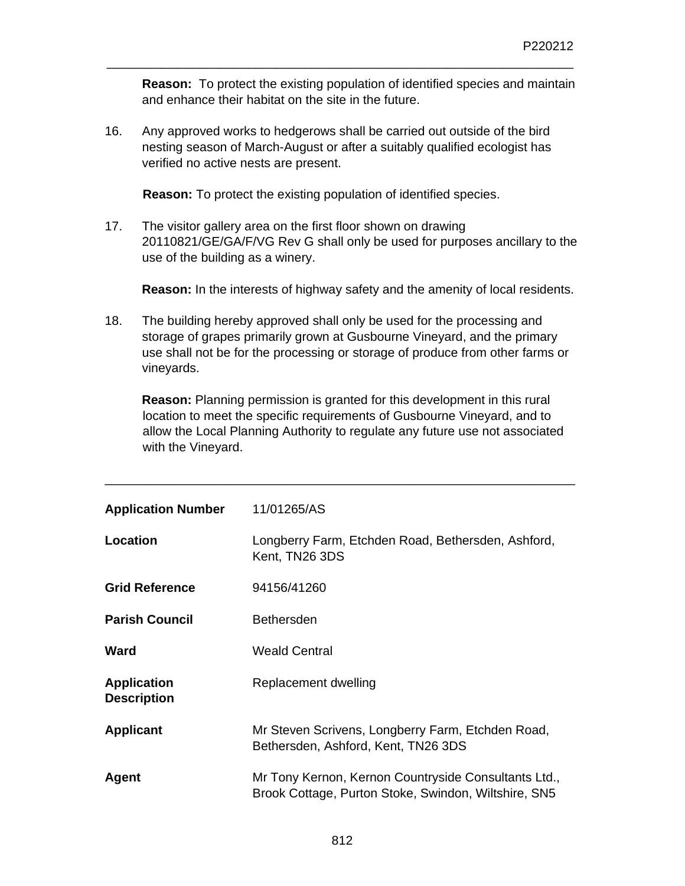**Reason:** To protect the existing population of identified species and maintain and enhance their habitat on the site in the future.

\_\_\_\_\_\_\_\_\_\_\_\_\_\_\_\_\_\_\_\_\_\_\_\_\_\_\_\_\_\_\_\_\_\_\_\_\_\_\_\_\_\_\_\_\_\_\_\_\_\_\_\_\_\_\_\_\_\_\_\_\_\_\_\_\_\_

16. Any approved works to hedgerows shall be carried out outside of the bird nesting season of March-August or after a suitably qualified ecologist has verified no active nests are present.

**Reason:** To protect the existing population of identified species.

17. The visitor gallery area on the first floor shown on drawing 20110821/GE/GA/F/VG Rev G shall only be used for purposes ancillary to the use of the building as a winery.

**Reason:** In the interests of highway safety and the amenity of local residents.

18. The building hereby approved shall only be used for the processing and storage of grapes primarily grown at Gusbourne Vineyard, and the primary use shall not be for the processing or storage of produce from other farms or vineyards.

**Reason:** Planning permission is granted for this development in this rural location to meet the specific requirements of Gusbourne Vineyard, and to allow the Local Planning Authority to regulate any future use not associated with the Vineyard.

| <b>Application Number</b>                | 11/01265/AS                                                                                                  |
|------------------------------------------|--------------------------------------------------------------------------------------------------------------|
| <b>Location</b>                          | Longberry Farm, Etchden Road, Bethersden, Ashford,<br>Kent, TN26 3DS                                         |
| <b>Grid Reference</b>                    | 94156/41260                                                                                                  |
| <b>Parish Council</b>                    | <b>Bethersden</b>                                                                                            |
| Ward                                     | <b>Weald Central</b>                                                                                         |
| <b>Application</b><br><b>Description</b> | Replacement dwelling                                                                                         |
| <b>Applicant</b>                         | Mr Steven Scrivens, Longberry Farm, Etchden Road,<br>Bethersden, Ashford, Kent, TN26 3DS                     |
| Agent                                    | Mr Tony Kernon, Kernon Countryside Consultants Ltd.,<br>Brook Cottage, Purton Stoke, Swindon, Wiltshire, SN5 |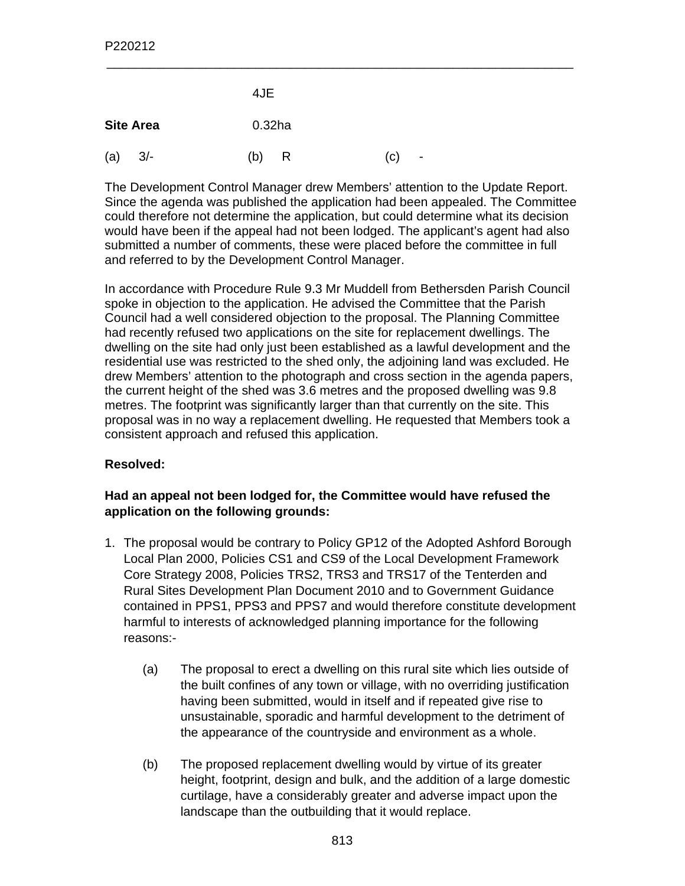|     |                  | 4JE       |   |     |                          |
|-----|------------------|-----------|---|-----|--------------------------|
|     | <b>Site Area</b> | $0.32$ ha |   |     |                          |
| (a) | $3/-$            | (b)       | R | (c) | $\overline{\phantom{a}}$ |

The Development Control Manager drew Members' attention to the Update Report. Since the agenda was published the application had been appealed. The Committee could therefore not determine the application, but could determine what its decision would have been if the appeal had not been lodged. The applicant's agent had also submitted a number of comments, these were placed before the committee in full and referred to by the Development Control Manager.

\_\_\_\_\_\_\_\_\_\_\_\_\_\_\_\_\_\_\_\_\_\_\_\_\_\_\_\_\_\_\_\_\_\_\_\_\_\_\_\_\_\_\_\_\_\_\_\_\_\_\_\_\_\_\_\_\_\_\_\_\_\_\_\_\_\_

In accordance with Procedure Rule 9.3 Mr Muddell from Bethersden Parish Council spoke in objection to the application. He advised the Committee that the Parish Council had a well considered objection to the proposal. The Planning Committee had recently refused two applications on the site for replacement dwellings. The dwelling on the site had only just been established as a lawful development and the residential use was restricted to the shed only, the adjoining land was excluded. He drew Members' attention to the photograph and cross section in the agenda papers, the current height of the shed was 3.6 metres and the proposed dwelling was 9.8 metres. The footprint was significantly larger than that currently on the site. This proposal was in no way a replacement dwelling. He requested that Members took a consistent approach and refused this application.

# **Resolved:**

# **Had an appeal not been lodged for, the Committee would have refused the application on the following grounds:**

- 1. The proposal would be contrary to Policy GP12 of the Adopted Ashford Borough Local Plan 2000, Policies CS1 and CS9 of the Local Development Framework Core Strategy 2008, Policies TRS2, TRS3 and TRS17 of the Tenterden and Rural Sites Development Plan Document 2010 and to Government Guidance contained in PPS1, PPS3 and PPS7 and would therefore constitute development harmful to interests of acknowledged planning importance for the following reasons:-
	- (a) The proposal to erect a dwelling on this rural site which lies outside of the built confines of any town or village, with no overriding justification having been submitted, would in itself and if repeated give rise to unsustainable, sporadic and harmful development to the detriment of the appearance of the countryside and environment as a whole.
	- (b) The proposed replacement dwelling would by virtue of its greater height, footprint, design and bulk, and the addition of a large domestic curtilage, have a considerably greater and adverse impact upon the landscape than the outbuilding that it would replace.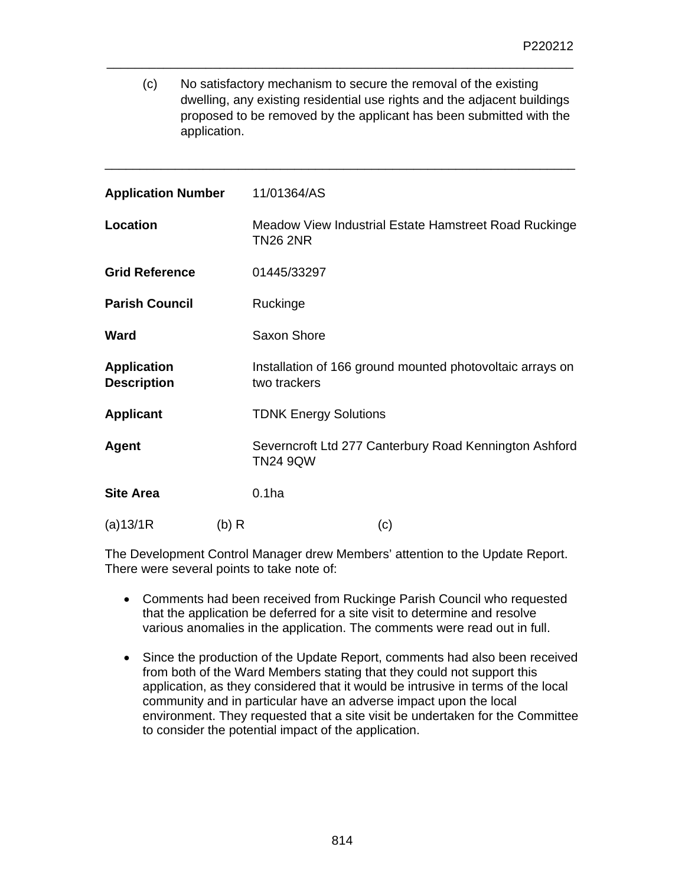(c) No satisfactory mechanism to secure the removal of the existing dwelling, any existing residential use rights and the adjacent buildings proposed to be removed by the applicant has been submitted with the application.

\_\_\_\_\_\_\_\_\_\_\_\_\_\_\_\_\_\_\_\_\_\_\_\_\_\_\_\_\_\_\_\_\_\_\_\_\_\_\_\_\_\_\_\_\_\_\_\_\_\_\_\_\_\_\_\_\_\_\_\_\_\_\_\_\_\_

\_\_\_\_\_\_\_\_\_\_\_\_\_\_\_\_\_\_\_\_\_\_\_\_\_\_\_\_\_\_\_\_\_\_\_\_\_\_\_\_\_\_\_\_\_\_\_\_\_\_\_\_\_\_\_\_\_\_\_\_\_\_\_\_\_\_\_

| <b>Application Number</b>                |       | 11/01364/AS                                                               |
|------------------------------------------|-------|---------------------------------------------------------------------------|
| <b>Location</b>                          |       | Meadow View Industrial Estate Hamstreet Road Ruckinge<br><b>TN26 2NR</b>  |
| <b>Grid Reference</b>                    |       | 01445/33297                                                               |
| <b>Parish Council</b>                    |       | Ruckinge                                                                  |
| Ward                                     |       | Saxon Shore                                                               |
| <b>Application</b><br><b>Description</b> |       | Installation of 166 ground mounted photovoltaic arrays on<br>two trackers |
| <b>Applicant</b>                         |       | <b>TDNK Energy Solutions</b>                                              |
| <b>Agent</b>                             |       | Severncroft Ltd 277 Canterbury Road Kennington Ashford<br><b>TN24 9QW</b> |
| <b>Site Area</b>                         |       | 0.1 <sub>ha</sub>                                                         |
| (a)13/1R                                 | (b) R | (c)                                                                       |

The Development Control Manager drew Members' attention to the Update Report. There were several points to take note of:

- Comments had been received from Ruckinge Parish Council who requested that the application be deferred for a site visit to determine and resolve various anomalies in the application. The comments were read out in full.
- Since the production of the Update Report, comments had also been received from both of the Ward Members stating that they could not support this application, as they considered that it would be intrusive in terms of the local community and in particular have an adverse impact upon the local environment. They requested that a site visit be undertaken for the Committee to consider the potential impact of the application.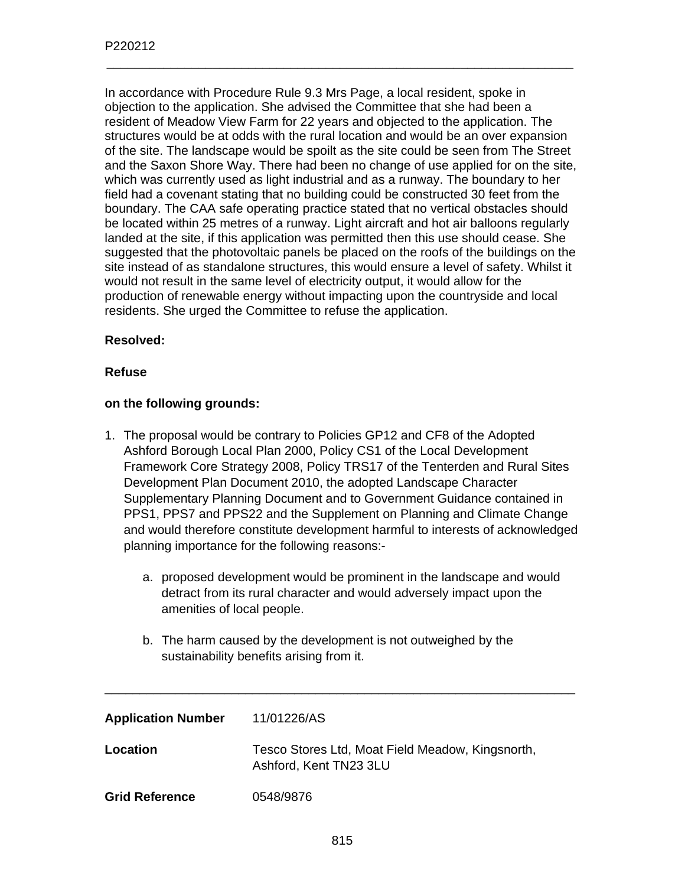In accordance with Procedure Rule 9.3 Mrs Page, a local resident, spoke in objection to the application. She advised the Committee that she had been a resident of Meadow View Farm for 22 years and objected to the application. The structures would be at odds with the rural location and would be an over expansion of the site. The landscape would be spoilt as the site could be seen from The Street and the Saxon Shore Way. There had been no change of use applied for on the site, which was currently used as light industrial and as a runway. The boundary to her field had a covenant stating that no building could be constructed 30 feet from the boundary. The CAA safe operating practice stated that no vertical obstacles should be located within 25 metres of a runway. Light aircraft and hot air balloons regularly landed at the site, if this application was permitted then this use should cease. She suggested that the photovoltaic panels be placed on the roofs of the buildings on the site instead of as standalone structures, this would ensure a level of safety. Whilst it would not result in the same level of electricity output, it would allow for the production of renewable energy without impacting upon the countryside and local residents. She urged the Committee to refuse the application.

\_\_\_\_\_\_\_\_\_\_\_\_\_\_\_\_\_\_\_\_\_\_\_\_\_\_\_\_\_\_\_\_\_\_\_\_\_\_\_\_\_\_\_\_\_\_\_\_\_\_\_\_\_\_\_\_\_\_\_\_\_\_\_\_\_\_

#### **Resolved:**

#### **Refuse**

#### **on the following grounds:**

- 1. The proposal would be contrary to Policies GP12 and CF8 of the Adopted Ashford Borough Local Plan 2000, Policy CS1 of the Local Development Framework Core Strategy 2008, Policy TRS17 of the Tenterden and Rural Sites Development Plan Document 2010, the adopted Landscape Character Supplementary Planning Document and to Government Guidance contained in PPS1, PPS7 and PPS22 and the Supplement on Planning and Climate Change and would therefore constitute development harmful to interests of acknowledged planning importance for the following reasons:
	- a. proposed development would be prominent in the landscape and would detract from its rural character and would adversely impact upon the amenities of local people.
	- b. The harm caused by the development is not outweighed by the sustainability benefits arising from it.

| <b>Application Number</b> | 11/01226/AS                                                                |
|---------------------------|----------------------------------------------------------------------------|
| Location                  | Tesco Stores Ltd, Moat Field Meadow, Kingsnorth,<br>Ashford, Kent TN23 3LU |
| <b>Grid Reference</b>     | 0548/9876                                                                  |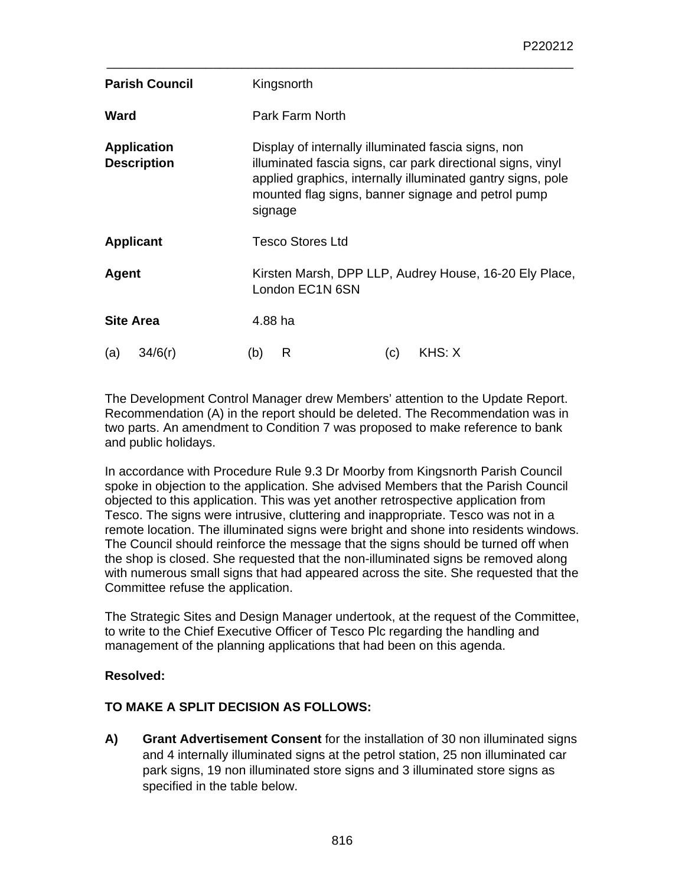| <b>Parish Council</b>                    | Kingsnorth                                                                                                                                                                                                                                         |  |  |
|------------------------------------------|----------------------------------------------------------------------------------------------------------------------------------------------------------------------------------------------------------------------------------------------------|--|--|
| Ward                                     | Park Farm North                                                                                                                                                                                                                                    |  |  |
| <b>Application</b><br><b>Description</b> | Display of internally illuminated fascia signs, non<br>illuminated fascia signs, car park directional signs, vinyl<br>applied graphics, internally illuminated gantry signs, pole<br>mounted flag signs, banner signage and petrol pump<br>signage |  |  |
| <b>Applicant</b>                         | <b>Tesco Stores Ltd</b>                                                                                                                                                                                                                            |  |  |
| Agent                                    | Kirsten Marsh, DPP LLP, Audrey House, 16-20 Ely Place,<br>London EC1N 6SN                                                                                                                                                                          |  |  |
| <b>Site Area</b>                         | 4.88 ha                                                                                                                                                                                                                                            |  |  |
| (a)<br>34/6(r)                           | R<br>KHS: X<br>(b)<br>(c)                                                                                                                                                                                                                          |  |  |

\_\_\_\_\_\_\_\_\_\_\_\_\_\_\_\_\_\_\_\_\_\_\_\_\_\_\_\_\_\_\_\_\_\_\_\_\_\_\_\_\_\_\_\_\_\_\_\_\_\_\_\_\_\_\_\_\_\_\_\_\_\_\_\_\_\_

The Development Control Manager drew Members' attention to the Update Report. Recommendation (A) in the report should be deleted. The Recommendation was in two parts. An amendment to Condition 7 was proposed to make reference to bank and public holidays.

In accordance with Procedure Rule 9.3 Dr Moorby from Kingsnorth Parish Council spoke in objection to the application. She advised Members that the Parish Council objected to this application. This was yet another retrospective application from Tesco. The signs were intrusive, cluttering and inappropriate. Tesco was not in a remote location. The illuminated signs were bright and shone into residents windows. The Council should reinforce the message that the signs should be turned off when the shop is closed. She requested that the non-illuminated signs be removed along with numerous small signs that had appeared across the site. She requested that the Committee refuse the application.

The Strategic Sites and Design Manager undertook, at the request of the Committee, to write to the Chief Executive Officer of Tesco Plc regarding the handling and management of the planning applications that had been on this agenda.

# **Resolved:**

# **TO MAKE A SPLIT DECISION AS FOLLOWS:**

**A) Grant Advertisement Consent** for the installation of 30 non illuminated signs and 4 internally illuminated signs at the petrol station, 25 non illuminated car park signs, 19 non illuminated store signs and 3 illuminated store signs as specified in the table below.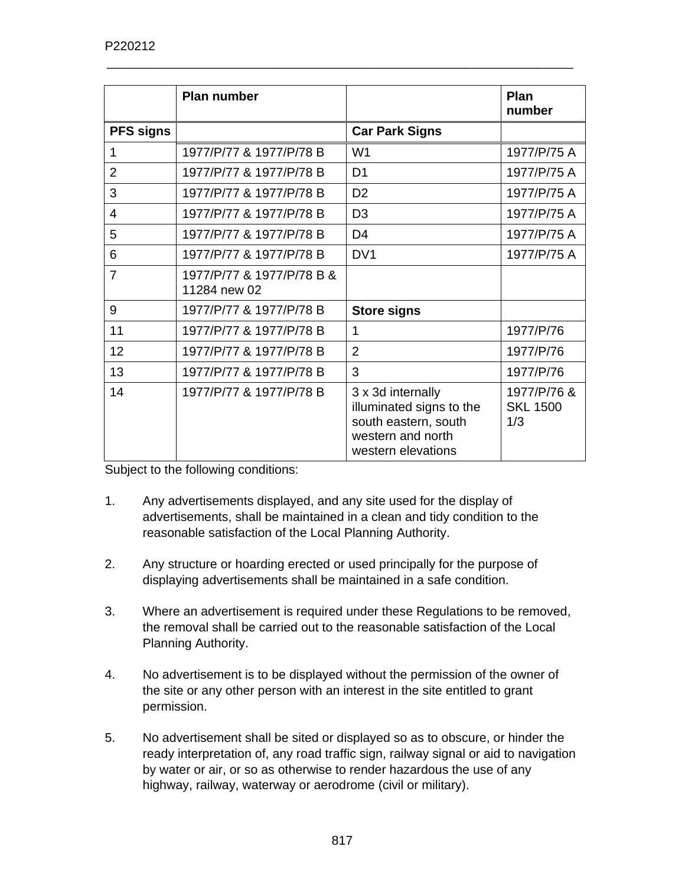|                  | <b>Plan number</b>                        |                                                                                                                  | <b>Plan</b><br>number                 |
|------------------|-------------------------------------------|------------------------------------------------------------------------------------------------------------------|---------------------------------------|
| <b>PFS signs</b> |                                           | <b>Car Park Signs</b>                                                                                            |                                       |
| 1                | 1977/P/77 & 1977/P/78 B                   | W <sub>1</sub>                                                                                                   | 1977/P/75 A                           |
| $\overline{2}$   | 1977/P/77 & 1977/P/78 B                   | D <sub>1</sub>                                                                                                   | 1977/P/75 A                           |
| 3                | 1977/P/77 & 1977/P/78 B                   | D <sub>2</sub>                                                                                                   | 1977/P/75 A                           |
| 4                | 1977/P/77 & 1977/P/78 B                   | D <sub>3</sub>                                                                                                   | 1977/P/75 A                           |
| 5                | 1977/P/77 & 1977/P/78 B                   | D <sub>4</sub>                                                                                                   | 1977/P/75 A                           |
| 6                | 1977/P/77 & 1977/P/78 B                   | DV <sub>1</sub>                                                                                                  | 1977/P/75 A                           |
| $\overline{7}$   | 1977/P/77 & 1977/P/78 B &<br>11284 new 02 |                                                                                                                  |                                       |
| 9                | 1977/P/77 & 1977/P/78 B                   | <b>Store signs</b>                                                                                               |                                       |
| 11               | 1977/P/77 & 1977/P/78 B                   | 1                                                                                                                | 1977/P/76                             |
| 12               | 1977/P/77 & 1977/P/78 B                   | $\overline{2}$                                                                                                   | 1977/P/76                             |
| 13               | 1977/P/77 & 1977/P/78 B                   | 3                                                                                                                | 1977/P/76                             |
| 14               | 1977/P/77 & 1977/P/78 B                   | 3 x 3d internally<br>illuminated signs to the<br>south eastern, south<br>western and north<br>western elevations | 1977/P/76 &<br><b>SKL 1500</b><br>1/3 |

\_\_\_\_\_\_\_\_\_\_\_\_\_\_\_\_\_\_\_\_\_\_\_\_\_\_\_\_\_\_\_\_\_\_\_\_\_\_\_\_\_\_\_\_\_\_\_\_\_\_\_\_\_\_\_\_\_\_\_\_\_\_\_\_\_\_

Subject to the following conditions:

- 1. Any advertisements displayed, and any site used for the display of advertisements, shall be maintained in a clean and tidy condition to the reasonable satisfaction of the Local Planning Authority.
- 2. Any structure or hoarding erected or used principally for the purpose of displaying advertisements shall be maintained in a safe condition.
- 3. Where an advertisement is required under these Regulations to be removed, the removal shall be carried out to the reasonable satisfaction of the Local Planning Authority.
- 4. No advertisement is to be displayed without the permission of the owner of the site or any other person with an interest in the site entitled to grant permission.
- 5. No advertisement shall be sited or displayed so as to obscure, or hinder the ready interpretation of, any road traffic sign, railway signal or aid to navigation by water or air, or so as otherwise to render hazardous the use of any highway, railway, waterway or aerodrome (civil or military).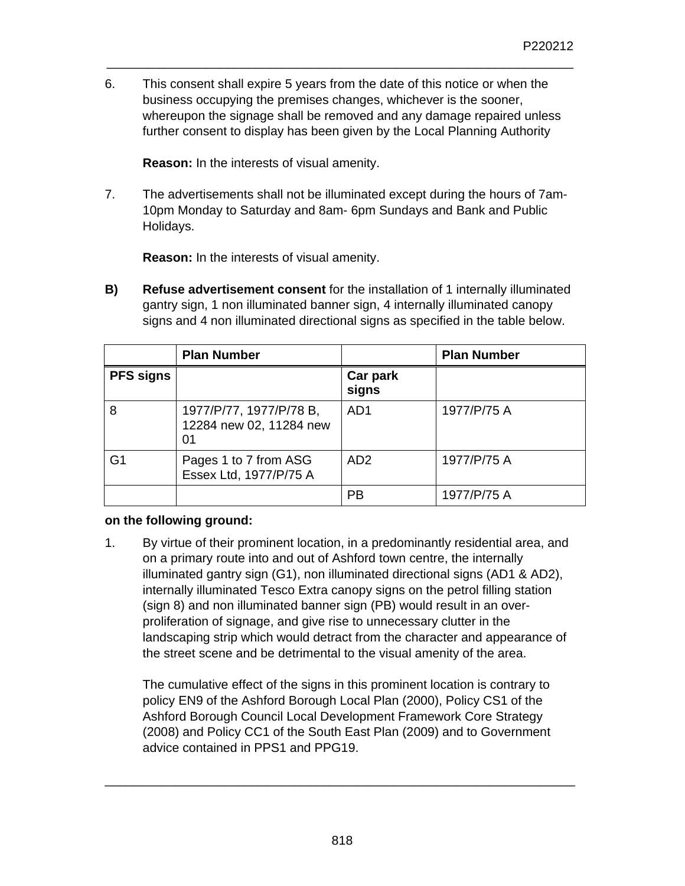6. This consent shall expire 5 years from the date of this notice or when the business occupying the premises changes, whichever is the sooner, whereupon the signage shall be removed and any damage repaired unless further consent to display has been given by the Local Planning Authority

\_\_\_\_\_\_\_\_\_\_\_\_\_\_\_\_\_\_\_\_\_\_\_\_\_\_\_\_\_\_\_\_\_\_\_\_\_\_\_\_\_\_\_\_\_\_\_\_\_\_\_\_\_\_\_\_\_\_\_\_\_\_\_\_\_\_

 **Reason:** In the interests of visual amenity.

7. The advertisements shall not be illuminated except during the hours of 7am-10pm Monday to Saturday and 8am- 6pm Sundays and Bank and Public Holidays.

 **Reason:** In the interests of visual amenity.

**B) Refuse advertisement consent** for the installation of 1 internally illuminated gantry sign, 1 non illuminated banner sign, 4 internally illuminated canopy signs and 4 non illuminated directional signs as specified in the table below.

|                  | <b>Plan Number</b>                                       |                   | <b>Plan Number</b> |
|------------------|----------------------------------------------------------|-------------------|--------------------|
| <b>PFS signs</b> |                                                          | Car park<br>signs |                    |
| 8                | 1977/P/77, 1977/P/78 B,<br>12284 new 02, 11284 new<br>01 | AD1               | 1977/P/75 A        |
| G <sub>1</sub>   | Pages 1 to 7 from ASG<br>Essex Ltd, 1977/P/75 A          | AD <sub>2</sub>   | 1977/P/75 A        |
|                  |                                                          | <b>PB</b>         | 1977/P/75 A        |

# **on the following ground:**

1. By virtue of their prominent location, in a predominantly residential area, and on a primary route into and out of Ashford town centre, the internally illuminated gantry sign (G1), non illuminated directional signs (AD1 & AD2), internally illuminated Tesco Extra canopy signs on the petrol filling station (sign 8) and non illuminated banner sign (PB) would result in an overproliferation of signage, and give rise to unnecessary clutter in the landscaping strip which would detract from the character and appearance of the street scene and be detrimental to the visual amenity of the area.

The cumulative effect of the signs in this prominent location is contrary to policy EN9 of the Ashford Borough Local Plan (2000), Policy CS1 of the Ashford Borough Council Local Development Framework Core Strategy (2008) and Policy CC1 of the South East Plan (2009) and to Government advice contained in PPS1 and PPG19.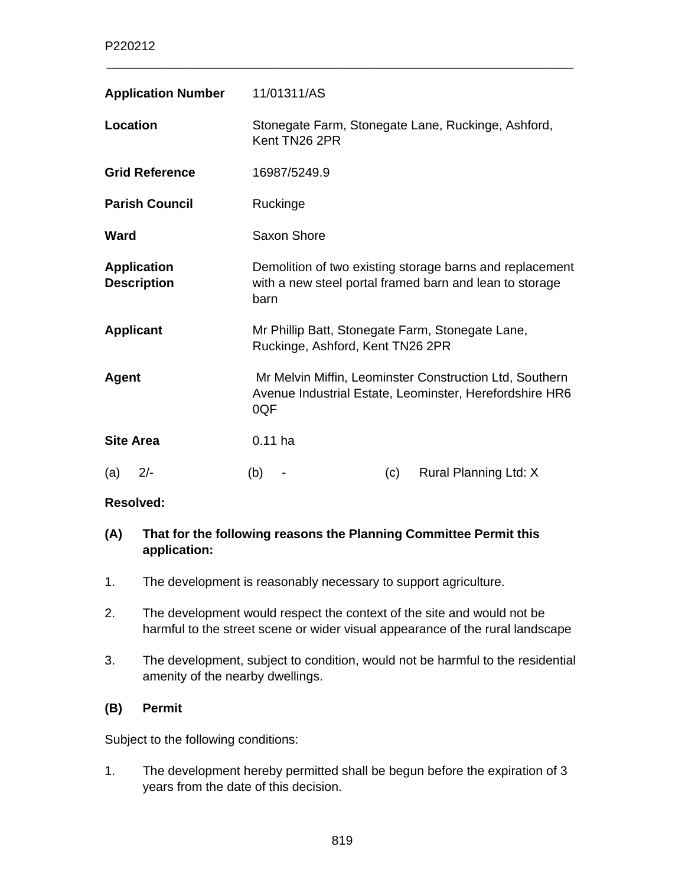| <b>Application Number</b>                | 11/01311/AS                                                                                                                 |  |  |
|------------------------------------------|-----------------------------------------------------------------------------------------------------------------------------|--|--|
| Location                                 | Stonegate Farm, Stonegate Lane, Ruckinge, Ashford,<br>Kent TN26 2PR                                                         |  |  |
| <b>Grid Reference</b>                    | 16987/5249.9                                                                                                                |  |  |
| <b>Parish Council</b>                    | Ruckinge                                                                                                                    |  |  |
| <b>Ward</b>                              | Saxon Shore                                                                                                                 |  |  |
| <b>Application</b><br><b>Description</b> | Demolition of two existing storage barns and replacement<br>with a new steel portal framed barn and lean to storage<br>barn |  |  |
| <b>Applicant</b>                         | Mr Phillip Batt, Stonegate Farm, Stonegate Lane,<br>Ruckinge, Ashford, Kent TN26 2PR                                        |  |  |
| <b>Agent</b>                             | Mr Melvin Miffin, Leominster Construction Ltd, Southern<br>Avenue Industrial Estate, Leominster, Herefordshire HR6<br>0QF   |  |  |
| <b>Site Area</b>                         | $0.11$ ha                                                                                                                   |  |  |
| (a)<br>$2/-$                             | Rural Planning Ltd: X<br>(b)<br>(c)<br>٠                                                                                    |  |  |

\_\_\_\_\_\_\_\_\_\_\_\_\_\_\_\_\_\_\_\_\_\_\_\_\_\_\_\_\_\_\_\_\_\_\_\_\_\_\_\_\_\_\_\_\_\_\_\_\_\_\_\_\_\_\_\_\_\_\_\_\_\_\_\_\_\_

#### **Resolved:**

# **(A) That for the following reasons the Planning Committee Permit this application:**

- 1. The development is reasonably necessary to support agriculture.
- 2. The development would respect the context of the site and would not be harmful to the street scene or wider visual appearance of the rural landscape
- 3. The development, subject to condition, would not be harmful to the residential amenity of the nearby dwellings.

#### **(B) Permit**

Subject to the following conditions:

1. The development hereby permitted shall be begun before the expiration of 3 years from the date of this decision.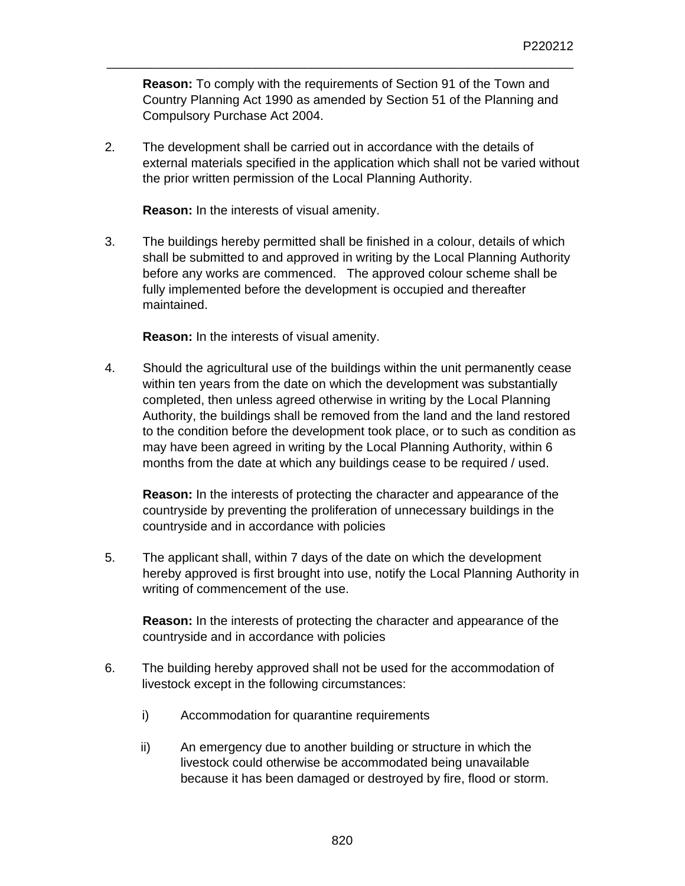**Reason:** To comply with the requirements of Section 91 of the Town and Country Planning Act 1990 as amended by Section 51 of the Planning and Compulsory Purchase Act 2004.

\_\_\_\_\_\_\_\_\_\_\_\_\_\_\_\_\_\_\_\_\_\_\_\_\_\_\_\_\_\_\_\_\_\_\_\_\_\_\_\_\_\_\_\_\_\_\_\_\_\_\_\_\_\_\_\_\_\_\_\_\_\_\_\_\_\_

2. The development shall be carried out in accordance with the details of external materials specified in the application which shall not be varied without the prior written permission of the Local Planning Authority.

 **Reason:** In the interests of visual amenity.

3. The buildings hereby permitted shall be finished in a colour, details of which shall be submitted to and approved in writing by the Local Planning Authority before any works are commenced. The approved colour scheme shall be fully implemented before the development is occupied and thereafter maintained.

 **Reason:** In the interests of visual amenity.

4. Should the agricultural use of the buildings within the unit permanently cease within ten years from the date on which the development was substantially completed, then unless agreed otherwise in writing by the Local Planning Authority, the buildings shall be removed from the land and the land restored to the condition before the development took place, or to such as condition as may have been agreed in writing by the Local Planning Authority, within 6 months from the date at which any buildings cease to be required / used.

**Reason:** In the interests of protecting the character and appearance of the countryside by preventing the proliferation of unnecessary buildings in the countryside and in accordance with policies

5. The applicant shall, within 7 days of the date on which the development hereby approved is first brought into use, notify the Local Planning Authority in writing of commencement of the use.

**Reason:** In the interests of protecting the character and appearance of the countryside and in accordance with policies

- 6. The building hereby approved shall not be used for the accommodation of livestock except in the following circumstances:
	- i) Accommodation for quarantine requirements
	- ii) An emergency due to another building or structure in which the livestock could otherwise be accommodated being unavailable because it has been damaged or destroyed by fire, flood or storm.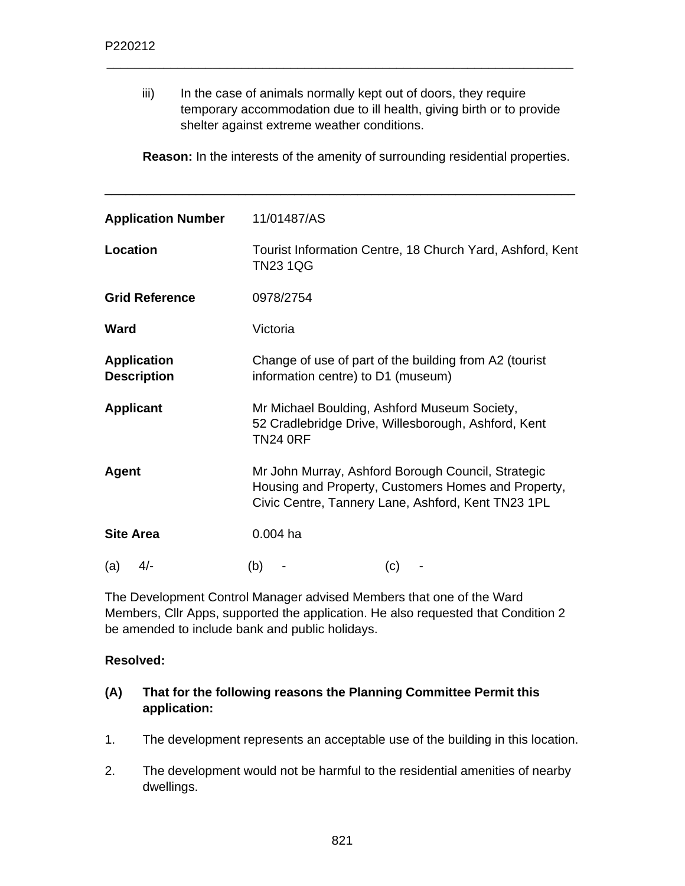iii) In the case of animals normally kept out of doors, they require temporary accommodation due to ill health, giving birth or to provide shelter against extreme weather conditions.

\_\_\_\_\_\_\_\_\_\_\_\_\_\_\_\_\_\_\_\_\_\_\_\_\_\_\_\_\_\_\_\_\_\_\_\_\_\_\_\_\_\_\_\_\_\_\_\_\_\_\_\_\_\_\_\_\_\_\_\_\_\_\_\_\_\_

 **Reason:** In the interests of the amenity of surrounding residential properties.

\_\_\_\_\_\_\_\_\_\_\_\_\_\_\_\_\_\_\_\_\_\_\_\_\_\_\_\_\_\_\_\_\_\_\_\_\_\_\_\_\_\_\_\_\_\_\_\_\_\_\_\_\_\_\_\_\_\_\_\_\_\_\_\_\_\_\_

| <b>Application Number</b>                | 11/01487/AS                                                                                                                                                     |
|------------------------------------------|-----------------------------------------------------------------------------------------------------------------------------------------------------------------|
| Location                                 | Tourist Information Centre, 18 Church Yard, Ashford, Kent<br><b>TN23 1QG</b>                                                                                    |
| <b>Grid Reference</b>                    | 0978/2754                                                                                                                                                       |
| Ward                                     | Victoria                                                                                                                                                        |
| <b>Application</b><br><b>Description</b> | Change of use of part of the building from A2 (tourist<br>information centre) to D1 (museum)                                                                    |
| <b>Applicant</b>                         | Mr Michael Boulding, Ashford Museum Society,<br>52 Cradlebridge Drive, Willesborough, Ashford, Kent<br><b>TN24 0RF</b>                                          |
| <b>Agent</b>                             | Mr John Murray, Ashford Borough Council, Strategic<br>Housing and Property, Customers Homes and Property,<br>Civic Centre, Tannery Lane, Ashford, Kent TN23 1PL |
| <b>Site Area</b>                         | $0.004$ ha                                                                                                                                                      |
| $4/-$<br>(a)                             | (b)<br>(c)                                                                                                                                                      |

The Development Control Manager advised Members that one of the Ward Members, Cllr Apps, supported the application. He also requested that Condition 2 be amended to include bank and public holidays.

#### **Resolved:**

#### **(A) That for the following reasons the Planning Committee Permit this application:**

- 1. The development represents an acceptable use of the building in this location.
- 2. The development would not be harmful to the residential amenities of nearby dwellings.